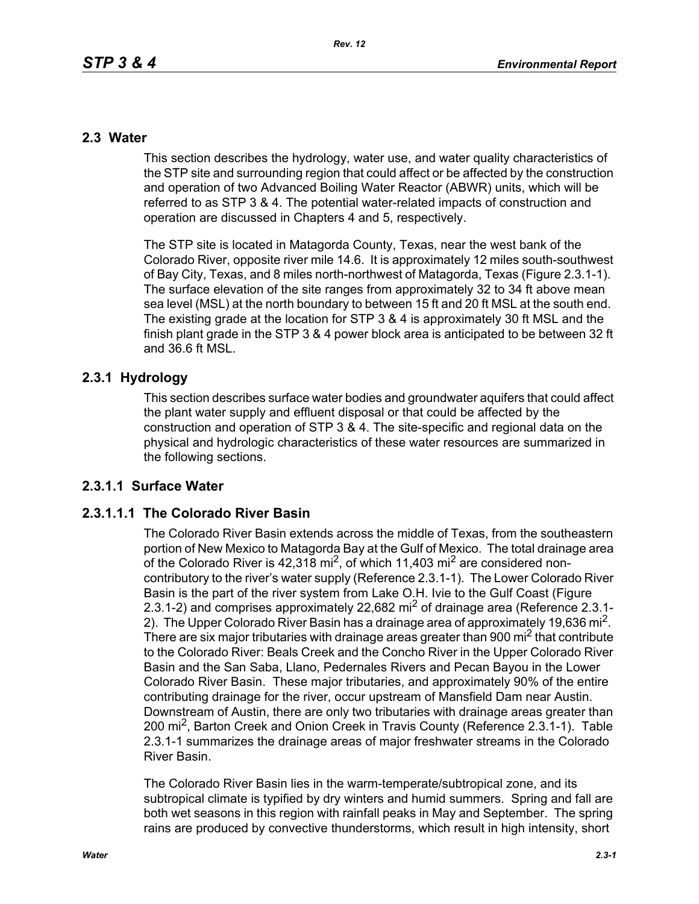# **2.3 Water**

This section describes the hydrology, water use, and water quality characteristics of the STP site and surrounding region that could affect or be affected by the construction and operation of two Advanced Boiling Water Reactor (ABWR) units, which will be referred to as STP 3 & 4. The potential water-related impacts of construction and operation are discussed in Chapters 4 and 5, respectively.

The STP site is located in Matagorda County, Texas, near the west bank of the Colorado River, opposite river mile 14.6. It is approximately 12 miles south-southwest of Bay City, Texas, and 8 miles north-northwest of Matagorda, Texas (Figure 2.3.1-1). The surface elevation of the site ranges from approximately 32 to 34 ft above mean sea level (MSL) at the north boundary to between 15 ft and 20 ft MSL at the south end. The existing grade at the location for STP 3 & 4 is approximately 30 ft MSL and the finish plant grade in the STP 3 & 4 power block area is anticipated to be between 32 ft and 36.6 ft MSL.

# **2.3.1 Hydrology**

This section describes surface water bodies and groundwater aquifers that could affect the plant water supply and effluent disposal or that could be affected by the construction and operation of STP 3 & 4. The site-specific and regional data on the physical and hydrologic characteristics of these water resources are summarized in the following sections.

# **2.3.1.1 Surface Water**

# **2.3.1.1.1 The Colorado River Basin**

The Colorado River Basin extends across the middle of Texas, from the southeastern portion of New Mexico to Matagorda Bay at the Gulf of Mexico. The total drainage area of the Colorado River is  $42,318$  mi<sup>2</sup>, of which 11,403 mi<sup>2</sup> are considered noncontributory to the river's water supply (Reference 2.3.1-1). The Lower Colorado River Basin is the part of the river system from Lake O.H. Ivie to the Gulf Coast (Figure 2.3.1-2) and comprises approximately 22,682 mi<sup>2</sup> of drainage area (Reference 2.3.1-2). The Upper Colorado River Basin has a drainage area of approximately 19,636 mi<sup>2</sup>. There are six major tributaries with drainage areas greater than 900 mi<sup>2</sup> that contribute to the Colorado River: Beals Creek and the Concho River in the Upper Colorado River Basin and the San Saba, Llano, Pedernales Rivers and Pecan Bayou in the Lower Colorado River Basin. These major tributaries, and approximately 90% of the entire contributing drainage for the river, occur upstream of Mansfield Dam near Austin. Downstream of Austin, there are only two tributaries with drainage areas greater than 200 mi<sup>2</sup>, Barton Creek and Onion Creek in Travis County (Reference 2.3.1-1). Table 2.3.1-1 summarizes the drainage areas of major freshwater streams in the Colorado River Basin.

The Colorado River Basin lies in the warm-temperate/subtropical zone, and its subtropical climate is typified by dry winters and humid summers. Spring and fall are both wet seasons in this region with rainfall peaks in May and September. The spring rains are produced by convective thunderstorms, which result in high intensity, short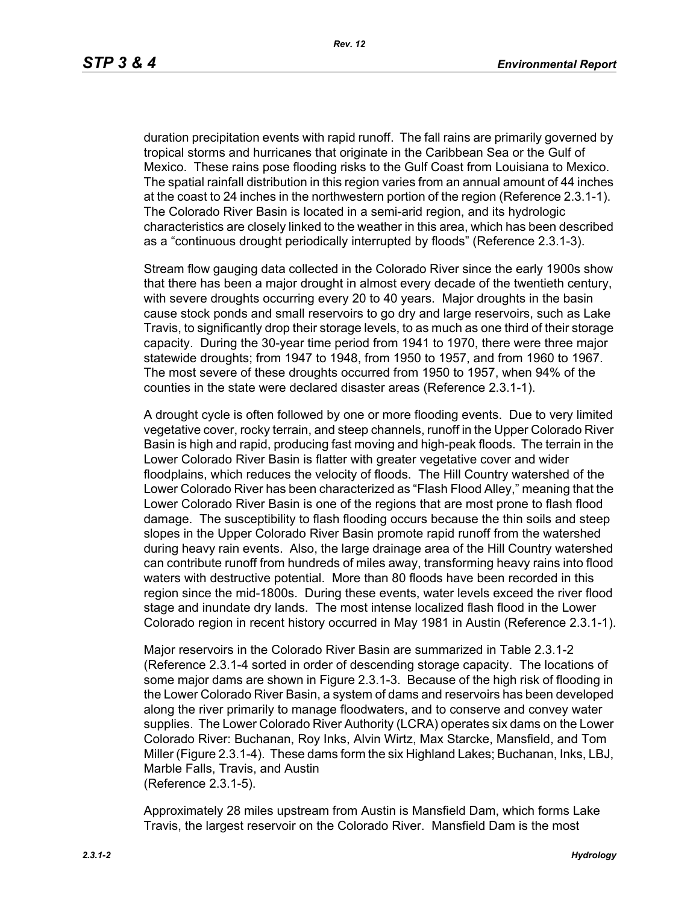duration precipitation events with rapid runoff. The fall rains are primarily governed by tropical storms and hurricanes that originate in the Caribbean Sea or the Gulf of Mexico. These rains pose flooding risks to the Gulf Coast from Louisiana to Mexico. The spatial rainfall distribution in this region varies from an annual amount of 44 inches at the coast to 24 inches in the northwestern portion of the region (Reference 2.3.1-1). The Colorado River Basin is located in a semi-arid region, and its hydrologic characteristics are closely linked to the weather in this area, which has been described as a "continuous drought periodically interrupted by floods" (Reference 2.3.1-3).

Stream flow gauging data collected in the Colorado River since the early 1900s show that there has been a major drought in almost every decade of the twentieth century, with severe droughts occurring every 20 to 40 years. Major droughts in the basin cause stock ponds and small reservoirs to go dry and large reservoirs, such as Lake Travis, to significantly drop their storage levels, to as much as one third of their storage capacity. During the 30-year time period from 1941 to 1970, there were three major statewide droughts; from 1947 to 1948, from 1950 to 1957, and from 1960 to 1967. The most severe of these droughts occurred from 1950 to 1957, when 94% of the counties in the state were declared disaster areas (Reference 2.3.1-1).

A drought cycle is often followed by one or more flooding events. Due to very limited vegetative cover, rocky terrain, and steep channels, runoff in the Upper Colorado River Basin is high and rapid, producing fast moving and high-peak floods. The terrain in the Lower Colorado River Basin is flatter with greater vegetative cover and wider floodplains, which reduces the velocity of floods. The Hill Country watershed of the Lower Colorado River has been characterized as "Flash Flood Alley," meaning that the Lower Colorado River Basin is one of the regions that are most prone to flash flood damage. The susceptibility to flash flooding occurs because the thin soils and steep slopes in the Upper Colorado River Basin promote rapid runoff from the watershed during heavy rain events. Also, the large drainage area of the Hill Country watershed can contribute runoff from hundreds of miles away, transforming heavy rains into flood waters with destructive potential. More than 80 floods have been recorded in this region since the mid-1800s. During these events, water levels exceed the river flood stage and inundate dry lands. The most intense localized flash flood in the Lower Colorado region in recent history occurred in May 1981 in Austin (Reference 2.3.1-1).

Major reservoirs in the Colorado River Basin are summarized in Table 2.3.1-2 (Reference 2.3.1-4 sorted in order of descending storage capacity. The locations of some major dams are shown in Figure 2.3.1-3. Because of the high risk of flooding in the Lower Colorado River Basin, a system of dams and reservoirs has been developed along the river primarily to manage floodwaters, and to conserve and convey water supplies. The Lower Colorado River Authority (LCRA) operates six dams on the Lower Colorado River: Buchanan, Roy Inks, Alvin Wirtz, Max Starcke, Mansfield, and Tom Miller (Figure 2.3.1-4). These dams form the six Highland Lakes; Buchanan, Inks, LBJ, Marble Falls, Travis, and Austin (Reference 2.3.1-5).

Approximately 28 miles upstream from Austin is Mansfield Dam, which forms Lake Travis, the largest reservoir on the Colorado River. Mansfield Dam is the most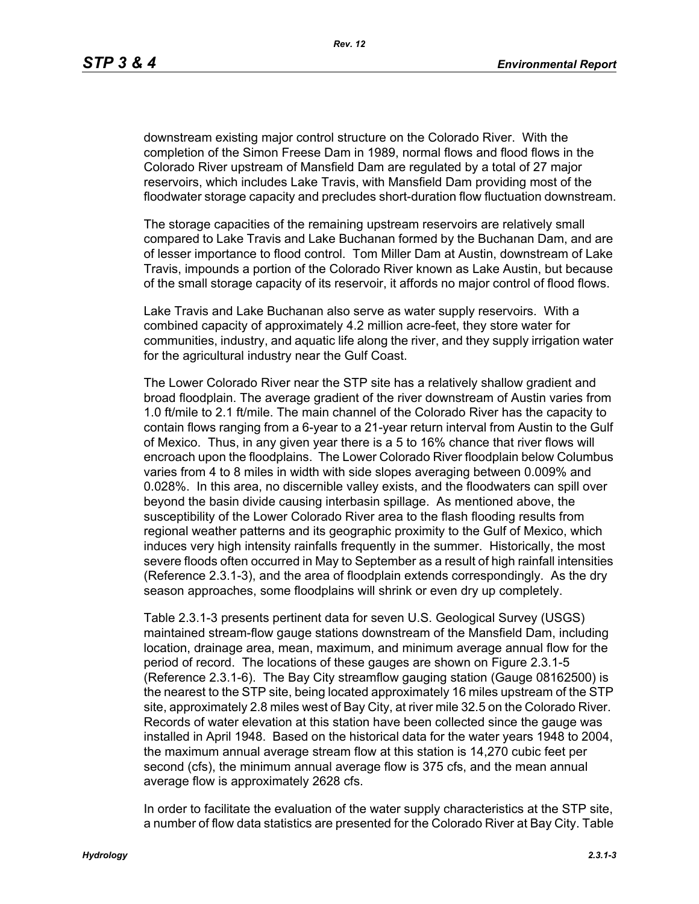downstream existing major control structure on the Colorado River. With the completion of the Simon Freese Dam in 1989, normal flows and flood flows in the Colorado River upstream of Mansfield Dam are regulated by a total of 27 major reservoirs, which includes Lake Travis, with Mansfield Dam providing most of the floodwater storage capacity and precludes short-duration flow fluctuation downstream.

The storage capacities of the remaining upstream reservoirs are relatively small compared to Lake Travis and Lake Buchanan formed by the Buchanan Dam, and are of lesser importance to flood control. Tom Miller Dam at Austin, downstream of Lake Travis, impounds a portion of the Colorado River known as Lake Austin, but because of the small storage capacity of its reservoir, it affords no major control of flood flows.

Lake Travis and Lake Buchanan also serve as water supply reservoirs. With a combined capacity of approximately 4.2 million acre-feet, they store water for communities, industry, and aquatic life along the river, and they supply irrigation water for the agricultural industry near the Gulf Coast.

The Lower Colorado River near the STP site has a relatively shallow gradient and broad floodplain. The average gradient of the river downstream of Austin varies from 1.0 ft/mile to 2.1 ft/mile. The main channel of the Colorado River has the capacity to contain flows ranging from a 6-year to a 21-year return interval from Austin to the Gulf of Mexico. Thus, in any given year there is a 5 to 16% chance that river flows will encroach upon the floodplains. The Lower Colorado River floodplain below Columbus varies from 4 to 8 miles in width with side slopes averaging between 0.009% and 0.028%. In this area, no discernible valley exists, and the floodwaters can spill over beyond the basin divide causing interbasin spillage. As mentioned above, the susceptibility of the Lower Colorado River area to the flash flooding results from regional weather patterns and its geographic proximity to the Gulf of Mexico, which induces very high intensity rainfalls frequently in the summer. Historically, the most severe floods often occurred in May to September as a result of high rainfall intensities (Reference 2.3.1-3), and the area of floodplain extends correspondingly. As the dry season approaches, some floodplains will shrink or even dry up completely.

Table 2.3.1-3 presents pertinent data for seven U.S. Geological Survey (USGS) maintained stream-flow gauge stations downstream of the Mansfield Dam, including location, drainage area, mean, maximum, and minimum average annual flow for the period of record. The locations of these gauges are shown on Figure 2.3.1-5 (Reference 2.3.1-6). The Bay City streamflow gauging station (Gauge 08162500) is the nearest to the STP site, being located approximately 16 miles upstream of the STP site, approximately 2.8 miles west of Bay City, at river mile 32.5 on the Colorado River. Records of water elevation at this station have been collected since the gauge was installed in April 1948. Based on the historical data for the water years 1948 to 2004, the maximum annual average stream flow at this station is 14,270 cubic feet per second (cfs), the minimum annual average flow is 375 cfs, and the mean annual average flow is approximately 2628 cfs.

In order to facilitate the evaluation of the water supply characteristics at the STP site, a number of flow data statistics are presented for the Colorado River at Bay City. Table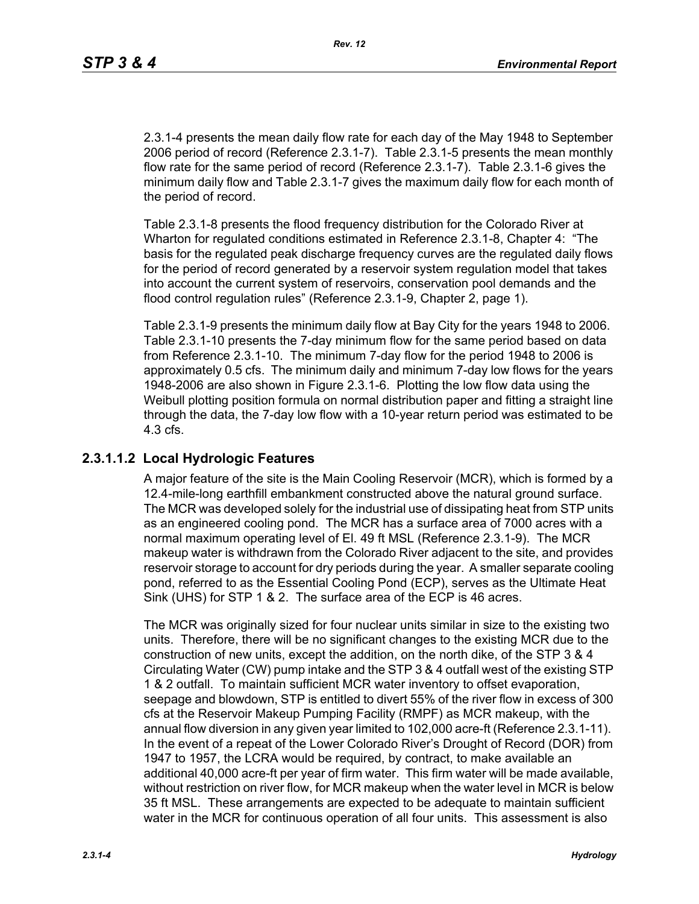2.3.1-4 presents the mean daily flow rate for each day of the May 1948 to September 2006 period of record (Reference 2.3.1-7). Table 2.3.1-5 presents the mean monthly flow rate for the same period of record (Reference 2.3.1-7). Table 2.3.1-6 gives the minimum daily flow and Table 2.3.1-7 gives the maximum daily flow for each month of the period of record.

Table 2.3.1-8 presents the flood frequency distribution for the Colorado River at Wharton for regulated conditions estimated in Reference 2.3.1-8, Chapter 4: "The basis for the regulated peak discharge frequency curves are the regulated daily flows for the period of record generated by a reservoir system regulation model that takes into account the current system of reservoirs, conservation pool demands and the flood control regulation rules" (Reference 2.3.1-9, Chapter 2, page 1).

Table 2.3.1-9 presents the minimum daily flow at Bay City for the years 1948 to 2006. Table 2.3.1-10 presents the 7-day minimum flow for the same period based on data from Reference 2.3.1-10. The minimum 7-day flow for the period 1948 to 2006 is approximately 0.5 cfs. The minimum daily and minimum 7-day low flows for the years 1948-2006 are also shown in Figure 2.3.1-6. Plotting the low flow data using the Weibull plotting position formula on normal distribution paper and fitting a straight line through the data, the 7-day low flow with a 10-year return period was estimated to be 4.3 cfs.

# **2.3.1.1.2 Local Hydrologic Features**

A major feature of the site is the Main Cooling Reservoir (MCR), which is formed by a 12.4-mile-long earthfill embankment constructed above the natural ground surface. The MCR was developed solely for the industrial use of dissipating heat from STP units as an engineered cooling pond. The MCR has a surface area of 7000 acres with a normal maximum operating level of El. 49 ft MSL (Reference 2.3.1-9). The MCR makeup water is withdrawn from the Colorado River adjacent to the site, and provides reservoir storage to account for dry periods during the year. A smaller separate cooling pond, referred to as the Essential Cooling Pond (ECP), serves as the Ultimate Heat Sink (UHS) for STP 1 & 2. The surface area of the ECP is 46 acres.

The MCR was originally sized for four nuclear units similar in size to the existing two units. Therefore, there will be no significant changes to the existing MCR due to the construction of new units, except the addition, on the north dike, of the STP 3 & 4 Circulating Water (CW) pump intake and the STP 3 & 4 outfall west of the existing STP 1 & 2 outfall. To maintain sufficient MCR water inventory to offset evaporation, seepage and blowdown, STP is entitled to divert 55% of the river flow in excess of 300 cfs at the Reservoir Makeup Pumping Facility (RMPF) as MCR makeup, with the annual flow diversion in any given year limited to 102,000 acre-ft (Reference 2.3.1-11). In the event of a repeat of the Lower Colorado River's Drought of Record (DOR) from 1947 to 1957, the LCRA would be required, by contract, to make available an additional 40,000 acre-ft per year of firm water. This firm water will be made available, without restriction on river flow, for MCR makeup when the water level in MCR is below 35 ft MSL. These arrangements are expected to be adequate to maintain sufficient water in the MCR for continuous operation of all four units. This assessment is also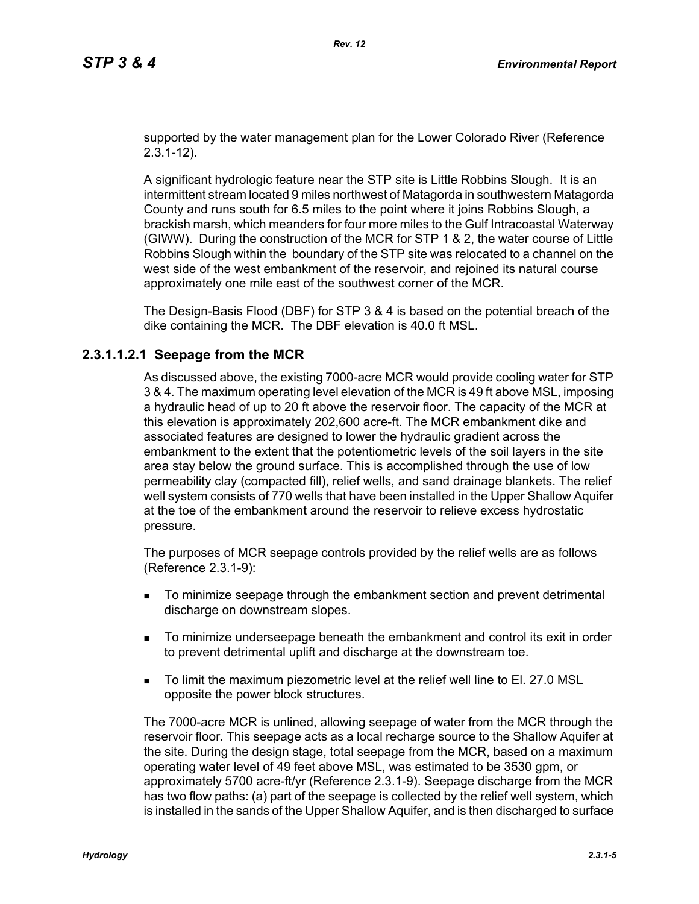supported by the water management plan for the Lower Colorado River (Reference 2.3.1-12).

A significant hydrologic feature near the STP site is Little Robbins Slough. It is an intermittent stream located 9 miles northwest of Matagorda in southwestern Matagorda County and runs south for 6.5 miles to the point where it joins Robbins Slough, a brackish marsh, which meanders for four more miles to the Gulf Intracoastal Waterway (GIWW). During the construction of the MCR for STP 1 & 2, the water course of Little Robbins Slough within the boundary of the STP site was relocated to a channel on the west side of the west embankment of the reservoir, and rejoined its natural course approximately one mile east of the southwest corner of the MCR.

The Design-Basis Flood (DBF) for STP 3 & 4 is based on the potential breach of the dike containing the MCR. The DBF elevation is 40.0 ft MSL.

# **2.3.1.1.2.1 Seepage from the MCR**

As discussed above, the existing 7000-acre MCR would provide cooling water for STP 3 & 4. The maximum operating level elevation of the MCR is 49 ft above MSL, imposing a hydraulic head of up to 20 ft above the reservoir floor. The capacity of the MCR at this elevation is approximately 202,600 acre-ft. The MCR embankment dike and associated features are designed to lower the hydraulic gradient across the embankment to the extent that the potentiometric levels of the soil layers in the site area stay below the ground surface. This is accomplished through the use of low permeability clay (compacted fill), relief wells, and sand drainage blankets. The relief well system consists of 770 wells that have been installed in the Upper Shallow Aquifer at the toe of the embankment around the reservoir to relieve excess hydrostatic pressure.

The purposes of MCR seepage controls provided by the relief wells are as follows (Reference 2.3.1-9):

- To minimize seepage through the embankment section and prevent detrimental discharge on downstream slopes.
- To minimize underseepage beneath the embankment and control its exit in order to prevent detrimental uplift and discharge at the downstream toe.
- To limit the maximum piezometric level at the relief well line to El. 27.0 MSL opposite the power block structures.

The 7000-acre MCR is unlined, allowing seepage of water from the MCR through the reservoir floor. This seepage acts as a local recharge source to the Shallow Aquifer at the site. During the design stage, total seepage from the MCR, based on a maximum operating water level of 49 feet above MSL, was estimated to be 3530 gpm, or approximately 5700 acre-ft/yr (Reference 2.3.1-9). Seepage discharge from the MCR has two flow paths: (a) part of the seepage is collected by the relief well system, which is installed in the sands of the Upper Shallow Aquifer, and is then discharged to surface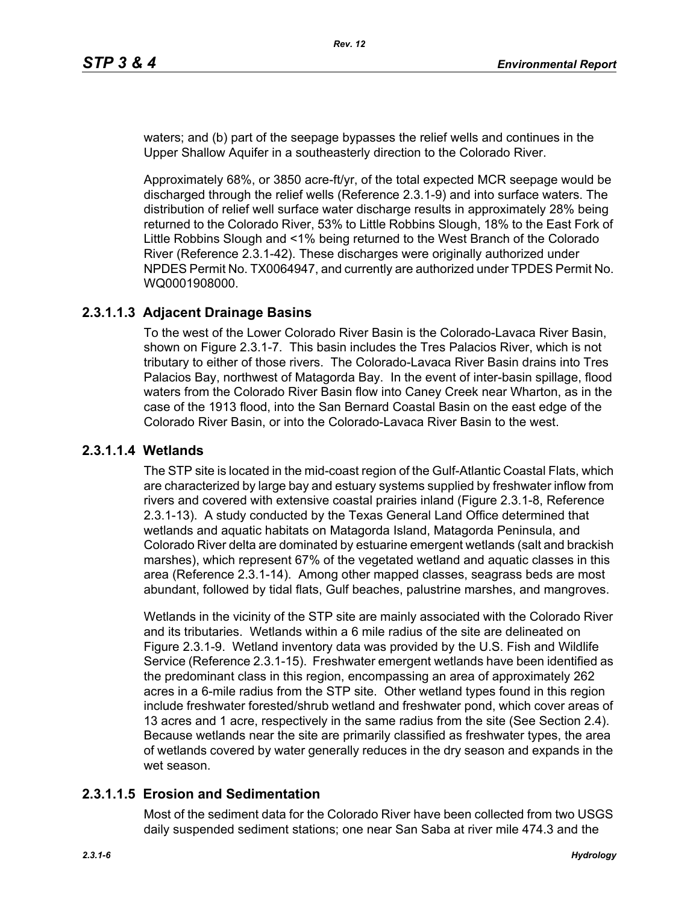waters; and (b) part of the seepage bypasses the relief wells and continues in the Upper Shallow Aquifer in a southeasterly direction to the Colorado River.

Approximately 68%, or 3850 acre-ft/yr, of the total expected MCR seepage would be discharged through the relief wells (Reference 2.3.1-9) and into surface waters. The distribution of relief well surface water discharge results in approximately 28% being returned to the Colorado River, 53% to Little Robbins Slough, 18% to the East Fork of Little Robbins Slough and <1% being returned to the West Branch of the Colorado River (Reference 2.3.1-42). These discharges were originally authorized under NPDES Permit No. TX0064947, and currently are authorized under TPDES Permit No. WQ0001908000.

# **2.3.1.1.3 Adjacent Drainage Basins**

To the west of the Lower Colorado River Basin is the Colorado-Lavaca River Basin, shown on Figure 2.3.1-7. This basin includes the Tres Palacios River, which is not tributary to either of those rivers. The Colorado-Lavaca River Basin drains into Tres Palacios Bay, northwest of Matagorda Bay. In the event of inter-basin spillage, flood waters from the Colorado River Basin flow into Caney Creek near Wharton, as in the case of the 1913 flood, into the San Bernard Coastal Basin on the east edge of the Colorado River Basin, or into the Colorado-Lavaca River Basin to the west.

# **2.3.1.1.4 Wetlands**

The STP site is located in the mid-coast region of the Gulf-Atlantic Coastal Flats, which are characterized by large bay and estuary systems supplied by freshwater inflow from rivers and covered with extensive coastal prairies inland (Figure 2.3.1-8, Reference 2.3.1-13). A study conducted by the Texas General Land Office determined that wetlands and aquatic habitats on Matagorda Island, Matagorda Peninsula, and Colorado River delta are dominated by estuarine emergent wetlands (salt and brackish marshes), which represent 67% of the vegetated wetland and aquatic classes in this area (Reference 2.3.1-14). Among other mapped classes, seagrass beds are most abundant, followed by tidal flats, Gulf beaches, palustrine marshes, and mangroves.

Wetlands in the vicinity of the STP site are mainly associated with the Colorado River and its tributaries. Wetlands within a 6 mile radius of the site are delineated on Figure 2.3.1-9. Wetland inventory data was provided by the U.S. Fish and Wildlife Service (Reference 2.3.1-15). Freshwater emergent wetlands have been identified as the predominant class in this region, encompassing an area of approximately 262 acres in a 6-mile radius from the STP site. Other wetland types found in this region include freshwater forested/shrub wetland and freshwater pond, which cover areas of 13 acres and 1 acre, respectively in the same radius from the site (See Section 2.4). Because wetlands near the site are primarily classified as freshwater types, the area of wetlands covered by water generally reduces in the dry season and expands in the wet season.

# **2.3.1.1.5 Erosion and Sedimentation**

Most of the sediment data for the Colorado River have been collected from two USGS daily suspended sediment stations; one near San Saba at river mile 474.3 and the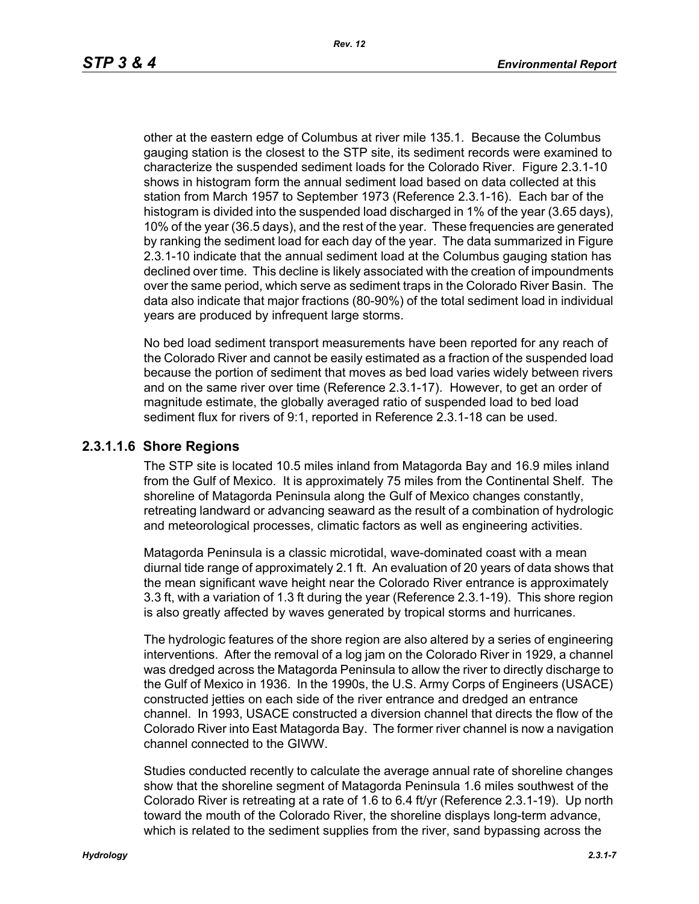other at the eastern edge of Columbus at river mile 135.1. Because the Columbus gauging station is the closest to the STP site, its sediment records were examined to characterize the suspended sediment loads for the Colorado River. Figure 2.3.1-10 shows in histogram form the annual sediment load based on data collected at this station from March 1957 to September 1973 (Reference 2.3.1-16). Each bar of the histogram is divided into the suspended load discharged in 1% of the year (3.65 days), 10% of the year (36.5 days), and the rest of the year. These frequencies are generated by ranking the sediment load for each day of the year. The data summarized in Figure 2.3.1-10 indicate that the annual sediment load at the Columbus gauging station has declined over time. This decline is likely associated with the creation of impoundments over the same period, which serve as sediment traps in the Colorado River Basin. The data also indicate that major fractions (80-90%) of the total sediment load in individual years are produced by infrequent large storms.

No bed load sediment transport measurements have been reported for any reach of the Colorado River and cannot be easily estimated as a fraction of the suspended load because the portion of sediment that moves as bed load varies widely between rivers and on the same river over time (Reference 2.3.1-17). However, to get an order of magnitude estimate, the globally averaged ratio of suspended load to bed load sediment flux for rivers of 9:1, reported in Reference 2.3.1-18 can be used.

# **2.3.1.1.6 Shore Regions**

The STP site is located 10.5 miles inland from Matagorda Bay and 16.9 miles inland from the Gulf of Mexico. It is approximately 75 miles from the Continental Shelf. The shoreline of Matagorda Peninsula along the Gulf of Mexico changes constantly, retreating landward or advancing seaward as the result of a combination of hydrologic and meteorological processes, climatic factors as well as engineering activities.

Matagorda Peninsula is a classic microtidal, wave-dominated coast with a mean diurnal tide range of approximately 2.1 ft. An evaluation of 20 years of data shows that the mean significant wave height near the Colorado River entrance is approximately 3.3 ft, with a variation of 1.3 ft during the year (Reference 2.3.1-19). This shore region is also greatly affected by waves generated by tropical storms and hurricanes.

The hydrologic features of the shore region are also altered by a series of engineering interventions. After the removal of a log jam on the Colorado River in 1929, a channel was dredged across the Matagorda Peninsula to allow the river to directly discharge to the Gulf of Mexico in 1936. In the 1990s, the U.S. Army Corps of Engineers (USACE) constructed jetties on each side of the river entrance and dredged an entrance channel. In 1993, USACE constructed a diversion channel that directs the flow of the Colorado River into East Matagorda Bay. The former river channel is now a navigation channel connected to the GIWW.

Studies conducted recently to calculate the average annual rate of shoreline changes show that the shoreline segment of Matagorda Peninsula 1.6 miles southwest of the Colorado River is retreating at a rate of 1.6 to 6.4 ft/yr (Reference 2.3.1-19). Up north toward the mouth of the Colorado River, the shoreline displays long-term advance, which is related to the sediment supplies from the river, sand bypassing across the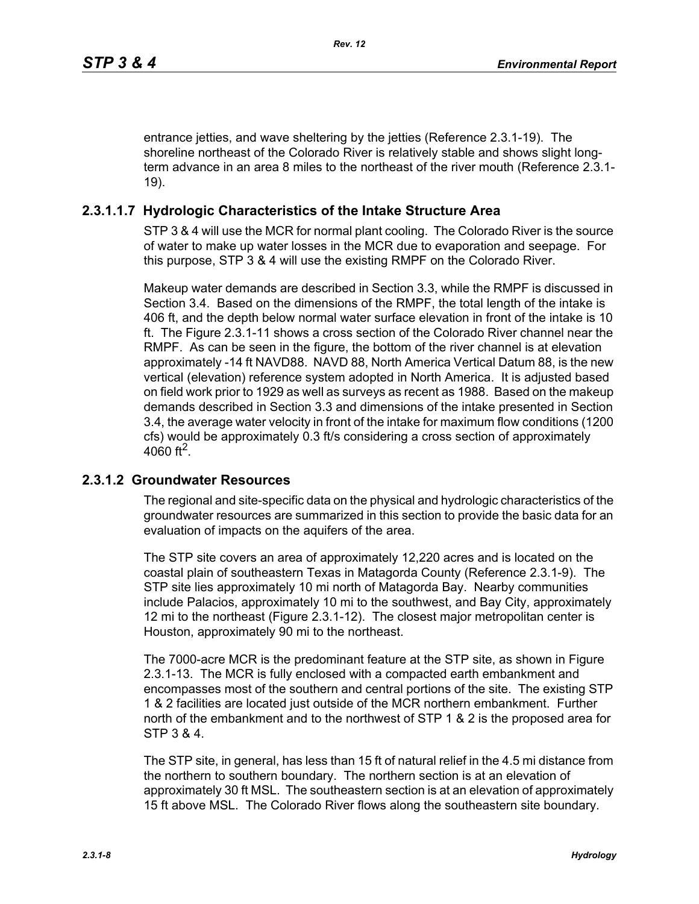entrance jetties, and wave sheltering by the jetties (Reference 2.3.1-19). The shoreline northeast of the Colorado River is relatively stable and shows slight longterm advance in an area 8 miles to the northeast of the river mouth (Reference 2.3.1- 19).

# **2.3.1.1.7 Hydrologic Characteristics of the Intake Structure Area**

STP 3 & 4 will use the MCR for normal plant cooling. The Colorado River is the source of water to make up water losses in the MCR due to evaporation and seepage. For this purpose, STP 3 & 4 will use the existing RMPF on the Colorado River.

Makeup water demands are described in Section 3.3, while the RMPF is discussed in Section 3.4. Based on the dimensions of the RMPF, the total length of the intake is 406 ft, and the depth below normal water surface elevation in front of the intake is 10 ft. The Figure 2.3.1-11 shows a cross section of the Colorado River channel near the RMPF. As can be seen in the figure, the bottom of the river channel is at elevation approximately -14 ft NAVD88. NAVD 88, North America Vertical Datum 88, is the new vertical (elevation) reference system adopted in North America. It is adjusted based on field work prior to 1929 as well as surveys as recent as 1988. Based on the makeup demands described in Section 3.3 and dimensions of the intake presented in Section 3.4, the average water velocity in front of the intake for maximum flow conditions (1200 cfs) would be approximately 0.3 ft/s considering a cross section of approximately 4060 ft<sup>2</sup>.

# **2.3.1.2 Groundwater Resources**

The regional and site-specific data on the physical and hydrologic characteristics of the groundwater resources are summarized in this section to provide the basic data for an evaluation of impacts on the aquifers of the area.

The STP site covers an area of approximately 12,220 acres and is located on the coastal plain of southeastern Texas in Matagorda County (Reference 2.3.1-9). The STP site lies approximately 10 mi north of Matagorda Bay. Nearby communities include Palacios, approximately 10 mi to the southwest, and Bay City, approximately 12 mi to the northeast (Figure 2.3.1-12). The closest major metropolitan center is Houston, approximately 90 mi to the northeast.

The 7000-acre MCR is the predominant feature at the STP site, as shown in Figure 2.3.1-13. The MCR is fully enclosed with a compacted earth embankment and encompasses most of the southern and central portions of the site. The existing STP 1 & 2 facilities are located just outside of the MCR northern embankment. Further north of the embankment and to the northwest of STP 1 & 2 is the proposed area for STP 3 & 4.

The STP site, in general, has less than 15 ft of natural relief in the 4.5 mi distance from the northern to southern boundary. The northern section is at an elevation of approximately 30 ft MSL. The southeastern section is at an elevation of approximately 15 ft above MSL. The Colorado River flows along the southeastern site boundary.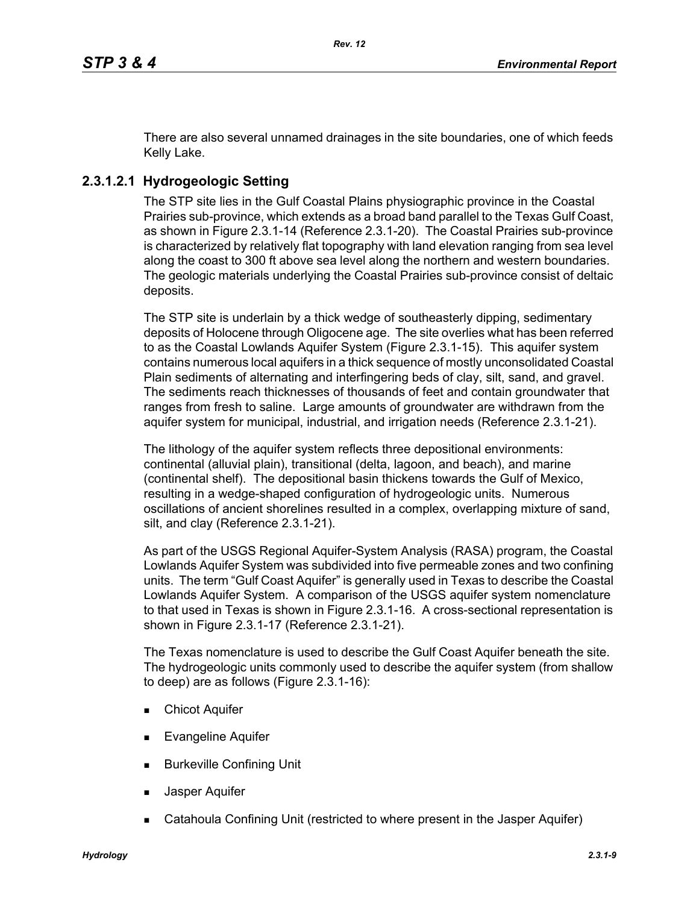There are also several unnamed drainages in the site boundaries, one of which feeds Kelly Lake.

# **2.3.1.2.1 Hydrogeologic Setting**

The STP site lies in the Gulf Coastal Plains physiographic province in the Coastal Prairies sub-province, which extends as a broad band parallel to the Texas Gulf Coast, as shown in Figure 2.3.1-14 (Reference 2.3.1-20). The Coastal Prairies sub-province is characterized by relatively flat topography with land elevation ranging from sea level along the coast to 300 ft above sea level along the northern and western boundaries. The geologic materials underlying the Coastal Prairies sub-province consist of deltaic deposits.

The STP site is underlain by a thick wedge of southeasterly dipping, sedimentary deposits of Holocene through Oligocene age. The site overlies what has been referred to as the Coastal Lowlands Aquifer System (Figure 2.3.1-15). This aquifer system contains numerous local aquifers in a thick sequence of mostly unconsolidated Coastal Plain sediments of alternating and interfingering beds of clay, silt, sand, and gravel. The sediments reach thicknesses of thousands of feet and contain groundwater that ranges from fresh to saline. Large amounts of groundwater are withdrawn from the aquifer system for municipal, industrial, and irrigation needs (Reference 2.3.1-21).

The lithology of the aquifer system reflects three depositional environments: continental (alluvial plain), transitional (delta, lagoon, and beach), and marine (continental shelf). The depositional basin thickens towards the Gulf of Mexico, resulting in a wedge-shaped configuration of hydrogeologic units. Numerous oscillations of ancient shorelines resulted in a complex, overlapping mixture of sand, silt, and clay (Reference 2.3.1-21).

As part of the USGS Regional Aquifer-System Analysis (RASA) program, the Coastal Lowlands Aquifer System was subdivided into five permeable zones and two confining units. The term "Gulf Coast Aquifer" is generally used in Texas to describe the Coastal Lowlands Aquifer System. A comparison of the USGS aquifer system nomenclature to that used in Texas is shown in Figure 2.3.1-16. A cross-sectional representation is shown in Figure 2.3.1-17 (Reference 2.3.1-21).

The Texas nomenclature is used to describe the Gulf Coast Aquifer beneath the site. The hydrogeologic units commonly used to describe the aquifer system (from shallow to deep) are as follows (Figure 2.3.1-16):

- **Chicot Aquifer**
- Evangeline Aquifer
- **Burkeville Confining Unit**
- Jasper Aquifer
- Catahoula Confining Unit (restricted to where present in the Jasper Aquifer)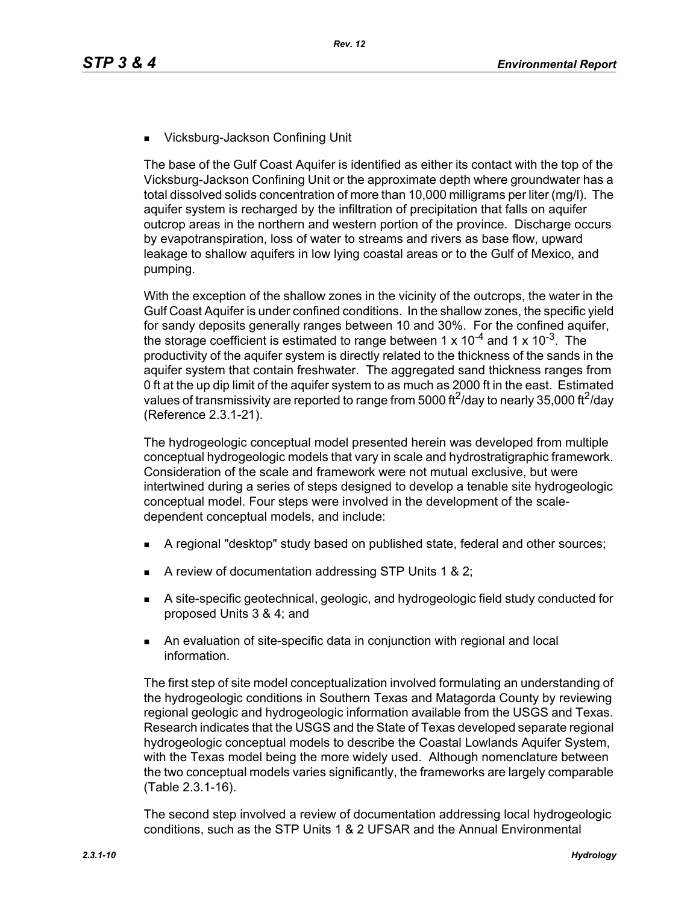■ Vicksburg-Jackson Confining Unit

The base of the Gulf Coast Aquifer is identified as either its contact with the top of the Vicksburg-Jackson Confining Unit or the approximate depth where groundwater has a total dissolved solids concentration of more than 10,000 milligrams per liter (mg/l). The aquifer system is recharged by the infiltration of precipitation that falls on aquifer outcrop areas in the northern and western portion of the province. Discharge occurs by evapotranspiration, loss of water to streams and rivers as base flow, upward leakage to shallow aquifers in low lying coastal areas or to the Gulf of Mexico, and pumping.

With the exception of the shallow zones in the vicinity of the outcrops, the water in the Gulf Coast Aquifer is under confined conditions. In the shallow zones, the specific yield for sandy deposits generally ranges between 10 and 30%. For the confined aquifer, the storage coefficient is estimated to range between 1 x  $10^{-4}$  and 1 x  $10^{-3}$ . The productivity of the aquifer system is directly related to the thickness of the sands in the aquifer system that contain freshwater. The aggregated sand thickness ranges from 0 ft at the up dip limit of the aquifer system to as much as 2000 ft in the east. Estimated values of transmissivity are reported to range from 5000 ft<sup>2</sup>/day to nearly 35,000 ft<sup>2</sup>/day (Reference 2.3.1-21).

The hydrogeologic conceptual model presented herein was developed from multiple conceptual hydrogeologic models that vary in scale and hydrostratigraphic framework. Consideration of the scale and framework were not mutual exclusive, but were intertwined during a series of steps designed to develop a tenable site hydrogeologic conceptual model. Four steps were involved in the development of the scaledependent conceptual models, and include:

- A regional "desktop" study based on published state, federal and other sources;
- A review of documentation addressing STP Units 1 & 2;
- A site-specific geotechnical, geologic, and hydrogeologic field study conducted for proposed Units 3 & 4; and
- An evaluation of site-specific data in conjunction with regional and local information.

The first step of site model conceptualization involved formulating an understanding of the hydrogeologic conditions in Southern Texas and Matagorda County by reviewing regional geologic and hydrogeologic information available from the USGS and Texas. Research indicates that the USGS and the State of Texas developed separate regional hydrogeologic conceptual models to describe the Coastal Lowlands Aquifer System, with the Texas model being the more widely used. Although nomenclature between the two conceptual models varies significantly, the frameworks are largely comparable (Table 2.3.1-16).

The second step involved a review of documentation addressing local hydrogeologic conditions, such as the STP Units 1 & 2 UFSAR and the Annual Environmental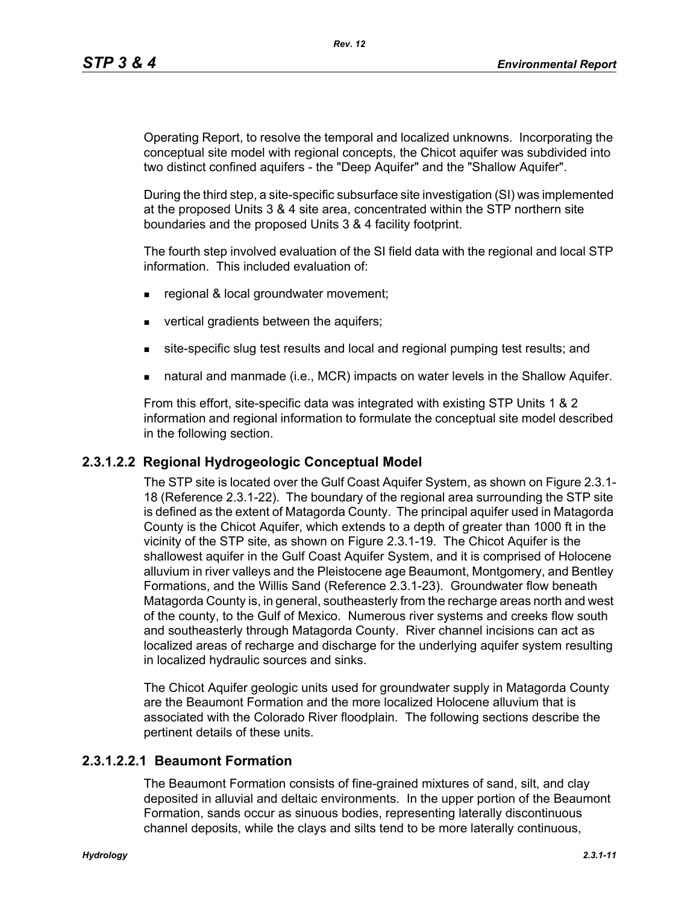Operating Report, to resolve the temporal and localized unknowns. Incorporating the conceptual site model with regional concepts, the Chicot aquifer was subdivided into two distinct confined aquifers - the "Deep Aquifer" and the "Shallow Aquifer".

During the third step, a site-specific subsurface site investigation (SI) was implemented at the proposed Units 3 & 4 site area, concentrated within the STP northern site boundaries and the proposed Units 3 & 4 facility footprint.

The fourth step involved evaluation of the SI field data with the regional and local STP information. This included evaluation of:

- **regional & local groundwater movement;**
- vertical gradients between the aquifers;
- site-specific slug test results and local and regional pumping test results; and
- natural and manmade (i.e., MCR) impacts on water levels in the Shallow Aquifer.

From this effort, site-specific data was integrated with existing STP Units 1 & 2 information and regional information to formulate the conceptual site model described in the following section.

# **2.3.1.2.2 Regional Hydrogeologic Conceptual Model**

The STP site is located over the Gulf Coast Aquifer System, as shown on Figure 2.3.1- 18 (Reference 2.3.1-22). The boundary of the regional area surrounding the STP site is defined as the extent of Matagorda County. The principal aquifer used in Matagorda County is the Chicot Aquifer, which extends to a depth of greater than 1000 ft in the vicinity of the STP site, as shown on Figure 2.3.1-19. The Chicot Aquifer is the shallowest aquifer in the Gulf Coast Aquifer System, and it is comprised of Holocene alluvium in river valleys and the Pleistocene age Beaumont, Montgomery, and Bentley Formations, and the Willis Sand (Reference 2.3.1-23). Groundwater flow beneath Matagorda County is, in general, southeasterly from the recharge areas north and west of the county, to the Gulf of Mexico. Numerous river systems and creeks flow south and southeasterly through Matagorda County. River channel incisions can act as localized areas of recharge and discharge for the underlying aquifer system resulting in localized hydraulic sources and sinks.

The Chicot Aquifer geologic units used for groundwater supply in Matagorda County are the Beaumont Formation and the more localized Holocene alluvium that is associated with the Colorado River floodplain. The following sections describe the pertinent details of these units.

# **2.3.1.2.2.1 Beaumont Formation**

The Beaumont Formation consists of fine-grained mixtures of sand, silt, and clay deposited in alluvial and deltaic environments. In the upper portion of the Beaumont Formation, sands occur as sinuous bodies, representing laterally discontinuous channel deposits, while the clays and silts tend to be more laterally continuous,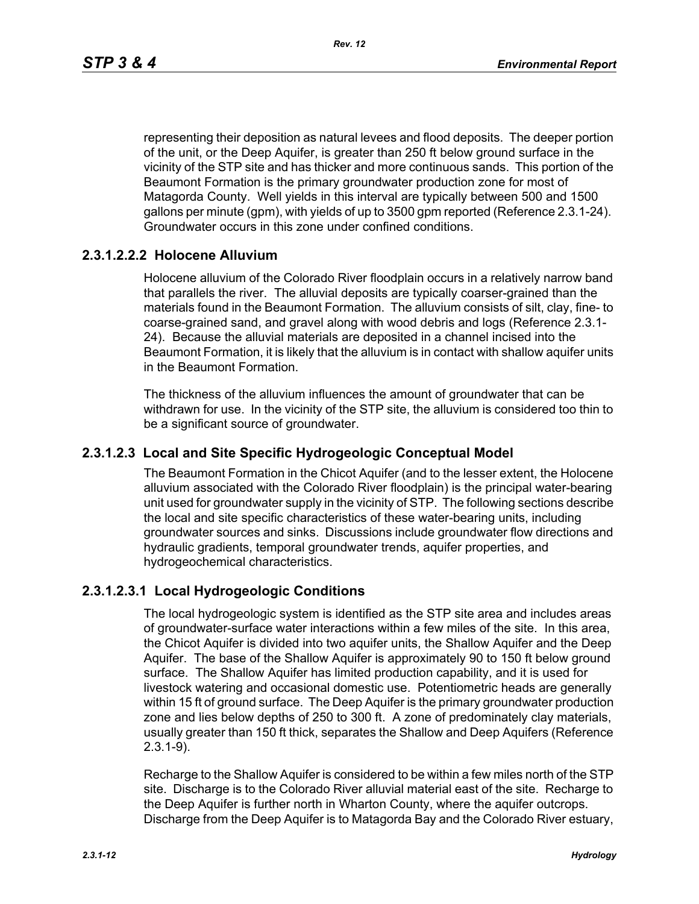representing their deposition as natural levees and flood deposits. The deeper portion of the unit, or the Deep Aquifer, is greater than 250 ft below ground surface in the vicinity of the STP site and has thicker and more continuous sands. This portion of the Beaumont Formation is the primary groundwater production zone for most of Matagorda County. Well yields in this interval are typically between 500 and 1500 gallons per minute (gpm), with yields of up to 3500 gpm reported (Reference 2.3.1-24). Groundwater occurs in this zone under confined conditions.

# **2.3.1.2.2.2 Holocene Alluvium**

Holocene alluvium of the Colorado River floodplain occurs in a relatively narrow band that parallels the river. The alluvial deposits are typically coarser-grained than the materials found in the Beaumont Formation. The alluvium consists of silt, clay, fine- to coarse-grained sand, and gravel along with wood debris and logs (Reference 2.3.1- 24). Because the alluvial materials are deposited in a channel incised into the Beaumont Formation, it is likely that the alluvium is in contact with shallow aquifer units in the Beaumont Formation.

The thickness of the alluvium influences the amount of groundwater that can be withdrawn for use. In the vicinity of the STP site, the alluvium is considered too thin to be a significant source of groundwater.

# **2.3.1.2.3 Local and Site Specific Hydrogeologic Conceptual Model**

The Beaumont Formation in the Chicot Aquifer (and to the lesser extent, the Holocene alluvium associated with the Colorado River floodplain) is the principal water-bearing unit used for groundwater supply in the vicinity of STP. The following sections describe the local and site specific characteristics of these water-bearing units, including groundwater sources and sinks. Discussions include groundwater flow directions and hydraulic gradients, temporal groundwater trends, aquifer properties, and hydrogeochemical characteristics.

# **2.3.1.2.3.1 Local Hydrogeologic Conditions**

The local hydrogeologic system is identified as the STP site area and includes areas of groundwater-surface water interactions within a few miles of the site. In this area, the Chicot Aquifer is divided into two aquifer units, the Shallow Aquifer and the Deep Aquifer. The base of the Shallow Aquifer is approximately 90 to 150 ft below ground surface. The Shallow Aquifer has limited production capability, and it is used for livestock watering and occasional domestic use. Potentiometric heads are generally within 15 ft of ground surface. The Deep Aquifer is the primary groundwater production zone and lies below depths of 250 to 300 ft. A zone of predominately clay materials, usually greater than 150 ft thick, separates the Shallow and Deep Aquifers (Reference 2.3.1-9).

Recharge to the Shallow Aquifer is considered to be within a few miles north of the STP site. Discharge is to the Colorado River alluvial material east of the site. Recharge to the Deep Aquifer is further north in Wharton County, where the aquifer outcrops. Discharge from the Deep Aquifer is to Matagorda Bay and the Colorado River estuary,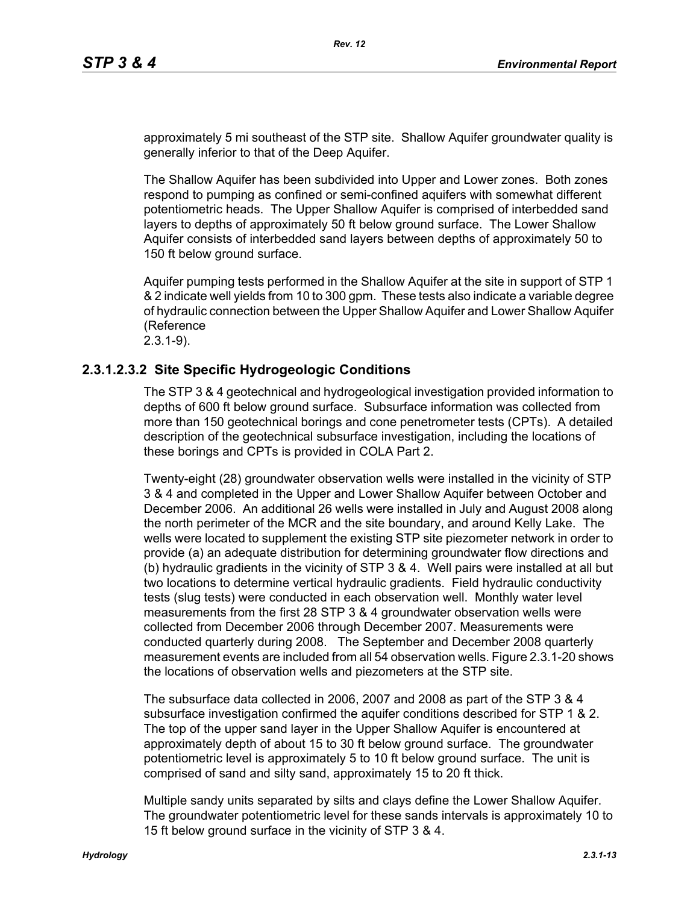approximately 5 mi southeast of the STP site. Shallow Aquifer groundwater quality is generally inferior to that of the Deep Aquifer.

The Shallow Aquifer has been subdivided into Upper and Lower zones. Both zones respond to pumping as confined or semi-confined aquifers with somewhat different potentiometric heads. The Upper Shallow Aquifer is comprised of interbedded sand layers to depths of approximately 50 ft below ground surface. The Lower Shallow Aquifer consists of interbedded sand layers between depths of approximately 50 to 150 ft below ground surface.

Aquifer pumping tests performed in the Shallow Aquifer at the site in support of STP 1 & 2 indicate well yields from 10 to 300 gpm. These tests also indicate a variable degree of hydraulic connection between the Upper Shallow Aquifer and Lower Shallow Aquifer (Reference 2.3.1-9).

# **2.3.1.2.3.2 Site Specific Hydrogeologic Conditions**

The STP 3 & 4 geotechnical and hydrogeological investigation provided information to depths of 600 ft below ground surface. Subsurface information was collected from more than 150 geotechnical borings and cone penetrometer tests (CPTs). A detailed description of the geotechnical subsurface investigation, including the locations of these borings and CPTs is provided in COLA Part 2.

Twenty-eight (28) groundwater observation wells were installed in the vicinity of STP 3 & 4 and completed in the Upper and Lower Shallow Aquifer between October and December 2006. An additional 26 wells were installed in July and August 2008 along the north perimeter of the MCR and the site boundary, and around Kelly Lake. The wells were located to supplement the existing STP site piezometer network in order to provide (a) an adequate distribution for determining groundwater flow directions and (b) hydraulic gradients in the vicinity of STP 3 & 4. Well pairs were installed at all but two locations to determine vertical hydraulic gradients. Field hydraulic conductivity tests (slug tests) were conducted in each observation well. Monthly water level measurements from the first 28 STP 3 & 4 groundwater observation wells were collected from December 2006 through December 2007. Measurements were conducted quarterly during 2008. The September and December 2008 quarterly measurement events are included from all 54 observation wells. Figure 2.3.1-20 shows the locations of observation wells and piezometers at the STP site.

The subsurface data collected in 2006, 2007 and 2008 as part of the STP 3 & 4 subsurface investigation confirmed the aquifer conditions described for STP 1 & 2. The top of the upper sand layer in the Upper Shallow Aquifer is encountered at approximately depth of about 15 to 30 ft below ground surface. The groundwater potentiometric level is approximately 5 to 10 ft below ground surface. The unit is comprised of sand and silty sand, approximately 15 to 20 ft thick.

Multiple sandy units separated by silts and clays define the Lower Shallow Aquifer. The groundwater potentiometric level for these sands intervals is approximately 10 to 15 ft below ground surface in the vicinity of STP 3 & 4.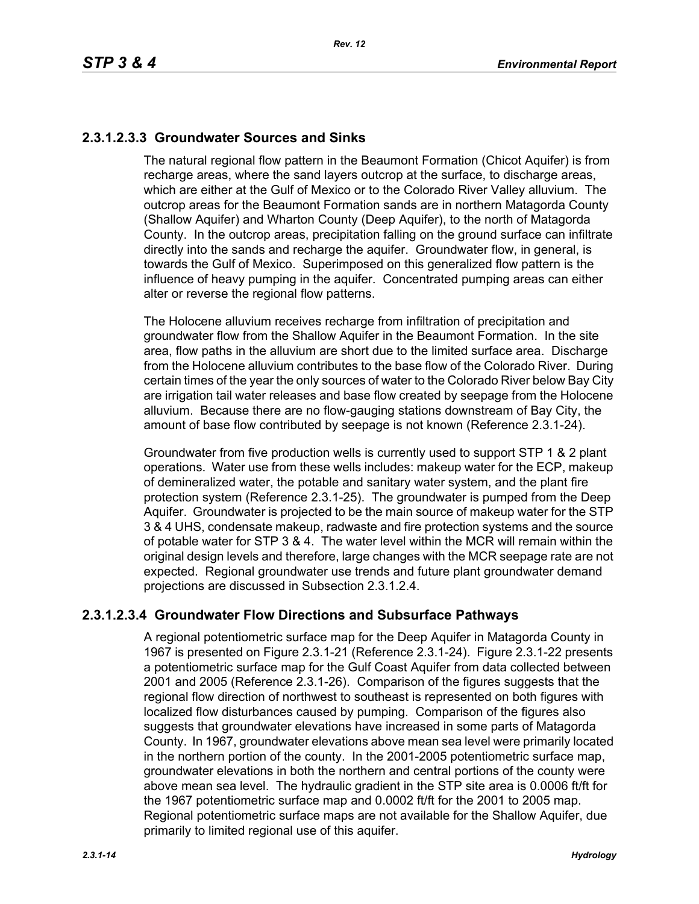# **2.3.1.2.3.3 Groundwater Sources and Sinks**

The natural regional flow pattern in the Beaumont Formation (Chicot Aquifer) is from recharge areas, where the sand layers outcrop at the surface, to discharge areas, which are either at the Gulf of Mexico or to the Colorado River Valley alluvium. The outcrop areas for the Beaumont Formation sands are in northern Matagorda County (Shallow Aquifer) and Wharton County (Deep Aquifer), to the north of Matagorda County. In the outcrop areas, precipitation falling on the ground surface can infiltrate directly into the sands and recharge the aquifer. Groundwater flow, in general, is towards the Gulf of Mexico. Superimposed on this generalized flow pattern is the influence of heavy pumping in the aquifer. Concentrated pumping areas can either alter or reverse the regional flow patterns.

The Holocene alluvium receives recharge from infiltration of precipitation and groundwater flow from the Shallow Aquifer in the Beaumont Formation. In the site area, flow paths in the alluvium are short due to the limited surface area. Discharge from the Holocene alluvium contributes to the base flow of the Colorado River. During certain times of the year the only sources of water to the Colorado River below Bay City are irrigation tail water releases and base flow created by seepage from the Holocene alluvium. Because there are no flow-gauging stations downstream of Bay City, the amount of base flow contributed by seepage is not known (Reference 2.3.1-24).

Groundwater from five production wells is currently used to support STP 1 & 2 plant operations. Water use from these wells includes: makeup water for the ECP, makeup of demineralized water, the potable and sanitary water system, and the plant fire protection system (Reference 2.3.1-25). The groundwater is pumped from the Deep Aquifer. Groundwater is projected to be the main source of makeup water for the STP 3 & 4 UHS, condensate makeup, radwaste and fire protection systems and the source of potable water for STP 3 & 4. The water level within the MCR will remain within the original design levels and therefore, large changes with the MCR seepage rate are not expected. Regional groundwater use trends and future plant groundwater demand projections are discussed in Subsection 2.3.1.2.4.

# **2.3.1.2.3.4 Groundwater Flow Directions and Subsurface Pathways**

A regional potentiometric surface map for the Deep Aquifer in Matagorda County in 1967 is presented on Figure 2.3.1-21 (Reference 2.3.1-24). Figure 2.3.1-22 presents a potentiometric surface map for the Gulf Coast Aquifer from data collected between 2001 and 2005 (Reference 2.3.1-26). Comparison of the figures suggests that the regional flow direction of northwest to southeast is represented on both figures with localized flow disturbances caused by pumping. Comparison of the figures also suggests that groundwater elevations have increased in some parts of Matagorda County. In 1967, groundwater elevations above mean sea level were primarily located in the northern portion of the county. In the 2001-2005 potentiometric surface map, groundwater elevations in both the northern and central portions of the county were above mean sea level. The hydraulic gradient in the STP site area is 0.0006 ft/ft for the 1967 potentiometric surface map and 0.0002 ft/ft for the 2001 to 2005 map. Regional potentiometric surface maps are not available for the Shallow Aquifer, due primarily to limited regional use of this aquifer.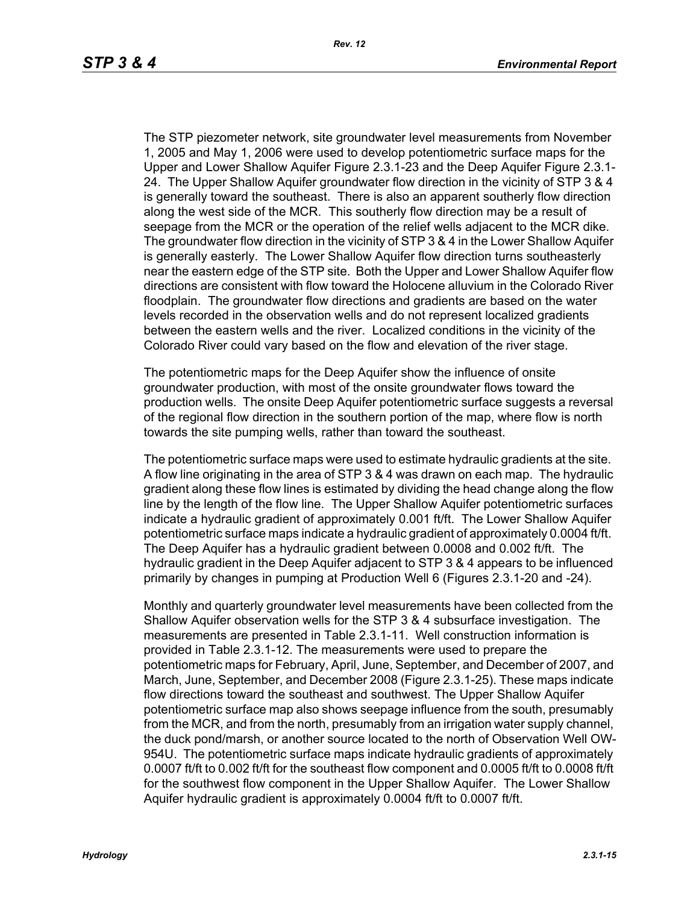The STP piezometer network, site groundwater level measurements from November 1, 2005 and May 1, 2006 were used to develop potentiometric surface maps for the Upper and Lower Shallow Aquifer Figure 2.3.1-23 and the Deep Aquifer Figure 2.3.1- 24. The Upper Shallow Aquifer groundwater flow direction in the vicinity of STP 3 & 4 is generally toward the southeast. There is also an apparent southerly flow direction along the west side of the MCR. This southerly flow direction may be a result of seepage from the MCR or the operation of the relief wells adjacent to the MCR dike. The groundwater flow direction in the vicinity of STP 3 & 4 in the Lower Shallow Aquifer is generally easterly. The Lower Shallow Aquifer flow direction turns southeasterly near the eastern edge of the STP site. Both the Upper and Lower Shallow Aquifer flow directions are consistent with flow toward the Holocene alluvium in the Colorado River floodplain. The groundwater flow directions and gradients are based on the water levels recorded in the observation wells and do not represent localized gradients between the eastern wells and the river. Localized conditions in the vicinity of the Colorado River could vary based on the flow and elevation of the river stage.

The potentiometric maps for the Deep Aquifer show the influence of onsite groundwater production, with most of the onsite groundwater flows toward the production wells. The onsite Deep Aquifer potentiometric surface suggests a reversal of the regional flow direction in the southern portion of the map, where flow is north towards the site pumping wells, rather than toward the southeast.

The potentiometric surface maps were used to estimate hydraulic gradients at the site. A flow line originating in the area of STP 3 & 4 was drawn on each map. The hydraulic gradient along these flow lines is estimated by dividing the head change along the flow line by the length of the flow line. The Upper Shallow Aquifer potentiometric surfaces indicate a hydraulic gradient of approximately 0.001 ft/ft. The Lower Shallow Aquifer potentiometric surface maps indicate a hydraulic gradient of approximately 0.0004 ft/ft. The Deep Aquifer has a hydraulic gradient between 0.0008 and 0.002 ft/ft. The hydraulic gradient in the Deep Aquifer adjacent to STP 3 & 4 appears to be influenced primarily by changes in pumping at Production Well 6 (Figures 2.3.1-20 and -24).

Monthly and quarterly groundwater level measurements have been collected from the Shallow Aquifer observation wells for the STP 3 & 4 subsurface investigation. The measurements are presented in Table 2.3.1-11. Well construction information is provided in Table 2.3.1-12. The measurements were used to prepare the potentiometric maps for February, April, June, September, and December of 2007, and March, June, September, and December 2008 (Figure 2.3.1-25). These maps indicate flow directions toward the southeast and southwest. The Upper Shallow Aquifer potentiometric surface map also shows seepage influence from the south, presumably from the MCR, and from the north, presumably from an irrigation water supply channel, the duck pond/marsh, or another source located to the north of Observation Well OW-954U. The potentiometric surface maps indicate hydraulic gradients of approximately 0.0007 ft/ft to 0.002 ft/ft for the southeast flow component and 0.0005 ft/ft to 0.0008 ft/ft for the southwest flow component in the Upper Shallow Aquifer. The Lower Shallow Aquifer hydraulic gradient is approximately 0.0004 ft/ft to 0.0007 ft/ft.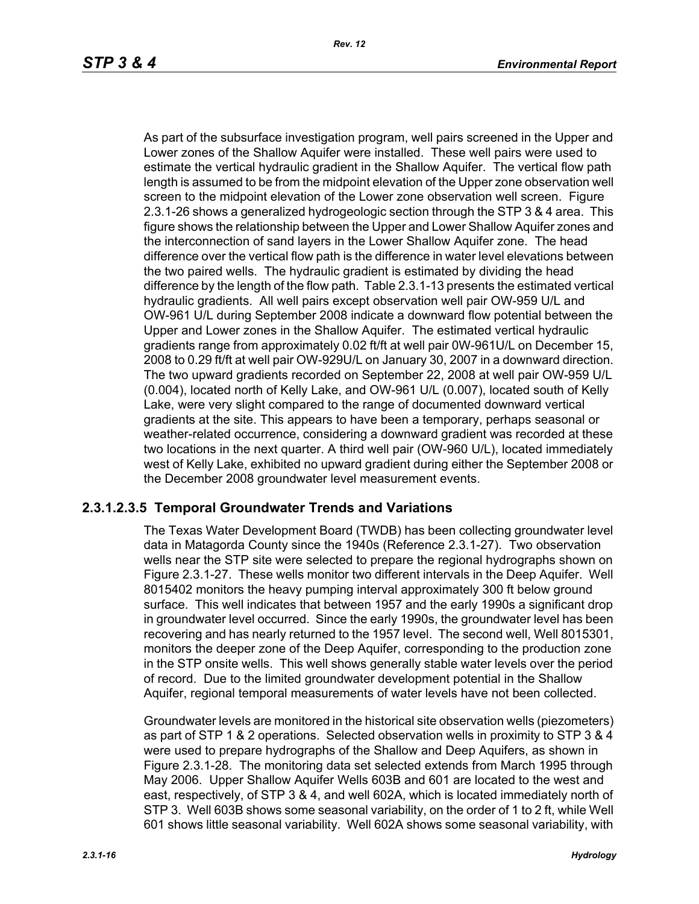As part of the subsurface investigation program, well pairs screened in the Upper and Lower zones of the Shallow Aquifer were installed. These well pairs were used to estimate the vertical hydraulic gradient in the Shallow Aquifer. The vertical flow path length is assumed to be from the midpoint elevation of the Upper zone observation well screen to the midpoint elevation of the Lower zone observation well screen. Figure 2.3.1-26 shows a generalized hydrogeologic section through the STP 3 & 4 area. This figure shows the relationship between the Upper and Lower Shallow Aquifer zones and the interconnection of sand layers in the Lower Shallow Aquifer zone. The head difference over the vertical flow path is the difference in water level elevations between the two paired wells. The hydraulic gradient is estimated by dividing the head difference by the length of the flow path. Table 2.3.1-13 presents the estimated vertical hydraulic gradients. All well pairs except observation well pair OW-959 U/L and OW-961 U/L during September 2008 indicate a downward flow potential between the Upper and Lower zones in the Shallow Aquifer. The estimated vertical hydraulic gradients range from approximately 0.02 ft/ft at well pair 0W-961U/L on December 15, 2008 to 0.29 ft/ft at well pair OW-929U/L on January 30, 2007 in a downward direction. The two upward gradients recorded on September 22, 2008 at well pair OW-959 U/L (0.004), located north of Kelly Lake, and OW-961 U/L (0.007), located south of Kelly Lake, were very slight compared to the range of documented downward vertical gradients at the site. This appears to have been a temporary, perhaps seasonal or weather-related occurrence, considering a downward gradient was recorded at these two locations in the next quarter. A third well pair (OW-960 U/L), located immediately west of Kelly Lake, exhibited no upward gradient during either the September 2008 or the December 2008 groundwater level measurement events.

# **2.3.1.2.3.5 Temporal Groundwater Trends and Variations**

The Texas Water Development Board (TWDB) has been collecting groundwater level data in Matagorda County since the 1940s (Reference 2.3.1-27). Two observation wells near the STP site were selected to prepare the regional hydrographs shown on Figure 2.3.1-27. These wells monitor two different intervals in the Deep Aquifer. Well 8015402 monitors the heavy pumping interval approximately 300 ft below ground surface. This well indicates that between 1957 and the early 1990s a significant drop in groundwater level occurred. Since the early 1990s, the groundwater level has been recovering and has nearly returned to the 1957 level. The second well, Well 8015301, monitors the deeper zone of the Deep Aquifer, corresponding to the production zone in the STP onsite wells. This well shows generally stable water levels over the period of record. Due to the limited groundwater development potential in the Shallow Aquifer, regional temporal measurements of water levels have not been collected.

Groundwater levels are monitored in the historical site observation wells (piezometers) as part of STP 1 & 2 operations. Selected observation wells in proximity to STP 3 & 4 were used to prepare hydrographs of the Shallow and Deep Aquifers, as shown in Figure 2.3.1-28. The monitoring data set selected extends from March 1995 through May 2006. Upper Shallow Aquifer Wells 603B and 601 are located to the west and east, respectively, of STP 3 & 4, and well 602A, which is located immediately north of STP 3. Well 603B shows some seasonal variability, on the order of 1 to 2 ft, while Well 601 shows little seasonal variability. Well 602A shows some seasonal variability, with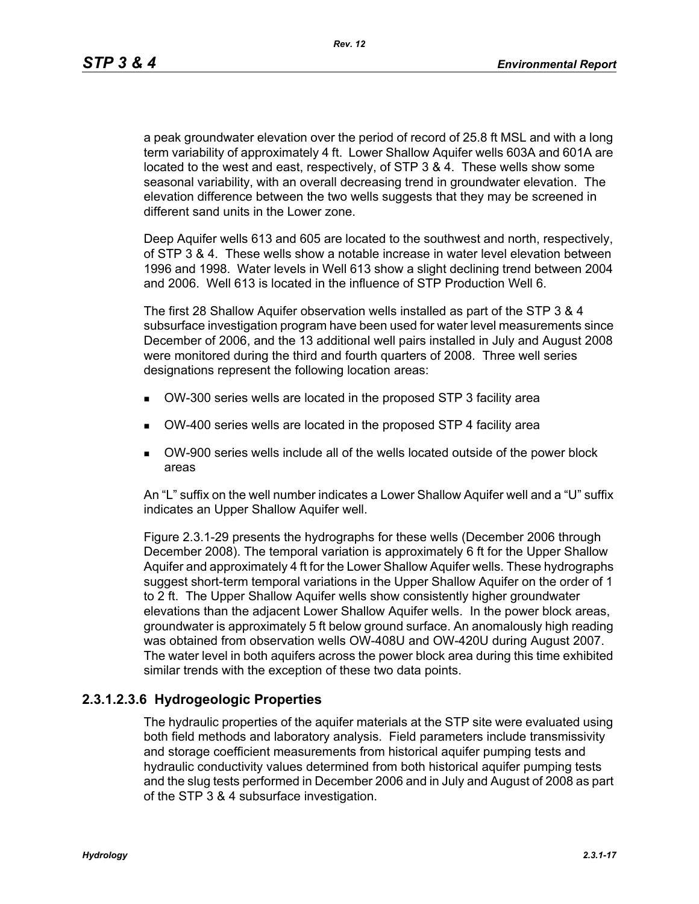*Rev. 12*

a peak groundwater elevation over the period of record of 25.8 ft MSL and with a long term variability of approximately 4 ft. Lower Shallow Aquifer wells 603A and 601A are located to the west and east, respectively, of STP 3 & 4. These wells show some seasonal variability, with an overall decreasing trend in groundwater elevation. The elevation difference between the two wells suggests that they may be screened in different sand units in the Lower zone.

Deep Aquifer wells 613 and 605 are located to the southwest and north, respectively, of STP 3 & 4. These wells show a notable increase in water level elevation between 1996 and 1998. Water levels in Well 613 show a slight declining trend between 2004 and 2006. Well 613 is located in the influence of STP Production Well 6.

The first 28 Shallow Aquifer observation wells installed as part of the STP 3 & 4 subsurface investigation program have been used for water level measurements since December of 2006, and the 13 additional well pairs installed in July and August 2008 were monitored during the third and fourth quarters of 2008. Three well series designations represent the following location areas:

- OW-300 series wells are located in the proposed STP 3 facility area
- OW-400 series wells are located in the proposed STP 4 facility area
- OW-900 series wells include all of the wells located outside of the power block areas

An "L" suffix on the well number indicates a Lower Shallow Aquifer well and a "U" suffix indicates an Upper Shallow Aquifer well.

Figure 2.3.1-29 presents the hydrographs for these wells (December 2006 through December 2008). The temporal variation is approximately 6 ft for the Upper Shallow Aquifer and approximately 4 ft for the Lower Shallow Aquifer wells. These hydrographs suggest short-term temporal variations in the Upper Shallow Aquifer on the order of 1 to 2 ft. The Upper Shallow Aquifer wells show consistently higher groundwater elevations than the adjacent Lower Shallow Aquifer wells. In the power block areas, groundwater is approximately 5 ft below ground surface. An anomalously high reading was obtained from observation wells OW-408U and OW-420U during August 2007. The water level in both aquifers across the power block area during this time exhibited similar trends with the exception of these two data points.

# **2.3.1.2.3.6 Hydrogeologic Properties**

The hydraulic properties of the aquifer materials at the STP site were evaluated using both field methods and laboratory analysis. Field parameters include transmissivity and storage coefficient measurements from historical aquifer pumping tests and hydraulic conductivity values determined from both historical aquifer pumping tests and the slug tests performed in December 2006 and in July and August of 2008 as part of the STP 3 & 4 subsurface investigation.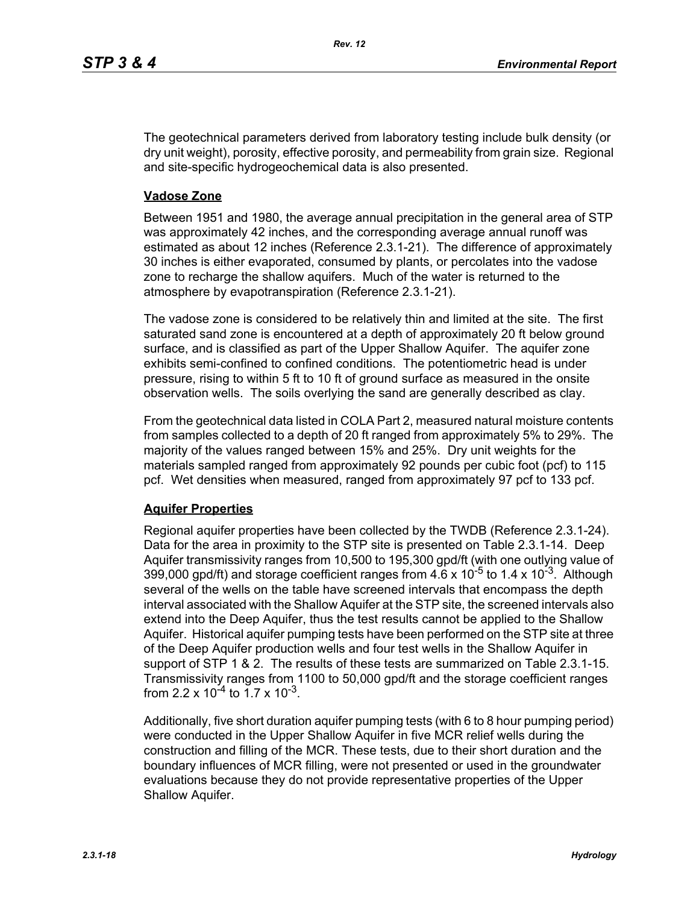The geotechnical parameters derived from laboratory testing include bulk density (or dry unit weight), porosity, effective porosity, and permeability from grain size. Regional and site-specific hydrogeochemical data is also presented.

#### **Vadose Zone**

Between 1951 and 1980, the average annual precipitation in the general area of STP was approximately 42 inches, and the corresponding average annual runoff was estimated as about 12 inches (Reference 2.3.1-21). The difference of approximately 30 inches is either evaporated, consumed by plants, or percolates into the vadose zone to recharge the shallow aquifers. Much of the water is returned to the atmosphere by evapotranspiration (Reference 2.3.1-21).

The vadose zone is considered to be relatively thin and limited at the site. The first saturated sand zone is encountered at a depth of approximately 20 ft below ground surface, and is classified as part of the Upper Shallow Aquifer. The aquifer zone exhibits semi-confined to confined conditions. The potentiometric head is under pressure, rising to within 5 ft to 10 ft of ground surface as measured in the onsite observation wells. The soils overlying the sand are generally described as clay.

From the geotechnical data listed in COLA Part 2, measured natural moisture contents from samples collected to a depth of 20 ft ranged from approximately 5% to 29%. The majority of the values ranged between 15% and 25%. Dry unit weights for the materials sampled ranged from approximately 92 pounds per cubic foot (pcf) to 115 pcf. Wet densities when measured, ranged from approximately 97 pcf to 133 pcf.

# **Aquifer Properties**

Regional aquifer properties have been collected by the TWDB (Reference 2.3.1-24). Data for the area in proximity to the STP site is presented on Table 2.3.1-14. Deep Aquifer transmissivity ranges from 10,500 to 195,300 gpd/ft (with one outlying value of 399,000 gpd/ft) and storage coefficient ranges from  $4.6 \times 10^{-5}$  to 1.4 x 10<sup>-3</sup>. Although several of the wells on the table have screened intervals that encompass the depth interval associated with the Shallow Aquifer at the STP site, the screened intervals also extend into the Deep Aquifer, thus the test results cannot be applied to the Shallow Aquifer. Historical aquifer pumping tests have been performed on the STP site at three of the Deep Aquifer production wells and four test wells in the Shallow Aquifer in support of STP 1 & 2. The results of these tests are summarized on Table 2.3.1-15. Transmissivity ranges from 1100 to 50,000 gpd/ft and the storage coefficient ranges from 2.2 x  $10^{-4}$  to 1.7 x  $10^{-3}$ .

Additionally, five short duration aquifer pumping tests (with 6 to 8 hour pumping period) were conducted in the Upper Shallow Aquifer in five MCR relief wells during the construction and filling of the MCR. These tests, due to their short duration and the boundary influences of MCR filling, were not presented or used in the groundwater evaluations because they do not provide representative properties of the Upper Shallow Aquifer.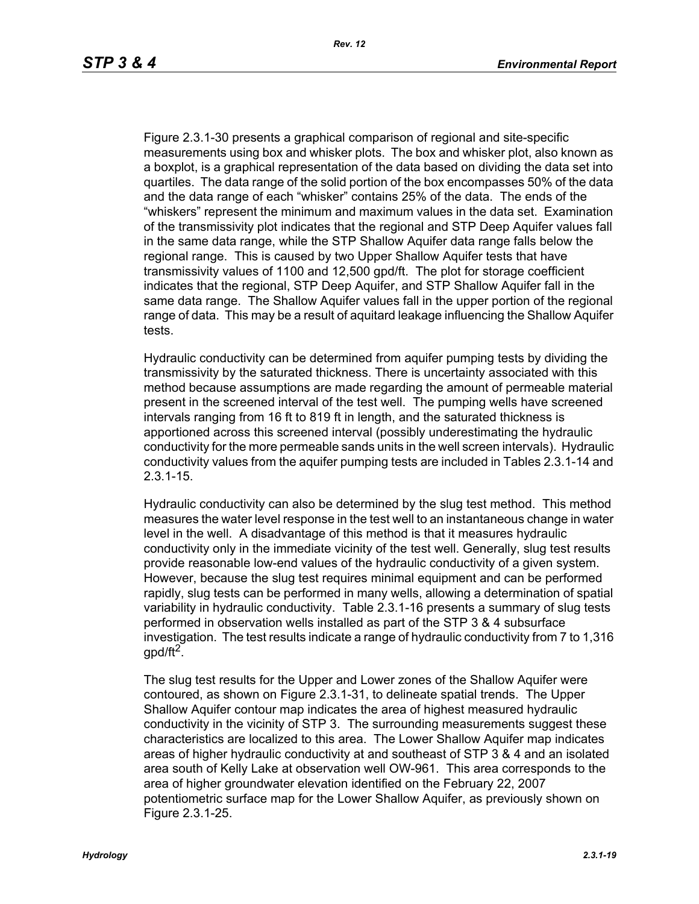Figure 2.3.1-30 presents a graphical comparison of regional and site-specific measurements using box and whisker plots. The box and whisker plot, also known as a boxplot, is a graphical representation of the data based on dividing the data set into quartiles. The data range of the solid portion of the box encompasses 50% of the data and the data range of each "whisker" contains 25% of the data. The ends of the "whiskers" represent the minimum and maximum values in the data set. Examination of the transmissivity plot indicates that the regional and STP Deep Aquifer values fall in the same data range, while the STP Shallow Aquifer data range falls below the regional range. This is caused by two Upper Shallow Aquifer tests that have transmissivity values of 1100 and 12,500 gpd/ft. The plot for storage coefficient indicates that the regional, STP Deep Aquifer, and STP Shallow Aquifer fall in the same data range. The Shallow Aquifer values fall in the upper portion of the regional range of data. This may be a result of aquitard leakage influencing the Shallow Aquifer tests.

Hydraulic conductivity can be determined from aquifer pumping tests by dividing the transmissivity by the saturated thickness. There is uncertainty associated with this method because assumptions are made regarding the amount of permeable material present in the screened interval of the test well. The pumping wells have screened intervals ranging from 16 ft to 819 ft in length, and the saturated thickness is apportioned across this screened interval (possibly underestimating the hydraulic conductivity for the more permeable sands units in the well screen intervals). Hydraulic conductivity values from the aquifer pumping tests are included in Tables 2.3.1-14 and 2.3.1-15.

Hydraulic conductivity can also be determined by the slug test method. This method measures the water level response in the test well to an instantaneous change in water level in the well. A disadvantage of this method is that it measures hydraulic conductivity only in the immediate vicinity of the test well. Generally, slug test results provide reasonable low-end values of the hydraulic conductivity of a given system. However, because the slug test requires minimal equipment and can be performed rapidly, slug tests can be performed in many wells, allowing a determination of spatial variability in hydraulic conductivity. Table 2.3.1-16 presents a summary of slug tests performed in observation wells installed as part of the STP 3 & 4 subsurface investigation. The test results indicate a range of hydraulic conductivity from 7 to 1,316 gpd/ft<sup>2</sup>.

The slug test results for the Upper and Lower zones of the Shallow Aquifer were contoured, as shown on Figure 2.3.1-31, to delineate spatial trends. The Upper Shallow Aquifer contour map indicates the area of highest measured hydraulic conductivity in the vicinity of STP 3. The surrounding measurements suggest these characteristics are localized to this area. The Lower Shallow Aquifer map indicates areas of higher hydraulic conductivity at and southeast of STP 3 & 4 and an isolated area south of Kelly Lake at observation well OW-961. This area corresponds to the area of higher groundwater elevation identified on the February 22, 2007 potentiometric surface map for the Lower Shallow Aquifer, as previously shown on Figure 2.3.1-25.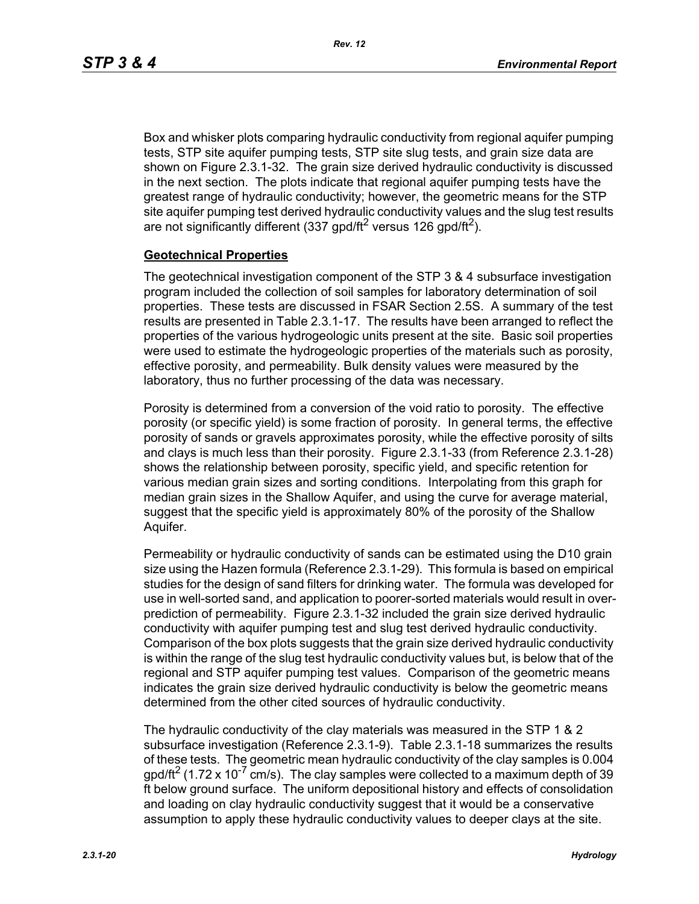Box and whisker plots comparing hydraulic conductivity from regional aquifer pumping tests, STP site aquifer pumping tests, STP site slug tests, and grain size data are shown on Figure 2.3.1-32. The grain size derived hydraulic conductivity is discussed in the next section. The plots indicate that regional aquifer pumping tests have the greatest range of hydraulic conductivity; however, the geometric means for the STP site aquifer pumping test derived hydraulic conductivity values and the slug test results are not significantly different (337 gpd/ft<sup>2</sup> versus 126 gpd/ft<sup>2</sup>).

#### **Geotechnical Properties**

The geotechnical investigation component of the STP 3 & 4 subsurface investigation program included the collection of soil samples for laboratory determination of soil properties. These tests are discussed in FSAR Section 2.5S. A summary of the test results are presented in Table 2.3.1-17. The results have been arranged to reflect the properties of the various hydrogeologic units present at the site. Basic soil properties were used to estimate the hydrogeologic properties of the materials such as porosity, effective porosity, and permeability. Bulk density values were measured by the laboratory, thus no further processing of the data was necessary.

Porosity is determined from a conversion of the void ratio to porosity. The effective porosity (or specific yield) is some fraction of porosity. In general terms, the effective porosity of sands or gravels approximates porosity, while the effective porosity of silts and clays is much less than their porosity. Figure 2.3.1-33 (from Reference 2.3.1-28) shows the relationship between porosity, specific yield, and specific retention for various median grain sizes and sorting conditions. Interpolating from this graph for median grain sizes in the Shallow Aquifer, and using the curve for average material, suggest that the specific yield is approximately 80% of the porosity of the Shallow Aquifer.

Permeability or hydraulic conductivity of sands can be estimated using the D10 grain size using the Hazen formula (Reference 2.3.1-29). This formula is based on empirical studies for the design of sand filters for drinking water. The formula was developed for use in well-sorted sand, and application to poorer-sorted materials would result in overprediction of permeability. Figure 2.3.1-32 included the grain size derived hydraulic conductivity with aquifer pumping test and slug test derived hydraulic conductivity. Comparison of the box plots suggests that the grain size derived hydraulic conductivity is within the range of the slug test hydraulic conductivity values but, is below that of the regional and STP aquifer pumping test values. Comparison of the geometric means indicates the grain size derived hydraulic conductivity is below the geometric means determined from the other cited sources of hydraulic conductivity.

The hydraulic conductivity of the clay materials was measured in the STP 1 & 2 subsurface investigation (Reference 2.3.1-9). Table 2.3.1-18 summarizes the results of these tests. The geometric mean hydraulic conductivity of the clay samples is 0.004  $q$  apd/ft<sup>2</sup> (1.72 x 10<sup>-7</sup> cm/s). The clay samples were collected to a maximum depth of 39 ft below ground surface. The uniform depositional history and effects of consolidation and loading on clay hydraulic conductivity suggest that it would be a conservative assumption to apply these hydraulic conductivity values to deeper clays at the site.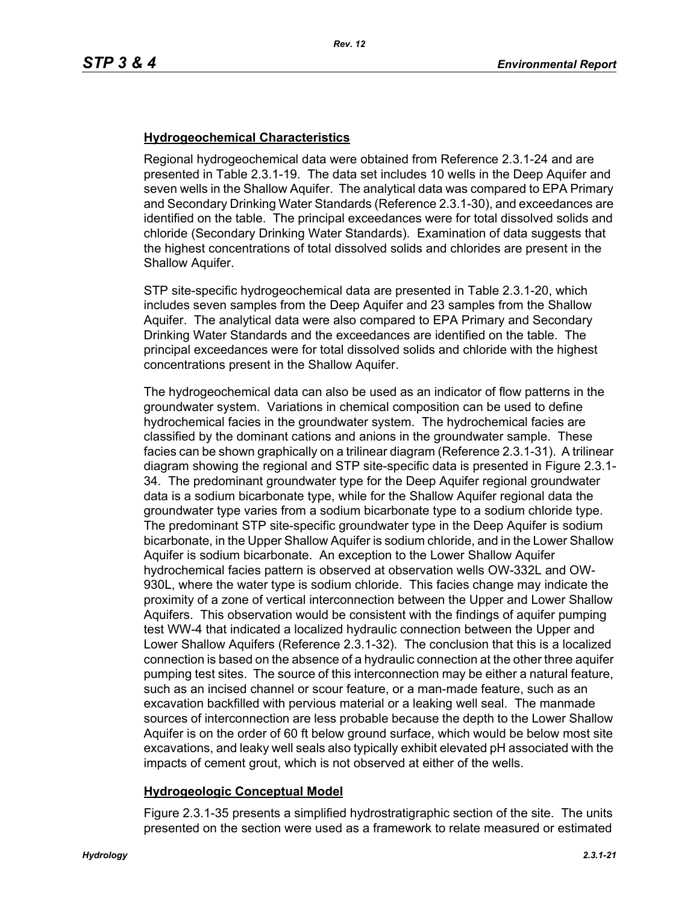# **Hydrogeochemical Characteristics**

Regional hydrogeochemical data were obtained from Reference 2.3.1-24 and are presented in Table 2.3.1-19. The data set includes 10 wells in the Deep Aquifer and seven wells in the Shallow Aquifer. The analytical data was compared to EPA Primary and Secondary Drinking Water Standards (Reference 2.3.1-30), and exceedances are identified on the table. The principal exceedances were for total dissolved solids and chloride (Secondary Drinking Water Standards). Examination of data suggests that the highest concentrations of total dissolved solids and chlorides are present in the Shallow Aquifer.

STP site-specific hydrogeochemical data are presented in Table 2.3.1-20, which includes seven samples from the Deep Aquifer and 23 samples from the Shallow Aquifer. The analytical data were also compared to EPA Primary and Secondary Drinking Water Standards and the exceedances are identified on the table. The principal exceedances were for total dissolved solids and chloride with the highest concentrations present in the Shallow Aquifer.

The hydrogeochemical data can also be used as an indicator of flow patterns in the groundwater system. Variations in chemical composition can be used to define hydrochemical facies in the groundwater system. The hydrochemical facies are classified by the dominant cations and anions in the groundwater sample. These facies can be shown graphically on a trilinear diagram (Reference 2.3.1-31). A trilinear diagram showing the regional and STP site-specific data is presented in Figure 2.3.1- 34. The predominant groundwater type for the Deep Aquifer regional groundwater data is a sodium bicarbonate type, while for the Shallow Aquifer regional data the groundwater type varies from a sodium bicarbonate type to a sodium chloride type. The predominant STP site-specific groundwater type in the Deep Aquifer is sodium bicarbonate, in the Upper Shallow Aquifer is sodium chloride, and in the Lower Shallow Aquifer is sodium bicarbonate. An exception to the Lower Shallow Aquifer hydrochemical facies pattern is observed at observation wells OW-332L and OW-930L, where the water type is sodium chloride. This facies change may indicate the proximity of a zone of vertical interconnection between the Upper and Lower Shallow Aquifers. This observation would be consistent with the findings of aquifer pumping test WW-4 that indicated a localized hydraulic connection between the Upper and Lower Shallow Aquifers (Reference 2.3.1-32). The conclusion that this is a localized connection is based on the absence of a hydraulic connection at the other three aquifer pumping test sites. The source of this interconnection may be either a natural feature, such as an incised channel or scour feature, or a man-made feature, such as an excavation backfilled with pervious material or a leaking well seal. The manmade sources of interconnection are less probable because the depth to the Lower Shallow Aquifer is on the order of 60 ft below ground surface, which would be below most site excavations, and leaky well seals also typically exhibit elevated pH associated with the impacts of cement grout, which is not observed at either of the wells.

# **Hydrogeologic Conceptual Model**

Figure 2.3.1-35 presents a simplified hydrostratigraphic section of the site. The units presented on the section were used as a framework to relate measured or estimated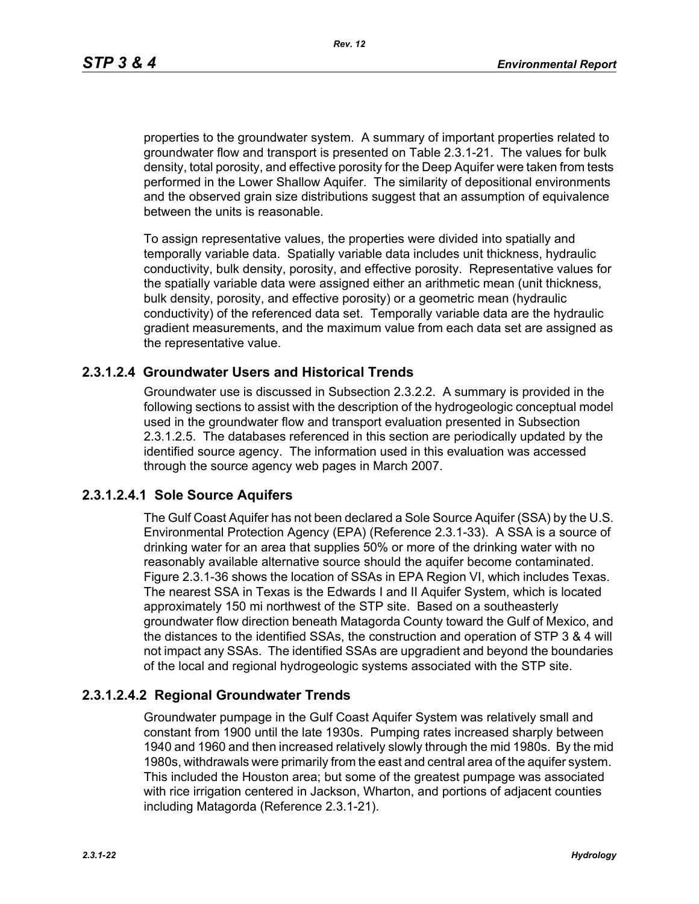*Rev. 12*

properties to the groundwater system. A summary of important properties related to groundwater flow and transport is presented on Table 2.3.1-21. The values for bulk density, total porosity, and effective porosity for the Deep Aquifer were taken from tests performed in the Lower Shallow Aquifer. The similarity of depositional environments and the observed grain size distributions suggest that an assumption of equivalence between the units is reasonable.

To assign representative values, the properties were divided into spatially and temporally variable data. Spatially variable data includes unit thickness, hydraulic conductivity, bulk density, porosity, and effective porosity. Representative values for the spatially variable data were assigned either an arithmetic mean (unit thickness, bulk density, porosity, and effective porosity) or a geometric mean (hydraulic conductivity) of the referenced data set. Temporally variable data are the hydraulic gradient measurements, and the maximum value from each data set are assigned as the representative value.

# **2.3.1.2.4 Groundwater Users and Historical Trends**

Groundwater use is discussed in Subsection 2.3.2.2. A summary is provided in the following sections to assist with the description of the hydrogeologic conceptual model used in the groundwater flow and transport evaluation presented in Subsection 2.3.1.2.5. The databases referenced in this section are periodically updated by the identified source agency. The information used in this evaluation was accessed through the source agency web pages in March 2007.

# **2.3.1.2.4.1 Sole Source Aquifers**

The Gulf Coast Aquifer has not been declared a Sole Source Aquifer (SSA) by the U.S. Environmental Protection Agency (EPA) (Reference 2.3.1-33). A SSA is a source of drinking water for an area that supplies 50% or more of the drinking water with no reasonably available alternative source should the aquifer become contaminated. Figure 2.3.1-36 shows the location of SSAs in EPA Region VI, which includes Texas. The nearest SSA in Texas is the Edwards I and II Aquifer System, which is located approximately 150 mi northwest of the STP site. Based on a southeasterly groundwater flow direction beneath Matagorda County toward the Gulf of Mexico, and the distances to the identified SSAs, the construction and operation of STP 3 & 4 will not impact any SSAs. The identified SSAs are upgradient and beyond the boundaries of the local and regional hydrogeologic systems associated with the STP site.

# **2.3.1.2.4.2 Regional Groundwater Trends**

Groundwater pumpage in the Gulf Coast Aquifer System was relatively small and constant from 1900 until the late 1930s. Pumping rates increased sharply between 1940 and 1960 and then increased relatively slowly through the mid 1980s. By the mid 1980s, withdrawals were primarily from the east and central area of the aquifer system. This included the Houston area; but some of the greatest pumpage was associated with rice irrigation centered in Jackson, Wharton, and portions of adjacent counties including Matagorda (Reference 2.3.1-21).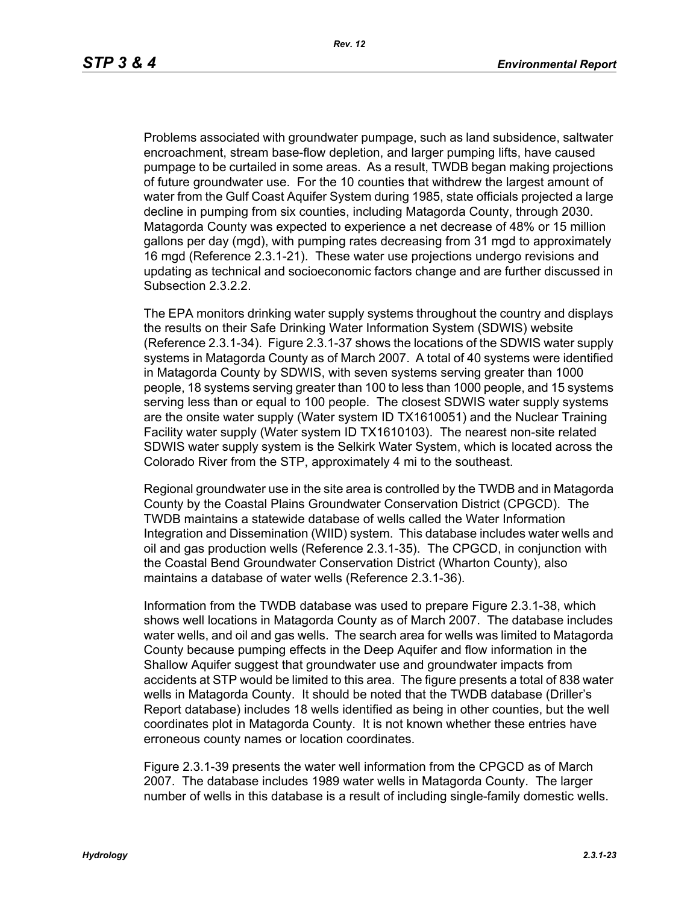Problems associated with groundwater pumpage, such as land subsidence, saltwater encroachment, stream base-flow depletion, and larger pumping lifts, have caused pumpage to be curtailed in some areas. As a result, TWDB began making projections of future groundwater use. For the 10 counties that withdrew the largest amount of water from the Gulf Coast Aquifer System during 1985, state officials projected a large decline in pumping from six counties, including Matagorda County, through 2030. Matagorda County was expected to experience a net decrease of 48% or 15 million gallons per day (mgd), with pumping rates decreasing from 31 mgd to approximately 16 mgd (Reference 2.3.1-21). These water use projections undergo revisions and updating as technical and socioeconomic factors change and are further discussed in Subsection 2.3.2.2.

The EPA monitors drinking water supply systems throughout the country and displays the results on their Safe Drinking Water Information System (SDWIS) website (Reference 2.3.1-34). Figure 2.3.1-37 shows the locations of the SDWIS water supply systems in Matagorda County as of March 2007. A total of 40 systems were identified in Matagorda County by SDWIS, with seven systems serving greater than 1000 people, 18 systems serving greater than 100 to less than 1000 people, and 15 systems serving less than or equal to 100 people. The closest SDWIS water supply systems are the onsite water supply (Water system ID TX1610051) and the Nuclear Training Facility water supply (Water system ID TX1610103). The nearest non-site related SDWIS water supply system is the Selkirk Water System, which is located across the Colorado River from the STP, approximately 4 mi to the southeast.

Regional groundwater use in the site area is controlled by the TWDB and in Matagorda County by the Coastal Plains Groundwater Conservation District (CPGCD). The TWDB maintains a statewide database of wells called the Water Information Integration and Dissemination (WIID) system. This database includes water wells and oil and gas production wells (Reference 2.3.1-35). The CPGCD, in conjunction with the Coastal Bend Groundwater Conservation District (Wharton County), also maintains a database of water wells (Reference 2.3.1-36).

Information from the TWDB database was used to prepare Figure 2.3.1-38, which shows well locations in Matagorda County as of March 2007. The database includes water wells, and oil and gas wells. The search area for wells was limited to Matagorda County because pumping effects in the Deep Aquifer and flow information in the Shallow Aquifer suggest that groundwater use and groundwater impacts from accidents at STP would be limited to this area. The figure presents a total of 838 water wells in Matagorda County. It should be noted that the TWDB database (Driller's Report database) includes 18 wells identified as being in other counties, but the well coordinates plot in Matagorda County. It is not known whether these entries have erroneous county names or location coordinates.

Figure 2.3.1-39 presents the water well information from the CPGCD as of March 2007. The database includes 1989 water wells in Matagorda County. The larger number of wells in this database is a result of including single-family domestic wells.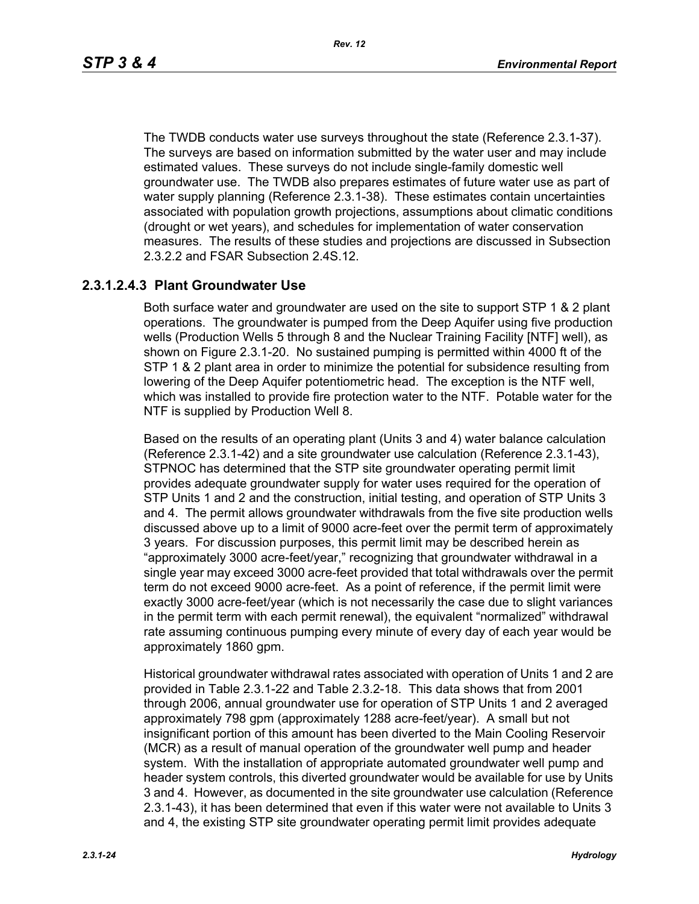The TWDB conducts water use surveys throughout the state (Reference 2.3.1-37). The surveys are based on information submitted by the water user and may include estimated values. These surveys do not include single-family domestic well groundwater use. The TWDB also prepares estimates of future water use as part of water supply planning (Reference 2.3.1-38). These estimates contain uncertainties associated with population growth projections, assumptions about climatic conditions (drought or wet years), and schedules for implementation of water conservation measures. The results of these studies and projections are discussed in Subsection 2.3.2.2 and FSAR Subsection 2.4S.12.

# **2.3.1.2.4.3 Plant Groundwater Use**

Both surface water and groundwater are used on the site to support STP 1 & 2 plant operations. The groundwater is pumped from the Deep Aquifer using five production wells (Production Wells 5 through 8 and the Nuclear Training Facility [NTF] well), as shown on Figure 2.3.1-20. No sustained pumping is permitted within 4000 ft of the STP 1 & 2 plant area in order to minimize the potential for subsidence resulting from lowering of the Deep Aquifer potentiometric head. The exception is the NTF well, which was installed to provide fire protection water to the NTF. Potable water for the NTF is supplied by Production Well 8.

Based on the results of an operating plant (Units 3 and 4) water balance calculation (Reference 2.3.1-42) and a site groundwater use calculation (Reference 2.3.1-43), STPNOC has determined that the STP site groundwater operating permit limit provides adequate groundwater supply for water uses required for the operation of STP Units 1 and 2 and the construction, initial testing, and operation of STP Units 3 and 4. The permit allows groundwater withdrawals from the five site production wells discussed above up to a limit of 9000 acre-feet over the permit term of approximately 3 years. For discussion purposes, this permit limit may be described herein as "approximately 3000 acre-feet/year," recognizing that groundwater withdrawal in a single year may exceed 3000 acre-feet provided that total withdrawals over the permit term do not exceed 9000 acre-feet. As a point of reference, if the permit limit were exactly 3000 acre-feet/year (which is not necessarily the case due to slight variances in the permit term with each permit renewal), the equivalent "normalized" withdrawal rate assuming continuous pumping every minute of every day of each year would be approximately 1860 gpm.

Historical groundwater withdrawal rates associated with operation of Units 1 and 2 are provided in Table 2.3.1-22 and Table 2.3.2-18. This data shows that from 2001 through 2006, annual groundwater use for operation of STP Units 1 and 2 averaged approximately 798 gpm (approximately 1288 acre-feet/year). A small but not insignificant portion of this amount has been diverted to the Main Cooling Reservoir (MCR) as a result of manual operation of the groundwater well pump and header system. With the installation of appropriate automated groundwater well pump and header system controls, this diverted groundwater would be available for use by Units 3 and 4. However, as documented in the site groundwater use calculation (Reference 2.3.1-43), it has been determined that even if this water were not available to Units 3 and 4, the existing STP site groundwater operating permit limit provides adequate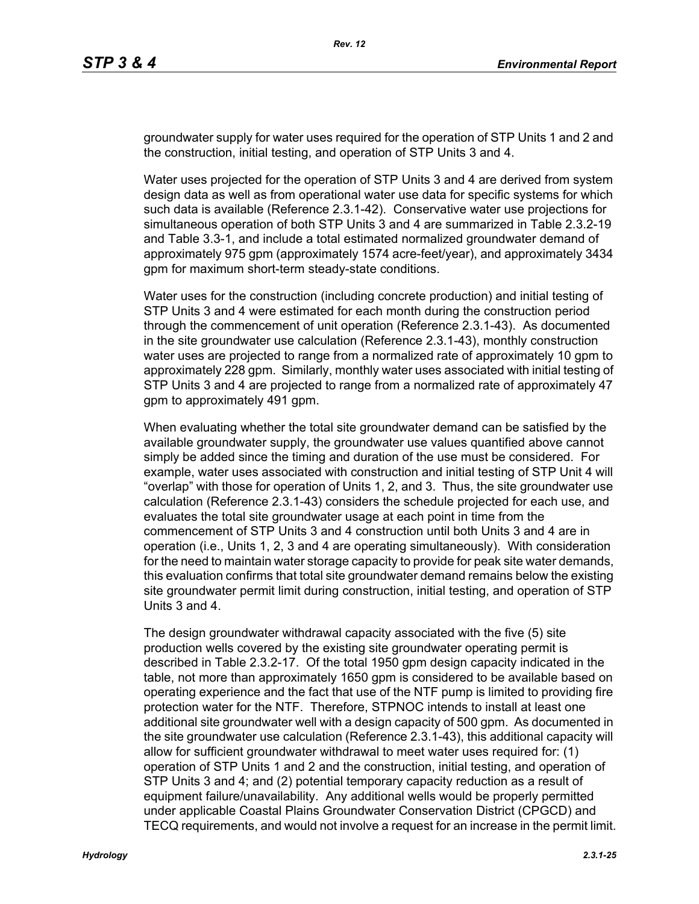groundwater supply for water uses required for the operation of STP Units 1 and 2 and the construction, initial testing, and operation of STP Units 3 and 4.

Water uses projected for the operation of STP Units 3 and 4 are derived from system design data as well as from operational water use data for specific systems for which such data is available (Reference 2.3.1-42). Conservative water use projections for simultaneous operation of both STP Units 3 and 4 are summarized in Table 2.3.2-19 and Table 3.3-1, and include a total estimated normalized groundwater demand of approximately 975 gpm (approximately 1574 acre-feet/year), and approximately 3434 gpm for maximum short-term steady-state conditions.

Water uses for the construction (including concrete production) and initial testing of STP Units 3 and 4 were estimated for each month during the construction period through the commencement of unit operation (Reference 2.3.1-43). As documented in the site groundwater use calculation (Reference 2.3.1-43), monthly construction water uses are projected to range from a normalized rate of approximately 10 gpm to approximately 228 gpm. Similarly, monthly water uses associated with initial testing of STP Units 3 and 4 are projected to range from a normalized rate of approximately 47 gpm to approximately 491 gpm.

When evaluating whether the total site groundwater demand can be satisfied by the available groundwater supply, the groundwater use values quantified above cannot simply be added since the timing and duration of the use must be considered. For example, water uses associated with construction and initial testing of STP Unit 4 will "overlap" with those for operation of Units 1, 2, and 3. Thus, the site groundwater use calculation (Reference 2.3.1-43) considers the schedule projected for each use, and evaluates the total site groundwater usage at each point in time from the commencement of STP Units 3 and 4 construction until both Units 3 and 4 are in operation (i.e., Units 1, 2, 3 and 4 are operating simultaneously). With consideration for the need to maintain water storage capacity to provide for peak site water demands, this evaluation confirms that total site groundwater demand remains below the existing site groundwater permit limit during construction, initial testing, and operation of STP Units 3 and 4.

The design groundwater withdrawal capacity associated with the five (5) site production wells covered by the existing site groundwater operating permit is described in Table 2.3.2-17. Of the total 1950 gpm design capacity indicated in the table, not more than approximately 1650 gpm is considered to be available based on operating experience and the fact that use of the NTF pump is limited to providing fire protection water for the NTF. Therefore, STPNOC intends to install at least one additional site groundwater well with a design capacity of 500 gpm. As documented in the site groundwater use calculation (Reference 2.3.1-43), this additional capacity will allow for sufficient groundwater withdrawal to meet water uses required for: (1) operation of STP Units 1 and 2 and the construction, initial testing, and operation of STP Units 3 and 4; and (2) potential temporary capacity reduction as a result of equipment failure/unavailability. Any additional wells would be properly permitted under applicable Coastal Plains Groundwater Conservation District (CPGCD) and TECQ requirements, and would not involve a request for an increase in the permit limit.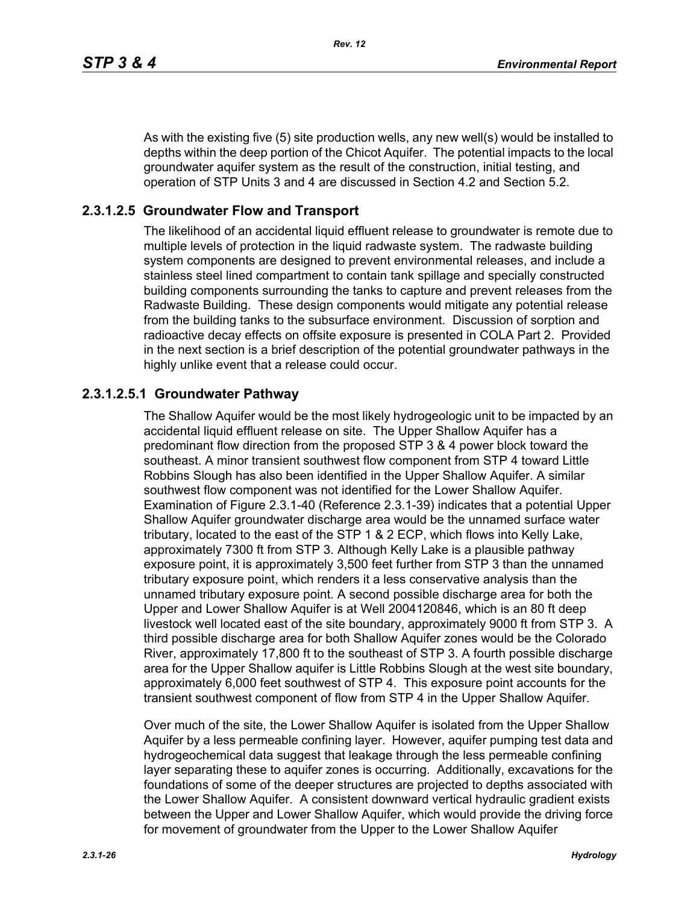As with the existing five (5) site production wells, any new well(s) would be installed to depths within the deep portion of the Chicot Aquifer. The potential impacts to the local groundwater aquifer system as the result of the construction, initial testing, and operation of STP Units 3 and 4 are discussed in Section 4.2 and Section 5.2.

# **2.3.1.2.5 Groundwater Flow and Transport**

The likelihood of an accidental liquid effluent release to groundwater is remote due to multiple levels of protection in the liquid radwaste system. The radwaste building system components are designed to prevent environmental releases, and include a stainless steel lined compartment to contain tank spillage and specially constructed building components surrounding the tanks to capture and prevent releases from the Radwaste Building. These design components would mitigate any potential release from the building tanks to the subsurface environment. Discussion of sorption and radioactive decay effects on offsite exposure is presented in COLA Part 2. Provided in the next section is a brief description of the potential groundwater pathways in the highly unlike event that a release could occur.

# **2.3.1.2.5.1 Groundwater Pathway**

The Shallow Aquifer would be the most likely hydrogeologic unit to be impacted by an accidental liquid effluent release on site. The Upper Shallow Aquifer has a predominant flow direction from the proposed STP 3 & 4 power block toward the southeast. A minor transient southwest flow component from STP 4 toward Little Robbins Slough has also been identified in the Upper Shallow Aquifer. A similar southwest flow component was not identified for the Lower Shallow Aquifer. Examination of Figure 2.3.1-40 (Reference 2.3.1-39) indicates that a potential Upper Shallow Aquifer groundwater discharge area would be the unnamed surface water tributary, located to the east of the STP 1 & 2 ECP, which flows into Kelly Lake, approximately 7300 ft from STP 3. Although Kelly Lake is a plausible pathway exposure point, it is approximately 3,500 feet further from STP 3 than the unnamed tributary exposure point, which renders it a less conservative analysis than the unnamed tributary exposure point. A second possible discharge area for both the Upper and Lower Shallow Aquifer is at Well 2004120846, which is an 80 ft deep livestock well located east of the site boundary, approximately 9000 ft from STP 3. A third possible discharge area for both Shallow Aquifer zones would be the Colorado River, approximately 17,800 ft to the southeast of STP 3. A fourth possible discharge area for the Upper Shallow aquifer is Little Robbins Slough at the west site boundary, approximately 6,000 feet southwest of STP 4. This exposure point accounts for the transient southwest component of flow from STP 4 in the Upper Shallow Aquifer.

Over much of the site, the Lower Shallow Aquifer is isolated from the Upper Shallow Aquifer by a less permeable confining layer. However, aquifer pumping test data and hydrogeochemical data suggest that leakage through the less permeable confining layer separating these to aquifer zones is occurring. Additionally, excavations for the foundations of some of the deeper structures are projected to depths associated with the Lower Shallow Aquifer. A consistent downward vertical hydraulic gradient exists between the Upper and Lower Shallow Aquifer, which would provide the driving force for movement of groundwater from the Upper to the Lower Shallow Aquifer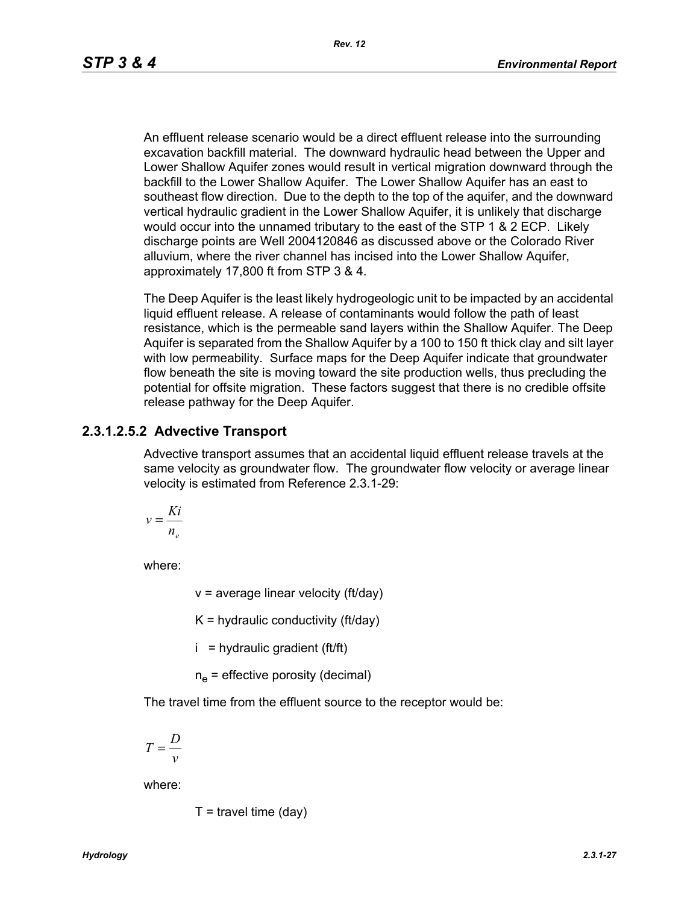An effluent release scenario would be a direct effluent release into the surrounding excavation backfill material. The downward hydraulic head between the Upper and Lower Shallow Aquifer zones would result in vertical migration downward through the backfill to the Lower Shallow Aquifer. The Lower Shallow Aquifer has an east to southeast flow direction. Due to the depth to the top of the aquifer, and the downward vertical hydraulic gradient in the Lower Shallow Aquifer, it is unlikely that discharge would occur into the unnamed tributary to the east of the STP 1 & 2 ECP. Likely discharge points are Well 2004120846 as discussed above or the Colorado River alluvium, where the river channel has incised into the Lower Shallow Aquifer, approximately 17,800 ft from STP 3 & 4.

The Deep Aquifer is the least likely hydrogeologic unit to be impacted by an accidental liquid effluent release. A release of contaminants would follow the path of least resistance, which is the permeable sand layers within the Shallow Aquifer. The Deep Aquifer is separated from the Shallow Aquifer by a 100 to 150 ft thick clay and silt layer with low permeability. Surface maps for the Deep Aquifer indicate that groundwater flow beneath the site is moving toward the site production wells, thus precluding the potential for offsite migration. These factors suggest that there is no credible offsite release pathway for the Deep Aquifer.

# **2.3.1.2.5.2 Advective Transport**

Advective transport assumes that an accidental liquid effluent release travels at the same velocity as groundwater flow. The groundwater flow velocity or average linear velocity is estimated from Reference 2.3.1-29:

$$
v = \frac{Ki}{n_e}
$$

where:

 $v =$  average linear velocity (ft/day)

 $K =$  hydraulic conductivity (ft/day)

 $i =$  hydraulic gradient (ft/ft)

 $n_e$  = effective porosity (decimal)

The travel time from the effluent source to the receptor would be:

$$
T = \frac{D}{v}
$$

where:

$$
T =
$$
travel time (day)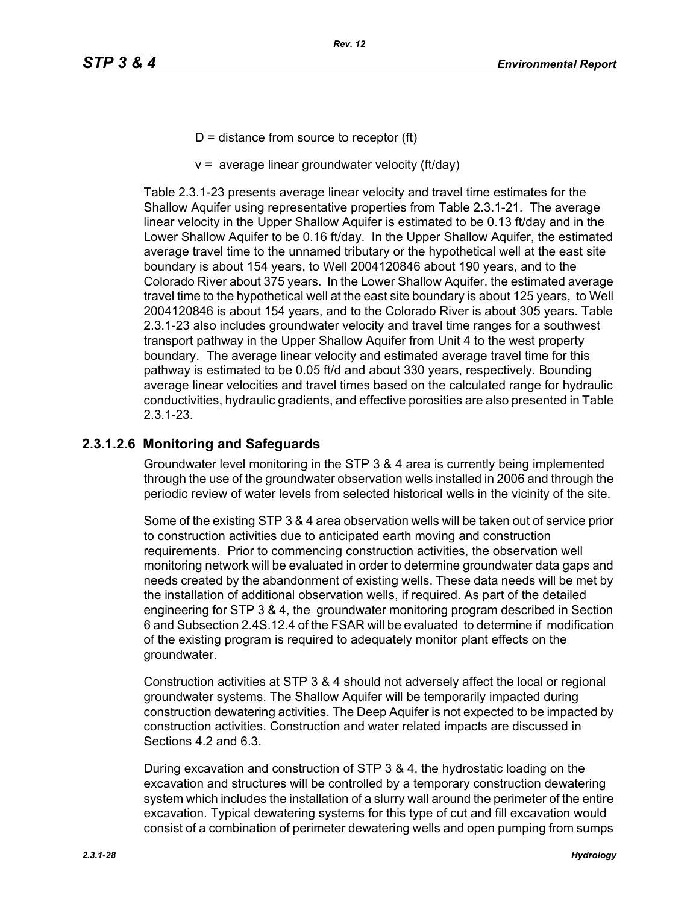- $D =$  distance from source to receptor (ft)
- $v =$  average linear groundwater velocity (ft/day)

Table 2.3.1-23 presents average linear velocity and travel time estimates for the Shallow Aquifer using representative properties from Table 2.3.1-21. The average linear velocity in the Upper Shallow Aquifer is estimated to be 0.13 ft/day and in the Lower Shallow Aquifer to be 0.16 ft/day. In the Upper Shallow Aquifer, the estimated average travel time to the unnamed tributary or the hypothetical well at the east site boundary is about 154 years, to Well 2004120846 about 190 years, and to the Colorado River about 375 years. In the Lower Shallow Aquifer, the estimated average travel time to the hypothetical well at the east site boundary is about 125 years, to Well 2004120846 is about 154 years, and to the Colorado River is about 305 years. Table 2.3.1-23 also includes groundwater velocity and travel time ranges for a southwest transport pathway in the Upper Shallow Aquifer from Unit 4 to the west property boundary. The average linear velocity and estimated average travel time for this pathway is estimated to be 0.05 ft/d and about 330 years, respectively. Bounding average linear velocities and travel times based on the calculated range for hydraulic conductivities, hydraulic gradients, and effective porosities are also presented in Table 2.3.1-23.

# **2.3.1.2.6 Monitoring and Safeguards**

Groundwater level monitoring in the STP 3 & 4 area is currently being implemented through the use of the groundwater observation wells installed in 2006 and through the periodic review of water levels from selected historical wells in the vicinity of the site.

Some of the existing STP 3 & 4 area observation wells will be taken out of service prior to construction activities due to anticipated earth moving and construction requirements. Prior to commencing construction activities, the observation well monitoring network will be evaluated in order to determine groundwater data gaps and needs created by the abandonment of existing wells. These data needs will be met by the installation of additional observation wells, if required. As part of the detailed engineering for STP 3 & 4, the groundwater monitoring program described in Section 6 and Subsection 2.4S.12.4 of the FSAR will be evaluated to determine if modification of the existing program is required to adequately monitor plant effects on the groundwater.

Construction activities at STP 3 & 4 should not adversely affect the local or regional groundwater systems. The Shallow Aquifer will be temporarily impacted during construction dewatering activities. The Deep Aquifer is not expected to be impacted by construction activities. Construction and water related impacts are discussed in Sections 4.2 and 6.3.

During excavation and construction of STP 3 & 4, the hydrostatic loading on the excavation and structures will be controlled by a temporary construction dewatering system which includes the installation of a slurry wall around the perimeter of the entire excavation. Typical dewatering systems for this type of cut and fill excavation would consist of a combination of perimeter dewatering wells and open pumping from sumps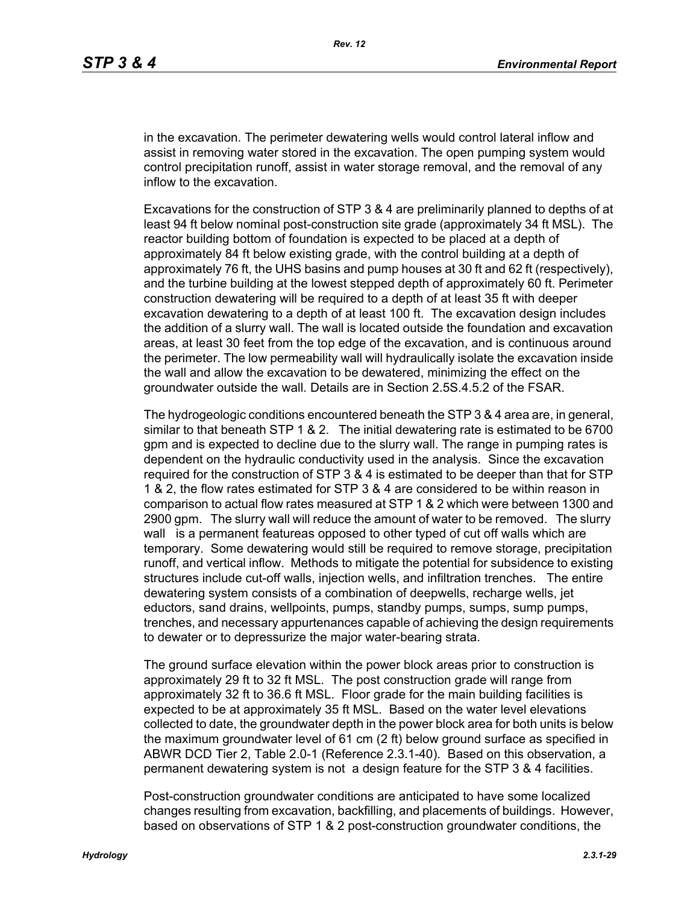in the excavation. The perimeter dewatering wells would control lateral inflow and assist in removing water stored in the excavation. The open pumping system would control precipitation runoff, assist in water storage removal, and the removal of any inflow to the excavation.

Excavations for the construction of STP 3 & 4 are preliminarily planned to depths of at least 94 ft below nominal post-construction site grade (approximately 34 ft MSL). The reactor building bottom of foundation is expected to be placed at a depth of approximately 84 ft below existing grade, with the control building at a depth of approximately 76 ft, the UHS basins and pump houses at 30 ft and 62 ft (respectively), and the turbine building at the lowest stepped depth of approximately 60 ft. Perimeter construction dewatering will be required to a depth of at least 35 ft with deeper excavation dewatering to a depth of at least 100 ft. The excavation design includes the addition of a slurry wall. The wall is located outside the foundation and excavation areas, at least 30 feet from the top edge of the excavation, and is continuous around the perimeter. The low permeability wall will hydraulically isolate the excavation inside the wall and allow the excavation to be dewatered, minimizing the effect on the groundwater outside the wall. Details are in Section 2.5S.4.5.2 of the FSAR.

The hydrogeologic conditions encountered beneath the STP 3 & 4 area are, in general, similar to that beneath STP 1 & 2. The initial dewatering rate is estimated to be 6700 gpm and is expected to decline due to the slurry wall. The range in pumping rates is dependent on the hydraulic conductivity used in the analysis. Since the excavation required for the construction of STP 3 & 4 is estimated to be deeper than that for STP 1 & 2, the flow rates estimated for STP 3 & 4 are considered to be within reason in comparison to actual flow rates measured at STP 1 & 2 which were between 1300 and 2900 gpm. The slurry wall will reduce the amount of water to be removed. The slurry wall is a permanent featureas opposed to other typed of cut off walls which are temporary. Some dewatering would still be required to remove storage, precipitation runoff, and vertical inflow. Methods to mitigate the potential for subsidence to existing structures include cut-off walls, injection wells, and infiltration trenches. The entire dewatering system consists of a combination of deepwells, recharge wells, jet eductors, sand drains, wellpoints, pumps, standby pumps, sumps, sump pumps, trenches, and necessary appurtenances capable of achieving the design requirements to dewater or to depressurize the major water-bearing strata.

The ground surface elevation within the power block areas prior to construction is approximately 29 ft to 32 ft MSL. The post construction grade will range from approximately 32 ft to 36.6 ft MSL. Floor grade for the main building facilities is expected to be at approximately 35 ft MSL. Based on the water level elevations collected to date, the groundwater depth in the power block area for both units is below the maximum groundwater level of 61 cm (2 ft) below ground surface as specified in ABWR DCD Tier 2, Table 2.0-1 (Reference 2.3.1-40). Based on this observation, a permanent dewatering system is not a design feature for the STP 3 & 4 facilities.

Post-construction groundwater conditions are anticipated to have some localized changes resulting from excavation, backfilling, and placements of buildings. However, based on observations of STP 1 & 2 post-construction groundwater conditions, the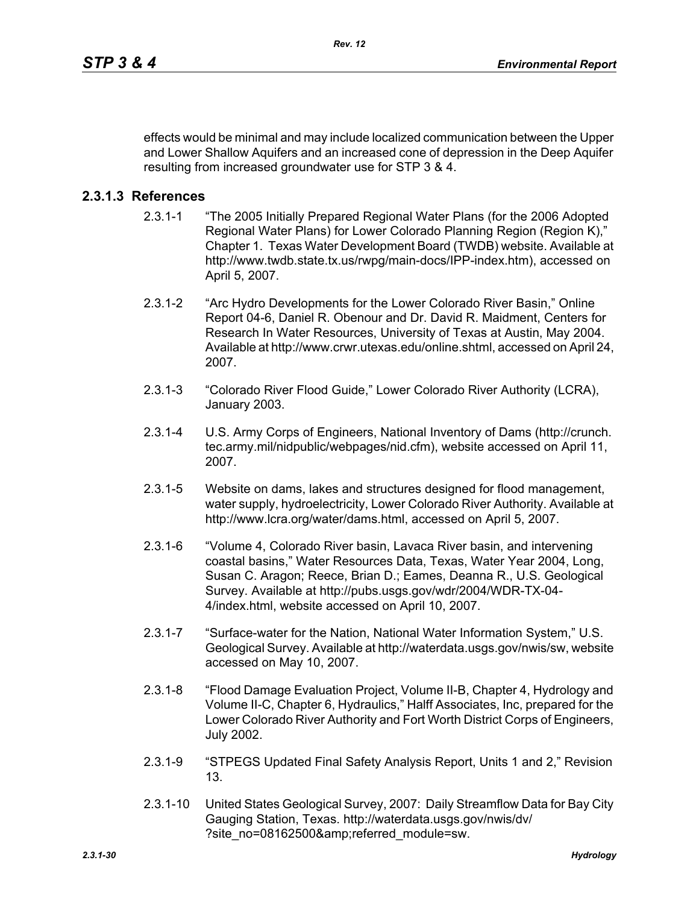effects would be minimal and may include localized communication between the Upper and Lower Shallow Aquifers and an increased cone of depression in the Deep Aquifer resulting from increased groundwater use for STP 3 & 4.

# **2.3.1.3 References**

- 2.3.1-1 "The 2005 Initially Prepared Regional Water Plans (for the 2006 Adopted Regional Water Plans) for Lower Colorado Planning Region (Region K)," Chapter 1. Texas Water Development Board (TWDB) website. Available at http://www.twdb.state.tx.us/rwpg/main-docs/IPP-index.htm), accessed on April 5, 2007.
- 2.3.1-2 "Arc Hydro Developments for the Lower Colorado River Basin," Online Report 04-6, Daniel R. Obenour and Dr. David R. Maidment, Centers for Research In Water Resources, University of Texas at Austin, May 2004. Available at http://www.crwr.utexas.edu/online.shtml, accessed on April 24, 2007.
- 2.3.1-3 "Colorado River Flood Guide," Lower Colorado River Authority (LCRA), January 2003.
- 2.3.1-4 U.S. Army Corps of Engineers, National Inventory of Dams (http://crunch. tec.army.mil/nidpublic/webpages/nid.cfm), website accessed on April 11, 2007.
- 2.3.1-5 Website on dams, lakes and structures designed for flood management, water supply, hydroelectricity, Lower Colorado River Authority. Available at http://www.lcra.org/water/dams.html, accessed on April 5, 2007.
- 2.3.1-6 "Volume 4, Colorado River basin, Lavaca River basin, and intervening coastal basins," Water Resources Data, Texas, Water Year 2004, Long, Susan C. Aragon; Reece, Brian D.; Eames, Deanna R., U.S. Geological Survey. Available at http://pubs.usgs.gov/wdr/2004/WDR-TX-04- 4/index.html, website accessed on April 10, 2007.
- 2.3.1-7 "Surface-water for the Nation, National Water Information System," U.S. Geological Survey. Available at http://waterdata.usgs.gov/nwis/sw, website accessed on May 10, 2007.
- 2.3.1-8 "Flood Damage Evaluation Project, Volume II-B, Chapter 4, Hydrology and Volume II-C, Chapter 6, Hydraulics," Halff Associates, Inc, prepared for the Lower Colorado River Authority and Fort Worth District Corps of Engineers, July 2002.
- 2.3.1-9 "STPEGS Updated Final Safety Analysis Report, Units 1 and 2," Revision 13.
- 2.3.1-10 United States Geological Survey, 2007: Daily Streamflow Data for Bay City Gauging Station, Texas. http://waterdata.usgs.gov/nwis/dv/ ?site\_no=08162500&referred\_module=sw.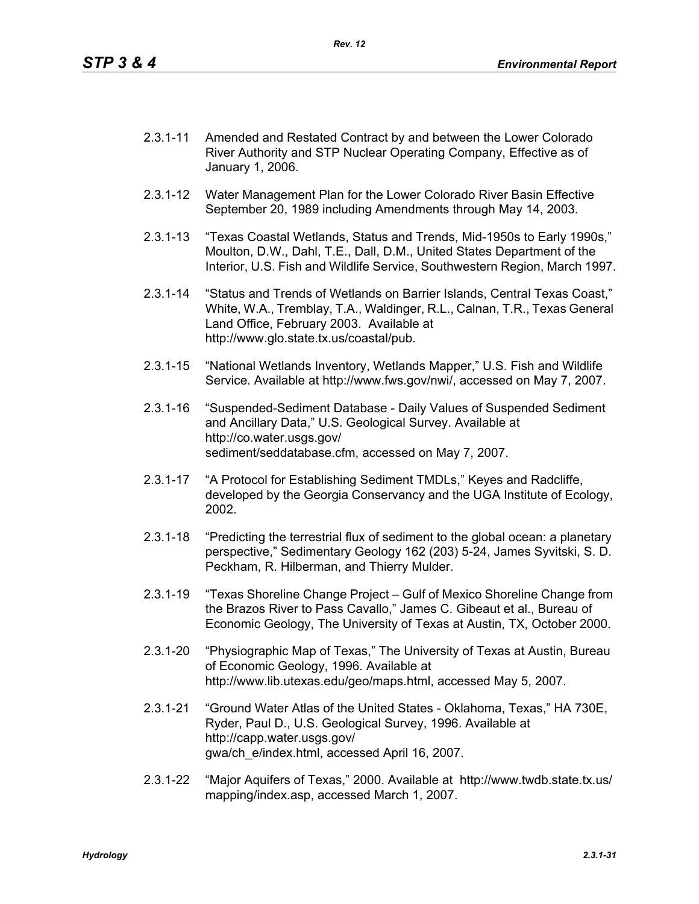- 2.3.1-11 Amended and Restated Contract by and between the Lower Colorado River Authority and STP Nuclear Operating Company, Effective as of January 1, 2006.
- 2.3.1-12 Water Management Plan for the Lower Colorado River Basin Effective September 20, 1989 including Amendments through May 14, 2003.
- 2.3.1-13 "Texas Coastal Wetlands, Status and Trends, Mid-1950s to Early 1990s," Moulton, D.W., Dahl, T.E., Dall, D.M., United States Department of the Interior, U.S. Fish and Wildlife Service, Southwestern Region, March 1997.
- 2.3.1-14 "Status and Trends of Wetlands on Barrier Islands, Central Texas Coast," White, W.A., Tremblay, T.A., Waldinger, R.L., Calnan, T.R., Texas General Land Office, February 2003. Available at http://www.glo.state.tx.us/coastal/pub.
- 2.3.1-15 "National Wetlands Inventory, Wetlands Mapper," U.S. Fish and Wildlife Service. Available at http://www.fws.gov/nwi/, accessed on May 7, 2007.
- 2.3.1-16 "Suspended-Sediment Database Daily Values of Suspended Sediment and Ancillary Data," U.S. Geological Survey. Available at http://co.water.usgs.gov/ sediment/seddatabase.cfm, accessed on May 7, 2007.
- 2.3.1-17 "A Protocol for Establishing Sediment TMDLs," Keyes and Radcliffe, developed by the Georgia Conservancy and the UGA Institute of Ecology, 2002.
- 2.3.1-18 "Predicting the terrestrial flux of sediment to the global ocean: a planetary perspective," Sedimentary Geology 162 (203) 5-24, James Syvitski, S. D. Peckham, R. Hilberman, and Thierry Mulder.
- 2.3.1-19 "Texas Shoreline Change Project Gulf of Mexico Shoreline Change from the Brazos River to Pass Cavallo," James C. Gibeaut et al., Bureau of Economic Geology, The University of Texas at Austin, TX, October 2000.
- 2.3.1-20 "Physiographic Map of Texas," The University of Texas at Austin, Bureau of Economic Geology, 1996. Available at http://www.lib.utexas.edu/geo/maps.html, accessed May 5, 2007.
- 2.3.1-21 "Ground Water Atlas of the United States Oklahoma, Texas," HA 730E, Ryder, Paul D., U.S. Geological Survey, 1996. Available at http://capp.water.usgs.gov/ gwa/ch\_e/index.html, accessed April 16, 2007.
- 2.3.1-22 "Major Aquifers of Texas," 2000. Available at http://www.twdb.state.tx.us/ mapping/index.asp, accessed March 1, 2007.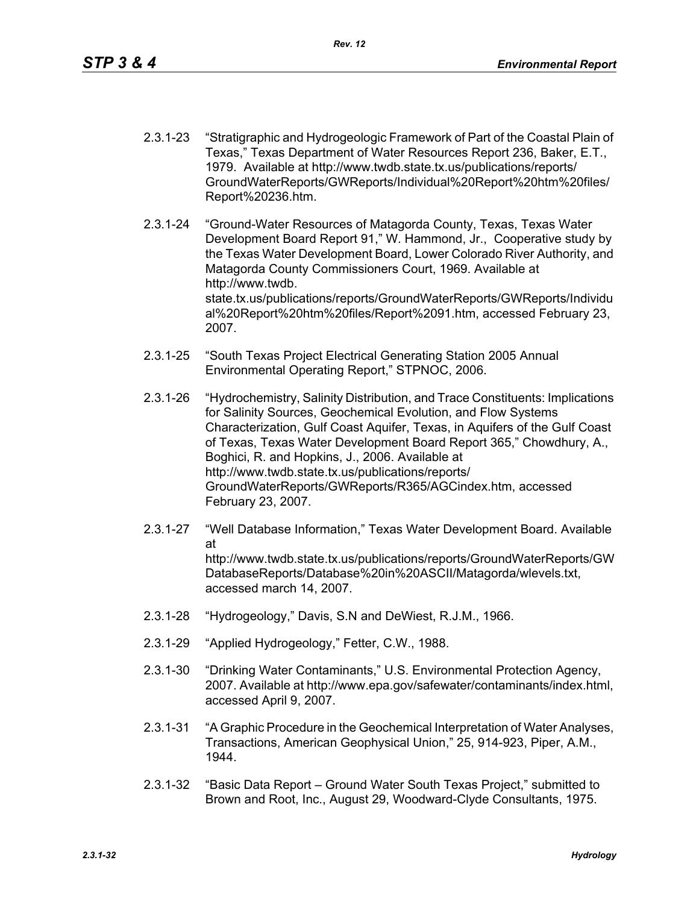- 2.3.1-23 "Stratigraphic and Hydrogeologic Framework of Part of the Coastal Plain of Texas," Texas Department of Water Resources Report 236, Baker, E.T., 1979. Available at http://www.twdb.state.tx.us/publications/reports/ GroundWaterReports/GWReports/Individual%20Report%20htm%20files/ Report%20236.htm.
- 2.3.1-24 "Ground-Water Resources of Matagorda County, Texas, Texas Water Development Board Report 91," W. Hammond, Jr., Cooperative study by the Texas Water Development Board, Lower Colorado River Authority, and Matagorda County Commissioners Court, 1969. Available at http://www.twdb. state.tx.us/publications/reports/GroundWaterReports/GWReports/Individu al%20Report%20htm%20files/Report%2091.htm, accessed February 23, 2007.
- 2.3.1-25 "South Texas Project Electrical Generating Station 2005 Annual Environmental Operating Report," STPNOC, 2006.
- 2.3.1-26 "Hydrochemistry, Salinity Distribution, and Trace Constituents: Implications for Salinity Sources, Geochemical Evolution, and Flow Systems Characterization, Gulf Coast Aquifer, Texas, in Aquifers of the Gulf Coast of Texas, Texas Water Development Board Report 365," Chowdhury, A., Boghici, R. and Hopkins, J., 2006. Available at http://www.twdb.state.tx.us/publications/reports/ GroundWaterReports/GWReports/R365/AGCindex.htm, accessed February 23, 2007.
- 2.3.1-27 "Well Database Information," Texas Water Development Board. Available at http://www.twdb.state.tx.us/publications/reports/GroundWaterReports/GW DatabaseReports/Database%20in%20ASCII/Matagorda/wlevels.txt, accessed march 14, 2007.
- 2.3.1-28 "Hydrogeology," Davis, S.N and DeWiest, R.J.M., 1966.
- 2.3.1-29 "Applied Hydrogeology," Fetter, C.W., 1988.
- 2.3.1-30 "Drinking Water Contaminants," U.S. Environmental Protection Agency, 2007. Available at http://www.epa.gov/safewater/contaminants/index.html, accessed April 9, 2007.
- 2.3.1-31 "A Graphic Procedure in the Geochemical Interpretation of Water Analyses, Transactions, American Geophysical Union," 25, 914-923, Piper, A.M., 1944.
- 2.3.1-32 "Basic Data Report Ground Water South Texas Project," submitted to Brown and Root, Inc., August 29, Woodward-Clyde Consultants, 1975.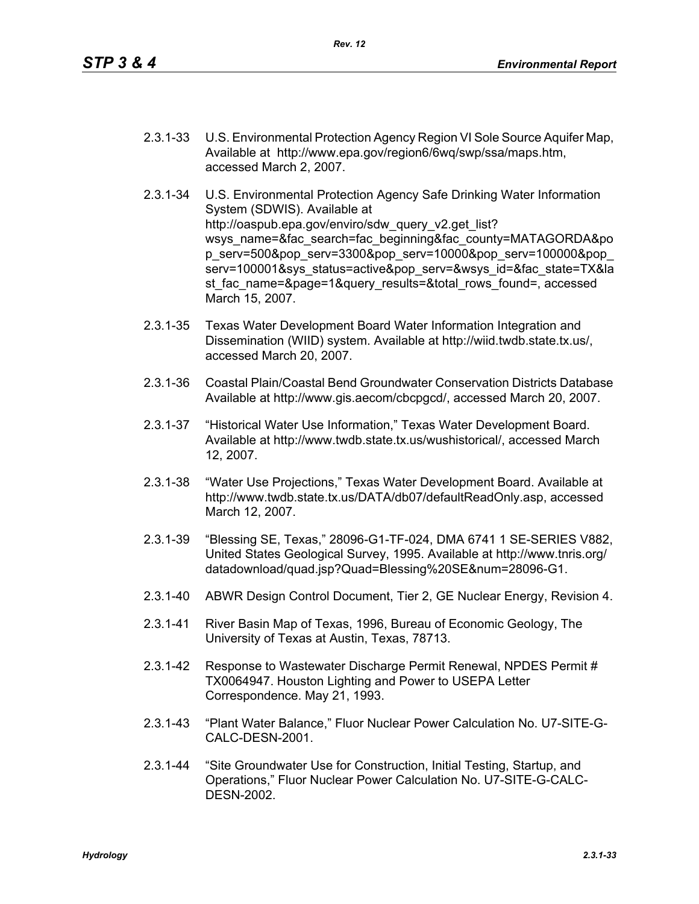- 2.3.1-33 U.S. Environmental Protection Agency Region VI Sole Source Aquifer Map, Available at http://www.epa.gov/region6/6wq/swp/ssa/maps.htm, accessed March 2, 2007.
- 2.3.1-34 U.S. Environmental Protection Agency Safe Drinking Water Information System (SDWIS). Available at http://oaspub.epa.gov/enviro/sdw\_query\_v2.get\_list? wsys\_name=&fac\_search=fac\_beginning&fac\_county=MATAGORDA&po p\_serv=500&pop\_serv=3300&pop\_serv=10000&pop\_serv=100000&pop\_ serv=100001&sys\_status=active&pop\_serv=&wsys\_id=&fac\_state=TX&la st fac\_name=&page=1&query\_results=&total\_rows\_found=, accessed March 15, 2007.
- 2.3.1-35 Texas Water Development Board Water Information Integration and Dissemination (WIID) system. Available at http://wiid.twdb.state.tx.us/, accessed March 20, 2007.
- 2.3.1-36 Coastal Plain/Coastal Bend Groundwater Conservation Districts Database Available at http://www.gis.aecom/cbcpgcd/, accessed March 20, 2007.
- 2.3.1-37 "Historical Water Use Information," Texas Water Development Board. Available at http://www.twdb.state.tx.us/wushistorical/, accessed March 12, 2007.
- 2.3.1-38 "Water Use Projections," Texas Water Development Board. Available at http://www.twdb.state.tx.us/DATA/db07/defaultReadOnly.asp, accessed March 12, 2007.
- 2.3.1-39 "Blessing SE, Texas," 28096-G1-TF-024, DMA 6741 1 SE-SERIES V882, United States Geological Survey, 1995. Available at http://www.tnris.org/ datadownload/quad.jsp?Quad=Blessing%20SE&num=28096-G1.
- 2.3.1-40 ABWR Design Control Document, Tier 2, GE Nuclear Energy, Revision 4.
- 2.3.1-41 River Basin Map of Texas, 1996, Bureau of Economic Geology, The University of Texas at Austin, Texas, 78713.
- 2.3.1-42 Response to Wastewater Discharge Permit Renewal, NPDES Permit # TX0064947. Houston Lighting and Power to USEPA Letter Correspondence. May 21, 1993.
- 2.3.1-43 "Plant Water Balance," Fluor Nuclear Power Calculation No. U7-SITE-G-CALC-DESN-2001.
- 2.3.1-44 "Site Groundwater Use for Construction, Initial Testing, Startup, and Operations," Fluor Nuclear Power Calculation No. U7-SITE-G-CALC-DESN-2002.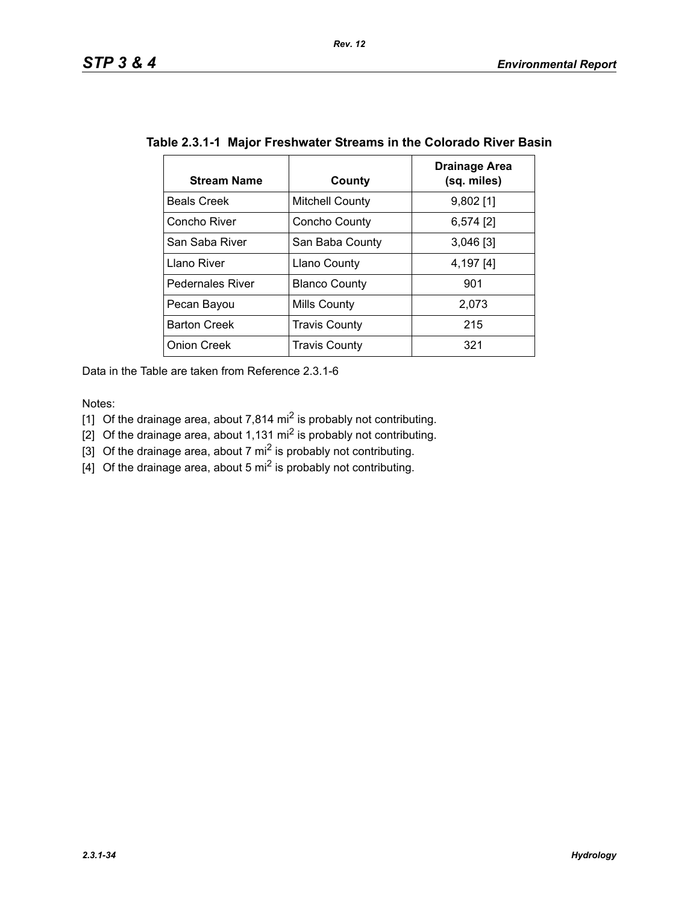| <b>Stream Name</b>      | County                 | Drainage Area<br>(sq. miles) |
|-------------------------|------------------------|------------------------------|
| <b>Beals Creek</b>      | <b>Mitchell County</b> | $9,802$ [1]                  |
| Concho River            | Concho County          | $6,574$ [2]                  |
| San Saba River          | San Baba County        | $3,046$ [3]                  |
| Llano River             | <b>Llano County</b>    | 4,197 [4]                    |
| <b>Pedernales River</b> | <b>Blanco County</b>   | 901                          |
| Pecan Bayou             | Mills County           | 2,073                        |
| <b>Barton Creek</b>     | <b>Travis County</b>   | 215                          |
| <b>Onion Creek</b>      | <b>Travis County</b>   | 321                          |

|  | Table 2.3.1-1 Major Freshwater Streams in the Colorado River Basin |  |  |  |
|--|--------------------------------------------------------------------|--|--|--|
|--|--------------------------------------------------------------------|--|--|--|

Data in the Table are taken from Reference 2.3.1-6

Notes:

[1] Of the drainage area, about 7,814 mi<sup>2</sup> is probably not contributing.

[2] Of the drainage area, about 1,131 mi<sup>2</sup> is probably not contributing.

[3] Of the drainage area, about 7 mi<sup>2</sup> is probably not contributing.

 $\left[4\right]$  Of the drainage area, about 5 mi<sup>2</sup> is probably not contributing.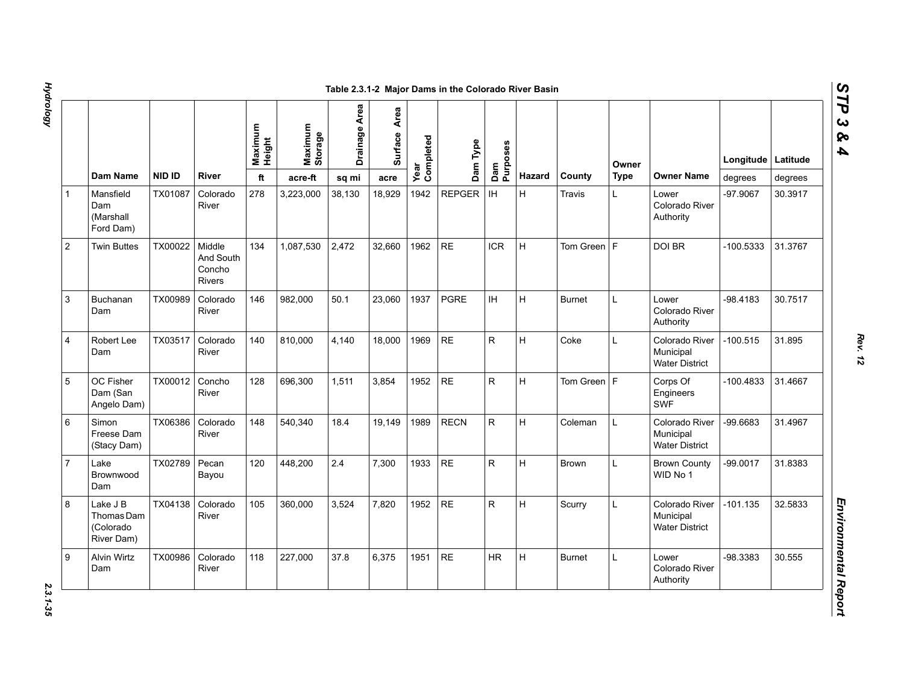|                |                                                   |               |                                         |     | Maximum<br>Height | Maximum<br>Storage | Drainage Area | Area<br>Surface | Year<br>Completed | Dam Type     | Dam<br>Purposes |               |             | Owner                                                |             | Longitude   Latitude |  |
|----------------|---------------------------------------------------|---------------|-----------------------------------------|-----|-------------------|--------------------|---------------|-----------------|-------------------|--------------|-----------------|---------------|-------------|------------------------------------------------------|-------------|----------------------|--|
|                | Dam Name                                          | <b>NID ID</b> | <b>River</b>                            | ft  | acre-ft           | sq mi              | acre          |                 |                   |              | <b>Hazard</b>   | County        | <b>Type</b> | <b>Owner Name</b>                                    | degrees     | degrees              |  |
|                | Mansfield<br>Dam<br>(Marshall<br>Ford Dam)        | TX01087       | Colorado<br>River                       | 278 | 3,223,000         | 38,130             | 18,929        | 1942            | <b>REPGER</b>     | IH           | H               | Travis        | L.          | Lower<br>Colorado River<br>Authority                 | -97.9067    | 30.3917              |  |
| $\overline{2}$ | <b>Twin Buttes</b>                                | TX00022       | Middle<br>And South<br>Concho<br>Rivers | 134 | 1,087,530         | 2,472              | 32,660        | 1962            | <b>RE</b>         | <b>ICR</b>   | H               | Tom Green $F$ |             | DOI BR                                               | -100.5333   | 31.3767              |  |
| 3              | <b>Buchanan</b><br>Dam                            | TX00989       | Colorado<br>River                       | 146 | 982.000           | 50.1               | 23,060        | 1937            | <b>PGRE</b>       | <b>IH</b>    | H               | <b>Burnet</b> | L           | Lower<br>Colorado River<br>Authority                 | -98.4183    | 30.7517              |  |
| 4              | Robert Lee<br>Dam                                 | TX03517       | Colorado<br>River                       | 140 | 810,000           | 4,140              | 18,000        | 1969            | <b>RE</b>         | R            | H               | Coke          | L           | Colorado River<br>Municipal<br><b>Water District</b> | $-100.515$  | 31.895               |  |
| 5              | OC Fisher<br>Dam (San<br>Angelo Dam)              | TX00012       | Concho<br>River                         | 128 | 696,300           | 1,511              | 3,854         | 1952            | <b>RE</b>         | ${\sf R}$    | H               | Tom Green $F$ |             | Corps Of<br>Engineers<br><b>SWF</b>                  | $-100.4833$ | 31.4667              |  |
| 6              | Simon<br>Freese Dam<br>(Stacy Dam)                | TX06386       | Colorado<br>River                       | 148 | 540,340           | 18.4               | 19,149        | 1989            | <b>RECN</b>       | ${\sf R}$    | H               | Coleman       | L           | Colorado River<br>Municipal<br><b>Water District</b> | -99.6683    | 31.4967              |  |
| $\overline{7}$ | Lake<br>Brownwood<br>Dam                          | TX02789       | Pecan<br>Bayou                          | 120 | 448,200           | 2.4                | 7,300         | 1933            | <b>RE</b>         | ${\sf R}$    | H               | Brown         | L           | <b>Brown County</b><br>WID No 1                      | $-99.0017$  | 31.8383              |  |
| 8              | Lake J B<br>Thomas Dam<br>(Colorado<br>River Dam) | TX04138       | Colorado<br>River                       | 105 | 360,000           | 3,524              | 7,820         | 1952            | <b>RE</b>         | $\mathsf{R}$ | H               | Scurry        | L           | Colorado River<br>Municipal<br><b>Water District</b> | $-101.135$  | 32.5833              |  |
| 9              | <b>Alvin Wirtz</b><br>Dam                         | TX00986       | Colorado<br>River                       | 118 | 227,000           | 37.8               | 6,375         | 1951            | <b>RE</b>         | <b>HR</b>    | H               | <b>Burnet</b> | L           | Lower<br>Colorado River<br>Authority                 | -98.3383    | 30.555               |  |

# *STP 3 & 4*

2.3.1-35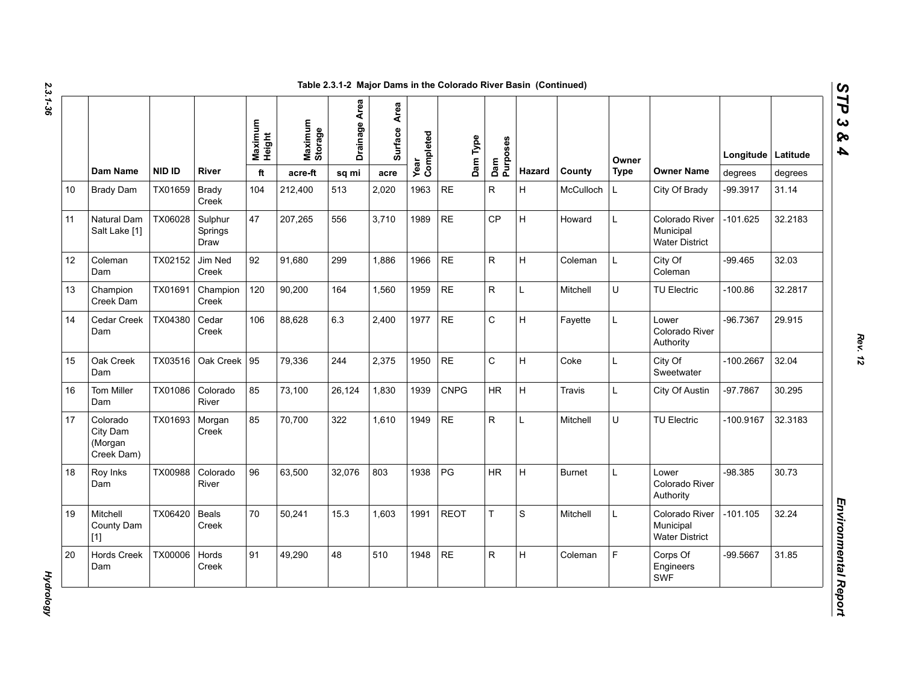| N  |
|----|
|    |
| ట  |
|    |
|    |
|    |
| دە |
|    |
|    |

|    |                                               |               |                            | Maximum<br>Height | Maximum<br>Storage | Drainage Area | Area<br>Surface | Year<br>Completed | Dam Type    | Purposes                |        |               | Owner       |                                                      | Longitude   Latitude |         |
|----|-----------------------------------------------|---------------|----------------------------|-------------------|--------------------|---------------|-----------------|-------------------|-------------|-------------------------|--------|---------------|-------------|------------------------------------------------------|----------------------|---------|
|    | <b>Dam Name</b>                               | <b>NID ID</b> | River                      | ft                | acre-ft            | sq mi         | acre            |                   |             | Dam                     | Hazard | County        | <b>Type</b> | <b>Owner Name</b>                                    | degrees              | degrees |
| 10 | <b>Brady Dam</b>                              | TX01659       | <b>Brady</b><br>Creek      | 104               | 212,400            | 513           | 2,020           | 1963              | <b>RE</b>   | $\mathsf{R}$            | H      | McCulloch     | L           | City Of Brady                                        | -99.3917             | 31.14   |
| 11 | Natural Dam<br>Salt Lake [1]                  | TX06028       | Sulphur<br>Springs<br>Draw | 47                | 207,265            | 556           | 3,710           | 1989              | <b>RE</b>   | CP                      | H      | Howard        | L           | Colorado River<br>Municipal<br><b>Water District</b> | $-101.625$           | 32.2183 |
| 12 | Coleman<br>Dam                                | TX02152       | Jim Ned<br>Creek           | 92                | 91,680             | 299           | 1.886           | 1966              | <b>RE</b>   | $\overline{\mathsf{R}}$ | H      | Coleman       | L           | City Of<br>Coleman                                   | $-99.465$            | 32.03   |
| 13 | Champion<br>Creek Dam                         | TX01691       | Champion<br>Creek          | 120               | 90,200             | 164           | 1.560           | 1959              | <b>RE</b>   | $\mathsf{R}$            | L      | Mitchell      | U           | <b>TU Electric</b>                                   | $-100.86$            | 32.2817 |
| 14 | Cedar Creek<br>Dam                            | TX04380       | Cedar<br>Creek             | 106               | 88,628             | 6.3           | 2,400           | 1977              | <b>RE</b>   | $\mathsf C$             | Н      | Fayette       | L           | Lower<br>Colorado River<br>Authority                 | $-96.7367$           | 29.915  |
| 15 | Oak Creek<br>Dam                              | TX03516       | Oak Creek 95               |                   | 79,336             | 244           | 2,375           | 1950              | <b>RE</b>   | $\mathsf{C}$            | H      | Coke          | L           | City Of<br>Sweetwater                                | $-100.2667$          | 32.04   |
| 16 | <b>Tom Miller</b><br>Dam                      | TX01086       | Colorado<br>River          | 85                | 73,100             | 26,124        | 1,830           | 1939              | <b>CNPG</b> | <b>HR</b>               | H      | Travis        | L           | City Of Austin                                       | -97.7867             | 30.295  |
| 17 | Colorado<br>City Dam<br>(Morgan<br>Creek Dam) | TX01693       | Morgan<br>Creek            | 85                | 70.700             | 322           | 1.610           | 1949              | <b>RE</b>   | $\mathsf{R}$            | L      | Mitchell      | U           | <b>TU Electric</b>                                   | $-100.9167$          | 32.3183 |
| 18 | Roy Inks<br>Dam                               | TX00988       | Colorado<br>River          | 96                | 63,500             | 32,076        | 803             | 1938              | PG          | <b>HR</b>               | H      | <b>Burnet</b> | L           | Lower<br>Colorado River<br>Authority                 | $-98.385$            | 30.73   |
| 19 | Mitchell<br>County Dam<br>$[1]$               | TX06420       | Beals<br>Creek             | 70                | 50,241             | 15.3          | 1,603           | 1991              | <b>REOT</b> | T                       | S      | Mitchell      | L           | Colorado River<br>Municipal<br><b>Water District</b> | $-101.105$           | 32.24   |
| 20 | <b>Hords Creek</b><br>Dam                     | TX00006       | Hords<br>Creek             | 91                | 49,290             | 48            | 510             | 1948              | <b>RE</b>   | $\mathsf{R}$            | Н      | Coleman       | F           | Corps Of<br>Engineers<br>SWF                         | $-99.5667$           | 31.85   |

**Hydrology** *Hydrology*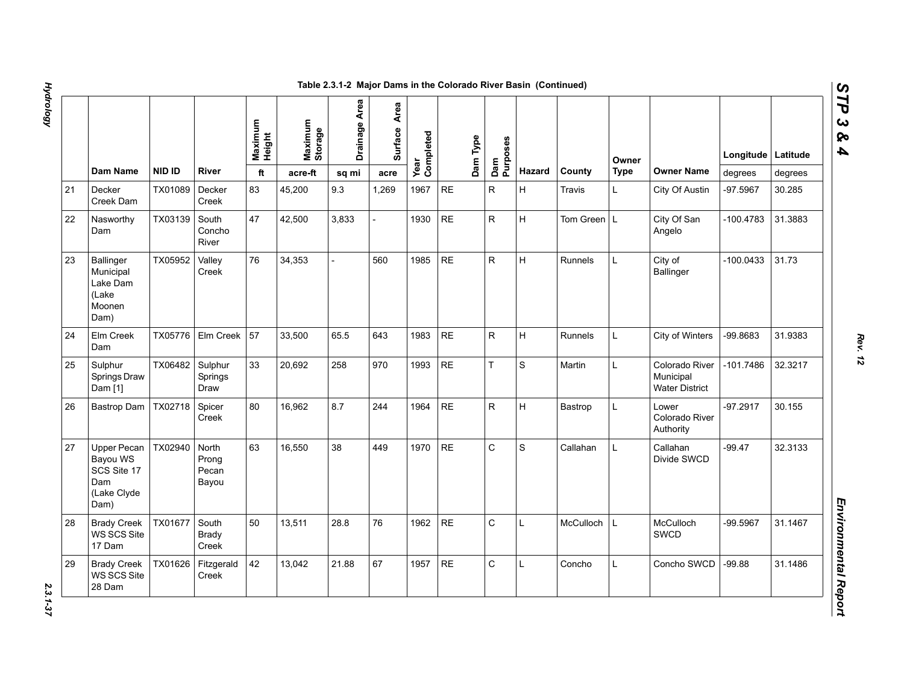|    |                                                                             |         |                                  |                   |                    | Table 2.3.1-2 Major Dams in the Colorado River Basin (Continued) |                 |                   |           |          |                 |              |                |             |                                                      |             |          |
|----|-----------------------------------------------------------------------------|---------|----------------------------------|-------------------|--------------------|------------------------------------------------------------------|-----------------|-------------------|-----------|----------|-----------------|--------------|----------------|-------------|------------------------------------------------------|-------------|----------|
|    |                                                                             |         |                                  | Maximum<br>Height | Maximum<br>Storage | Drainage Area                                                    | Area<br>Surface | Year<br>Completed |           | Dam Type | Dam<br>Purposes |              |                | Owner       |                                                      | Longitude   | Latitude |
|    | Dam Name                                                                    | NID ID  | River                            | ft                | acre-ft            | sq mi                                                            | acre            |                   |           |          |                 | Hazard       | County         | <b>Type</b> | <b>Owner Name</b>                                    | degrees     | degrees  |
| 21 | Decker<br>Creek Dam                                                         | TX01089 | Decker<br>Creek                  | 83                | 45,200             | 9.3                                                              | 1,269           | 1967              | <b>RE</b> |          | $\mathsf{R}$    | H            | Travis         | L           | City Of Austin                                       | -97.5967    | 30.285   |
| 22 | Nasworthy<br>Dam                                                            | TX03139 | South<br>Concho<br>River         | 47                | 42,500             | 3,833                                                            |                 | 1930              | <b>RE</b> |          | ${\sf R}$       | Iн.          | Tom Green L    |             | City Of San<br>Angelo                                | $-100.4783$ | 31.3883  |
| 23 | <b>Ballinger</b><br>Municipal<br>Lake Dam<br>(Lake<br>Moonen<br>Dam)        | TX05952 | Valley<br>Creek                  | 76                | 34,353             |                                                                  | 560             | 1985              | <b>RE</b> |          | ${\sf R}$       | H            | <b>Runnels</b> | L.          | City of<br>Ballinger                                 | -100.0433   | 31.73    |
| 24 | Elm Creek<br>Dam                                                            | TX05776 | Elm Creek                        | 57                | 33,500             | 65.5                                                             | 643             | 1983              | <b>RE</b> |          | ${\sf R}$       | H            | Runnels        | L           | City of Winters                                      | -99.8683    | 31.9383  |
| 25 | Sulphur<br>Springs Draw<br>Dam [1]                                          | TX06482 | Sulphur<br>Springs<br>Draw       | 33                | 20,692             | 258                                                              | 970             | 1993              | <b>RE</b> |          | $\bar{T}$       | S            | Martin         | L           | Colorado River<br>Municipal<br><b>Water District</b> | -101.7486   | 32.3217  |
| 26 | Bastrop Dam                                                                 | TX02718 | Spicer<br>Creek                  | 80                | 16,962             | 8.7                                                              | 244             | 1964              | <b>RE</b> |          | ${\sf R}$       | H            | Bastrop        | L           | Lower<br>Colorado River<br>Authority                 | $-97.2917$  | 30.155   |
| 27 | <b>Upper Pecan</b><br>Bayou WS<br>SCS Site 17<br>Dam<br>(Lake Clyde<br>Dam) | TX02940 | North<br>Prong<br>Pecan<br>Bayou | 63                | 16,550             | 38                                                               | 449             | 1970              | <b>RE</b> |          | $\mathsf{C}$    | S            | Callahan       | L.          | Callahan<br>Divide SWCD                              | $-99.47$    | 32.3133  |
| 28 | <b>Brady Creek</b><br>WS SCS Site<br>17 Dam                                 | TX01677 | South<br>Brady<br>Creek          | 50                | 13,511             | 28.8                                                             | 76              | 1962              | <b>RE</b> |          | $\mathsf{C}$    | $\mathsf{L}$ | McCulloch      | L           | McCulloch<br><b>SWCD</b>                             | -99.5967    | 31.1467  |
| 29 | <b>Brady Creek</b><br>WS SCS Site<br>28 Dam                                 | TX01626 | Fitzgerald<br>Creek              | 42                | 13,042             | 21.88                                                            | 67              | 1957              | <b>RE</b> |          | $\mathsf C$     | $\mathbf{L}$ | Concho         | L           | Concho SWCD                                          | $-99.88$    | 31.1486  |

2.3.1-37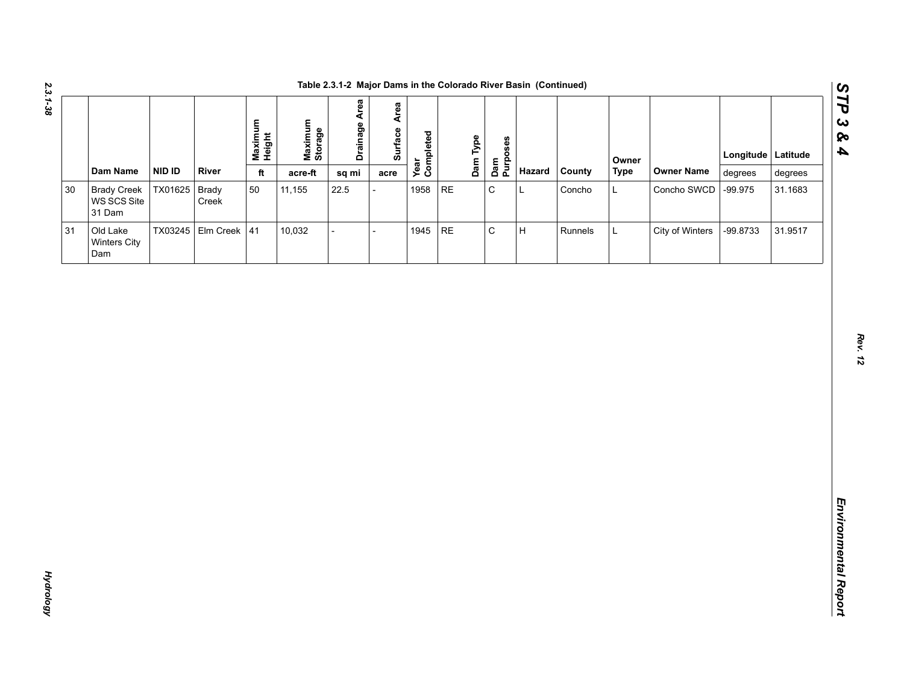|        |                                             |         |                       |                   |                    | Table 2.3.1-2 Major Dams in the Colorado River Basin (Continued) |                 |                   |          |                 |                           |         |             |                   |                    |         |
|--------|---------------------------------------------|---------|-----------------------|-------------------|--------------------|------------------------------------------------------------------|-----------------|-------------------|----------|-----------------|---------------------------|---------|-------------|-------------------|--------------------|---------|
|        |                                             |         |                       | Maximum<br>Height | Maximum<br>Storage | Drainage Area                                                    | Area<br>Surface | Year<br>Completed | Dam Type | Dam<br>Purposes |                           |         | Owner       |                   | Longitude Latitude |         |
|        | Dam Name                                    | NID ID  | River                 | $\mathsf{ft}$     | acre-ft            | sq mi                                                            | acre            |                   |          |                 | Hazard                    | County  | <b>Type</b> | <b>Owner Name</b> | degrees            | degrees |
| $30\,$ | <b>Brady Creek</b><br>WS SCS Site<br>31 Dam | TX01625 | <b>Brady</b><br>Creek | 50                | 11,155             | 22.5                                                             |                 | 1958              | RE       | $\mathsf C$     | L                         | Concho  | L           | Concho SWCD       | $-99.975$          | 31.1683 |
| 31     | Old Lake<br>Winters City<br>Dam             |         | TX03245 Elm Creek 41  |                   | 10,032             |                                                                  |                 | 1945              | RE       | $\mathtt{C}$    | $\boldsymbol{\mathsf{H}}$ | Runnels | $\mathsf L$ | City of Winters   | -99.8733           | 31.9517 |
|        |                                             |         |                       |                   |                    |                                                                  |                 |                   |          |                 |                           |         |             |                   |                    |         |
|        |                                             |         |                       |                   |                    |                                                                  |                 |                   |          |                 |                           |         |             |                   |                    |         |
|        |                                             |         |                       |                   |                    |                                                                  |                 |                   |          |                 |                           |         |             |                   |                    |         |
|        |                                             |         |                       |                   |                    |                                                                  |                 |                   |          |                 |                           |         |             |                   |                    |         |
|        |                                             |         |                       |                   |                    |                                                                  |                 |                   |          |                 |                           |         |             |                   |                    |         |
|        |                                             |         |                       |                   |                    |                                                                  |                 |                   |          |                 |                           |         |             |                   |                    |         |
|        |                                             |         |                       |                   |                    |                                                                  |                 |                   |          |                 |                           |         |             |                   |                    |         |

*Hydrology* 

**Hydrology**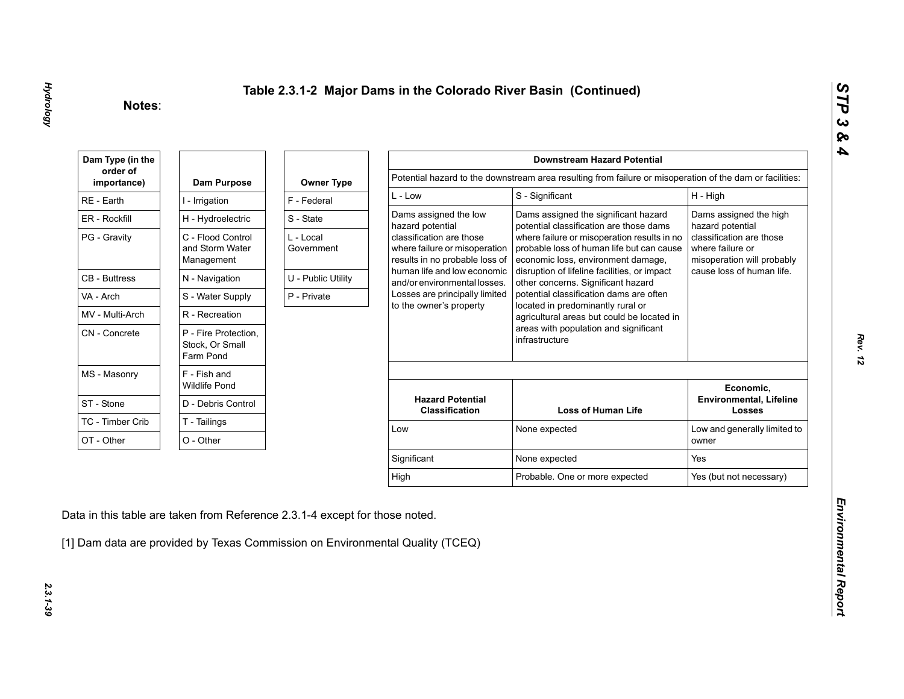| Dam Type (in the        |                                                      |                         |                                                                                             | <b>Downstream Hazard Potential</b>                                                                                             |                                                                            |
|-------------------------|------------------------------------------------------|-------------------------|---------------------------------------------------------------------------------------------|--------------------------------------------------------------------------------------------------------------------------------|----------------------------------------------------------------------------|
| order of<br>importance) | Dam Purpose                                          | <b>Owner Type</b>       |                                                                                             | Potential hazard to the downstream area resulting from failure or misoperation of the dam or facilities:                       |                                                                            |
| RE - Earth              | I - Irrigation                                       | F - Federal             | $L - Low$                                                                                   | S - Significant                                                                                                                | H - High                                                                   |
| ER - Rockfill           | H - Hydroelectric                                    | S - State               | Dams assigned the low<br>hazard potential                                                   | Dams assigned the significant hazard<br>potential classification are those dams                                                | Dams assigned the high<br>hazard potential                                 |
| PG - Gravity            | C - Flood Control<br>and Storm Water<br>Management   | L - Local<br>Government | classification are those<br>where failure or misoperation<br>results in no probable loss of | where failure or misoperation results in no<br>probable loss of human life but can cause<br>economic loss, environment damage, | classification are those<br>where failure or<br>misoperation will probably |
| <b>CB</b> - Buttress    | N - Navigation                                       | U - Public Utility      | human life and low economic<br>and/or environmental losses.                                 | disruption of lifeline facilities, or impact<br>other concerns. Significant hazard                                             | cause loss of human life.                                                  |
| VA - Arch               | S - Water Supply                                     | P - Private             | Losses are principally limited                                                              | potential classification dams are often                                                                                        |                                                                            |
| MV - Multi-Arch         | R - Recreation                                       |                         | to the owner's property                                                                     | located in predominantly rural or<br>agricultural areas but could be located in                                                |                                                                            |
| CN - Concrete           | P - Fire Protection,<br>Stock, Or Small<br>Farm Pond |                         |                                                                                             | areas with population and significant<br>infrastructure                                                                        |                                                                            |
| MS - Masonry            | F - Fish and<br><b>Wildlife Pond</b>                 |                         |                                                                                             |                                                                                                                                | Economic,                                                                  |
| ST - Stone              | D - Debris Control                                   |                         | <b>Hazard Potential</b><br><b>Classification</b>                                            | <b>Loss of Human Life</b>                                                                                                      | <b>Environmental, Lifeline</b><br><b>Losses</b>                            |
| TC - Timber Crib        | T - Tailings                                         |                         | Low                                                                                         | None expected                                                                                                                  | Low and generally limited to                                               |
| OT - Other              | O - Other                                            |                         |                                                                                             |                                                                                                                                | owner                                                                      |
|                         |                                                      |                         | Significant                                                                                 | None expected                                                                                                                  | Yes                                                                        |
|                         |                                                      |                         |                                                                                             |                                                                                                                                | Yes (but not necessary)                                                    |

2.3.1-39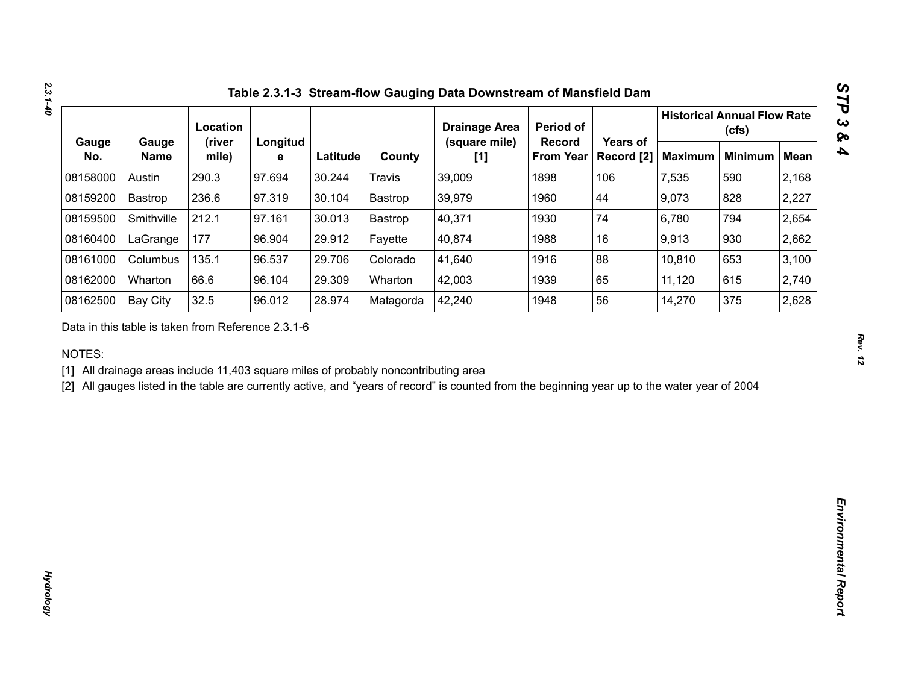|              |                                                    | Location        |               |          |                                                                                     | <b>Drainage Area</b>                                                                                                                           | Period of                         |                        |                | <b>Historical Annual Flow Rate</b><br>(cfs) |             |
|--------------|----------------------------------------------------|-----------------|---------------|----------|-------------------------------------------------------------------------------------|------------------------------------------------------------------------------------------------------------------------------------------------|-----------------------------------|------------------------|----------------|---------------------------------------------|-------------|
| Gauge<br>No. | Gauge<br><b>Name</b>                               | (river<br>mile) | Longitud<br>е | Latitude | County                                                                              | (square mile)<br>[1]                                                                                                                           | <b>Record</b><br><b>From Year</b> | Years of<br>Record [2] | <b>Maximum</b> | <b>Minimum</b>                              | <b>Mean</b> |
| 08158000     | Austin                                             | 290.3           | 97.694        | 30.244   | <b>Travis</b>                                                                       | 39,009                                                                                                                                         | 1898                              | 106                    | 7,535          | 590                                         | 2,168       |
| 08159200     | Bastrop                                            | 236.6           | 97.319        | 30.104   | Bastrop                                                                             | 39,979                                                                                                                                         | 1960                              | 44                     | 9,073          | 828                                         | 2,227       |
| 08159500     | Smithville                                         | 212.1           | 97.161        | 30.013   | Bastrop                                                                             | 40,371                                                                                                                                         | 1930                              | 74                     | 6,780          | 794                                         | 2,654       |
| 08160400     | LaGrange                                           | 177             | 96.904        | 29.912   | Fayette                                                                             | 40,874                                                                                                                                         | 1988                              | 16                     | 9,913          | 930                                         | 2,662       |
| 08161000     | Columbus                                           | 135.1           | 96.537        | 29.706   | Colorado                                                                            | 41,640                                                                                                                                         | 1916                              | 88                     | 10,810         | 653                                         | 3,100       |
| 08162000     | Wharton                                            | 66.6            | 96.104        | 29.309   | Wharton                                                                             | 42,003                                                                                                                                         | 1939                              | 65                     | 11,120         | 615                                         | 2,740       |
| 08162500     | <b>Bay City</b>                                    | 32.5            | 96.012        | 28.974   | Matagorda                                                                           | 42,240                                                                                                                                         | 1948                              | 56                     | 14,270         | 375                                         | 2,628       |
| NOTES:       | Data in this table is taken from Reference 2.3.1-6 |                 |               |          | [1] All drainage areas include 11,403 square miles of probably noncontributing area | [2] All gauges listed in the table are currently active, and "years of record" is counted from the beginning year up to the water year of 2004 |                                   |                        |                |                                             |             |
|              |                                                    |                 |               |          |                                                                                     |                                                                                                                                                |                                   |                        |                |                                             |             |
|              |                                                    |                 |               |          |                                                                                     |                                                                                                                                                |                                   |                        |                |                                             |             |
|              |                                                    |                 |               |          |                                                                                     |                                                                                                                                                |                                   |                        |                |                                             |             |
|              |                                                    |                 |               |          |                                                                                     |                                                                                                                                                |                                   |                        |                |                                             |             |
|              |                                                    |                 |               |          |                                                                                     |                                                                                                                                                |                                   |                        |                |                                             |             |
|              |                                                    |                 |               |          |                                                                                     |                                                                                                                                                |                                   |                        |                |                                             |             |
|              |                                                    |                 |               |          |                                                                                     |                                                                                                                                                |                                   |                        |                |                                             |             |
|              |                                                    |                 |               |          |                                                                                     |                                                                                                                                                |                                   |                        |                |                                             |             |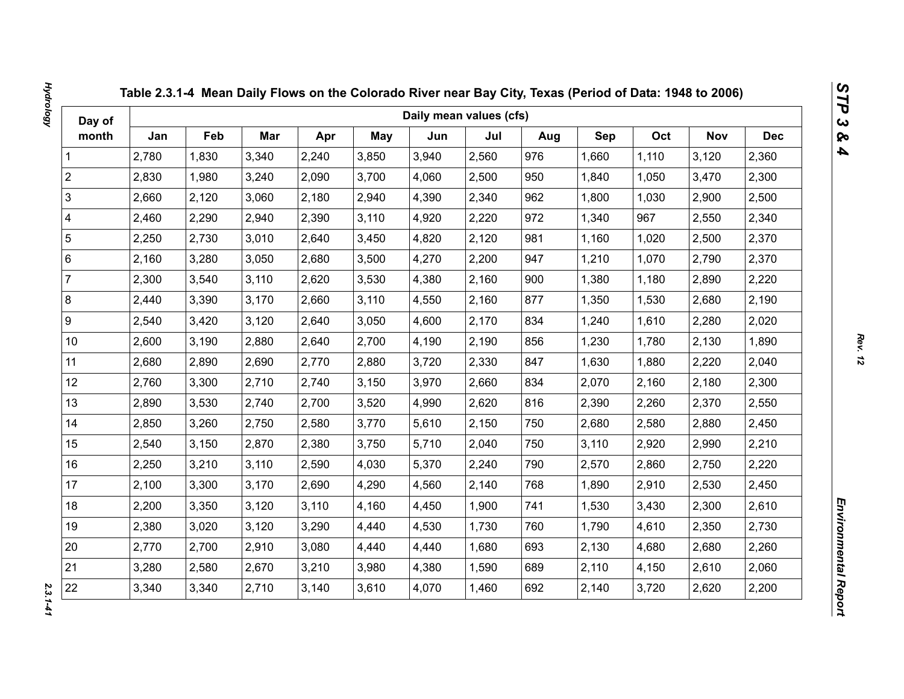| Day of                  |       |       |       |       |            | Daily mean values (cfs) |       |     |       |       |            |            |
|-------------------------|-------|-------|-------|-------|------------|-------------------------|-------|-----|-------|-------|------------|------------|
| month                   | Jan   | Feb   | Mar   | Apr   | <b>May</b> | Jun                     | Jul   | Aug | Sep   | Oct   | <b>Nov</b> | <b>Dec</b> |
| 1                       | 2,780 | 1,830 | 3,340 | 2,240 | 3,850      | 3,940                   | 2,560 | 976 | 1,660 | 1,110 | 3,120      | 2,360      |
| $\overline{2}$          | 2,830 | 1,980 | 3,240 | 2,090 | 3,700      | 4,060                   | 2,500 | 950 | 1,840 | 1,050 | 3,470      | 2,300      |
| 3                       | 2,660 | 2,120 | 3,060 | 2,180 | 2,940      | 4,390                   | 2,340 | 962 | 1,800 | 1,030 | 2,900      | 2,500      |
| $\overline{\mathbf{4}}$ | 2,460 | 2,290 | 2,940 | 2,390 | 3,110      | 4,920                   | 2,220 | 972 | 1,340 | 967   | 2,550      | 2,340      |
| $\sqrt{5}$              | 2,250 | 2,730 | 3,010 | 2,640 | 3,450      | 4,820                   | 2,120 | 981 | 1,160 | 1,020 | 2,500      | 2,370      |
| $\,6\,$                 | 2,160 | 3,280 | 3,050 | 2,680 | 3,500      | 4,270                   | 2,200 | 947 | 1,210 | 1,070 | 2,790      | 2,370      |
| $\overline{7}$          | 2,300 | 3,540 | 3,110 | 2,620 | 3,530      | 4,380                   | 2,160 | 900 | 1,380 | 1,180 | 2,890      | 2,220      |
| $\bf 8$                 | 2,440 | 3,390 | 3,170 | 2,660 | 3,110      | 4,550                   | 2,160 | 877 | 1,350 | 1,530 | 2,680      | 2,190      |
| $\boldsymbol{9}$        | 2,540 | 3,420 | 3,120 | 2,640 | 3,050      | 4,600                   | 2,170 | 834 | 1,240 | 1,610 | 2,280      | 2,020      |
| 10 <sup>1</sup>         | 2,600 | 3,190 | 2,880 | 2,640 | 2,700      | 4,190                   | 2,190 | 856 | 1,230 | 1,780 | 2,130      | 1,890      |
| 11                      | 2,680 | 2,890 | 2,690 | 2,770 | 2,880      | 3,720                   | 2,330 | 847 | 1,630 | 1,880 | 2,220      | 2,040      |
| 12                      | 2,760 | 3,300 | 2,710 | 2,740 | 3,150      | 3,970                   | 2,660 | 834 | 2,070 | 2,160 | 2,180      | 2,300      |
| 13                      | 2,890 | 3,530 | 2,740 | 2,700 | 3,520      | 4,990                   | 2,620 | 816 | 2,390 | 2,260 | 2,370      | 2,550      |
| 14                      | 2,850 | 3,260 | 2,750 | 2,580 | 3,770      | 5,610                   | 2,150 | 750 | 2,680 | 2,580 | 2,880      | 2,450      |
| 15                      | 2,540 | 3,150 | 2,870 | 2,380 | 3,750      | 5,710                   | 2,040 | 750 | 3,110 | 2,920 | 2,990      | 2,210      |
| 16                      | 2,250 | 3,210 | 3,110 | 2,590 | 4,030      | 5,370                   | 2,240 | 790 | 2,570 | 2,860 | 2,750      | 2,220      |
| 17                      | 2,100 | 3,300 | 3,170 | 2,690 | 4,290      | 4,560                   | 2,140 | 768 | 1,890 | 2,910 | 2,530      | 2,450      |
| 18                      | 2,200 | 3,350 | 3,120 | 3,110 | 4,160      | 4,450                   | 1,900 | 741 | 1,530 | 3,430 | 2,300      | 2,610      |
| 19                      | 2,380 | 3,020 | 3,120 | 3,290 | 4,440      | 4,530                   | 1,730 | 760 | 1,790 | 4,610 | 2,350      | 2,730      |
| 20                      | 2,770 | 2,700 | 2,910 | 3,080 | 4,440      | 4,440                   | 1,680 | 693 | 2,130 | 4,680 | 2,680      | 2,260      |
| 21                      | 3,280 | 2,580 | 2,670 | 3,210 | 3,980      | 4,380                   | 1,590 | 689 | 2,110 | 4,150 | 2,610      | 2,060      |
| 22                      | 3,340 | 3,340 | 2,710 | 3,140 | 3,610      | 4,070                   | 1,460 | 692 | 2,140 | 3,720 | 2,620      | 2,200      |

 $2.3.1 - 41$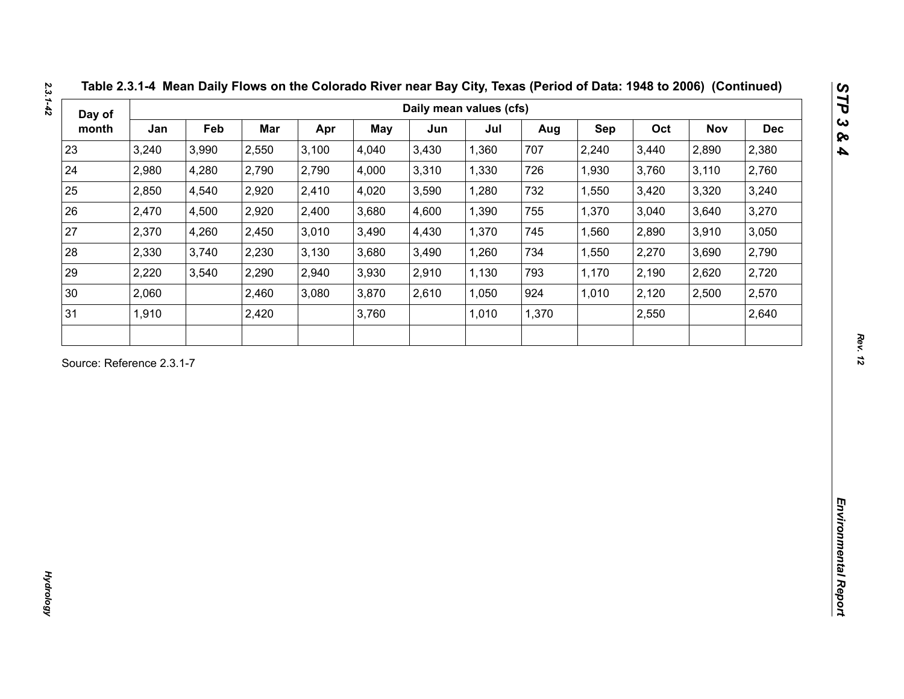| Day of                    |       |       |       |       |       | Daily mean values (cfs) |       |       |            |       |       |            |
|---------------------------|-------|-------|-------|-------|-------|-------------------------|-------|-------|------------|-------|-------|------------|
| month                     | Jan   | Feb   | Mar   | Apr   | May   | Jun                     | Jul   | Aug   | <b>Sep</b> | Oct   | Nov   | <b>Dec</b> |
| 23                        | 3,240 | 3,990 | 2,550 | 3,100 | 4,040 | 3,430                   | 1,360 | 707   | 2,240      | 3,440 | 2,890 | 2,380      |
| 24                        | 2,980 | 4,280 | 2,790 | 2,790 | 4,000 | 3,310                   | 1,330 | 726   | 1,930      | 3,760 | 3,110 | 2,760      |
| 25                        | 2,850 | 4,540 | 2,920 | 2,410 | 4,020 | 3,590                   | 1,280 | 732   | 1,550      | 3,420 | 3,320 | 3,240      |
| 26                        | 2,470 | 4,500 | 2,920 | 2,400 | 3,680 | 4,600                   | 1,390 | 755   | 1,370      | 3,040 | 3,640 | 3,270      |
| 27                        | 2,370 | 4,260 | 2,450 | 3,010 | 3,490 | 4,430                   | 1,370 | 745   | 1,560      | 2,890 | 3,910 | 3,050      |
| 28                        | 2,330 | 3,740 | 2,230 | 3,130 | 3,680 | 3,490                   | 1,260 | 734   | 1,550      | 2,270 | 3,690 | 2,790      |
| 29                        | 2,220 | 3,540 | 2,290 | 2,940 | 3,930 | 2,910                   | 1,130 | 793   | 1,170      | 2,190 | 2,620 | 2,720      |
| 30                        | 2,060 |       | 2,460 | 3,080 | 3,870 | 2,610                   | 1,050 | 924   | 1,010      | 2,120 | 2,500 | 2,570      |
| 31                        | 1,910 |       | 2,420 |       | 3,760 |                         | 1,010 | 1,370 |            | 2,550 |       | 2,640      |
| Source: Reference 2.3.1-7 |       |       |       |       |       |                         |       |       |            |       |       |            |
|                           |       |       |       |       |       |                         |       |       |            |       |       |            |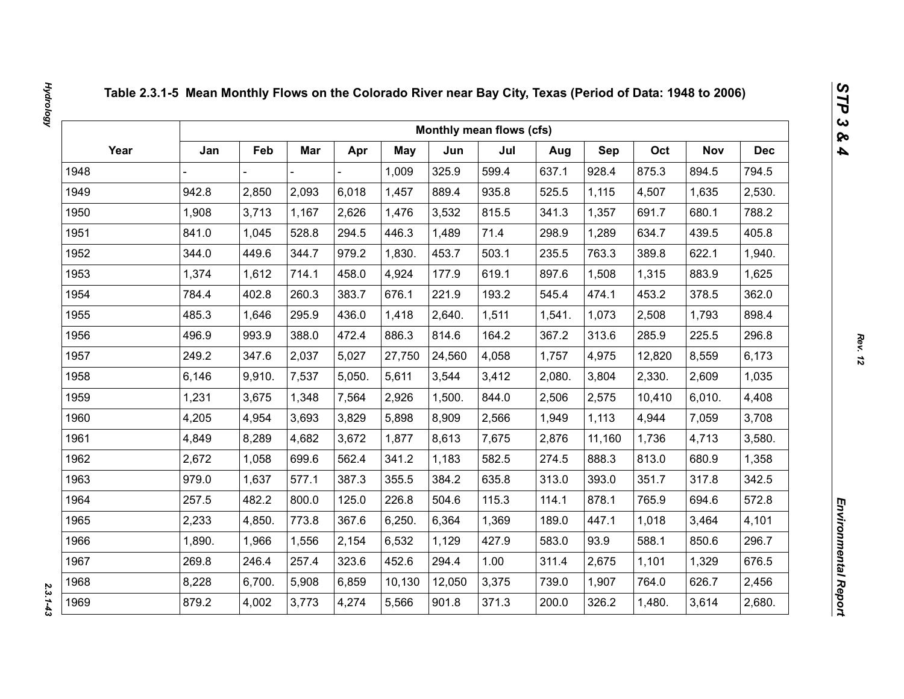|      |        |        |       |        |        |        | Monthly mean flows (cfs) |        |            |        |            |            |
|------|--------|--------|-------|--------|--------|--------|--------------------------|--------|------------|--------|------------|------------|
| Year | Jan    | Feb    | Mar   | Apr    | May    | Jun    | Jul                      | Aug    | <b>Sep</b> | Oct    | <b>Nov</b> | <b>Dec</b> |
| 1948 |        |        |       |        | 1,009  | 325.9  | 599.4                    | 637.1  | 928.4      | 875.3  | 894.5      | 794.5      |
| 1949 | 942.8  | 2,850  | 2,093 | 6,018  | 1,457  | 889.4  | 935.8                    | 525.5  | 1,115      | 4,507  | 1,635      | 2,530.     |
| 1950 | 1,908  | 3,713  | 1,167 | 2,626  | 1,476  | 3,532  | 815.5                    | 341.3  | 1,357      | 691.7  | 680.1      | 788.2      |
| 1951 | 841.0  | 1,045  | 528.8 | 294.5  | 446.3  | 1,489  | 71.4                     | 298.9  | 1,289      | 634.7  | 439.5      | 405.8      |
| 1952 | 344.0  | 449.6  | 344.7 | 979.2  | 1,830. | 453.7  | 503.1                    | 235.5  | 763.3      | 389.8  | 622.1      | 1,940.     |
| 1953 | 1,374  | 1,612  | 714.1 | 458.0  | 4,924  | 177.9  | 619.1                    | 897.6  | 1,508      | 1,315  | 883.9      | 1,625      |
| 1954 | 784.4  | 402.8  | 260.3 | 383.7  | 676.1  | 221.9  | 193.2                    | 545.4  | 474.1      | 453.2  | 378.5      | 362.0      |
| 1955 | 485.3  | 1,646  | 295.9 | 436.0  | 1,418  | 2,640. | 1,511                    | 1,541. | 1,073      | 2,508  | 1,793      | 898.4      |
| 1956 | 496.9  | 993.9  | 388.0 | 472.4  | 886.3  | 814.6  | 164.2                    | 367.2  | 313.6      | 285.9  | 225.5      | 296.8      |
| 1957 | 249.2  | 347.6  | 2,037 | 5,027  | 27,750 | 24,560 | 4,058                    | 1,757  | 4,975      | 12,820 | 8,559      | 6,173      |
| 1958 | 6,146  | 9,910. | 7,537 | 5,050. | 5,611  | 3,544  | 3,412                    | 2,080. | 3,804      | 2,330. | 2,609      | 1,035      |
| 1959 | 1,231  | 3,675  | 1,348 | 7,564  | 2,926  | 1,500. | 844.0                    | 2,506  | 2,575      | 10,410 | 6,010.     | 4,408      |
| 1960 | 4,205  | 4,954  | 3,693 | 3,829  | 5,898  | 8,909  | 2,566                    | 1,949  | 1,113      | 4,944  | 7,059      | 3,708      |
| 1961 | 4,849  | 8,289  | 4,682 | 3,672  | 1,877  | 8,613  | 7,675                    | 2,876  | 11,160     | 1,736  | 4,713      | 3,580.     |
| 1962 | 2,672  | 1,058  | 699.6 | 562.4  | 341.2  | 1,183  | 582.5                    | 274.5  | 888.3      | 813.0  | 680.9      | 1,358      |
| 1963 | 979.0  | 1,637  | 577.1 | 387.3  | 355.5  | 384.2  | 635.8                    | 313.0  | 393.0      | 351.7  | 317.8      | 342.5      |
| 1964 | 257.5  | 482.2  | 800.0 | 125.0  | 226.8  | 504.6  | 115.3                    | 114.1  | 878.1      | 765.9  | 694.6      | 572.8      |
| 1965 | 2,233  | 4,850. | 773.8 | 367.6  | 6,250. | 6,364  | 1,369                    | 189.0  | 447.1      | 1,018  | 3,464      | 4,101      |
| 1966 | 1,890. | 1,966  | 1,556 | 2,154  | 6,532  | 1,129  | 427.9                    | 583.0  | 93.9       | 588.1  | 850.6      | 296.7      |
| 1967 | 269.8  | 246.4  | 257.4 | 323.6  | 452.6  | 294.4  | 1.00                     | 311.4  | 2,675      | 1,101  | 1,329      | 676.5      |
| 1968 | 8,228  | 6,700. | 5,908 | 6,859  | 10,130 | 12,050 | 3,375                    | 739.0  | 1,907      | 764.0  | 626.7      | 2,456      |
| 1969 | 879.2  | 4,002  | 3,773 | 4,274  | 5,566  | 901.8  | 371.3                    | 200.0  | 326.2      | 1,480. | 3,614      | 2,680.     |

 $2.3.1 - 4.3$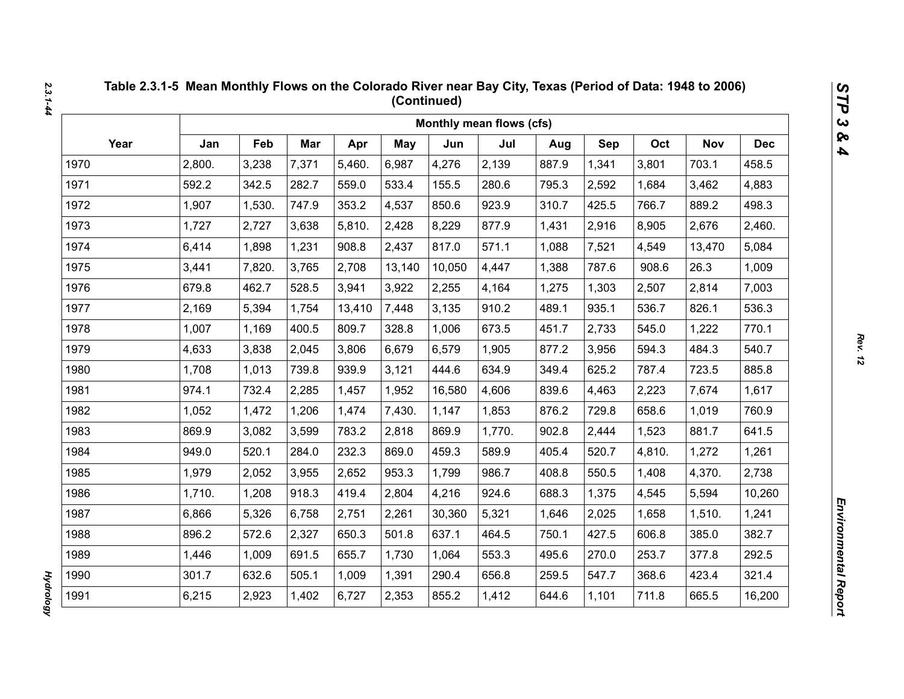|      |        |        |       |        |            |        | Monthly mean flows (cfs) |       |       |        |            |            |
|------|--------|--------|-------|--------|------------|--------|--------------------------|-------|-------|--------|------------|------------|
| Year | Jan    | Feb    | Mar   | Apr    | <b>May</b> | Jun    | Jul                      | Aug   | Sep   | Oct    | <b>Nov</b> | <b>Dec</b> |
| 1970 | 2,800. | 3,238  | 7,371 | 5,460. | 6,987      | 4,276  | 2,139                    | 887.9 | 1,341 | 3,801  | 703.1      | 458.5      |
| 1971 | 592.2  | 342.5  | 282.7 | 559.0  | 533.4      | 155.5  | 280.6                    | 795.3 | 2,592 | 1,684  | 3,462      | 4,883      |
| 1972 | 1,907  | 1,530. | 747.9 | 353.2  | 4,537      | 850.6  | 923.9                    | 310.7 | 425.5 | 766.7  | 889.2      | 498.3      |
| 1973 | 1,727  | 2,727  | 3,638 | 5,810. | 2,428      | 8,229  | 877.9                    | 1,431 | 2,916 | 8,905  | 2,676      | 2,460.     |
| 1974 | 6,414  | 1,898  | 1,231 | 908.8  | 2,437      | 817.0  | 571.1                    | 1,088 | 7,521 | 4,549  | 13,470     | 5,084      |
| 1975 | 3,441  | 7,820. | 3,765 | 2,708  | 13,140     | 10,050 | 4,447                    | 1,388 | 787.6 | 908.6  | 26.3       | 1,009      |
| 1976 | 679.8  | 462.7  | 528.5 | 3,941  | 3,922      | 2,255  | 4,164                    | 1,275 | 1,303 | 2,507  | 2,814      | 7,003      |
| 1977 | 2,169  | 5,394  | 1,754 | 13,410 | 7,448      | 3,135  | 910.2                    | 489.1 | 935.1 | 536.7  | 826.1      | 536.3      |
| 1978 | 1,007  | 1,169  | 400.5 | 809.7  | 328.8      | 1,006  | 673.5                    | 451.7 | 2,733 | 545.0  | 1,222      | 770.1      |
| 1979 | 4,633  | 3,838  | 2,045 | 3,806  | 6,679      | 6,579  | 1,905                    | 877.2 | 3,956 | 594.3  | 484.3      | 540.7      |
| 1980 | 1,708  | 1,013  | 739.8 | 939.9  | 3,121      | 444.6  | 634.9                    | 349.4 | 625.2 | 787.4  | 723.5      | 885.8      |
| 1981 | 974.1  | 732.4  | 2,285 | 1,457  | 1,952      | 16,580 | 4,606                    | 839.6 | 4,463 | 2,223  | 7,674      | 1,617      |
| 1982 | 1,052  | 1,472  | 1,206 | 1,474  | 7,430.     | 1,147  | 1,853                    | 876.2 | 729.8 | 658.6  | 1,019      | 760.9      |
| 1983 | 869.9  | 3,082  | 3,599 | 783.2  | 2,818      | 869.9  | 1,770.                   | 902.8 | 2,444 | 1,523  | 881.7      | 641.5      |
| 1984 | 949.0  | 520.1  | 284.0 | 232.3  | 869.0      | 459.3  | 589.9                    | 405.4 | 520.7 | 4,810. | 1,272      | 1,261      |
| 1985 | 1,979  | 2,052  | 3,955 | 2,652  | 953.3      | 1,799  | 986.7                    | 408.8 | 550.5 | 1,408  | 4,370.     | 2,738      |
| 1986 | 1,710. | 1,208  | 918.3 | 419.4  | 2,804      | 4,216  | 924.6                    | 688.3 | 1,375 | 4,545  | 5,594      | 10,260     |
| 1987 | 6,866  | 5,326  | 6,758 | 2,751  | 2,261      | 30,360 | 5,321                    | 1,646 | 2,025 | 1,658  | 1,510.     | 1,241      |
| 1988 | 896.2  | 572.6  | 2,327 | 650.3  | 501.8      | 637.1  | 464.5                    | 750.1 | 427.5 | 606.8  | 385.0      | 382.7      |
| 1989 | 1,446  | 1,009  | 691.5 | 655.7  | 1,730      | 1,064  | 553.3                    | 495.6 | 270.0 | 253.7  | 377.8      | 292.5      |
| 1990 | 301.7  | 632.6  | 505.1 | 1,009  | 1,391      | 290.4  | 656.8                    | 259.5 | 547.7 | 368.6  | 423.4      | 321.4      |
| 1991 | 6,215  | 2,923  | 1,402 | 6,727  | 2,353      | 855.2  | 1,412                    | 644.6 | 1,101 | 711.8  | 665.5      | 16,200     |

**Hydrology** *Hydrology*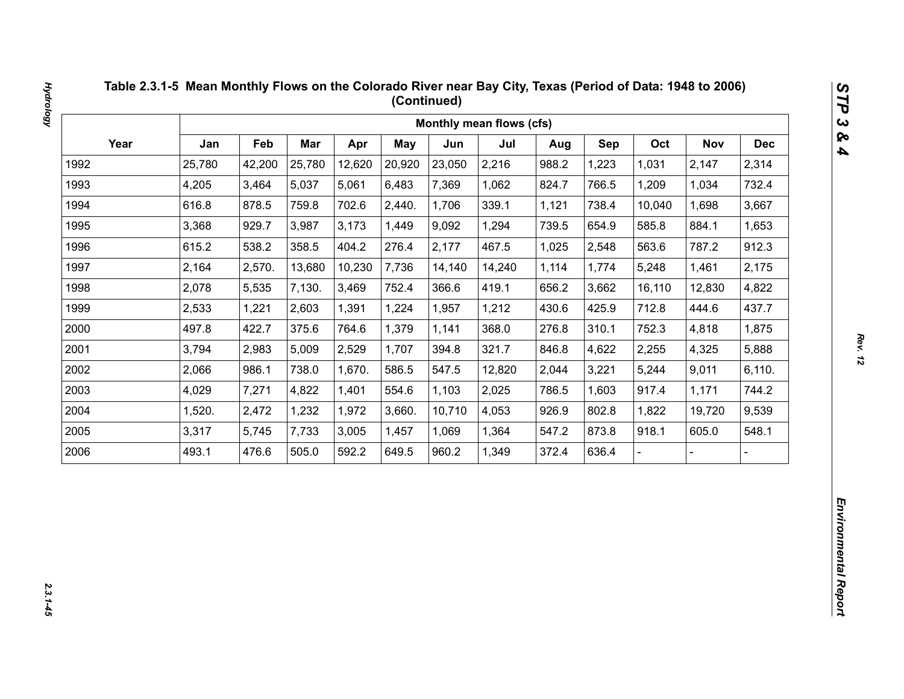|      |        |        |            |        |        |        | Monthly mean flows (cfs) |       |       |        |            |            |
|------|--------|--------|------------|--------|--------|--------|--------------------------|-------|-------|--------|------------|------------|
| Year | Jan    | Feb    | <b>Mar</b> | Apr    | May    | Jun    | Jul                      | Aug   | Sep   | Oct    | <b>Nov</b> | <b>Dec</b> |
| 1992 | 25,780 | 42,200 | 25,780     | 12,620 | 20,920 | 23,050 | 2,216                    | 988.2 | 1,223 | 1,031  | 2,147      | 2,314      |
| 1993 | 4,205  | 3,464  | 5,037      | 5,061  | 6,483  | 7,369  | 1,062                    | 824.7 | 766.5 | 1,209  | 1,034      | 732.4      |
| 1994 | 616.8  | 878.5  | 759.8      | 702.6  | 2,440. | 1,706  | 339.1                    | 1,121 | 738.4 | 10,040 | 1,698      | 3,667      |
| 1995 | 3,368  | 929.7  | 3,987      | 3,173  | 1,449  | 9,092  | 1,294                    | 739.5 | 654.9 | 585.8  | 884.1      | 1,653      |
| 1996 | 615.2  | 538.2  | 358.5      | 404.2  | 276.4  | 2,177  | 467.5                    | 1,025 | 2,548 | 563.6  | 787.2      | 912.3      |
| 1997 | 2,164  | 2,570. | 13,680     | 10,230 | 7,736  | 14,140 | 14,240                   | 1,114 | 1,774 | 5,248  | 1,461      | 2,175      |
| 1998 | 2,078  | 5,535  | 7,130.     | 3,469  | 752.4  | 366.6  | 419.1                    | 656.2 | 3,662 | 16,110 | 12,830     | 4,822      |
| 1999 | 2,533  | 1,221  | 2,603      | 1,391  | 1,224  | 1,957  | 1,212                    | 430.6 | 425.9 | 712.8  | 444.6      | 437.7      |
| 2000 | 497.8  | 422.7  | 375.6      | 764.6  | 1,379  | 1,141  | 368.0                    | 276.8 | 310.1 | 752.3  | 4,818      | 1,875      |
| 2001 | 3,794  | 2,983  | 5,009      | 2,529  | 1,707  | 394.8  | 321.7                    | 846.8 | 4,622 | 2,255  | 4,325      | 5,888      |
| 2002 | 2,066  | 986.1  | 738.0      | 1,670. | 586.5  | 547.5  | 12,820                   | 2,044 | 3,221 | 5,244  | 9,011      | 6,110.     |
| 2003 | 4,029  | 7,271  | 4,822      | 1,401  | 554.6  | 1,103  | 2,025                    | 786.5 | 1,603 | 917.4  | 1,171      | 744.2      |
| 2004 | 1,520. | 2,472  | 1,232      | 1,972  | 3,660. | 10,710 | 4,053                    | 926.9 | 802.8 | 1,822  | 19,720     | 9,539      |
| 2005 | 3,317  | 5,745  | 7,733      | 3,005  | 1,457  | 1,069  | 1,364                    | 547.2 | 873.8 | 918.1  | 605.0      | 548.1      |
| 2006 | 493.1  | 476.6  | 505.0      | 592.2  | 649.5  | 960.2  | 1,349                    | 372.4 | 636.4 |        |            |            |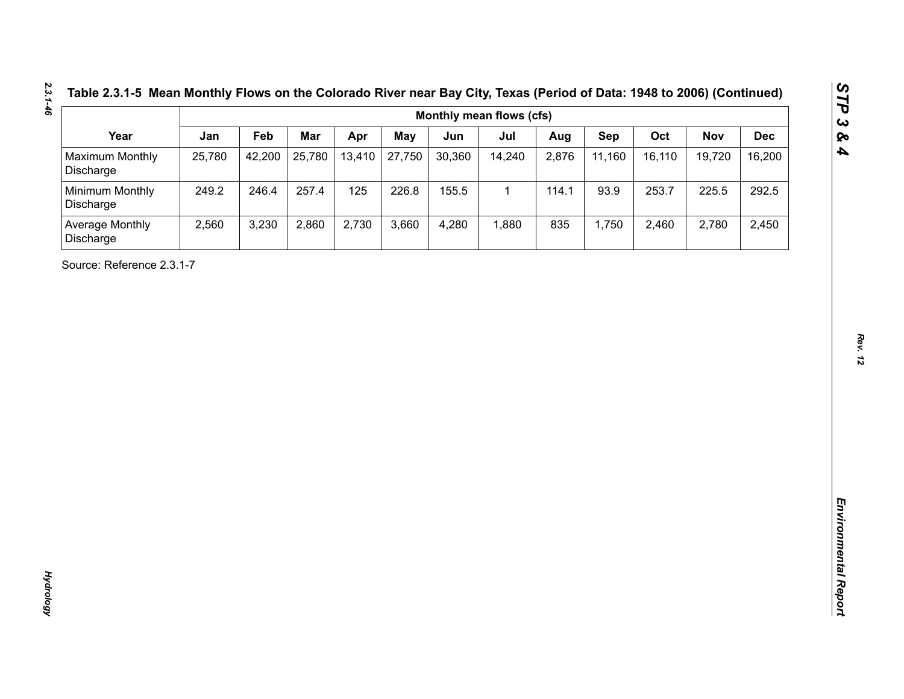| Table 2.3.1-5 Mean Monthly Flows on the Colorado River near Bay City, Texas (Period of Data: 1948 to 2006) (Continue |  |  |
|----------------------------------------------------------------------------------------------------------------------|--|--|
|----------------------------------------------------------------------------------------------------------------------|--|--|

| Year<br><b>Maximum Monthly</b><br>Discharge<br>Minimum Monthly<br>Discharge<br>Average Monthly<br>Discharge<br>Source: Reference 2.3.1-7 | Jan<br>25,780<br>249.2<br>2,560 | Feb<br>42,200<br>246.4<br>3,230 | Mar<br>25,780<br>257.4<br>2,860 | Apr<br>13,410<br>125<br>2,730 | <b>May</b><br>27,750<br>226.8<br>3,660 | Jun<br>30,360<br>155.5<br>4,280 | Jul<br>14,240<br>$\mathbf{1}$<br>1,880 | Aug<br>2,876<br>114.1<br>835 | Sep<br>11,160<br>93.9<br>1,750 | Oct<br>16,110<br>253.7<br>2,460 | <b>Nov</b><br>19,720<br>225.5<br>2,780 | <b>Dec</b><br>16,200<br>292.5<br>2,450 |
|------------------------------------------------------------------------------------------------------------------------------------------|---------------------------------|---------------------------------|---------------------------------|-------------------------------|----------------------------------------|---------------------------------|----------------------------------------|------------------------------|--------------------------------|---------------------------------|----------------------------------------|----------------------------------------|
|                                                                                                                                          |                                 |                                 |                                 |                               |                                        |                                 |                                        |                              |                                |                                 |                                        |                                        |
|                                                                                                                                          |                                 |                                 |                                 |                               |                                        |                                 |                                        |                              |                                |                                 |                                        |                                        |
|                                                                                                                                          |                                 |                                 |                                 |                               |                                        |                                 |                                        |                              |                                |                                 |                                        |                                        |
|                                                                                                                                          |                                 |                                 |                                 |                               |                                        |                                 |                                        |                              |                                |                                 |                                        |                                        |
|                                                                                                                                          |                                 |                                 |                                 |                               |                                        |                                 |                                        |                              |                                |                                 |                                        |                                        |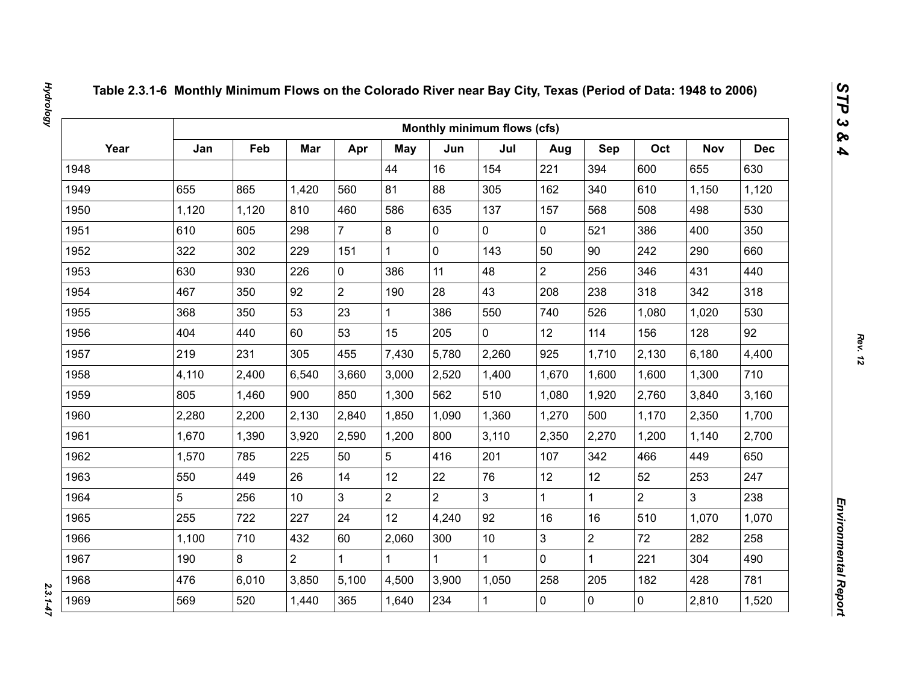|      |       |       |                 |                |                |                | Monthly minimum flows (cfs) |                |                |                |                |            |
|------|-------|-------|-----------------|----------------|----------------|----------------|-----------------------------|----------------|----------------|----------------|----------------|------------|
| Year | Jan   | Feb   | Mar             | Apr            | May            | Jun            | Jul                         | Aug            | Sep            | Oct            | <b>Nov</b>     | <b>Dec</b> |
| 1948 |       |       |                 |                | 44             | 16             | 154                         | 221            | 394            | 600            | 655            | 630        |
| 1949 | 655   | 865   | 1,420           | 560            | 81             | 88             | 305                         | 162            | 340            | 610            | 1,150          | 1,120      |
| 1950 | 1,120 | 1,120 | 810             | 460            | 586            | 635            | 137                         | 157            | 568            | 508            | 498            | 530        |
| 1951 | 610   | 605   | 298             | $\overline{7}$ | 8              | $\mathbf 0$    | 0                           | $\mathbf 0$    | 521            | 386            | 400            | 350        |
| 1952 | 322   | 302   | 229             | 151            | $\mathbf{1}$   | $\mathbf 0$    | 143                         | 50             | 90             | 242            | 290            | 660        |
| 1953 | 630   | 930   | 226             | $\mathbf 0$    | 386            | 11             | 48                          | $\overline{2}$ | 256            | 346            | 431            | 440        |
| 1954 | 467   | 350   | 92              | $\overline{2}$ | 190            | 28             | 43                          | 208            | 238            | 318            | 342            | 318        |
| 1955 | 368   | 350   | 53              | 23             | $\mathbf{1}$   | 386            | 550                         | 740            | 526            | 1,080          | 1,020          | 530        |
| 1956 | 404   | 440   | 60              | 53             | 15             | 205            | $\overline{0}$              | 12             | 114            | 156            | 128            | 92         |
| 1957 | 219   | 231   | 305             | 455            | 7,430          | 5,780          | 2,260                       | 925            | 1,710          | 2,130          | 6,180          | 4,400      |
| 1958 | 4,110 | 2,400 | 6,540           | 3,660          | 3,000          | 2,520          | 1,400                       | 1,670          | 1,600          | 1,600          | 1,300          | 710        |
| 1959 | 805   | 1,460 | 900             | 850            | 1,300          | 562            | 510                         | 1,080          | 1,920          | 2,760          | 3,840          | 3,160      |
| 1960 | 2,280 | 2,200 | 2,130           | 2,840          | 1,850          | 1,090          | 1,360                       | 1,270          | 500            | 1,170          | 2,350          | 1,700      |
| 1961 | 1,670 | 1,390 | 3,920           | 2,590          | 1,200          | 800            | 3,110                       | 2,350          | 2,270          | 1,200          | 1,140          | 2,700      |
| 1962 | 1,570 | 785   | 225             | 50             | 5              | 416            | 201                         | 107            | 342            | 466            | 449            | 650        |
| 1963 | 550   | 449   | 26              | 14             | 12             | 22             | 76                          | 12             | 12             | 52             | 253            | 247        |
| 1964 | 5     | 256   | 10 <sup>°</sup> | $\overline{3}$ | $\overline{2}$ | $\overline{2}$ | $\overline{3}$              | $\mathbf{1}$   | $\mathbf{1}$   | $\overline{2}$ | $\overline{3}$ | 238        |
| 1965 | 255   | 722   | 227             | 24             | 12             | 4,240          | 92                          | 16             | 16             | 510            | 1,070          | 1,070      |
| 1966 | 1,100 | 710   | 432             | 60             | 2,060          | 300            | 10                          | 3              | $\overline{2}$ | 72             | 282            | 258        |
| 1967 | 190   | 8     | $\overline{2}$  | $\mathbf 1$    | $\mathbf{1}$   |                | $\mathbf{1}$                | $\mathbf 0$    | $\mathbf{1}$   | 221            | 304            | 490        |
| 1968 | 476   | 6,010 | 3,850           | 5,100          | 4,500          | 3,900          | 1,050                       | 258            | 205            | 182            | 428            | 781        |
| 1969 | 569   | 520   | 1,440           | 365            | 1,640          | 234            | $\mathbf{1}$                | 0              | $\mathbf 0$    | $\mathbf 0$    | 2,810          | 1,520      |

 $2.3.1 - 47$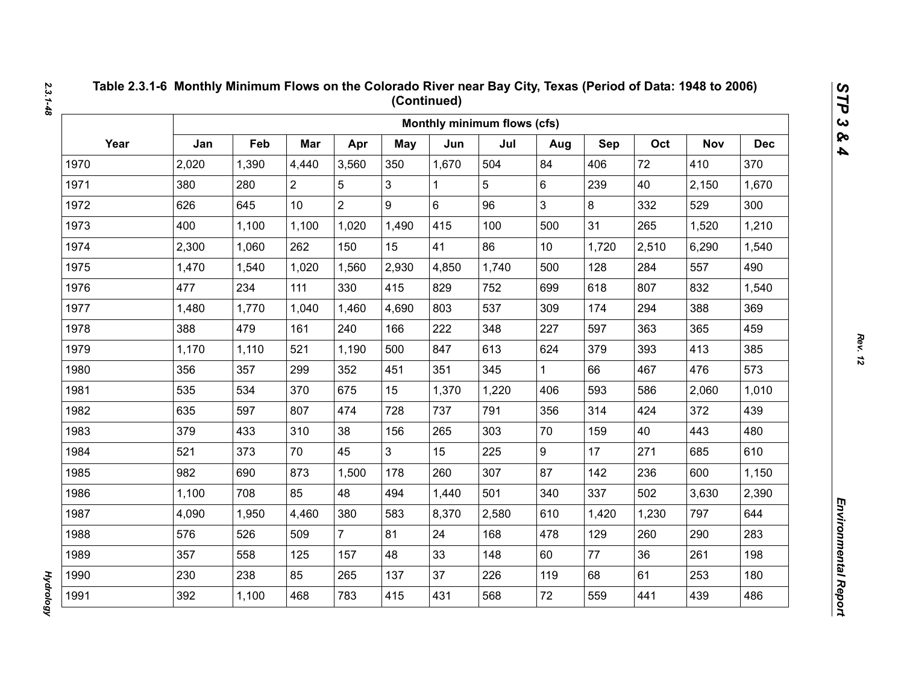|      |       |       |                |                |       |       | Monthly minimum flows (cfs) |              |       |       |            |            |
|------|-------|-------|----------------|----------------|-------|-------|-----------------------------|--------------|-------|-------|------------|------------|
| Year | Jan   | Feb   | Mar            | Apr            | May   | Jun   | Jul                         | Aug          | Sep   | Oct   | <b>Nov</b> | <b>Dec</b> |
| 1970 | 2,020 | 1,390 | 4,440          | 3,560          | 350   | 1,670 | 504                         | 84           | 406   | 72    | 410        | 370        |
| 1971 | 380   | 280   | $\overline{2}$ | 5              | 3     |       | 5                           | 6            | 239   | 40    | 2,150      | 1,670      |
| 1972 | 626   | 645   | 10             | $\overline{2}$ | 9     | 6     | 96                          | 3            | 8     | 332   | 529        | 300        |
| 1973 | 400   | 1,100 | 1,100          | 1,020          | 1,490 | 415   | 100                         | 500          | 31    | 265   | 1,520      | 1,210      |
| 1974 | 2,300 | 1,060 | 262            | 150            | 15    | 41    | 86                          | 10           | 1,720 | 2,510 | 6,290      | 1,540      |
| 1975 | 1,470 | 1,540 | 1,020          | 1,560          | 2,930 | 4,850 | 1,740                       | 500          | 128   | 284   | 557        | 490        |
| 1976 | 477   | 234   | 111            | 330            | 415   | 829   | 752                         | 699          | 618   | 807   | 832        | 1,540      |
| 1977 | 1,480 | 1,770 | 1,040          | 1,460          | 4,690 | 803   | 537                         | 309          | 174   | 294   | 388        | 369        |
| 1978 | 388   | 479   | 161            | 240            | 166   | 222   | 348                         | 227          | 597   | 363   | 365        | 459        |
| 1979 | 1,170 | 1,110 | 521            | 1,190          | 500   | 847   | 613                         | 624          | 379   | 393   | 413        | 385        |
| 1980 | 356   | 357   | 299            | 352            | 451   | 351   | 345                         | $\mathbf{1}$ | 66    | 467   | 476        | 573        |
| 1981 | 535   | 534   | 370            | 675            | 15    | 1,370 | 1,220                       | 406          | 593   | 586   | 2,060      | 1,010      |
| 1982 | 635   | 597   | 807            | 474            | 728   | 737   | 791                         | 356          | 314   | 424   | 372        | 439        |
| 1983 | 379   | 433   | 310            | 38             | 156   | 265   | 303                         | 70           | 159   | 40    | 443        | 480        |
| 1984 | 521   | 373   | 70             | 45             | 3     | 15    | 225                         | 9            | 17    | 271   | 685        | 610        |
| 1985 | 982   | 690   | 873            | 1,500          | 178   | 260   | 307                         | 87           | 142   | 236   | 600        | 1,150      |
| 1986 | 1,100 | 708   | 85             | 48             | 494   | 1,440 | 501                         | 340          | 337   | 502   | 3,630      | 2,390      |
| 1987 | 4,090 | 1,950 | 4,460          | 380            | 583   | 8,370 | 2,580                       | 610          | 1,420 | 1,230 | 797        | 644        |
| 1988 | 576   | 526   | 509            | $\overline{7}$ | 81    | 24    | 168                         | 478          | 129   | 260   | 290        | 283        |
| 1989 | 357   | 558   | 125            | 157            | 48    | 33    | 148                         | 60           | 77    | 36    | 261        | 198        |
| 1990 | 230   | 238   | 85             | 265            | 137   | 37    | 226                         | 119          | 68    | 61    | 253        | 180        |
| 1991 | 392   | 1,100 | 468            | 783            | 415   | 431   | 568                         | 72           | 559   | 441   | 439        | 486        |

*2.3.1-48*

*Rev. 12*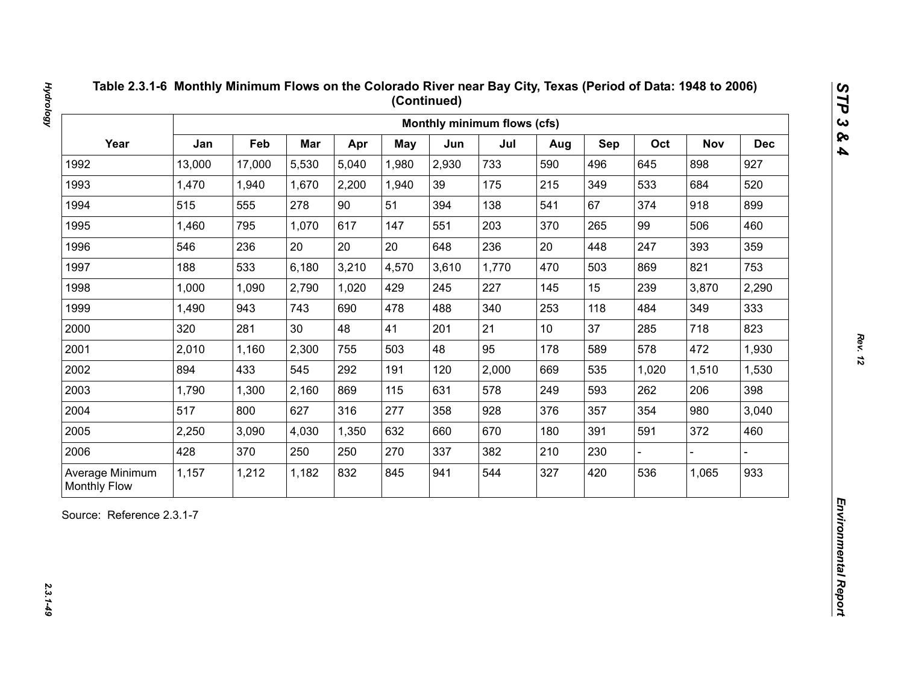| Year<br>Jan<br>Feb<br>Mar<br>Oct<br>Apr<br><b>May</b><br>Jun<br>Jul<br>Sep<br><b>Nov</b><br>Aug<br>13,000<br>5,530<br>5,040<br>2,930<br>733<br>496<br>898<br>1992<br>17,000<br>1,980<br>590<br>645<br>1993<br>1,470<br>2,200<br>39<br>175<br>215<br>349<br>533<br>684<br>1,940<br>1,670<br>1,940<br>90<br>67<br>1994<br>515<br>555<br>278<br>51<br>138<br>374<br>918<br>394<br>541<br>1995<br>1,460<br>795<br>1,070<br>617<br>203<br>265<br>99<br>506<br>147<br>551<br>370<br>20<br>20<br>20<br>236<br>20<br>393<br>1996<br>546<br>236<br>448<br>247<br>648<br>1997<br>188<br>533<br>6,180<br>3,210<br>4,570<br>3,610<br>1,770<br>503<br>821<br>470<br>869<br>2,790<br>1,020<br>227<br>15<br>239<br>1998<br>1,000<br>1,090<br>429<br>245<br>145<br>3,870<br>1999<br>1,490<br>943<br>743<br>690<br>478<br>488<br>340<br>253<br>118<br>349<br>484<br>21<br>37<br>2000<br>281<br>30<br>48<br>41<br>285<br>718<br>320<br>201<br>10 <sup>1</sup><br>2001<br>2,300<br>48<br>95<br>178<br>589<br>578<br>472<br>2,010<br>1,160<br>755<br>503<br>2002<br>894<br>433<br>545<br>292<br>2,000<br>535<br>191<br>120<br>669<br>1,020<br>1,510<br>2003<br>869<br>578<br>593<br>1,790<br>1,300<br>2,160<br>115<br>631<br>249<br>262<br>206<br>2004<br>517<br>277<br>354<br>980<br>800<br>627<br>316<br>928<br>357<br>358<br>376<br>2005<br>670<br>372<br>2,250<br>3,090<br>4,030<br>1,350<br>632<br>180<br>391<br>591<br>660<br>2006<br>428<br>370<br>250<br>250<br>270<br>337<br>382<br>210<br>230 |  |  |  | Monthly minimum flows (cfs) |  |  |            |
|-------------------------------------------------------------------------------------------------------------------------------------------------------------------------------------------------------------------------------------------------------------------------------------------------------------------------------------------------------------------------------------------------------------------------------------------------------------------------------------------------------------------------------------------------------------------------------------------------------------------------------------------------------------------------------------------------------------------------------------------------------------------------------------------------------------------------------------------------------------------------------------------------------------------------------------------------------------------------------------------------------------------------------------------------------------------------------------------------------------------------------------------------------------------------------------------------------------------------------------------------------------------------------------------------------------------------------------------------------------------------------------------------------------------------------------------------------------------------------------|--|--|--|-----------------------------|--|--|------------|
|                                                                                                                                                                                                                                                                                                                                                                                                                                                                                                                                                                                                                                                                                                                                                                                                                                                                                                                                                                                                                                                                                                                                                                                                                                                                                                                                                                                                                                                                                     |  |  |  |                             |  |  | <b>Dec</b> |
|                                                                                                                                                                                                                                                                                                                                                                                                                                                                                                                                                                                                                                                                                                                                                                                                                                                                                                                                                                                                                                                                                                                                                                                                                                                                                                                                                                                                                                                                                     |  |  |  |                             |  |  | 927        |
|                                                                                                                                                                                                                                                                                                                                                                                                                                                                                                                                                                                                                                                                                                                                                                                                                                                                                                                                                                                                                                                                                                                                                                                                                                                                                                                                                                                                                                                                                     |  |  |  |                             |  |  | 520        |
|                                                                                                                                                                                                                                                                                                                                                                                                                                                                                                                                                                                                                                                                                                                                                                                                                                                                                                                                                                                                                                                                                                                                                                                                                                                                                                                                                                                                                                                                                     |  |  |  |                             |  |  | 899        |
|                                                                                                                                                                                                                                                                                                                                                                                                                                                                                                                                                                                                                                                                                                                                                                                                                                                                                                                                                                                                                                                                                                                                                                                                                                                                                                                                                                                                                                                                                     |  |  |  |                             |  |  | 460        |
|                                                                                                                                                                                                                                                                                                                                                                                                                                                                                                                                                                                                                                                                                                                                                                                                                                                                                                                                                                                                                                                                                                                                                                                                                                                                                                                                                                                                                                                                                     |  |  |  |                             |  |  | 359        |
|                                                                                                                                                                                                                                                                                                                                                                                                                                                                                                                                                                                                                                                                                                                                                                                                                                                                                                                                                                                                                                                                                                                                                                                                                                                                                                                                                                                                                                                                                     |  |  |  |                             |  |  | 753        |
|                                                                                                                                                                                                                                                                                                                                                                                                                                                                                                                                                                                                                                                                                                                                                                                                                                                                                                                                                                                                                                                                                                                                                                                                                                                                                                                                                                                                                                                                                     |  |  |  |                             |  |  | 2,290      |
|                                                                                                                                                                                                                                                                                                                                                                                                                                                                                                                                                                                                                                                                                                                                                                                                                                                                                                                                                                                                                                                                                                                                                                                                                                                                                                                                                                                                                                                                                     |  |  |  |                             |  |  | 333        |
|                                                                                                                                                                                                                                                                                                                                                                                                                                                                                                                                                                                                                                                                                                                                                                                                                                                                                                                                                                                                                                                                                                                                                                                                                                                                                                                                                                                                                                                                                     |  |  |  |                             |  |  | 823        |
|                                                                                                                                                                                                                                                                                                                                                                                                                                                                                                                                                                                                                                                                                                                                                                                                                                                                                                                                                                                                                                                                                                                                                                                                                                                                                                                                                                                                                                                                                     |  |  |  |                             |  |  | 1,930      |
|                                                                                                                                                                                                                                                                                                                                                                                                                                                                                                                                                                                                                                                                                                                                                                                                                                                                                                                                                                                                                                                                                                                                                                                                                                                                                                                                                                                                                                                                                     |  |  |  |                             |  |  | 1,530      |
|                                                                                                                                                                                                                                                                                                                                                                                                                                                                                                                                                                                                                                                                                                                                                                                                                                                                                                                                                                                                                                                                                                                                                                                                                                                                                                                                                                                                                                                                                     |  |  |  |                             |  |  | 398        |
|                                                                                                                                                                                                                                                                                                                                                                                                                                                                                                                                                                                                                                                                                                                                                                                                                                                                                                                                                                                                                                                                                                                                                                                                                                                                                                                                                                                                                                                                                     |  |  |  |                             |  |  | 3,040      |
|                                                                                                                                                                                                                                                                                                                                                                                                                                                                                                                                                                                                                                                                                                                                                                                                                                                                                                                                                                                                                                                                                                                                                                                                                                                                                                                                                                                                                                                                                     |  |  |  |                             |  |  | 460        |
|                                                                                                                                                                                                                                                                                                                                                                                                                                                                                                                                                                                                                                                                                                                                                                                                                                                                                                                                                                                                                                                                                                                                                                                                                                                                                                                                                                                                                                                                                     |  |  |  |                             |  |  |            |
| 832<br>544<br>420<br>536<br>Average Minimum<br>1,157<br>1,212<br>1,182<br>845<br>327<br>1,065<br>941<br><b>Monthly Flow</b>                                                                                                                                                                                                                                                                                                                                                                                                                                                                                                                                                                                                                                                                                                                                                                                                                                                                                                                                                                                                                                                                                                                                                                                                                                                                                                                                                         |  |  |  |                             |  |  | 933        |

*Hydrology 2.3.1-49*

**Hydrology**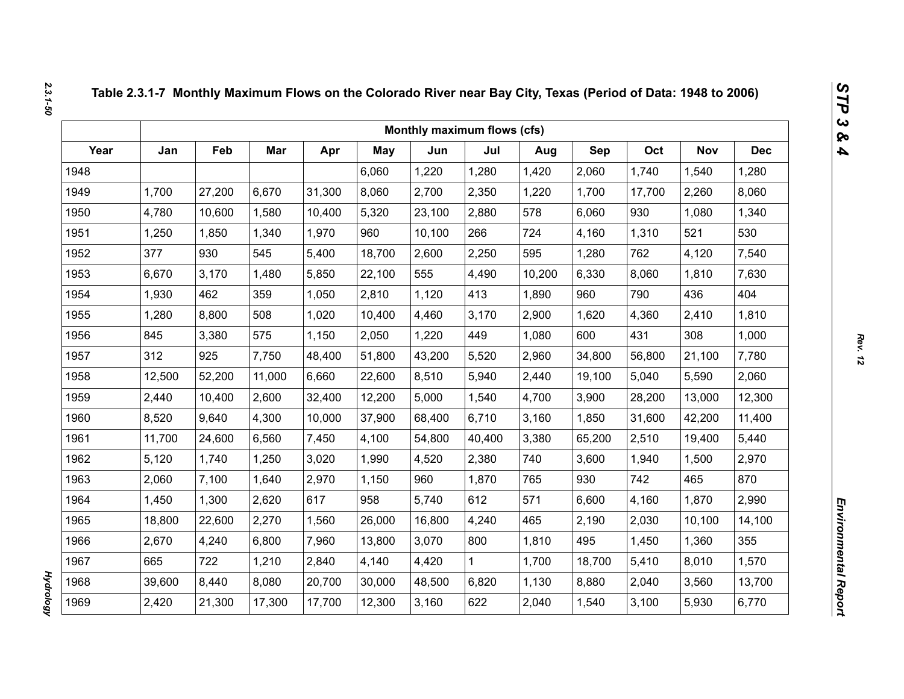|      |        |        |        |        |            | Monthly maximum flows (cfs) |        |        |        |        |            |            |
|------|--------|--------|--------|--------|------------|-----------------------------|--------|--------|--------|--------|------------|------------|
| Year | Jan    | Feb    | Mar    | Apr    | <b>May</b> | Jun                         | Jul    | Aug    | Sep    | Oct    | <b>Nov</b> | <b>Dec</b> |
| 1948 |        |        |        |        | 6,060      | 1,220                       | 1,280  | 1,420  | 2,060  | 1,740  | 1,540      | 1,280      |
| 1949 | 1,700  | 27,200 | 6,670  | 31,300 | 8,060      | 2,700                       | 2,350  | 1,220  | 1,700  | 17,700 | 2,260      | 8,060      |
| 1950 | 4,780  | 10,600 | 1,580  | 10,400 | 5,320      | 23,100                      | 2,880  | 578    | 6,060  | 930    | 1,080      | 1,340      |
| 1951 | 1,250  | 1,850  | 1,340  | 1,970  | 960        | 10,100                      | 266    | 724    | 4,160  | 1,310  | 521        | 530        |
| 1952 | 377    | 930    | 545    | 5,400  | 18,700     | 2,600                       | 2,250  | 595    | 1,280  | 762    | 4,120      | 7,540      |
| 1953 | 6,670  | 3,170  | 1,480  | 5,850  | 22,100     | 555                         | 4,490  | 10,200 | 6,330  | 8,060  | 1,810      | 7,630      |
| 1954 | 1,930  | 462    | 359    | 1,050  | 2,810      | 1,120                       | 413    | 1,890  | 960    | 790    | 436        | 404        |
| 1955 | 1,280  | 8,800  | 508    | 1,020  | 10,400     | 4,460                       | 3,170  | 2,900  | 1,620  | 4,360  | 2,410      | 1,810      |
| 1956 | 845    | 3,380  | 575    | 1,150  | 2,050      | 1,220                       | 449    | 1,080  | 600    | 431    | 308        | 1,000      |
| 1957 | 312    | 925    | 7,750  | 48,400 | 51,800     | 43,200                      | 5,520  | 2,960  | 34,800 | 56,800 | 21,100     | 7,780      |
| 1958 | 12,500 | 52,200 | 11,000 | 6,660  | 22,600     | 8,510                       | 5,940  | 2,440  | 19,100 | 5,040  | 5,590      | 2,060      |
| 1959 | 2,440  | 10,400 | 2,600  | 32,400 | 12,200     | 5,000                       | 1,540  | 4,700  | 3,900  | 28,200 | 13,000     | 12,300     |
| 1960 | 8,520  | 9,640  | 4,300  | 10,000 | 37,900     | 68,400                      | 6,710  | 3,160  | 1,850  | 31,600 | 42,200     | 11,400     |
| 1961 | 11,700 | 24,600 | 6,560  | 7,450  | 4,100      | 54,800                      | 40,400 | 3,380  | 65,200 | 2,510  | 19,400     | 5,440      |
| 1962 | 5,120  | 1,740  | 1,250  | 3,020  | 1,990      | 4,520                       | 2,380  | 740    | 3,600  | 1,940  | 1,500      | 2,970      |
| 1963 | 2,060  | 7,100  | 1,640  | 2,970  | 1,150      | 960                         | 1,870  | 765    | 930    | 742    | 465        | 870        |
| 1964 | 1,450  | 1,300  | 2,620  | 617    | 958        | 5,740                       | 612    | 571    | 6,600  | 4,160  | 1,870      | 2,990      |
| 1965 | 18,800 | 22,600 | 2,270  | 1,560  | 26,000     | 16,800                      | 4,240  | 465    | 2,190  | 2,030  | 10,100     | 14,100     |
| 1966 | 2,670  | 4,240  | 6,800  | 7,960  | 13,800     | 3,070                       | 800    | 1,810  | 495    | 1,450  | 1,360      | 355        |
| 1967 | 665    | 722    | 1,210  | 2,840  | 4,140      | 4,420                       | 1      | 1,700  | 18,700 | 5,410  | 8,010      | 1,570      |
| 1968 | 39,600 | 8,440  | 8,080  | 20,700 | 30,000     | 48,500                      | 6,820  | 1,130  | 8,880  | 2,040  | 3,560      | 13,700     |
| 1969 | 2,420  | 21,300 | 17,300 | 17,700 | 12,300     | 3,160                       | 622    | 2,040  | 1,540  | 3,100  | 5,930      | 6,770      |

*Hydrology* 

**Hydrology**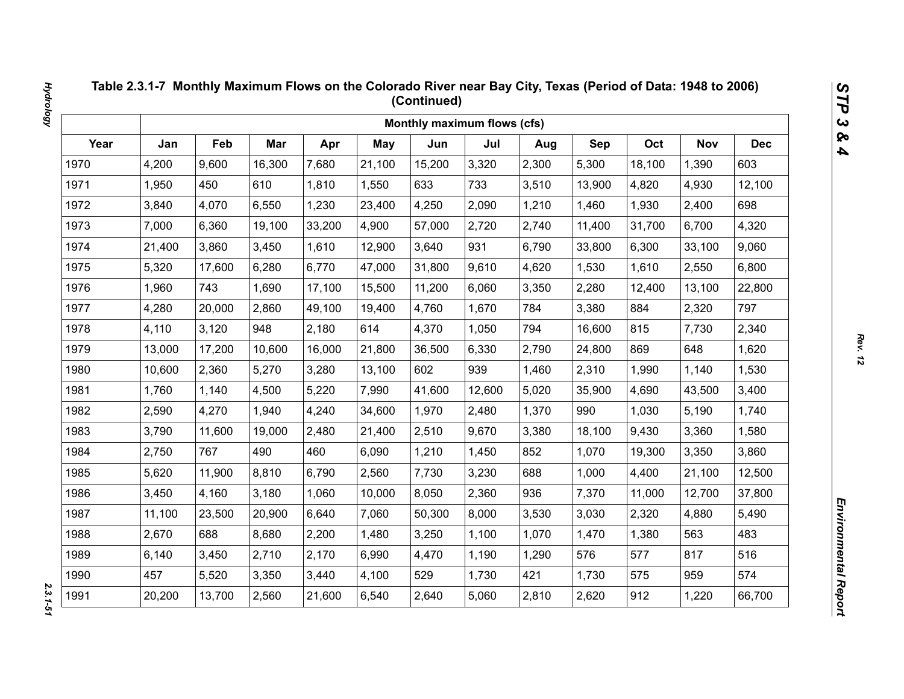|      |        |        |        |        |        | Monthly maximum flows (cfs) |        |       |        |        |            |            |
|------|--------|--------|--------|--------|--------|-----------------------------|--------|-------|--------|--------|------------|------------|
| Year | Jan    | Feb    | Mar    | Apr    | May    | Jun                         | Jul    | Aug   | Sep    | Oct    | <b>Nov</b> | <b>Dec</b> |
| 1970 | 4,200  | 9,600  | 16,300 | 7,680  | 21,100 | 15,200                      | 3,320  | 2,300 | 5,300  | 18,100 | 1,390      | 603        |
| 1971 | 1,950  | 450    | 610    | 1,810  | 1,550  | 633                         | 733    | 3,510 | 13,900 | 4,820  | 4,930      | 12,100     |
| 1972 | 3,840  | 4,070  | 6,550  | 1,230  | 23,400 | 4,250                       | 2,090  | 1,210 | 1,460  | 1,930  | 2,400      | 698        |
| 1973 | 7,000  | 6,360  | 19,100 | 33,200 | 4,900  | 57,000                      | 2,720  | 2,740 | 11,400 | 31,700 | 6,700      | 4,320      |
| 1974 | 21,400 | 3,860  | 3,450  | 1,610  | 12,900 | 3,640                       | 931    | 6,790 | 33,800 | 6,300  | 33,100     | 9,060      |
| 1975 | 5,320  | 17,600 | 6,280  | 6,770  | 47,000 | 31,800                      | 9,610  | 4,620 | 1,530  | 1,610  | 2,550      | 6,800      |
| 1976 | 1,960  | 743    | 1,690  | 17,100 | 15,500 | 11,200                      | 6,060  | 3,350 | 2,280  | 12,400 | 13,100     | 22,800     |
| 1977 | 4,280  | 20,000 | 2,860  | 49,100 | 19,400 | 4,760                       | 1,670  | 784   | 3,380  | 884    | 2,320      | 797        |
| 1978 | 4,110  | 3,120  | 948    | 2,180  | 614    | 4,370                       | 1,050  | 794   | 16,600 | 815    | 7,730      | 2,340      |
| 1979 | 13,000 | 17,200 | 10,600 | 16,000 | 21,800 | 36,500                      | 6,330  | 2,790 | 24,800 | 869    | 648        | 1,620      |
| 1980 | 10,600 | 2,360  | 5,270  | 3,280  | 13,100 | 602                         | 939    | 1,460 | 2,310  | 1,990  | 1,140      | 1,530      |
| 1981 | 1,760  | 1,140  | 4,500  | 5,220  | 7,990  | 41,600                      | 12,600 | 5,020 | 35,900 | 4,690  | 43,500     | 3,400      |
| 1982 | 2,590  | 4,270  | 1,940  | 4,240  | 34,600 | 1,970                       | 2,480  | 1,370 | 990    | 1,030  | 5,190      | 1,740      |
| 1983 | 3,790  | 11,600 | 19,000 | 2,480  | 21,400 | 2,510                       | 9,670  | 3,380 | 18,100 | 9,430  | 3,360      | 1,580      |
| 1984 | 2,750  | 767    | 490    | 460    | 6,090  | 1,210                       | 1,450  | 852   | 1,070  | 19,300 | 3,350      | 3,860      |
| 1985 | 5,620  | 11,900 | 8,810  | 6,790  | 2,560  | 7,730                       | 3,230  | 688   | 1,000  | 4,400  | 21,100     | 12,500     |
| 1986 | 3,450  | 4,160  | 3,180  | 1,060  | 10,000 | 8,050                       | 2,360  | 936   | 7,370  | 11,000 | 12,700     | 37,800     |
| 1987 | 11,100 | 23,500 | 20,900 | 6,640  | 7,060  | 50,300                      | 8,000  | 3,530 | 3,030  | 2,320  | 4,880      | 5,490      |
| 1988 | 2,670  | 688    | 8,680  | 2,200  | 1,480  | 3,250                       | 1,100  | 1,070 | 1,470  | 1,380  | 563        | 483        |
| 1989 | 6,140  | 3,450  | 2,710  | 2,170  | 6,990  | 4,470                       | 1,190  | 1,290 | 576    | 577    | 817        | 516        |
| 1990 | 457    | 5,520  | 3,350  | 3,440  | 4,100  | 529                         | 1,730  | 421   | 1,730  | 575    | 959        | 574        |
| 1991 | 20,200 | 13,700 | 2,560  | 21,600 | 6,540  | 2,640                       | 5,060  | 2,810 | 2,620  | 912    | 1,220      | 66,700     |

2.3.1-51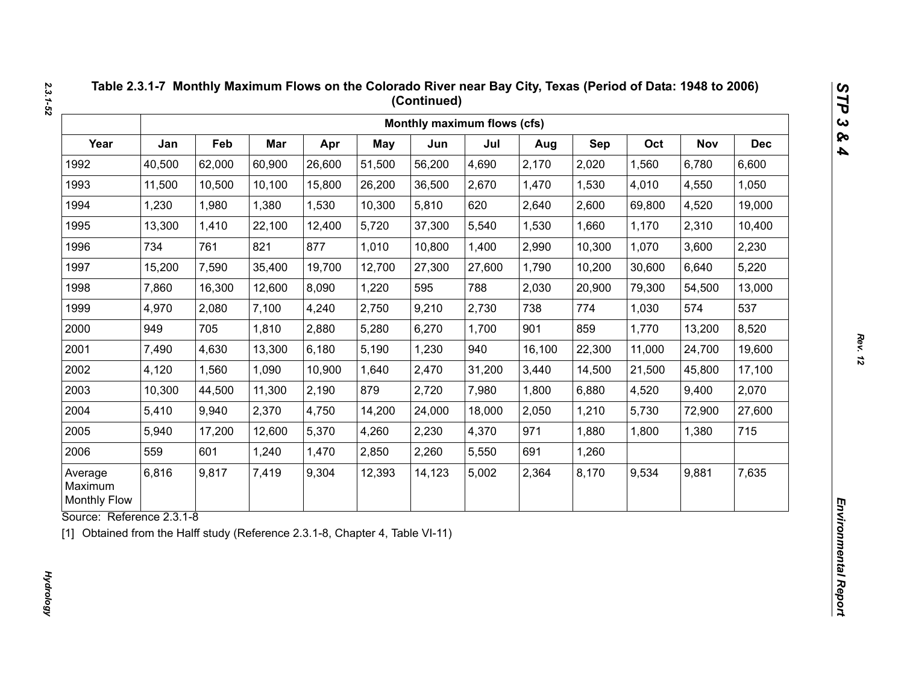|                                           |        |        |        |        |            | Monthly maximum flows (cfs) |        |        |        |        |            |            |
|-------------------------------------------|--------|--------|--------|--------|------------|-----------------------------|--------|--------|--------|--------|------------|------------|
| Year                                      | Jan    | Feb    | Mar    | Apr    | <b>May</b> | Jun                         | Jul    | Aug    | Sep    | Oct    | <b>Nov</b> | <b>Dec</b> |
| 1992                                      | 40,500 | 62,000 | 60,900 | 26,600 | 51,500     | 56,200                      | 4,690  | 2,170  | 2,020  | 1,560  | 6,780      | 6,600      |
| 1993                                      | 11,500 | 10,500 | 10,100 | 15,800 | 26,200     | 36,500                      | 2,670  | 1,470  | 1,530  | 4,010  | 4,550      | 1,050      |
| 1994                                      | 1,230  | 1,980  | 1,380  | 1,530  | 10,300     | 5,810                       | 620    | 2,640  | 2,600  | 69,800 | 4,520      | 19,000     |
| 1995                                      | 13,300 | 1,410  | 22,100 | 12,400 | 5,720      | 37,300                      | 5,540  | 1,530  | 1,660  | 1,170  | 2,310      | 10,400     |
| 1996                                      | 734    | 761    | 821    | 877    | 1,010      | 10,800                      | 1,400  | 2,990  | 10,300 | 1,070  | 3,600      | 2,230      |
| 1997                                      | 15,200 | 7,590  | 35,400 | 19,700 | 12,700     | 27,300                      | 27,600 | 1,790  | 10,200 | 30,600 | 6,640      | 5,220      |
| 1998                                      | 7,860  | 16,300 | 12,600 | 8,090  | 1,220      | 595                         | 788    | 2,030  | 20,900 | 79,300 | 54,500     | 13,000     |
| 1999                                      | 4,970  | 2,080  | 7,100  | 4,240  | 2,750      | 9,210                       | 2,730  | 738    | 774    | 1,030  | 574        | 537        |
| 2000                                      | 949    | 705    | 1,810  | 2,880  | 5,280      | 6,270                       | 1,700  | 901    | 859    | 1,770  | 13,200     | 8,520      |
| 2001                                      | 7,490  | 4,630  | 13,300 | 6,180  | 5,190      | 1,230                       | 940    | 16,100 | 22,300 | 11,000 | 24,700     | 19,600     |
| 2002                                      | 4,120  | 1,560  | 1,090  | 10,900 | 1,640      | 2,470                       | 31,200 | 3,440  | 14,500 | 21,500 | 45,800     | 17,100     |
| 2003                                      | 10,300 | 44,500 | 11,300 | 2,190  | 879        | 2,720                       | 7,980  | 1,800  | 6,880  | 4,520  | 9,400      | 2,070      |
| 2004                                      | 5,410  | 9,940  | 2,370  | 4,750  | 14,200     | 24,000                      | 18,000 | 2,050  | 1,210  | 5,730  | 72,900     | 27,600     |
| 2005                                      | 5,940  | 17,200 | 12,600 | 5,370  | 4,260      | 2,230                       | 4,370  | 971    | 1,880  | 1,800  | 1,380      | 715        |
| 2006                                      | 559    | 601    | 1,240  | 1,470  | 2,850      | 2,260                       | 5,550  | 691    | 1,260  |        |            |            |
| Average<br>Maximum<br><b>Monthly Flow</b> | 6,816  | 9,817  | 7,419  | 9,304  | 12,393     | 14,123                      | 5,002  | 2,364  | 8,170  | 9,534  | 9,881      | 7,635      |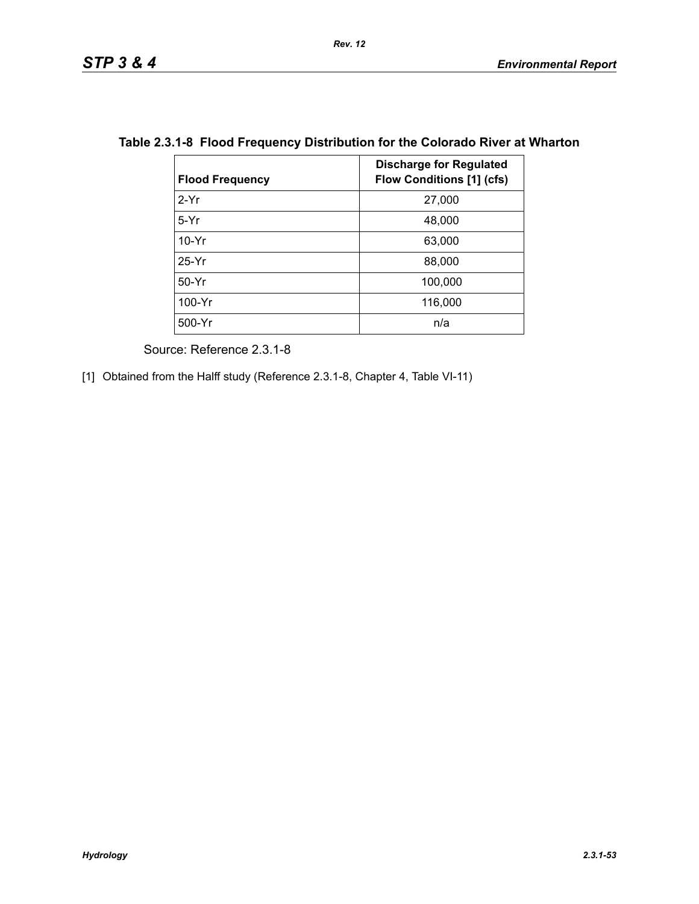| <b>Flood Frequency</b> | <b>Discharge for Regulated</b><br><b>Flow Conditions [1] (cfs)</b> |
|------------------------|--------------------------------------------------------------------|
| $2-Yr$                 | 27,000                                                             |
| $5-Yr$                 | 48,000                                                             |
| $10-Yr$                | 63,000                                                             |
| $25-Yr$                | 88,000                                                             |
| 50-Yr                  | 100,000                                                            |
| 100-Yr                 | 116,000                                                            |
| 500-Yr                 | n/a                                                                |

## **Table 2.3.1-8 Flood Frequency Distribution for the Colorado River at Wharton**

Source: Reference 2.3.1-8

[1] Obtained from the Halff study (Reference 2.3.1-8, Chapter 4, Table VI-11)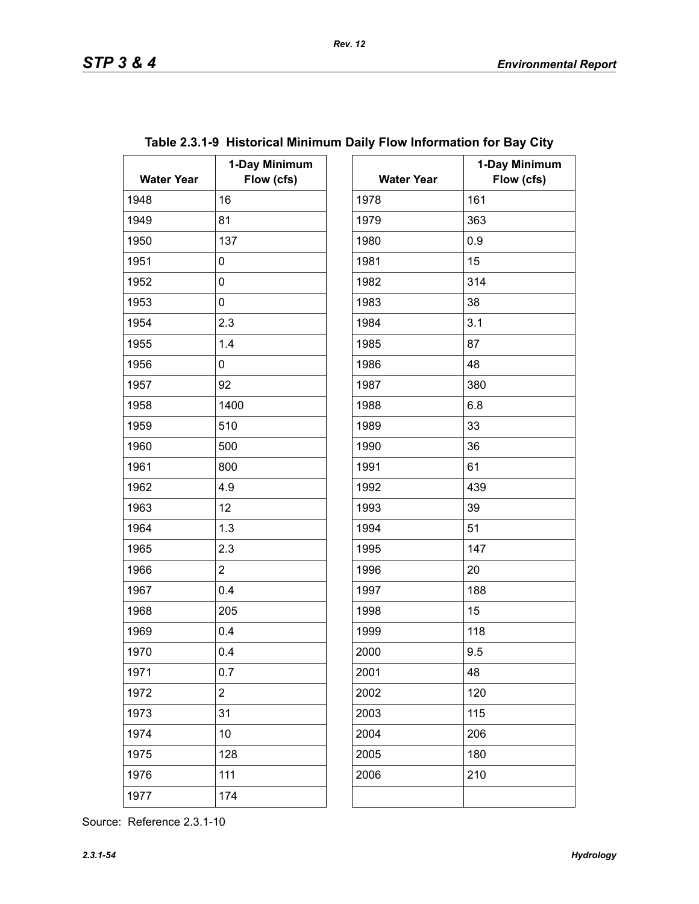| <b>Water Year</b> | 1-Day Minimum<br>Flow (cfs) | <b>Water Year</b> | $\ddagger$ |
|-------------------|-----------------------------|-------------------|------------|
| 1948              | 16                          | 1978              | 161        |
| 1949              | 81                          | 1979              | 363        |
| 1950              | 137                         | 1980              | 0.9        |
| 1951              | 0                           | 1981              | 15         |
| 1952              | 0                           | 1982              | 314        |
| 1953              | 0                           | 1983              | 38         |
| 1954              | 2.3                         | 1984              | 3.1        |
| 1955              | 1.4                         | 1985              | 87         |
| 1956              | 0                           | 1986              | 48         |
| 1957              | 92                          | 1987              | 380        |
| 1958              | 1400                        | 1988              | 6.8        |
| 1959              | 510                         | 1989              | 33         |
| 1960              | 500                         | 1990              | 36         |
| 1961              | 800                         | 1991              | 61         |
| 1962              | 4.9                         | 1992              | 439        |
| 1963              | 12                          | 1993              | 39         |
| 1964              | 1.3                         | 1994              | 51         |
| 1965              | 2.3                         | 1995              | 147        |
| 1966              | $\overline{2}$              | 1996              | 20         |
| 1967              | 0.4                         | 1997              | 188        |
| 1968              | 205                         | 1998              | 15         |
| 1969              | 0.4                         | 1999              | 118        |
| 1970              | 0.4                         | 2000              | 9.5        |
| 1971              | 0.7                         | 2001              | 48         |
| 1972              | $\overline{2}$              | 2002              | 120        |
| 1973              | 31                          | 2003              | 115        |
| 1974              | 10                          | 2004              | 206        |
| 1975              | 128                         | 2005              | 180        |
| 1976              | 111                         | 2006              | 210        |
| 1977              | 174                         |                   |            |

| ay Minimum<br>Flow (cfs) | <b>Water Year</b> | 1-Day Minimum<br>Flow (cfs) |
|--------------------------|-------------------|-----------------------------|
|                          | 1978              | 161                         |
|                          | 1979              | 363                         |
|                          | 1980              | 0.9                         |
|                          | 1981              | 15                          |
|                          | 1982              | 314                         |
|                          | 1983              | 38                          |
|                          | 1984              | 3.1                         |
|                          | 1985              | 87                          |
|                          | 1986              | 48                          |
|                          | 1987              | 380                         |
|                          | 1988              | 6.8                         |
|                          | 1989              | 33                          |
|                          | 1990              | 36                          |
|                          | 1991              | 61                          |
|                          | 1992              | 439                         |
|                          | 1993              | 39                          |
|                          | 1994              | 51                          |
|                          | 1995              | 147                         |
|                          | 1996              | 20                          |
|                          | 1997              | 188                         |
|                          | 1998              | 15                          |
|                          | 1999              | 118                         |
|                          | 2000              | 9.5                         |
|                          | 2001              | 48                          |
|                          | 2002              | 120                         |
|                          | 2003              | 115                         |
|                          | 2004              | 206                         |
|                          | 2005              | 180                         |
|                          | 2006              | 210                         |
|                          |                   |                             |

# **Table 2.3.1-9 Historical Minimum Daily Flow Information for Bay City**

Source: Reference 2.3.1-10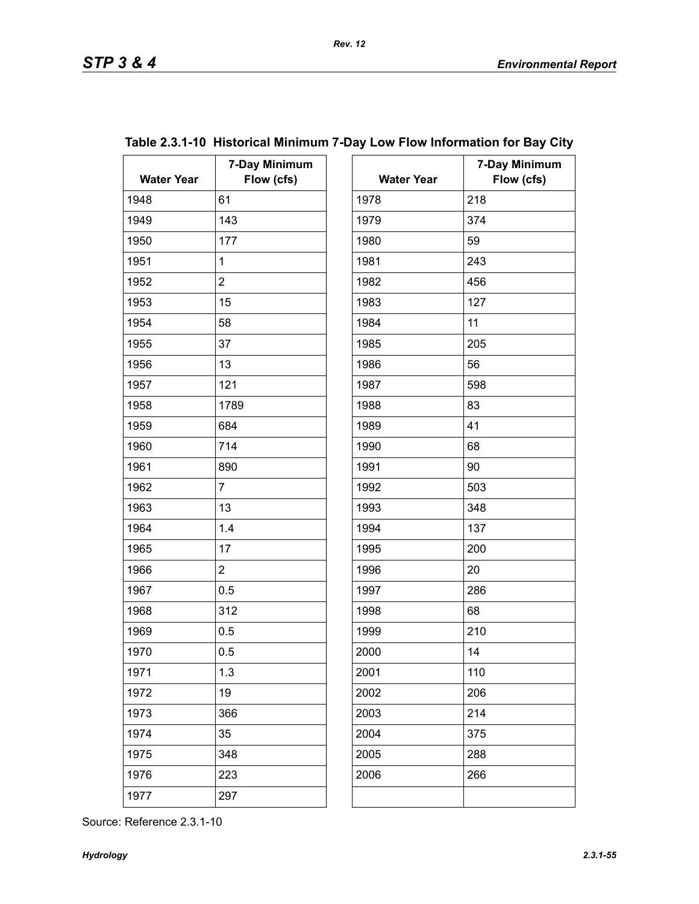**7-Day Minimum** 

| <b>Water Year</b> | 7-Day Minimum<br>Flow (cfs) | <b>Water Year</b> | $7-$ |
|-------------------|-----------------------------|-------------------|------|
| 1948              | 61                          | 1978              | 218  |
| 1949              | 143                         | 1979              | 374  |
| 1950              | 177                         | 1980              | 59   |
| 1951              | $\mathbf 1$                 | 1981              | 243  |
| 1952              | $\overline{2}$              | 1982              | 456  |
| 1953              | 15                          | 1983              | 127  |
| 1954              | 58                          | 1984              | 11   |
| 1955              | 37                          | 1985              | 205  |
| 1956              | 13                          | 1986              | 56   |
| 1957              | 121                         | 1987              | 598  |
| 1958              | 1789                        | 1988              | 83   |
| 1959              | 684                         | 1989              | 41   |
| 1960              | 714                         | 1990              | 68   |
| 1961              | 890                         | 1991              | 90   |
| 1962              | $\overline{7}$              | 1992              | 503  |
| 1963              | 13                          | 1993              | 348  |
| 1964              | 1.4                         | 1994              | 137  |
| 1965              | 17                          | 1995              | 200  |
| 1966              | $\overline{2}$              | 1996              | 20   |
| 1967              | 0.5                         | 1997              | 286  |
| 1968              | 312                         | 1998              | 68   |
| 1969              | 0.5                         | 1999              | 210  |
| 1970              | 0.5                         | 2000              | 14   |
| 1971              | 1.3                         | 2001              | 110  |
| 1972              | 19                          | 2002              | 206  |
| 1973              | 366                         | 2003              | 214  |
| 1974              | 35                          | 2004              | 375  |
| 1975              | 348                         | 2005              | 288  |
| 1976              | 223                         | 2006              | 266  |
| 1977              | 297                         |                   |      |

| Flow (cfs) | <b>Water Year</b> | Flow (cfs) |
|------------|-------------------|------------|
|            | 1978              | 218        |
|            | 1979              | 374        |
|            | 1980              | 59         |
|            | 1981              | 243        |
|            | 1982              | 456        |
|            | 1983              | 127        |
|            | 1984              | 11         |
|            | 1985              | 205        |
|            | 1986              | 56         |
|            | 1987              | 598        |
|            | 1988              | 83         |
|            | 1989              | 41         |
|            | 1990              | 68         |
|            | 1991              | 90         |
|            | 1992              | 503        |
|            | 1993              | 348        |
|            | 1994              | 137        |
|            | 1995              | 200        |
|            | 1996              | 20         |
|            | 1997              | 286        |
|            | 1998              | 68         |
|            | 1999              | 210        |
|            | 2000              | 14         |
|            | 2001              | 110        |
|            | 2002              | 206        |
|            | 2003              | 214        |

## **Table 2.3.1-10 Historical Minimum 7-Day Low Flow Information for Bay City**

Source: Reference 2.3.1-10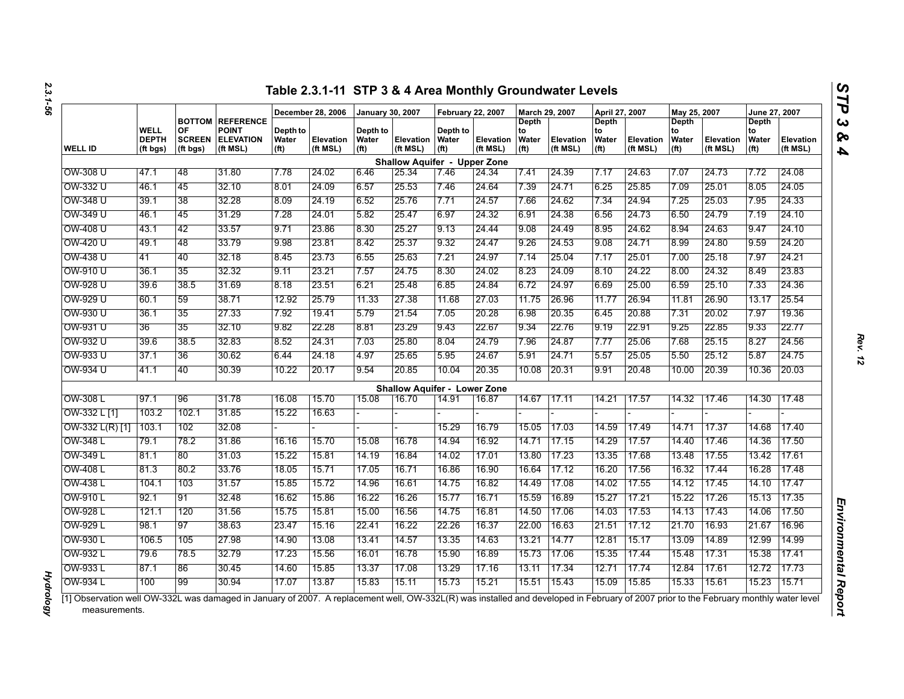|                   |                                  |                                 |                                                                         |                                        | December 28, 2006     | <b>January 30, 2007</b>                |                                     | <b>February 22, 2007</b>               |                       | March 29, 2007                            |                              | April 27, 2007                                   |                              | May 25, 2007                                     |                       | June 27, 2007                             |                       |
|-------------------|----------------------------------|---------------------------------|-------------------------------------------------------------------------|----------------------------------------|-----------------------|----------------------------------------|-------------------------------------|----------------------------------------|-----------------------|-------------------------------------------|------------------------------|--------------------------------------------------|------------------------------|--------------------------------------------------|-----------------------|-------------------------------------------|-----------------------|
| <b>WELL ID</b>    | WELL<br><b>DEPTH</b><br>(ft bgs) | OF<br><b>SCREEN</b><br>(ft bgs) | <b>BOTTOM REFERENCE</b><br><b>POINT</b><br><b>ELEVATION</b><br>(ft MSL) | Depth to<br>Water<br>(f <sup>t</sup> ) | Elevation<br>(ft MSL) | Depth to<br>Water<br>(f <sup>t</sup> ) | <b>Elevation</b><br>(ft MSL)        | Depth to<br>Water<br>(f <sup>t</sup> ) | Elevation<br>(ft MSL) | Depth<br>to<br>Water<br>(f <sup>t</sup> ) | <b>Elevation</b><br>(ft MSL) | <b>Depth</b><br>to<br>Water<br>(f <sup>t</sup> ) | <b>Elevation</b><br>(ft MSL) | <b>Depth</b><br>to<br>Water<br>(f <sup>t</sup> ) | Elevation<br>(ft MSL) | Depth<br>to<br>Water<br>(f <sup>t</sup> ) | Elevation<br>(ft MSL) |
|                   |                                  |                                 |                                                                         |                                        |                       |                                        | <b>Shallow Aquifer - Upper Zone</b> |                                        |                       |                                           |                              |                                                  |                              |                                                  |                       |                                           |                       |
| OW-308 U          | 47.1                             | 48                              | 31.80                                                                   | 7.78                                   | 24.02                 | 6.46                                   | 25.34                               | 7.46                                   | 24.34                 | 7.41                                      | 24.39                        | 7.17                                             | 24.63                        | 7.07                                             | 24.73                 | 7.72                                      | 24.08                 |
| OW-332 U          | 46.1                             | 45                              | 32.10                                                                   | 8.01                                   | 24.09                 | 6.57                                   | 25.53                               | 7.46                                   | 24.64                 | 7.39                                      | 24.71                        | 6.25                                             | 25.85                        | 7.09                                             | 25.01                 | 8.05                                      | 24.05                 |
| OW-348 U          | 39.1                             | 38                              | 32.28                                                                   | 8.09                                   | 24.19                 | 6.52                                   | 25.76                               | 7.71                                   | 24.57                 | 7.66                                      | 24.62                        | 7.34                                             | 24.94                        | 7.25                                             | 25.03                 | 7.95                                      | 24.33                 |
| OW-349 U          | 46.1                             | 45                              | 31.29                                                                   | 7.28                                   | 24.01                 | 5.82                                   | 25.47                               | 6.97                                   | 24.32                 | 6.91                                      | 24.38                        | 6.56                                             | 24.73                        | 6.50                                             | 24.79                 | 7.19                                      | 24.10                 |
| OW-408 U          | 43.1                             | 42                              | 33.57                                                                   | 9.71                                   | 23.86                 | 8.30                                   | 25.27                               | 9.13                                   | 24.44                 | 9.08                                      | 24.49                        | 8.95                                             | 24.62                        | 8.94                                             | 24.63                 | 9.47                                      | 24.10                 |
| OW-420 U          | 49.1                             | 48                              | 33.79                                                                   | 9.98                                   | 23.81                 | 8.42                                   | 25.37                               | 9.32                                   | 24.47                 | 9.26                                      | 24.53                        | 9.08                                             | 24.71                        | 8.99                                             | 24.80                 | 9.59                                      | 24.20                 |
| OW-438 U          | 41                               | 40                              | 32.18                                                                   | 8.45                                   | 23.73                 | 6.55                                   | 25.63                               | 7.21                                   | 24.97                 | 7.14                                      | 25.04                        | 7.17                                             | 25.01                        | 7.00                                             | 25.18                 | 7.97                                      | 24.21                 |
| OW-910 U          | 36.1                             | 35                              | 32.32                                                                   | 9.11                                   | 23.21                 | 7.57                                   | 24.75                               | 8.30                                   | 24.02                 | 8.23                                      | 24.09                        | 8.10                                             | 24.22                        | 8.00                                             | 24.32                 | 8.49                                      | 23.83                 |
| OW-928 U          | 39.6                             | 38.5                            | 31.69                                                                   | 8.18                                   | 23.51                 | 6.21                                   | 25.48                               | 6.85                                   | 24.84                 | 6.72                                      | 24.97                        | 6.69                                             | 25.00                        | 6.59                                             | 25.10                 | 7.33                                      | 24.36                 |
| OW-929 U          | 60.1                             | 59                              | 38.71                                                                   | 12.92                                  | 25.79                 | 11.33                                  | 27.38                               | 11.68                                  | 27.03                 | 11.75                                     | 26.96                        | 11.77                                            | 26.94                        | 11.81                                            | 26.90                 | 13.17                                     | 25.54                 |
| OW-930 U          | 36.1                             | 35                              | 27.33                                                                   | 7.92                                   | 19.41                 | 5.79                                   | 21.54                               | 7.05                                   | 20.28                 | 6.98                                      | 20.35                        | 6.45                                             | 20.88                        | 7.31                                             | 20.02                 | 7.97                                      | 19.36                 |
| OW-931 U          | 36                               | 35                              | 32.10                                                                   | 9.82                                   | 22.28                 | 8.81                                   | 23.29                               | 9.43                                   | 22.67                 | 9.34                                      | 22.76                        | 9.19                                             | 22.91                        | 9.25                                             | 22.85                 | 9.33                                      | 22.77                 |
| OW-932 U          | 39.6                             | 38.5                            | 32.83                                                                   | 8.52                                   | 24.31                 | 7.03                                   | 25.80                               | 8.04                                   | 24.79                 | 7.96                                      | 24.87                        | 7.77                                             | 25.06                        | 7.68                                             | 25.15                 | 8.27                                      | 24.56                 |
| OW-933 U          | 37.1                             | 36                              | 30.62                                                                   | 6.44                                   | 24.18                 | 4.97                                   | 25.65                               | 5.95                                   | 24.67                 | 5.91                                      | 24.71                        | 5.57                                             | 25.05                        | 5.50                                             | 25.12                 | 5.87                                      | 24.75                 |
| OW-934 U          | 41.1                             | 40                              | 30.39                                                                   | 10.22                                  | 20.17                 | 9.54                                   | 20.85                               | 10.04                                  | 20.35                 | 10.08                                     | 20.31                        | 9.91                                             | 20.48                        | 10.00                                            | 20.39                 | 10.36                                     | 20.03                 |
|                   |                                  |                                 |                                                                         |                                        |                       |                                        | <b>Shallow Aquifer - Lower Zone</b> |                                        |                       |                                           |                              |                                                  |                              |                                                  |                       |                                           |                       |
| OW-308 L          | 97.1                             | 96                              | 31.78                                                                   | 16.08                                  | 15.70                 | 15.08                                  | 16.70                               | 14.91                                  | 16.87                 | 14.67                                     | 17.11                        | 14.21                                            | 17.57                        | 14.32                                            | 17.46                 | 14.30                                     | 17.48                 |
| OW-332 L [1]      | 103.2                            | 102.1                           | 31.85                                                                   | 15.22                                  | 16.63                 |                                        |                                     |                                        |                       |                                           |                              |                                                  |                              |                                                  |                       |                                           |                       |
| $OW-332 L(R)$ [1] | 103.1                            | 102                             | 32.08                                                                   |                                        |                       |                                        |                                     | 15.29                                  | 16.79                 | 15.05                                     | 17.03                        | 14.59                                            | 17.49                        | 14.71                                            | 17.37                 | 14.68                                     | 17.40                 |
| OW-348 L          | 79.1                             | 78.2                            | 31.86                                                                   | 16.16                                  | 15.70                 | 15.08                                  | 16.78                               | 14.94                                  | 16.92                 | 14.71                                     | 17.15                        | 14.29                                            | 17.57                        | 14.40                                            | 17.46                 | 14.36                                     | 17.50                 |
| OW-349 L          | 81.1                             | 80                              | 31.03                                                                   | 15.22                                  | 15.81                 | 14.19                                  | 16.84                               | 14.02                                  | 17.01                 | 13.80                                     | 17.23                        | 13.35                                            | 17.68                        | 13.48                                            | 17.55                 | 13.42                                     | 17.61                 |
| OW-408 L          | 81.3                             | 80.2                            | 33.76                                                                   | 18.05                                  | 15.71                 | 17.05                                  | 16.71                               | 16.86                                  | 16.90                 | 16.64                                     | 17.12                        | 16.20                                            | 17.56                        | 16.32                                            | 17.44                 | 16.28                                     | 17.48                 |
| OW-438 L          | 104.1                            | 103                             | 31.57                                                                   | 15.85                                  | 15.72                 | 14.96                                  | 16.61                               | 14.75                                  | 16.82                 | 14.49                                     | 17.08                        | 14.02                                            | 17.55                        | 14.12                                            | 17.45                 | 14.10                                     | 17.47                 |
| OW-910 L          | 92.1                             | 91                              | 32.48                                                                   | 16.62                                  | 15.86                 | 16.22                                  | 16.26                               | 15.77                                  | 16.71                 | 15.59                                     | 16.89                        | 15.27                                            | 17.21                        | 15.22                                            | 17.26                 | 15.13                                     | 17.35                 |
| OW-928 L          | 121.1                            | 120                             | 31.56                                                                   | 15.75                                  | 15.81                 | 15.00                                  | 16.56                               | 14.75                                  | 16.81                 | 14.50                                     | 17.06                        | 14.03                                            | 17.53                        | 14.13                                            | 17.43                 | 14.06                                     | 17.50                 |
| OW-929 L          | 98.1                             | 97                              | 38.63                                                                   | 23.47                                  | 15.16                 | 22.41                                  | 16.22                               | 22.26                                  | 16.37                 | 22.00                                     | 16.63                        | 21.51                                            | 17.12                        | 21.70                                            | 16.93                 | 21.67                                     | 16.96                 |
| OW-930 L          | 106.5                            | 105                             | 27.98                                                                   | 14.90                                  | 13.08                 | 13.41                                  | 14.57                               | 13.35                                  | 14.63                 | 13.21                                     | 14.77                        | 12.81                                            | 15.17                        | 13.09                                            | 14.89                 | 12.99                                     | 14.99                 |
| OW-932 L          | 79.6                             | 785                             | 32.79                                                                   | 17.23                                  | 15.56                 | 16.01                                  | 16.78                               | 15.90                                  | 16.89                 | 15.73                                     | 17.06                        | 15.35                                            | 17.44                        | 15.48                                            | 17.31                 | 15.38                                     | 17.41                 |
| OW-933 L          | 87.1                             | 86                              | 30.45                                                                   | 14.60                                  | 15.85                 | 13.37                                  | 17.08                               | 13.29                                  | 17.16                 | 13.11                                     | 17.34                        | 12.71                                            | 17.74                        | 12.84                                            | 17.61                 | 12.72                                     | 17.73                 |
| OW-934 L          | 100                              | 99                              | 30.94                                                                   | 17.07                                  | 13.87                 | 15.83                                  | 15.11                               | 15.73                                  | 15.21                 | 15.51                                     | 15.43                        | 15.09                                            | 15.85                        | 15.33                                            | 15.61                 | 15.23                                     | 15.71                 |

*Hydrology* 

**Hydrology** 

*Rev. 12*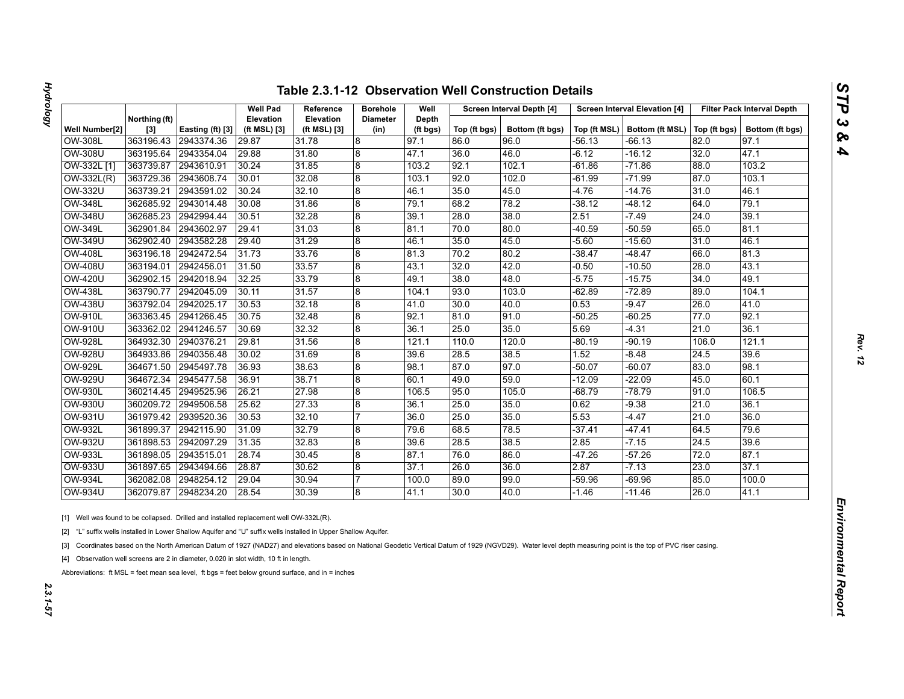| Z<br>١ |
|--------|
|        |
|        |
|        |
| م<br>s |
| ь      |

|                |                        |                  | <b>Well Pad</b>           | Reference                        | <b>Borehole</b>         | Well              |              | Screen Interval Depth [4] |          | <b>Screen Interval Elevation [4]</b> |              | <b>Filter Pack Interval Depth</b> |
|----------------|------------------------|------------------|---------------------------|----------------------------------|-------------------------|-------------------|--------------|---------------------------|----------|--------------------------------------|--------------|-----------------------------------|
| Well Number[2] | Northing (ft)<br>$[3]$ | Easting (ft) [3] | Elevation<br>(ft MSL) [3] | <b>Elevation</b><br>(ft MSL) [3] | <b>Diameter</b><br>(in) | Depth<br>(ft bgs) | Top (ft bgs) | Bottom (ft bgs)           |          | Top (ft MSL)   Bottom (ft MSL)       | Top (ft bgs) | Bottom (ft bgs)                   |
| OW-308L        | 363196.43              | 2943374.36       | 29.87                     | 31.78                            | $\boldsymbol{8}$        | 97.1              | 86.0         | 96.0                      | -56.13   | -66.13                               | 82.0         | 97.1                              |
| <b>OW-308U</b> | 363195.64              | 2943354.04       | 29.88                     | 31.80                            | 8                       | 47.1              | 36.0         | 46.0                      | -6.12    | -16.12                               | 32.0         | 47.1                              |
| OW-332L [1]    | 363739.87              | 2943610.91       | 30.24                     | 31.85                            | $\bf 8$                 | 103.2             | 92.1         | 102.1                     | $-61.86$ | $-71.86$                             | 88.0         | 103.2                             |
| OW-332L(R)     | 363729.36              | 2943608.74       | 30.01                     | 32.08                            | $\boldsymbol{8}$        | 103.1             | 92.0         | 102.0                     | $-61.99$ | $-71.99$                             | 87.0         | 103.1                             |
| OW-332U        | 363739.21              | 2943591.02       | 30.24                     | 32.10                            | $\overline{8}$          | 46.1              | 35.0         | 45.0                      | $-4.76$  | $-14.76$                             | 31.0         | 46.1                              |
| <b>OW-348L</b> | 362685.92              | 2943014.48       | 30.08                     | 31.86                            | 8                       | 79.1              | 68.2         | 78.2                      | $-38.12$ | $-48.12$                             | 64.0         | 79.1                              |
| OW-348U        | 362685.23              | 2942994.44       | 30.51                     | 32.28                            | 8                       | 39.1              | 28.0         | 38.0                      | 2.51     | $-7.49$                              | 24.0         | 39.1                              |
| <b>OW-349L</b> | 362901.84              | 2943602.97       | 29.41                     | 31.03                            | 8                       | 81.1              | 70.0         | 80.0                      | $-40.59$ | $-50.59$                             | 65.0         | 81.1                              |
| OW-349U        | 362902.40              | 2943582.28       | 29.40                     | 31.29                            | 8                       | 46.1              | 35.0         | 45.0                      | $-5.60$  | $-15.60$                             | 31.0         | 46.1                              |
| <b>OW-408L</b> | 363196.18              | 2942472.54       | 31.73                     | 33.76                            | 8                       | 81.3              | 70.2         | 80.2                      | $-38.47$ | $-48.47$                             | 66.0         | 81.3                              |
| <b>OW-408U</b> | 363194.01              | 2942456.01       | 31.50                     | 33.57                            | $\overline{8}$          | 43.1              | 32.0         | 42.0                      | -0.50    | $-10.50$                             | 28.0         | 43.1                              |
| <b>OW-420U</b> | 362902.15              | 2942018.94       | 32.25                     | 33.79                            | $\bf 8$                 | 49.1              | 38.0         | 48.0                      | $-5.75$  | $-15.75$                             | 34.0         | 49.1                              |
| <b>OW-438L</b> | 363790.77              | 2942045.09       | 30.11                     | 31.57                            | 8                       | 104.1             | 93.0         | 103.0                     | $-62.89$ | $-72.89$                             | 89.0         | 104.1                             |
| <b>OW-438U</b> | 363792.04              | 2942025.17       | 30.53                     | 32.18                            | $\overline{8}$          | 41.0              | 30.0         | 40.0                      | 0.53     | $-9.47$                              | 26.0         | 41.0                              |
| <b>OW-910L</b> | 363363.45              | 2941266.45       | 30.75                     | 32.48                            | 8                       | 92.1              | 81.0         | 91.0                      | $-50.25$ | $-60.25$                             | 77.0         | 92.1                              |
| <b>OW-910U</b> | 363362.02              | 2941246.57       | 30.69                     | 32.32                            | 8                       | 36.1              | 25.0         | 35.0                      | 5.69     | $-4.31$                              | 21.0         | 36.1                              |
| <b>OW-928L</b> | 364932.30              | 2940376.21       | 29.81                     | 31.56                            | 8                       | 121.1             | 110.0        | 120.0                     | $-80.19$ | $-90.19$                             | 106.0        | 121.1                             |
| <b>OW-928U</b> | 364933.86              | 2940356.48       | 30.02                     | 31.69                            | $\boldsymbol{8}$        | 39.6              | 28.5         | 38.5                      | 1.52     | $-8.48$                              | 24.5         | 39.6                              |
| <b>OW-929L</b> | 364671.50              | 2945497.78       | 36.93                     | 38.63                            | 8                       | 98.1              | 87.0         | 97.0                      | $-50.07$ | $-60.07$                             | 83.0         | 98.1                              |
| <b>OW-929U</b> | 364672.34              | 2945477.58       | 36.91                     | 38.71                            | 8                       | 60.1              | 49.0         | 59.0                      | $-12.09$ | $-22.09$                             | 45.0         | 60.1                              |
| OW-930L        | 360214.45              | 2949525.96       | 26.21                     | 27.98                            | $\boldsymbol{8}$        | 106.5             | 95.0         | 105.0                     | -68.79   | $-78.79$                             | 91.0         | 106.5                             |
| OW-930U        | 360209.72              | 2949506.58       | 25.62                     | 27.33                            | 8                       | 36.1              | 25.0         | 35.0                      | 0.62     | $-9.38$                              | 21.0         | 36.1                              |
| <b>OW-931U</b> | 361979.42              | 2939520.36       | 30.53                     | 32.10                            | 17                      | 36.0              | 25.0         | 35.0                      | 5.53     | $-4.47$                              | 21.0         | 36.0                              |
| <b>OW-932L</b> | 361899.37              | 2942115.90       | 31.09                     | 32.79                            | 8                       | 79.6              | 68.5         | 78.5                      | $-37.41$ | -47.41                               | 64.5         | 79.6                              |
| <b>OW-932U</b> | 361898.53              | 2942097.29       | 31.35                     | 32.83                            | $\boldsymbol{8}$        | 39.6              | 28.5         | 38.5                      | 2.85     | -7.15                                | 24.5         | 39.6                              |
| <b>OW-933L</b> | 361898.05              | 2943515.01       | 28.74                     | 30.45                            | 8                       | 87.1              | 76.0         | 86.0                      | $-47.26$ | $-57.26$                             | 72.0         | 87.1                              |
| <b>OW-933U</b> | 361897.65              | 2943494.66       | 28.87                     | 30.62                            | $\boldsymbol{8}$        | 37.1              | 26.0         | 36.0                      | 2.87     | $-7.13$                              | 23.0         | 37.1                              |
| <b>OW-934L</b> | 362082.08              | 2948254.12       | 29.04                     | 30.94                            | 7                       | 100.0             | 89.0         | 99.0                      | -59.96   | $-69.96$                             | 85.0         | 100.0                             |
| <b>OW-934U</b> | 362079.87              | 2948234.20       | 28.54                     | 30.39                            | 8                       | 41.1              | 30.0         | 40.0                      | $-1.46$  | $-11.46$                             | 26.0         | 41.1                              |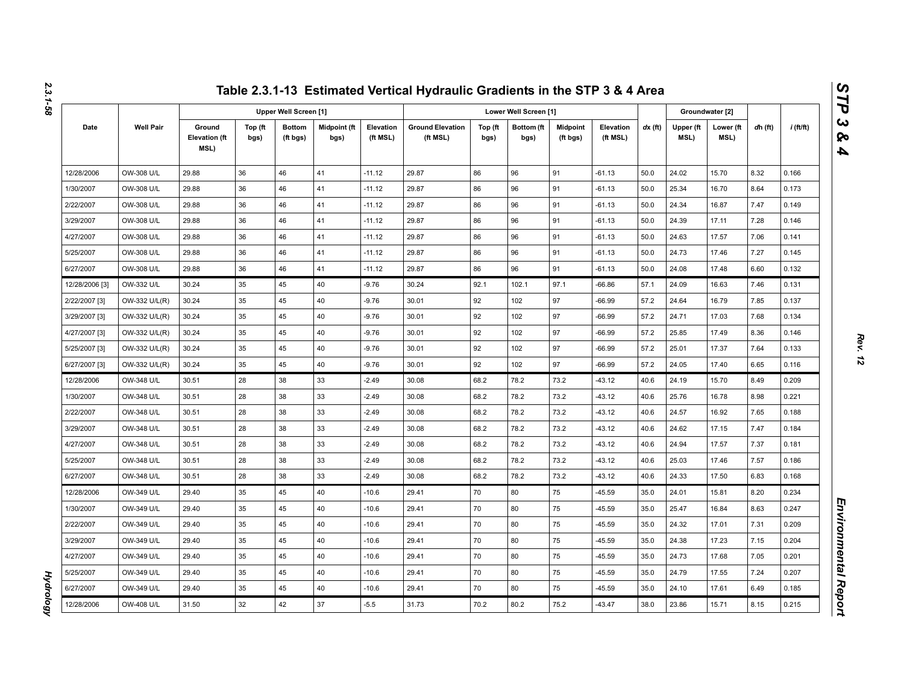|                |                  |                                        |                 |                              |                      |                       | Table 2.3.1-13 Estimated Vertical Hydraulic Gradients in the STP 3 & 4 Area |                 |                       |                             |                       |           |                   |                   |         |             |
|----------------|------------------|----------------------------------------|-----------------|------------------------------|----------------------|-----------------------|-----------------------------------------------------------------------------|-----------------|-----------------------|-----------------------------|-----------------------|-----------|-------------------|-------------------|---------|-------------|
|                |                  |                                        |                 | <b>Upper Well Screen [1]</b> |                      |                       |                                                                             |                 | Lower Well Screen [1] |                             |                       |           |                   | Groundwater [2]   |         |             |
| Date           | <b>Well Pair</b> | Ground<br><b>Elevation (ft</b><br>MSL) | Top (ft<br>bgs) | <b>Bottom</b><br>(ft bgs)    | Midpoint (ft<br>bgs) | Elevation<br>(ft MSL) | <b>Ground Elevation</b><br>(ft MSL)                                         | Top (ft<br>bgs) | Bottom (ft<br>bgs)    | <b>Midpoint</b><br>(ft bgs) | Elevation<br>(ft MSL) | $dx$ (ft) | Upper (ft<br>MSL) | Lower (ft<br>MSL) | dh (ft) | $i$ (ft/ft) |
| 12/28/2006     | OW-308 U/L       | 29.88                                  | 36              | 46                           | 41                   | $-11.12$              | 29.87                                                                       | 86              | 96                    | 91                          | $-61.13$              | 50.0      | 24.02             | 15.70             | 8.32    | 0.166       |
| 1/30/2007      | OW-308 U/L       | 29.88                                  | 36              | 46                           | 41                   | $-11.12$              | 29.87                                                                       | 86              | 96                    | 91                          | $-61.13$              | 50.0      | 25.34             | 16.70             | 8.64    | 0.173       |
| 2/22/2007      | OW-308 U/L       | 29.88                                  | 36              | 46                           | 41                   | $-11.12$              | 29.87                                                                       | 86              | 96                    | 91                          | $-61.13$              | 50.0      | 24.34             | 16.87             | 7.47    | 0.149       |
| 3/29/2007      | OW-308 U/L       | 29.88                                  | 36              | 46                           | 41                   | $-11.12$              | 29.87                                                                       | 86              | 96                    | 91                          | $-61.13$              | 50.0      | 24.39             | 17.11             | 7.28    | 0.146       |
| 4/27/2007      | OW-308 U/L       | 29.88                                  | 36              | 46                           | 41                   | $-11.12$              | 29.87                                                                       | 86              | 96                    | 91                          | $-61.13$              | 50.0      | 24.63             | 17.57             | 7.06    | 0.141       |
| 5/25/2007      | OW-308 U/L       | 29.88                                  | 36              | 46                           | 41                   | $-11.12$              | 29.87                                                                       | 86              | 96                    | 91                          | $-61.13$              | 50.0      | 24.73             | 17.46             | 7.27    | 0.145       |
| 6/27/2007      | OW-308 U/L       | 29.88                                  | 36              | 46                           | 41                   | $-11.12$              | 29.87                                                                       | 86              | 96                    | 91                          | $-61.13$              | 50.0      | 24.08             | 17.48             | 6.60    | 0.132       |
| 12/28/2006 [3] | OW-332 U/L       | 30.24                                  | 35              | 45                           | 40                   | $-9.76$               | 30.24                                                                       | 92.1            | 102.1                 | 97.1                        | $-66.86$              | 57.1      | 24.09             | 16.63             | 7.46    | 0.131       |
| 2/22/2007 [3]  | OW-332 U/L(R)    | 30.24                                  | 35              | 45                           | 40                   | $-9.76$               | 30.01                                                                       | 92              | 102                   | 97                          | $-66.99$              | 57.2      | 24.64             | 16.79             | 7.85    | 0.137       |
| 3/29/2007 [3]  | OW-332 U/L(R)    | 30.24                                  | 35              | 45                           | 40                   | $-9.76$               | 30.01                                                                       | 92              | 102                   | 97                          | $-66.99$              | 57.2      | 24.71             | 17.03             | 7.68    | 0.134       |
| 4/27/2007 [3]  | OW-332 U/L(R)    | 30.24                                  | 35              | 45                           | 40                   | $-9.76$               | 30.01                                                                       | 92              | 102                   | 97                          | $-66.99$              | 57.2      | 25.85             | 17.49             | 8.36    | 0.146       |
| 5/25/2007 [3]  | OW-332 U/L(R)    | 30.24                                  | 35              | 45                           | 40                   | $-9.76$               | 30.01                                                                       | 92              | 102                   | 97                          | $-66.99$              | 57.2      | 25.01             | 17.37             | 7.64    | 0.133       |
| 6/27/2007 [3]  | OW-332 U/L(R)    | 30.24                                  | 35              | 45                           | 40                   | $-9.76$               | 30.01                                                                       | 92              | 102                   | 97                          | $-66.99$              | 57.2      | 24.05             | 17.40             | 6.65    | 0.116       |
| 12/28/2006     | OW-348 U/L       | 30.51                                  | 28              | 38                           | 33                   | $-2.49$               | 30.08                                                                       | 68.2            | 78.2                  | 73.2                        | $-43.12$              | 40.6      | 24.19             | 15.70             | 8.49    | 0.209       |
| 1/30/2007      | OW-348 U/L       | 30.51                                  | 28              | 38                           | 33                   | $-2.49$               | 30.08                                                                       | 68.2            | 78.2                  | 73.2                        | $-43.12$              | 40.6      | 25.76             | 16.78             | 8.98    | 0.221       |
| 2/22/2007      | OW-348 U/L       | 30.51                                  | 28              | 38                           | 33                   | $-2.49$               | 30.08                                                                       | 68.2            | 78.2                  | 73.2                        | $-43.12$              | 40.6      | 24.57             | 16.92             | 7.65    | 0.188       |
| 3/29/2007      | OW-348 U/L       | 30.51                                  | 28              | 38                           | 33                   | $-2.49$               | 30.08                                                                       | 68.2            | 78.2                  | 73.2                        | $-43.12$              | 40.6      | 24.62             | 17.15             | 7.47    | 0.184       |
| 4/27/2007      | OW-348 U/L       | 30.51                                  | 28              | 38                           | 33                   | $-2.49$               | 30.08                                                                       | 68.2            | 78.2                  | 73.2                        | $-43.12$              | 40.6      | 24.94             | 17.57             | 7.37    | 0.181       |
| 5/25/2007      | OW-348 U/L       | 30.51                                  | 28              | 38                           | 33                   | $-2.49$               | 30.08                                                                       | 68.2            | 78.2                  | 73.2                        | $-43.12$              | 40.6      | 25.03             | 17.46             | 7.57    | 0.186       |
| 6/27/2007      | OW-348 U/L       | 30.51                                  | 28              | 38                           | 33                   | $-2.49$               | 30.08                                                                       | 68.2            | 78.2                  | 73.2                        | $-43.12$              | 40.6      | 24.33             | 17.50             | 6.83    | 0.168       |
| 12/28/2006     | OW-349 U/L       | 29.40                                  | 35              | 45                           | 40                   | $-10.6$               | 29.41                                                                       | 70              | 80                    | 75                          | $-45.59$              | 35.0      | 24.01             | 15.81             | 8.20    | 0.234       |
| 1/30/2007      | OW-349 U/L       | 29.40                                  | 35              | 45                           | 40                   | $-10.6$               | 29.41                                                                       | 70              | 80                    | 75                          | $-45.59$              | 35.0      | 25.47             | 16.84             | 8.63    | 0.247       |
| 2/22/2007      | OW-349 U/L       | 29.40                                  | 35              | 45                           | 40                   | $-10.6$               | 29.41                                                                       | 70              | 80                    | 75                          | -45.59                | 35.0      | 24.32             | 17.01             | 7.31    | 0.209       |
| 3/29/2007      | OW-349 U/L       | 29.40                                  | 35              | 45                           | 40                   | $-10.6$               | 29.41                                                                       | 70              | 80                    | 75                          | $-45.59$              | 35.0      | 24.38             | 17.23             | 7.15    | 0.204       |
| 4/27/2007      | OW-349 U/L       | 29.40                                  | 35              | 45                           | 40                   | $-10.6$               | 29.41                                                                       | 70              | 80                    | 75                          | $-45.59$              | 35.0      | 24.73             | 17.68             | 7.05    | 0.201       |
| 5/25/2007      | OW-349 U/L       | 29.40                                  | 35              | 45                           | 40                   | $-10.6$               | 29.41                                                                       | 70              | 80                    | 75                          | $-45.59$              | 35.0      | 24.79             | 17.55             | 7.24    | 0.207       |
| 6/27/2007      | OW-349 U/L       | 29.40                                  | 35              | 45                           | 40                   | $-10.6$               | 29.41                                                                       | 70              | 80                    | 75                          | $-45.59$              | 35.0      | 24.10             | 17.61             | 6.49    | 0.185       |
| 12/28/2006     | OW-408 U/L       | 31.50                                  | 32              | 42                           | 37                   | $-5.5$                | 31.73                                                                       | 70.2            | 80.2                  | 75.2                        | $-43.47$              | 38.0      | 23.86             | 15.71             | 8.15    | 0.215       |

**Hydrology** *Hydrology*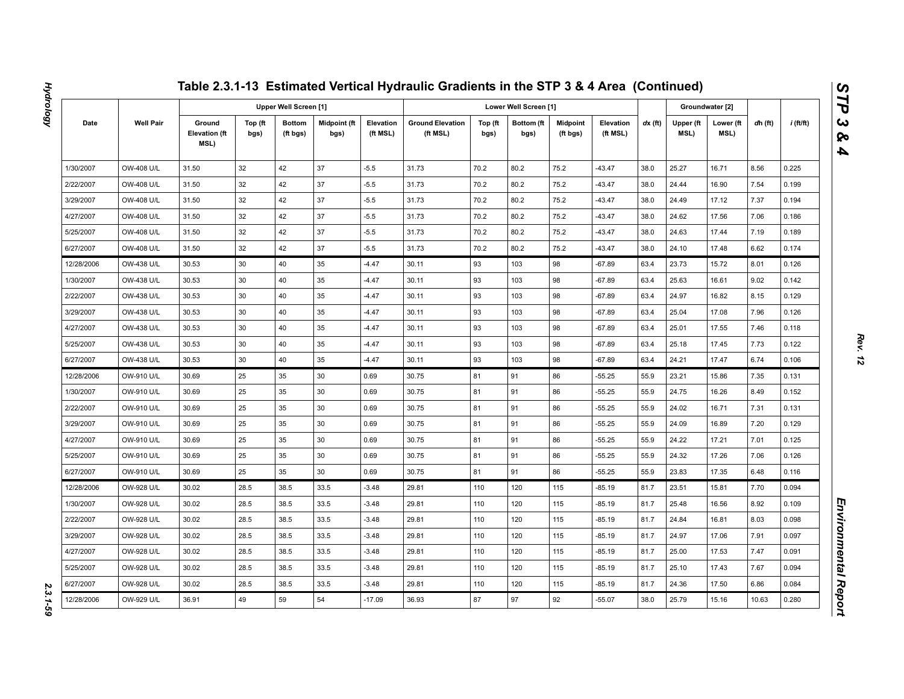|            |                  |                                        |                 |                              |                             |                       | Table 2.3.1-13 Estimated Vertical Hydraulic Gradients in the STP 3 & 4 Area (Continued) |                 |                       |                             |                       |           |                   |                   |         |             |
|------------|------------------|----------------------------------------|-----------------|------------------------------|-----------------------------|-----------------------|-----------------------------------------------------------------------------------------|-----------------|-----------------------|-----------------------------|-----------------------|-----------|-------------------|-------------------|---------|-------------|
|            |                  |                                        |                 | <b>Upper Well Screen [1]</b> |                             |                       |                                                                                         |                 | Lower Well Screen [1] |                             |                       |           |                   | Groundwater [2]   |         |             |
| Date       | <b>Well Pair</b> | Ground<br><b>Elevation (ft</b><br>MSL) | Top (ft<br>bgs) | <b>Bottom</b><br>(ft bgs)    | <b>Midpoint (ft</b><br>bgs) | Elevation<br>(ft MSL) | <b>Ground Elevation</b><br>(ft MSL)                                                     | Top (ft<br>bgs) | Bottom (ft<br>bgs)    | <b>Midpoint</b><br>(ft bgs) | Elevation<br>(ft MSL) | $dx$ (ft) | Upper (ft<br>MSL) | Lower (ft<br>MSL) | dh (ft) | $i$ (ft/ft) |
| 1/30/2007  | OW-408 U/L       | 31.50                                  | 32              | 42                           | 37                          | $-5.5$                | 31.73                                                                                   | 70.2            | 80.2                  | 75.2                        | $-43.47$              | 38.0      | 25.27             | 16.71             | 8.56    | 0.225       |
| 2/22/2007  | OW-408 U/L       | 31.50                                  | 32              | 42                           | 37                          | $-5.5$                | 31.73                                                                                   | 70.2            | 80.2                  | 75.2                        | $-43.47$              | 38.0      | 24.44             | 16.90             | 7.54    | 0.199       |
| 3/29/2007  | OW-408 U/L       | 31.50                                  | 32              | 42                           | 37                          | $-5.5$                | 31.73                                                                                   | 70.2            | 80.2                  | 75.2                        | $-43.47$              | 38.0      | 24.49             | 17.12             | 7.37    | 0.194       |
| 4/27/2007  | OW-408 U/L       | 31.50                                  | 32              | 42                           | 37                          | $-5.5$                | 31.73                                                                                   | 70.2            | 80.2                  | 75.2                        | $-43.47$              | 38.0      | 24.62             | 17.56             | 7.06    | 0.186       |
| 5/25/2007  | OW-408 U/L       | 31.50                                  | 32              | 42                           | 37                          | $-5.5$                | 31.73                                                                                   | 70.2            | 80.2                  | 75.2                        | $-43.47$              | 38.0      | 24.63             | 17.44             | 7.19    | 0.189       |
| 6/27/2007  | OW-408 U/L       | 31.50                                  | 32              | 42                           | 37                          | $-5.5$                | 31.73                                                                                   | 70.2            | 80.2                  | 75.2                        | $-43.47$              | 38.0      | 24.10             | 17.48             | 6.62    | 0.174       |
| 12/28/2006 | OW-438 U/L       | 30.53                                  | 30              | 40                           | 35                          | $-4.47$               | 30.11                                                                                   | 93              | 103                   | 98                          | $-67.89$              | 63.4      | 23.73             | 15.72             | 8.01    | 0.126       |
| 1/30/2007  | OW-438 U/L       | 30.53                                  | 30              | 40                           | 35                          | $-4.47$               | 30.11                                                                                   | 93              | 103                   | 98                          | $-67.89$              | 63.4      | 25.63             | 16.61             | 9.02    | 0.142       |
| 2/22/2007  | OW-438 U/L       | 30.53                                  | 30              | 40                           | 35                          | $-4.47$               | 30.11                                                                                   | 93              | 103                   | 98                          | $-67.89$              | 63.4      | 24.97             | 16.82             | 8.15    | 0.129       |
| 3/29/2007  | OW-438 U/L       | 30.53                                  | 30              | 40                           | 35                          | $-4.47$               | 30.11                                                                                   | 93              | 103                   | 98                          | $-67.89$              | 63.4      | 25.04             | 17.08             | 7.96    | 0.126       |
| 4/27/2007  | OW-438 U/L       | 30.53                                  | 30              | 40                           | 35                          | $-4.47$               | 30.11                                                                                   | 93              | 103                   | 98                          | $-67.89$              | 63.4      | 25.01             | 17.55             | 7.46    | 0.118       |
| 5/25/2007  | OW-438 U/L       | 30.53                                  | 30              | 40                           | 35                          | $-4.47$               | 30.11                                                                                   | 93              | 103                   | 98                          | $-67.89$              | 63.4      | 25.18             | 17.45             | 7.73    | 0.122       |
| 6/27/2007  | OW-438 U/L       | 30.53                                  | 30              | 40                           | 35                          | $-4.47$               | 30.11                                                                                   | 93              | 103                   | 98                          | $-67.89$              | 63.4      | 24.21             | 17.47             | 6.74    | 0.106       |
| 12/28/2006 | OW-910 U/L       | 30.69                                  | 25              | 35                           | 30                          | 0.69                  | 30.75                                                                                   | 81              | 91                    | 86                          | $-55.25$              | 55.9      | 23.21             | 15.86             | 7.35    | 0.131       |
| 1/30/2007  | OW-910 U/L       | 30.69                                  | 25              | 35                           | 30                          | 0.69                  | 30.75                                                                                   | 81              | 91                    | 86                          | $-55.25$              | 55.9      | 24.75             | 16.26             | 8.49    | 0.152       |
| 2/22/2007  | OW-910 U/L       | 30.69                                  | 25              | 35                           | 30                          | 0.69                  | 30.75                                                                                   | 81              | 91                    | 86                          | $-55.25$              | 55.9      | 24.02             | 16.71             | 7.31    | 0.131       |
| 3/29/2007  | OW-910 U/L       | 30.69                                  | 25              | 35                           | 30                          | 0.69                  | 30.75                                                                                   | 81              | 91                    | 86                          | $-55.25$              | 55.9      | 24.09             | 16.89             | 7.20    | 0.129       |
| 4/27/2007  | OW-910 U/L       | 30.69                                  | 25              | 35                           | 30                          | 0.69                  | 30.75                                                                                   | 81              | 91                    | 86                          | $-55.25$              | 55.9      | 24.22             | 17.21             | 7.01    | 0.125       |
| 5/25/2007  | OW-910 U/L       | 30.69                                  | 25              | 35                           | 30                          | 0.69                  | 30.75                                                                                   | 81              | 91                    | 86                          | $-55.25$              | 55.9      | 24.32             | 17.26             | 7.06    | 0.126       |
| 6/27/2007  | OW-910 U/L       | 30.69                                  | 25              | 35                           | 30                          | 0.69                  | 30.75                                                                                   | 81              | 91                    | 86                          | $-55.25$              | 55.9      | 23.83             | 17.35             | 6.48    | 0.116       |
| 12/28/2006 | OW-928 U/L       | 30.02                                  | 28.5            | 38.5                         | 33.5                        | $-3.48$               | 29.81                                                                                   | 110             | 120                   | 115                         | $-85.19$              | 81.7      | 23.51             | 15.81             | 7.70    | 0.094       |
| 1/30/2007  | OW-928 U/L       | 30.02                                  | 28.5            | 38.5                         | 33.5                        | $-3.48$               | 29.81                                                                                   | 110             | 120                   | 115                         | -85.19                | 81.7      | 25.48             | 16.56             | 8.92    | 0.109       |
| 2/22/2007  | OW-928 U/L       | 30.02                                  | 28.5            | 38.5                         | 33.5                        | $-3.48$               | 29.81                                                                                   | 110             | 120                   | 115                         | $-85.19$              | 81.7      | 24.84             | 16.81             | 8.03    | 0.098       |
| 3/29/2007  | OW-928 U/L       | 30.02                                  | 28.5            | 38.5                         | 33.5                        | $-3.48$               | 29.81                                                                                   | 110             | 120                   | 115                         | -85.19                | 81.7      | 24.97             | 17.06             | 7.91    | 0.097       |
| 4/27/2007  | OW-928 U/L       | 30.02                                  | 28.5            | 38.5                         | 33.5                        | $-3.48$               | 29.81                                                                                   | 110             | 120                   | 115                         | $-85.19$              | 81.7      | 25.00             | 17.53             | 7.47    | 0.091       |
| 5/25/2007  | OW-928 U/L       | 30.02                                  | 28.5            | 38.5                         | 33.5                        | $-3.48$               | 29.81                                                                                   | 110             | 120                   | 115                         | -85.19                | 81.7      | 25.10             | 17.43             | 7.67    | 0.094       |
| 6/27/2007  | OW-928 U/L       | 30.02                                  | 28.5            | 38.5                         | 33.5                        | $-3.48$               | 29.81                                                                                   | 110             | 120                   | 115                         | $-85.19$              | 81.7      | 24.36             | 17.50             | 6.86    | 0.084       |
| 12/28/2006 | OW-929 U/L       | 36.91                                  | 49              | 59                           | 54                          | $-17.09$              | 36.93                                                                                   | 87              | 97                    | 92                          | $-55.07$              | 38.0      | 25.79             | 15.16             | 10.63   | 0.280       |

2.3.1-59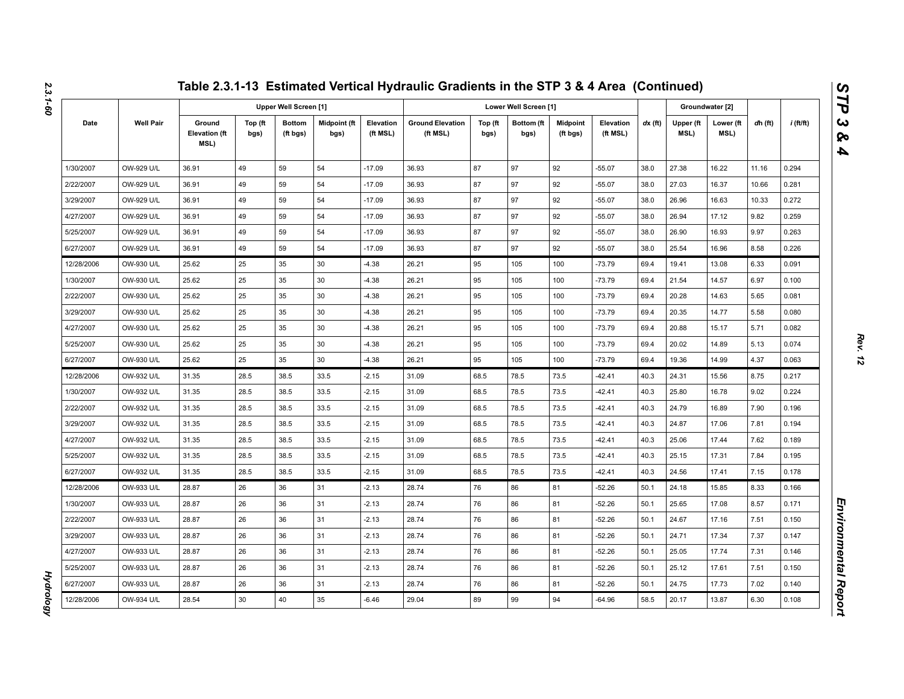|            |                  |                                        |                 |                           |                      |                       | Table 2.3.1-13 Estimated Vertical Hydraulic Gradients in the STP 3 & 4 Area (Continued) |                 |                       |                             |                       |           |                   |                   |         |             |
|------------|------------------|----------------------------------------|-----------------|---------------------------|----------------------|-----------------------|-----------------------------------------------------------------------------------------|-----------------|-----------------------|-----------------------------|-----------------------|-----------|-------------------|-------------------|---------|-------------|
|            |                  |                                        |                 | Upper Well Screen [1]     |                      |                       |                                                                                         |                 | Lower Well Screen [1] |                             |                       |           |                   | Groundwater [2]   |         |             |
| Date       | <b>Well Pair</b> | Ground<br><b>Elevation (ft</b><br>MSL) | Top (ft<br>bgs) | <b>Bottom</b><br>(ft bgs) | Midpoint (ft<br>bgs) | Elevation<br>(ft MSL) | <b>Ground Elevation</b><br>(ft MSL)                                                     | Top (ft<br>bgs) | Bottom (ft<br>bgs)    | <b>Midpoint</b><br>(ft bgs) | Elevation<br>(ft MSL) | $dx$ (ft) | Upper (ft<br>MSL) | Lower (ft<br>MSL) | dh (ft) | $i$ (ft/ft) |
| 1/30/2007  | OW-929 U/L       | 36.91                                  | 49              | 59                        | 54                   | $-17.09$              | 36.93                                                                                   | 87              | 97                    | 92                          | $-55.07$              | 38.0      | 27.38             | 16.22             | 11.16   | 0.294       |
| 2/22/2007  | OW-929 U/L       | 36.91                                  | 49              | 59                        | 54                   | $-17.09$              | 36.93                                                                                   | 87              | 97                    | 92                          | $-55.07$              | 38.0      | 27.03             | 16.37             | 10.66   | 0.281       |
| 3/29/2007  | OW-929 U/L       | 36.91                                  | 49              | 59                        | 54                   | $-17.09$              | 36.93                                                                                   | 87              | 97                    | 92                          | $-55.07$              | 38.0      | 26.96             | 16.63             | 10.33   | 0.272       |
| 4/27/2007  | OW-929 U/L       | 36.91                                  | 49              | 59                        | 54                   | $-17.09$              | 36.93                                                                                   | 87              | 97                    | 92                          | $-55.07$              | 38.0      | 26.94             | 17.12             | 9.82    | 0.259       |
| 5/25/2007  | OW-929 U/L       | 36.91                                  | 49              | 59                        | 54                   | $-17.09$              | 36.93                                                                                   | 87              | 97                    | 92                          | $-55.07$              | 38.0      | 26.90             | 16.93             | 9.97    | 0.263       |
| 6/27/2007  | OW-929 U/L       | 36.91                                  | 49              | 59                        | 54                   | $-17.09$              | 36.93                                                                                   | 87              | 97                    | 92                          | $-55.07$              | 38.0      | 25.54             | 16.96             | 8.58    | 0.226       |
| 12/28/2006 | OW-930 U/L       | 25.62                                  | 25              | 35                        | 30                   | $-4.38$               | 26.21                                                                                   | 95              | 105                   | 100                         | $-73.79$              | 69.4      | 19.41             | 13.08             | 6.33    | 0.091       |
| 1/30/2007  | OW-930 U/L       | 25.62                                  | 25              | 35                        | 30                   | $-4.38$               | 26.21                                                                                   | 95              | 105                   | 100                         | $-73.79$              | 69.4      | 21.54             | 14.57             | 6.97    | 0.100       |
| 2/22/2007  | OW-930 U/L       | 25.62                                  | 25              | 35                        | 30                   | $-4.38$               | 26.21                                                                                   | 95              | 105                   | 100                         | $-73.79$              | 69.4      | 20.28             | 14.63             | 5.65    | 0.081       |
| 3/29/2007  | OW-930 U/L       | 25.62                                  | 25              | 35                        | 30                   | $-4.38$               | 26.21                                                                                   | 95              | 105                   | 100                         | $-73.79$              | 69.4      | 20.35             | 14.77             | 5.58    | 0.080       |
| 4/27/2007  | OW-930 U/L       | 25.62                                  | 25              | 35                        | 30                   | $-4.38$               | 26.21                                                                                   | 95              | 105                   | 100                         | $-73.79$              | 69.4      | 20.88             | 15.17             | 5.71    | 0.082       |
| 5/25/2007  | OW-930 U/L       | 25.62                                  | 25              | 35                        | 30                   | $-4.38$               | 26.21                                                                                   | 95              | 105                   | 100                         | $-73.79$              | 69.4      | 20.02             | 14.89             | 5.13    | 0.074       |
| 6/27/2007  | OW-930 U/L       | 25.62                                  | 25              | 35                        | 30                   | $-4.38$               | 26.21                                                                                   | 95              | 105                   | 100                         | $-73.79$              | 69.4      | 19.36             | 14.99             | 4.37    | 0.063       |
| 12/28/2006 | OW-932 U/L       | 31.35                                  | 28.5            | 38.5                      | 33.5                 | $-2.15$               | 31.09                                                                                   | 68.5            | 78.5                  | 73.5                        | $-42.41$              | 40.3      | 24.31             | 15.56             | 8.75    | 0.217       |
| 1/30/2007  | OW-932 U/L       | 31.35                                  | 28.5            | 38.5                      | 33.5                 | $-2.15$               | 31.09                                                                                   | 68.5            | 78.5                  | 73.5                        | $-42.41$              | 40.3      | 25.80             | 16.78             | 9.02    | 0.224       |
| 2/22/2007  | OW-932 U/L       | 31.35                                  | 28.5            | 38.5                      | 33.5                 | $-2.15$               | 31.09                                                                                   | 68.5            | 78.5                  | 73.5                        | $-42.41$              | 40.3      | 24.79             | 16.89             | 7.90    | 0.196       |
| 3/29/2007  | OW-932 U/L       | 31.35                                  | 28.5            | 38.5                      | 33.5                 | $-2.15$               | 31.09                                                                                   | 68.5            | 78.5                  | 73.5                        | $-42.41$              | 40.3      | 24.87             | 17.06             | 7.81    | 0.194       |
| 4/27/2007  | OW-932 U/L       | 31.35                                  | 28.5            | 38.5                      | 33.5                 | $-2.15$               | 31.09                                                                                   | 68.5            | 78.5                  | 73.5                        | $-42.41$              | 40.3      | 25.06             | 17.44             | 7.62    | 0.189       |
| 5/25/2007  | OW-932 U/L       | 31.35                                  | 28.5            | 38.5                      | 33.5                 | $-2.15$               | 31.09                                                                                   | 68.5            | 78.5                  | 73.5                        | $-42.41$              | 40.3      | 25.15             | 17.31             | 7.84    | 0.195       |
| 6/27/2007  | OW-932 U/L       | 31.35                                  | 28.5            | 38.5                      | 33.5                 | $-2.15$               | 31.09                                                                                   | 68.5            | 78.5                  | 73.5                        | $-42.41$              | 40.3      | 24.56             | 17.41             | 7.15    | 0.178       |
| 12/28/2006 | OW-933 U/L       | 28.87                                  | 26              | 36                        | 31                   | $-2.13$               | 28.74                                                                                   | 76              | 86                    | 81                          | $-52.26$              | 50.1      | 24.18             | 15.85             | 8.33    | 0.166       |
| 1/30/2007  | OW-933 U/L       | 28.87                                  | 26              | 36                        | 31                   | $-2.13$               | 28.74                                                                                   | 76              | 86                    | 81                          | $-52.26$              | 50.1      | 25.65             | 17.08             | 8.57    | 0.171       |
| 2/22/2007  | OW-933 U/L       | 28.87                                  | 26              | 36                        | 31                   | $-2.13$               | 28.74                                                                                   | 76              | 86                    | 81                          | $-52.26$              | 50.1      | 24.67             | 17.16             | 7.51    | 0.150       |
| 3/29/2007  | OW-933 U/L       | 28.87                                  | 26              | 36                        | 31                   | $-2.13$               | 28.74                                                                                   | 76              | 86                    | 81                          | -52.26                | 50.1      | 24.71             | 17.34             | 7.37    | 0.147       |
| 4/27/2007  | OW-933 U/L       | 28.87                                  | 26              | 36                        | 31                   | $-2.13$               | 28.74                                                                                   | 76              | 86                    | 81                          | $-52.26$              | 50.1      | 25.05             | 17.74             | 7.31    | 0.146       |
| 5/25/2007  | OW-933 U/L       | 28.87                                  | 26              | 36                        | 31                   | $-2.13$               | 28.74                                                                                   | 76              | 86                    | 81                          | -52.26                | 50.1      | 25.12             | 17.61             | 7.51    | 0.150       |
| 6/27/2007  | OW-933 U/L       | 28.87                                  | 26              | 36                        | 31                   | $-2.13$               | 28.74                                                                                   | 76              | 86                    | 81                          | $-52.26$              | 50.1      | 24.75             | 17.73             | 7.02    | 0.140       |
| 12/28/2006 | OW-934 U/L       | 28.54                                  | 30              | 40                        | 35                   | $-6.46$               | 29.04                                                                                   | 89              | 99                    | 94                          | $-64.96$              | 58.5      | 20.17             | 13.87             | 6.30    | 0.108       |

**Hydrology** *Hydrology*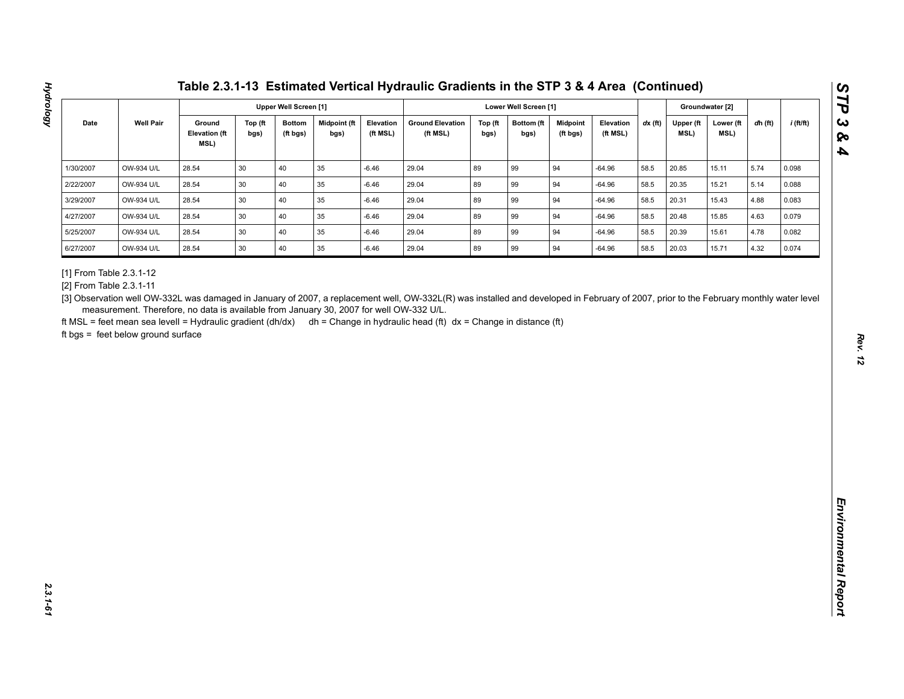| <b>Well Pair</b><br>Ground<br>Midpoint (ft<br><b>Ground Elevation</b><br>$dx$ (ft)<br>$i$ (ft/ft)<br>Date<br>Top (ft<br><b>Bottom</b><br>Elevation<br>Top (ft<br>Bottom (ft<br>Midpoint<br>Elevation<br>Upper (ft<br>Lower (ft<br>dh (ft)<br><b>Elevation (ft</b><br>MSL)<br>(ft MSL)<br>(ft MSL)<br>(ft MSL)<br>MSL)<br>bgs)<br>(ft bgs)<br>bgs)<br>bgs)<br>bgs)<br>(ft bgs)<br>MSL)<br>40<br>89<br>OW-934 U/L<br>28.54<br>30<br>35<br>$-6.46$<br>29.04<br>99<br>94<br>$-64.96$<br>58.5<br>20.85<br>5.74<br>15.11<br>0.098<br>89<br>28.54<br>30<br>40<br>35<br>29.04<br>99<br>94<br>58.5<br>5.14<br>OW-934 U/L<br>$-6.46$<br>$-64.96$<br>20.35<br>15.21<br>0.088<br>40<br>89<br>94<br>OW-934 U/L<br>28.54<br>30<br>35<br>$-6.46$<br>29.04<br>99<br>58.5<br>20.31<br>15.43<br>4.88<br>0.083<br>$-64.96$<br>30<br>40<br>35<br>89<br>99<br>OW-934 U/L<br>28.54<br>$-6.46$<br>29.04<br>94<br>$-64.96$<br>58.5<br>20.48<br>15.85<br>4.63<br>0.079<br>30 <sup>°</sup><br>40<br>89<br>94<br>28.54<br>35<br>29.04<br>99<br>58.5<br>4.78<br>OW-934 U/L<br>$-6.46$<br>$-64.96$<br>20.39<br>15.61<br>0.082<br>89<br>28.54<br>30<br>40<br>$35\,$<br>29.04<br>99<br>94<br>20.03<br>4.32<br>OW-934 U/L<br>$-6.46$<br>$-64.96$<br>58.5<br>15.71<br>0.074<br>[3] Observation well OW-332L was damaged in January of 2007, a replacement well, OW-332L(R) was installed and developed in February of 2007, prior to the February monthly water level<br>measurement. Therefore, no data is available from January 30, 2007 for well OW-332 U/L. | 1/30/2007<br>2/22/2007<br>3/29/2007<br>4/27/2007<br>5/25/2007<br>6/27/2007<br>[1] From Table 2.3.1-12<br>[2] From Table 2.3.1-11<br>ft MSL = feet mean sea levell = Hydraulic gradient (dh/dx) dh = Change in hydraulic head (ft) dx = Change in distance (ft)<br>ft bgs = feet below ground surface |  |  | <b>Upper Well Screen [1]</b> |  |  | Lower Well Screen [1] |  |  | Groundwater [2] |  |
|---------------------------------------------------------------------------------------------------------------------------------------------------------------------------------------------------------------------------------------------------------------------------------------------------------------------------------------------------------------------------------------------------------------------------------------------------------------------------------------------------------------------------------------------------------------------------------------------------------------------------------------------------------------------------------------------------------------------------------------------------------------------------------------------------------------------------------------------------------------------------------------------------------------------------------------------------------------------------------------------------------------------------------------------------------------------------------------------------------------------------------------------------------------------------------------------------------------------------------------------------------------------------------------------------------------------------------------------------------------------------------------------------------------------------------------------------------------------------------------------------------------------------------|------------------------------------------------------------------------------------------------------------------------------------------------------------------------------------------------------------------------------------------------------------------------------------------------------|--|--|------------------------------|--|--|-----------------------|--|--|-----------------|--|
|                                                                                                                                                                                                                                                                                                                                                                                                                                                                                                                                                                                                                                                                                                                                                                                                                                                                                                                                                                                                                                                                                                                                                                                                                                                                                                                                                                                                                                                                                                                                 |                                                                                                                                                                                                                                                                                                      |  |  |                              |  |  |                       |  |  |                 |  |
|                                                                                                                                                                                                                                                                                                                                                                                                                                                                                                                                                                                                                                                                                                                                                                                                                                                                                                                                                                                                                                                                                                                                                                                                                                                                                                                                                                                                                                                                                                                                 |                                                                                                                                                                                                                                                                                                      |  |  |                              |  |  |                       |  |  |                 |  |
|                                                                                                                                                                                                                                                                                                                                                                                                                                                                                                                                                                                                                                                                                                                                                                                                                                                                                                                                                                                                                                                                                                                                                                                                                                                                                                                                                                                                                                                                                                                                 |                                                                                                                                                                                                                                                                                                      |  |  |                              |  |  |                       |  |  |                 |  |
|                                                                                                                                                                                                                                                                                                                                                                                                                                                                                                                                                                                                                                                                                                                                                                                                                                                                                                                                                                                                                                                                                                                                                                                                                                                                                                                                                                                                                                                                                                                                 |                                                                                                                                                                                                                                                                                                      |  |  |                              |  |  |                       |  |  |                 |  |
|                                                                                                                                                                                                                                                                                                                                                                                                                                                                                                                                                                                                                                                                                                                                                                                                                                                                                                                                                                                                                                                                                                                                                                                                                                                                                                                                                                                                                                                                                                                                 |                                                                                                                                                                                                                                                                                                      |  |  |                              |  |  |                       |  |  |                 |  |
|                                                                                                                                                                                                                                                                                                                                                                                                                                                                                                                                                                                                                                                                                                                                                                                                                                                                                                                                                                                                                                                                                                                                                                                                                                                                                                                                                                                                                                                                                                                                 |                                                                                                                                                                                                                                                                                                      |  |  |                              |  |  |                       |  |  |                 |  |
|                                                                                                                                                                                                                                                                                                                                                                                                                                                                                                                                                                                                                                                                                                                                                                                                                                                                                                                                                                                                                                                                                                                                                                                                                                                                                                                                                                                                                                                                                                                                 |                                                                                                                                                                                                                                                                                                      |  |  |                              |  |  |                       |  |  |                 |  |
|                                                                                                                                                                                                                                                                                                                                                                                                                                                                                                                                                                                                                                                                                                                                                                                                                                                                                                                                                                                                                                                                                                                                                                                                                                                                                                                                                                                                                                                                                                                                 |                                                                                                                                                                                                                                                                                                      |  |  |                              |  |  |                       |  |  |                 |  |

**Hydrology**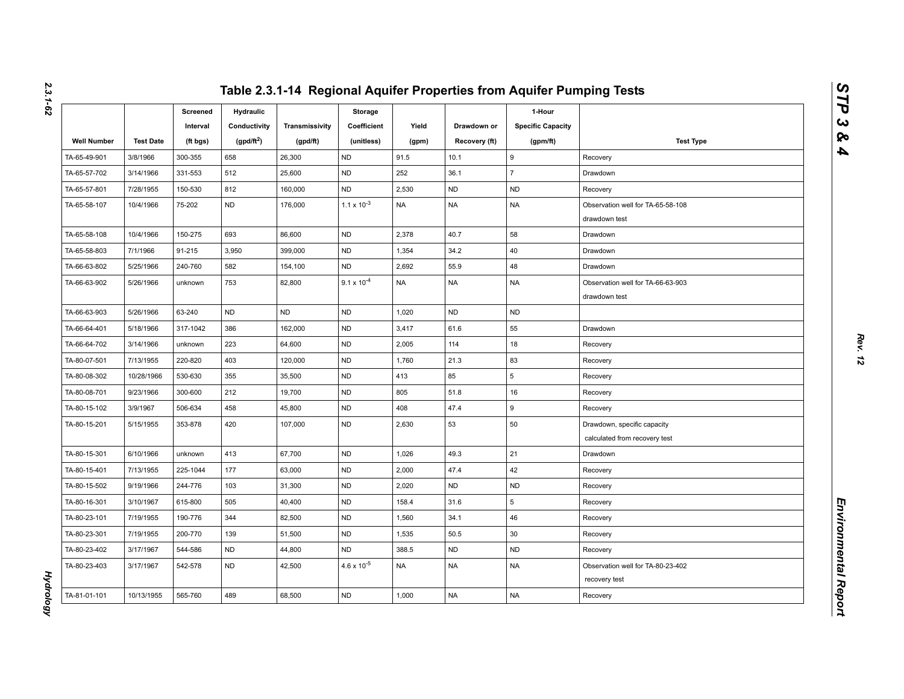|                    |                  | Screened<br>Interval | Hydraulic<br>Conductivity | Transmissivity | Storage<br>Coefficient | Yield     | Drawdown or   | 1-Hour<br><b>Specific Capacity</b> |                                                              |
|--------------------|------------------|----------------------|---------------------------|----------------|------------------------|-----------|---------------|------------------------------------|--------------------------------------------------------------|
| <b>Well Number</b> | <b>Test Date</b> | (ft bgs)             | $(gpd/ft^2)$              | (gpd/ft)       | (unitless)             | (gpm)     | Recovery (ft) | (gpm/ft)                           | <b>Test Type</b>                                             |
| TA-65-49-901       | 3/8/1966         | 300-355              | 658                       | 26,300         | <b>ND</b>              | 91.5      | 10.1          | 9                                  | Recovery                                                     |
| TA-65-57-702       | 3/14/1966        | 331-553              | 512                       | 25,600         | <b>ND</b>              | 252       | 36.1          | $\overline{7}$                     | Drawdown                                                     |
| TA-65-57-801       | 7/28/1955        | 150-530              | 812                       | 160,000        | <b>ND</b>              | 2,530     | <b>ND</b>     | <b>ND</b>                          | Recovery                                                     |
| TA-65-58-107       | 10/4/1966        | 75-202               | <b>ND</b>                 | 176,000        | $1.1 \times 10^{-3}$   | <b>NA</b> | <b>NA</b>     | <b>NA</b>                          | Observation well for TA-65-58-108<br>drawdown test           |
| TA-65-58-108       | 10/4/1966        | 150-275              | 693                       | 86,600         | <b>ND</b>              | 2,378     | 40.7          | 58                                 | Drawdown                                                     |
| TA-65-58-803       | 7/1/1966         | 91-215               | 3,950                     | 399,000        | <b>ND</b>              | 1,354     | 34.2          | 40                                 | Drawdown                                                     |
| TA-66-63-802       | 5/25/1966        | 240-760              | 582                       | 154,100        | <b>ND</b>              | 2,692     | 55.9          | 48                                 | Drawdown                                                     |
| TA-66-63-902       | 5/26/1966        | unknown              | 753                       | 82,800         | $9.1 \times 10^{-4}$   | <b>NA</b> | <b>NA</b>     | <b>NA</b>                          | Observation well for TA-66-63-903<br>drawdown test           |
| TA-66-63-903       | 5/26/1966        | 63-240               | <b>ND</b>                 | <b>ND</b>      | <b>ND</b>              | 1,020     | <b>ND</b>     | <b>ND</b>                          |                                                              |
| TA-66-64-401       | 5/18/1966        | 317-1042             | 386                       | 162,000        | <b>ND</b>              | 3,417     | 61.6          | 55                                 | Drawdown                                                     |
| TA-66-64-702       | 3/14/1966        | unknown              | 223                       | 64,600         | <b>ND</b>              | 2,005     | 114           | 18                                 | Recovery                                                     |
| TA-80-07-501       | 7/13/1955        | 220-820              | 403                       | 120,000        | <b>ND</b>              | 1,760     | 21.3          | 83                                 | Recovery                                                     |
| TA-80-08-302       | 10/28/1966       | 530-630              | 355                       | 35,500         | <b>ND</b>              | 413       | 85            | 5                                  | Recovery                                                     |
| TA-80-08-701       | 9/23/1966        | 300-600              | 212                       | 19,700         | <b>ND</b>              | 805       | 51.8          | 16                                 | Recovery                                                     |
| TA-80-15-102       | 3/9/1967         | 506-634              | 458                       | 45,800         | <b>ND</b>              | 408       | 47.4          | 9                                  | Recovery                                                     |
| TA-80-15-201       | 5/15/1955        | 353-878              | 420                       | 107,000        | <b>ND</b>              | 2,630     | 53            | 50                                 | Drawdown, specific capacity<br>calculated from recovery test |
| TA-80-15-301       | 6/10/1966        | unknown              | 413                       | 67,700         | <b>ND</b>              | 1,026     | 49.3          | 21                                 | Drawdown                                                     |
| TA-80-15-401       | 7/13/1955        | 225-1044             | 177                       | 63,000         | <b>ND</b>              | 2,000     | 47.4          | 42                                 | Recovery                                                     |
| TA-80-15-502       | 9/19/1966        | 244-776              | 103                       | 31,300         | <b>ND</b>              | 2,020     | <b>ND</b>     | <b>ND</b>                          | Recovery                                                     |
| TA-80-16-301       | 3/10/1967        | 615-800              | 505                       | 40,400         | <b>ND</b>              | 158.4     | 31.6          | 5                                  | Recovery                                                     |
| TA-80-23-101       | 7/19/1955        | 190-776              | 344                       | 82,500         | <b>ND</b>              | 1,560     | 34.1          | 46                                 | Recovery                                                     |
| TA-80-23-301       | 7/19/1955        | 200-770              | 139                       | 51,500         | <b>ND</b>              | 1,535     | 50.5          | 30                                 | Recovery                                                     |
| TA-80-23-402       | 3/17/1967        | 544-586              | <b>ND</b>                 | 44,800         | <b>ND</b>              | 388.5     | <b>ND</b>     | <b>ND</b>                          | Recovery                                                     |
| TA-80-23-403       | 3/17/1967        | 542-578              | <b>ND</b>                 | 42,500         | $4.6 \times 10^{-5}$   | <b>NA</b> | <b>NA</b>     | NA                                 | Observation well for TA-80-23-402<br>recovery test           |
| TA-81-01-101       | 10/13/1955       | 565-760              | 489                       | 68,500         | <b>ND</b>              | 1,000     | <b>NA</b>     | <b>NA</b>                          | Recovery                                                     |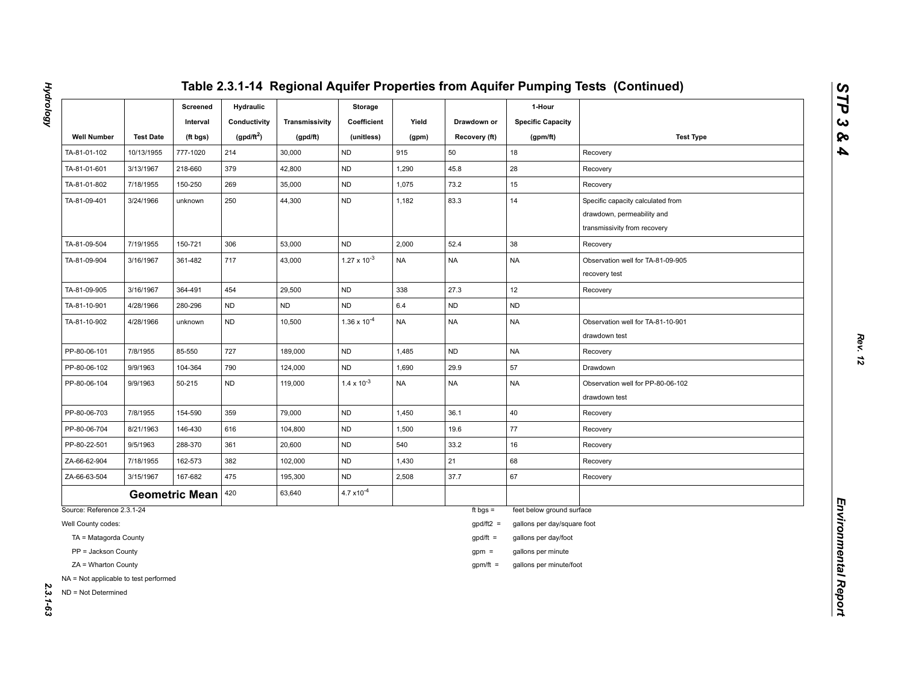|                                                              |                  | Screened<br>Interval  | <b>Hydraulic</b><br>Conductivity | Transmissivity | Storage<br>Coefficient | Yield     | Drawdown or   | 1-Hour<br><b>Specific Capacity</b> |                                                                                                 |
|--------------------------------------------------------------|------------------|-----------------------|----------------------------------|----------------|------------------------|-----------|---------------|------------------------------------|-------------------------------------------------------------------------------------------------|
| <b>Well Number</b>                                           | <b>Test Date</b> | (ft bgs)              | (gpd/ft <sup>2</sup> )           | (gpd/ft)       | (unitless)             | (gpm)     | Recovery (ft) | (gpm/ft)                           | <b>Test Type</b>                                                                                |
| TA-81-01-102                                                 | 10/13/1955       | 777-1020              | 214                              | 30,000         | <b>ND</b>              | 915       | 50            | 18                                 | Recovery                                                                                        |
| TA-81-01-601                                                 | 3/13/1967        | 218-660               | 379                              | 42,800         | <b>ND</b>              | 1,290     | 45.8          | 28                                 | Recovery                                                                                        |
| TA-81-01-802                                                 | 7/18/1955        | 150-250               | 269                              | 35,000         | <b>ND</b>              | 1,075     | 73.2          | 15                                 | Recovery                                                                                        |
| TA-81-09-401                                                 | 3/24/1966        | unknown               | 250                              | 44,300         | <b>ND</b>              | 1,182     | 83.3          | 14                                 | Specific capacity calculated from<br>drawdown, permeability and<br>transmissivity from recovery |
| TA-81-09-504                                                 | 7/19/1955        | 150-721               | 306                              | 53,000         | <b>ND</b>              | 2,000     | 52.4          | 38                                 | Recovery                                                                                        |
| TA-81-09-904                                                 | 3/16/1967        | 361-482               | 717                              | 43,000         | $1.27 \times 10^{-3}$  | <b>NA</b> | <b>NA</b>     | <b>NA</b>                          | Observation well for TA-81-09-905<br>recovery test                                              |
| TA-81-09-905                                                 | 3/16/1967        | 364-491               | 454                              | 29,500         | <b>ND</b>              | 338       | 27.3          | 12                                 | Recovery                                                                                        |
| TA-81-10-901                                                 | 4/28/1966        | 280-296               | ND                               | ND             | <b>ND</b>              | $6.4\,$   | <b>ND</b>     | ND                                 |                                                                                                 |
| TA-81-10-902                                                 | 4/28/1966        | unknown               | <b>ND</b>                        | 10,500         | $1.36 \times 10^{-4}$  | <b>NA</b> | <b>NA</b>     | <b>NA</b>                          | Observation well for TA-81-10-901<br>drawdown test                                              |
| PP-80-06-101                                                 | 7/8/1955         | 85-550                | 727                              | 189,000        | <b>ND</b>              | 1,485     | <b>ND</b>     | <b>NA</b>                          | Recovery                                                                                        |
| PP-80-06-102                                                 | 9/9/1963         | 104-364               | 790                              | 124,000        | ND                     | 1,690     | 29.9          | 57                                 | Drawdown                                                                                        |
| PP-80-06-104                                                 | 9/9/1963         | 50-215                | ND                               | 119,000        | $1.4 \times 10^{-3}$   | <b>NA</b> | <b>NA</b>     | NA                                 | Observation well for PP-80-06-102<br>drawdown test                                              |
| PP-80-06-703                                                 | 7/8/1955         | 154-590               | 359                              | 79,000         | <b>ND</b>              | 1,450     | 36.1          | 40                                 | Recovery                                                                                        |
| PP-80-06-704                                                 | 8/21/1963        | 146-430               | 616                              | 104,800        | <b>ND</b>              | 1,500     | 19.6          | 77                                 | Recovery                                                                                        |
| PP-80-22-501                                                 | 9/5/1963         | 288-370               | 361                              | 20,600         | ND                     | 540       | 33.2          | 16                                 | Recovery                                                                                        |
| ZA-66-62-904                                                 | 7/18/1955        | 162-573               | 382                              | 102,000        | <b>ND</b>              | 1,430     | 21            | 68                                 | Recovery                                                                                        |
| ZA-66-63-504                                                 | 3/15/1967        | 167-682               | 475                              | 195,300        | <b>ND</b>              | 2,508     | 37.7          | 67                                 | Recovery                                                                                        |
|                                                              |                  | <b>Geometric Mean</b> | 420                              | 63,640         | $4.7 \times 10^{-4}$   |           |               |                                    |                                                                                                 |
| Source: Reference 2.3.1-24                                   |                  |                       |                                  |                |                        |           | ft bgs $=$    | feet below ground surface          |                                                                                                 |
| Well County codes:                                           |                  |                       |                                  |                |                        |           | $gpd/ft2 =$   | gallons per day/square foot        |                                                                                                 |
| TA = Matagorda County                                        |                  |                       |                                  |                |                        |           | $gpd/ft =$    | gallons per day/foot               |                                                                                                 |
| PP = Jackson County                                          |                  |                       |                                  |                |                        |           | $gpm =$       | gallons per minute                 |                                                                                                 |
| ZA = Wharton County                                          |                  |                       |                                  |                |                        |           | $gpm/ft =$    | gallons per minute/foot            |                                                                                                 |
| NA = Not applicable to test performed<br>ND = Not Determined |                  |                       |                                  |                |                        |           |               |                                    |                                                                                                 |

**Hydrology** *Hydrology 2.3.1-63*

*STP 3 & 4*

2.3.1-63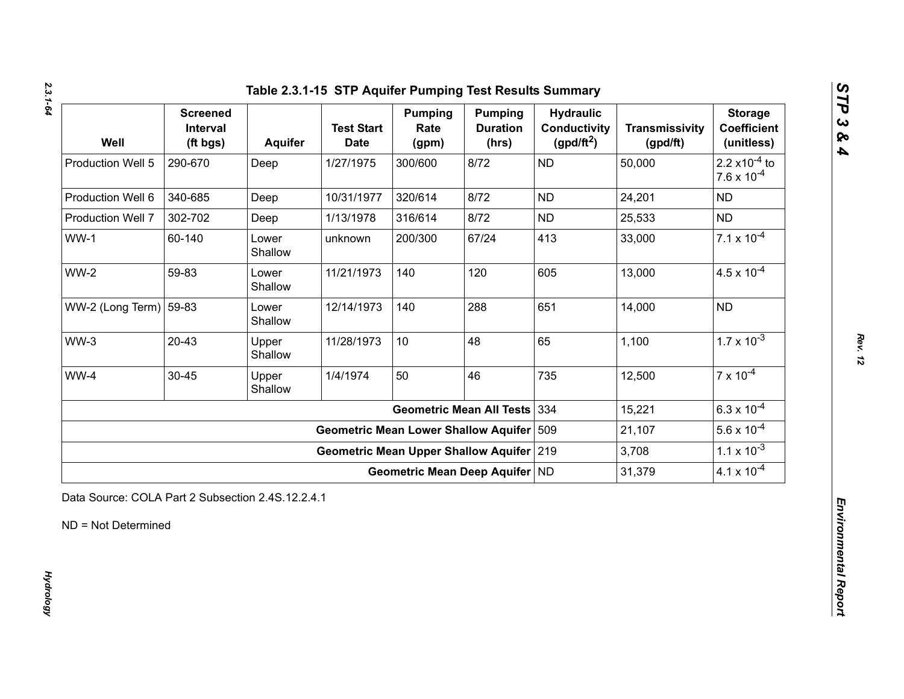*2.3.1-64*

| Well                   | <b>Screened</b><br>Interval<br>(ft bgs) | Aquifer          | <b>Test Start</b><br><b>Date</b>            | <b>Pumping</b><br>Rate<br>(gpm) | <b>Pumping</b><br><b>Duration</b><br>(hrs) | <b>Hydraulic</b><br><b>Conductivity</b><br>(gpd/ft <sup>2</sup> ) | <b>Transmissivity</b><br>(gpd/ft) | <b>Storage</b><br><b>Coefficient</b><br>(unitless)       |
|------------------------|-----------------------------------------|------------------|---------------------------------------------|---------------------------------|--------------------------------------------|-------------------------------------------------------------------|-----------------------------------|----------------------------------------------------------|
| Production Well 5      | 290-670                                 | Deep             | 1/27/1975                                   | 300/600                         | 8/72                                       | <b>ND</b>                                                         | 50,000                            | 2.2 $\times$ 10 <sup>-4</sup> to<br>$7.6 \times 10^{-4}$ |
| Production Well 6      | 340-685                                 | Deep             | 10/31/1977                                  | 320/614                         | 8/72                                       | <b>ND</b>                                                         | 24,201                            | <b>ND</b>                                                |
| Production Well 7      | 302-702                                 | Deep             | 1/13/1978                                   | 316/614                         | 8/72                                       | <b>ND</b>                                                         | 25,533                            | <b>ND</b>                                                |
| $WW-1$                 | 60-140                                  | Lower<br>Shallow | unknown                                     | 200/300                         | 67/24                                      | 413                                                               | 33,000                            | $7.1 \times 10^{-4}$                                     |
| <b>WW-2</b>            | 59-83                                   | Lower<br>Shallow | 11/21/1973                                  | 140                             | 120                                        | 605                                                               | 13,000                            | $4.5 \times 10^{-4}$                                     |
| WW-2 (Long Term) 59-83 |                                         | Lower<br>Shallow | 12/14/1973                                  | 140                             | 288                                        | 651                                                               | 14,000                            | <b>ND</b>                                                |
| $WW-3$                 | $20 - 43$                               | Upper<br>Shallow | 11/28/1973                                  | 10                              | 48                                         | 65                                                                | 1,100                             | $1.7 \times 10^{-3}$                                     |
| WW-4                   | $30 - 45$                               | Upper<br>Shallow | 1/4/1974                                    | 50                              | 46                                         | 735                                                               | 12,500                            | $7 \times 10^{-4}$                                       |
|                        |                                         |                  |                                             |                                 | <b>Geometric Mean All Tests</b>            | 334                                                               | 15,221                            | $6.3 \times 10^{-4}$                                     |
|                        |                                         |                  | <b>Geometric Mean Lower Shallow Aquifer</b> |                                 |                                            | 509                                                               | 21,107                            | $5.6 \times 10^{-4}$                                     |
|                        |                                         |                  | Geometric Mean Upper Shallow Aquifer 219    |                                 |                                            |                                                                   | 3,708                             | $1.1 \times 10^{-3}$                                     |
|                        |                                         |                  |                                             | Geometric Mean Deep Aquifer ND  |                                            |                                                                   | 31,379                            | $4.1 \times 10^{-4}$                                     |

*Rev. 12*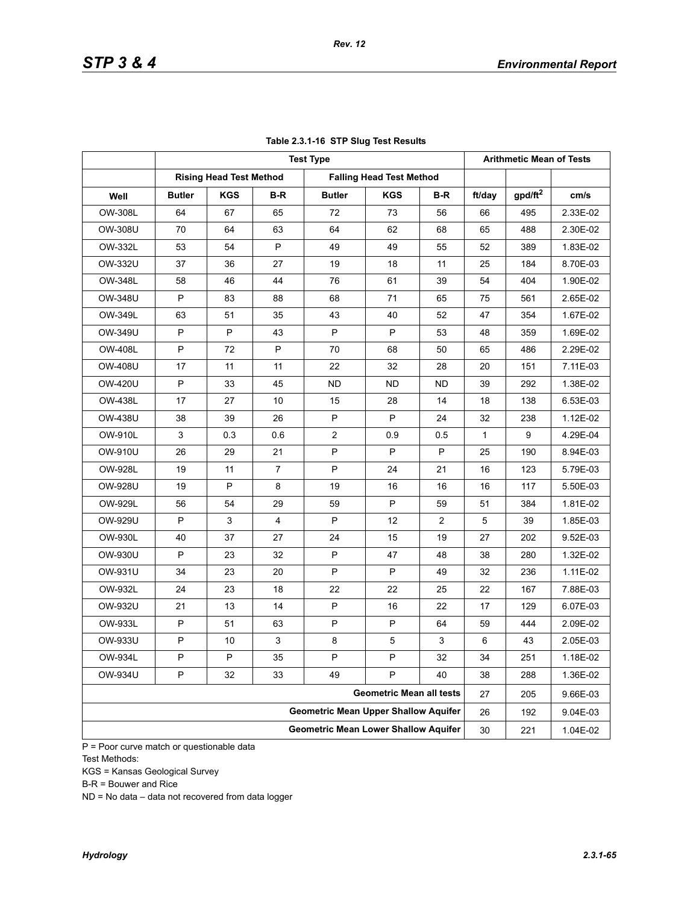|                |               |                                |                | <b>Test Type</b>                            |                                 |                |        | <b>Arithmetic Mean of Tests</b> |          |
|----------------|---------------|--------------------------------|----------------|---------------------------------------------|---------------------------------|----------------|--------|---------------------------------|----------|
|                |               | <b>Rising Head Test Method</b> |                |                                             | <b>Falling Head Test Method</b> |                |        |                                 |          |
| Well           | <b>Butler</b> | <b>KGS</b>                     | B-R            | <b>Butler</b>                               | <b>KGS</b>                      | B-R            | ft/day | $g$ pd/ft <sup>2</sup>          | cm/s     |
| <b>OW-308L</b> | 64            | 67                             | 65             | 72                                          | 73                              | 56             | 66     | 495                             | 2.33E-02 |
| OW-308U        | 70            | 64                             | 63             | 64                                          | 62                              | 68             | 65     | 488                             | 2.30E-02 |
| OW-332L        | 53            | 54                             | P              | 49                                          | 49                              | 55             | 52     | 389                             | 1.83E-02 |
| OW-332U        | 37            | 36                             | 27             | 19                                          | 18                              | 11             | 25     | 184                             | 8.70E-03 |
| OW-348L        | 58            | 46                             | 44             | 76                                          | 61                              | 39             | 54     | 404                             | 1.90E-02 |
| OW-348U        | P             | 83                             | 88             | 68                                          | 71                              | 65             | 75     | 561                             | 2.65E-02 |
| OW-349L        | 63            | 51                             | 35             | 43                                          | 40                              | 52             | 47     | 354                             | 1.67E-02 |
| OW-349U        | P             | P                              | 43             | P                                           | P                               | 53             | 48     | 359                             | 1.69E-02 |
| <b>OW-408L</b> | P             | 72                             | P              | 70                                          | 68                              | 50             | 65     | 486                             | 2.29E-02 |
| OW-408U        | 17            | 11                             | 11             | 22                                          | 32                              | 28             | 20     | 151                             | 7.11E-03 |
| OW-420U        | P             | 33                             | 45             | ND.                                         | ND                              | ND.            | 39     | 292                             | 1.38E-02 |
| <b>OW-438L</b> | 17            | 27                             | 10             | 15                                          | 28                              | 14             | 18     | 138                             | 6.53E-03 |
| <b>OW-438U</b> | 38            | 39                             | 26             | P                                           | P                               | 24             | 32     | 238                             | 1.12E-02 |
| OW-910L        | $\mathbf{3}$  | 0.3                            | 0.6            | $\overline{2}$                              | 0.9                             | 0.5            | 1      | 9                               | 4.29E-04 |
| OW-910U        | 26            | 29                             | 21             | P                                           | P                               | P              | 25     | 190                             | 8.94E-03 |
| OW-928L        | 19            | 11                             | $\overline{7}$ | P                                           | 24                              | 21             | 16     | 123                             | 5.79E-03 |
| <b>OW-928U</b> | 19            | P                              | 8              | 19                                          | 16                              | 16             | 16     | 117                             | 5.50E-03 |
| OW-929L        | 56            | 54                             | 29             | 59                                          | P                               | 59             | 51     | 384                             | 1.81E-02 |
| OW-929U        | P             | 3                              | 4              | P                                           | 12                              | $\overline{2}$ | 5      | 39                              | 1.85E-03 |
| OW-930L        | 40            | 37                             | 27             | 24                                          | 15                              | 19             | 27     | 202                             | 9.52E-03 |
| OW-930U        | P             | 23                             | 32             | P                                           | 47                              | 48             | 38     | 280                             | 1.32E-02 |
| OW-931U        | 34            | 23                             | 20             | P                                           | P                               | 49             | 32     | 236                             | 1.11E-02 |
| OW-932L        | 24            | 23                             | 18             | 22                                          | 22                              | 25             | 22     | 167                             | 7.88E-03 |
| OW-932U        | 21            | 13                             | 14             | P                                           | 16                              | 22             | 17     | 129                             | 6.07E-03 |
| OW-933L        | P             | 51                             | 63             | P                                           | P                               | 64             | 59     | 444                             | 2.09E-02 |
| OW-933U        | P             | 10                             | $\mathsf 3$    | 8                                           | 5                               | 3              | 6      | 43                              | 2.05E-03 |
| OW-934L        | P             | ٢                              | 35             | ٢                                           | ٢                               | 32             | 34     | 251                             | 1.18E-02 |
| <b>OW-934U</b> | P             | 32                             | 33             | 49                                          | P                               | 40             | 38     | 288                             | 1.36E-02 |
|                |               |                                |                |                                             | <b>Geometric Mean all tests</b> |                | 27     | 205                             | 9.66E-03 |
|                |               |                                |                | <b>Geometric Mean Upper Shallow Aquifer</b> |                                 |                | 26     | 192                             | 9.04E-03 |
|                |               |                                |                | <b>Geometric Mean Lower Shallow Aquifer</b> |                                 |                | 30     | 221                             | 1.04E-02 |

### **Table 2.3.1-16 STP Slug Test Results**

P = Poor curve match or questionable data Test Methods:

KGS = Kansas Geological Survey

B-R = Bouwer and Rice

ND = No data – data not recovered from data logger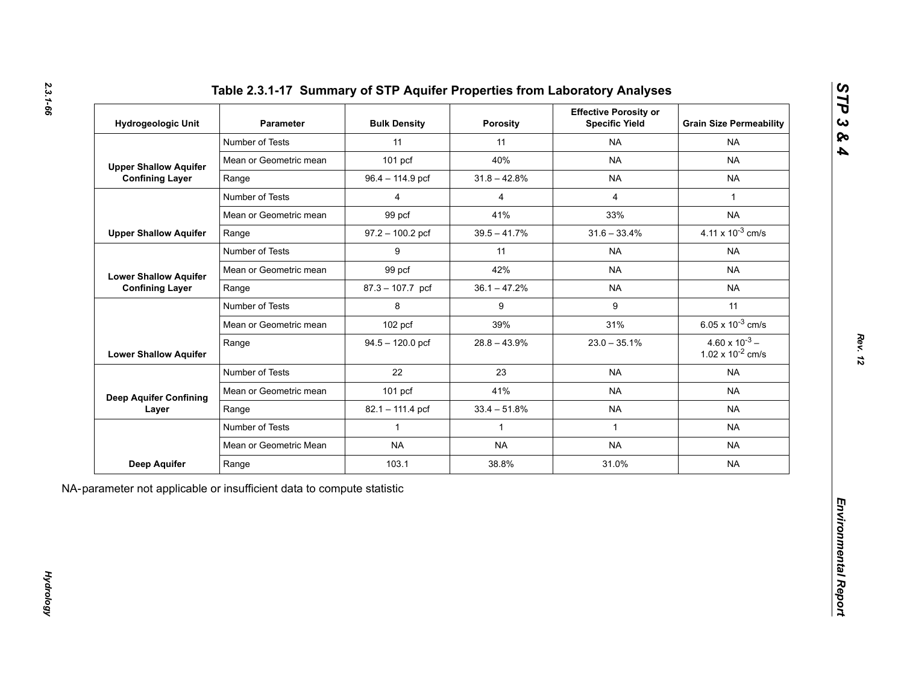| Hydrogeologic Unit            | <b>Parameter</b>       | <b>Bulk Density</b> | <b>Porosity</b> | <b>Effective Porosity or</b><br><b>Specific Yield</b> | <b>Grain Size Permeability</b>                   |
|-------------------------------|------------------------|---------------------|-----------------|-------------------------------------------------------|--------------------------------------------------|
|                               | Number of Tests        | 11                  | 11              | <b>NA</b>                                             | <b>NA</b>                                        |
| <b>Upper Shallow Aquifer</b>  | Mean or Geometric mean | $101$ pcf           | 40%             | <b>NA</b>                                             | <b>NA</b>                                        |
| <b>Confining Layer</b>        | Range                  | 96.4 - 114.9 pcf    | $31.8 - 42.8%$  | <b>NA</b>                                             | <b>NA</b>                                        |
|                               | Number of Tests        | $\overline{4}$      | $\overline{4}$  | $\overline{4}$                                        | $\mathbf{1}$                                     |
|                               | Mean or Geometric mean | 99 pcf              | 41%             | 33%                                                   | <b>NA</b>                                        |
| <b>Upper Shallow Aquifer</b>  | Range                  | $97.2 - 100.2$ pcf  | $39.5 - 41.7\%$ | $31.6 - 33.4%$                                        | 4.11 x $10^{-3}$ cm/s                            |
|                               | Number of Tests        | 9                   | 11              | <b>NA</b>                                             | <b>NA</b>                                        |
| <b>Lower Shallow Aquifer</b>  | Mean or Geometric mean | 99 pcf              | 42%             | <b>NA</b>                                             | <b>NA</b>                                        |
| <b>Confining Layer</b>        | Range                  | 87.3 - 107.7 pcf    | $36.1 - 47.2%$  | <b>NA</b>                                             | <b>NA</b>                                        |
|                               | Number of Tests        | 8                   | 9               | 9                                                     | 11                                               |
|                               | Mean or Geometric mean | 102 pcf             | 39%             | 31%                                                   | 6.05 x $10^{-3}$ cm/s                            |
| <b>Lower Shallow Aquifer</b>  | Range                  | $94.5 - 120.0$ pcf  | $28.8 - 43.9%$  | $23.0 - 35.1\%$                                       | $4.60 \times 10^{-3}$ –<br>1.02 x $10^{-2}$ cm/s |
|                               | Number of Tests        | 22                  | 23              | <b>NA</b>                                             | <b>NA</b>                                        |
| <b>Deep Aquifer Confining</b> | Mean or Geometric mean | 101 pcf             | 41%             | <b>NA</b>                                             | <b>NA</b>                                        |
| Layer                         | Range                  | 82.1 - 111.4 pcf    | $33.4 - 51.8%$  | <b>NA</b>                                             | <b>NA</b>                                        |
|                               | Number of Tests        | $\mathbf{1}$        | $\mathbf{1}$    | $\mathbf{1}$                                          | <b>NA</b>                                        |
|                               | Mean or Geometric Mean | <b>NA</b>           | <b>NA</b>       | <b>NA</b>                                             | <b>NA</b>                                        |
| <b>Deep Aquifer</b>           | Range                  | 103.1               | 38.8%           | 31.0%                                                 | <b>NA</b>                                        |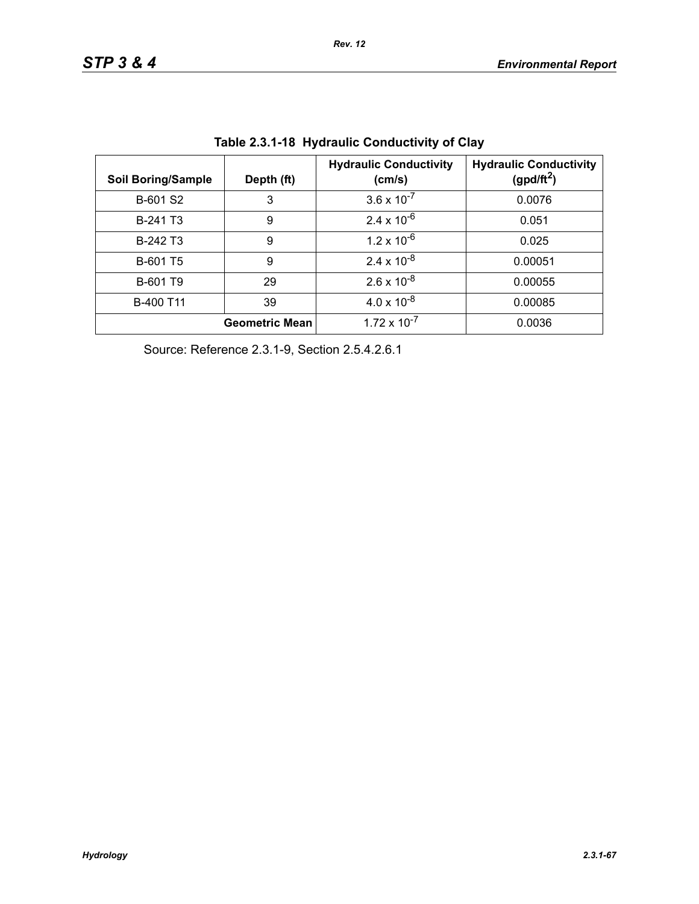| <b>Soil Boring/Sample</b> | Depth (ft)            | <b>Hydraulic Conductivity</b><br>(cm/s) | <b>Hydraulic Conductivity</b><br>(gpd/ft <sup>2</sup> ) |
|---------------------------|-----------------------|-----------------------------------------|---------------------------------------------------------|
| B-601 S2                  | 3                     | $3.6 \times 10^{-7}$                    | 0.0076                                                  |
| B-241 T <sub>3</sub>      | 9                     | $2.4 \times 10^{-6}$                    | 0.051                                                   |
| B-242 T <sub>3</sub>      | 9                     | $1.2 \times 10^{-6}$                    | 0.025                                                   |
| B-601 T5                  | 9                     | $2.4 \times 10^{-8}$                    | 0.00051                                                 |
| B-601 T9                  | 29                    | $2.6 \times 10^{-8}$                    | 0.00055                                                 |
| B-400 T11                 | 39                    | $4.0 \times 10^{-8}$                    | 0.00085                                                 |
|                           | <b>Geometric Mean</b> | $1.72 \times 10^{-7}$                   | 0.0036                                                  |

**Table 2.3.1-18 Hydraulic Conductivity of Clay** 

Source: Reference 2.3.1-9, Section 2.5.4.2.6.1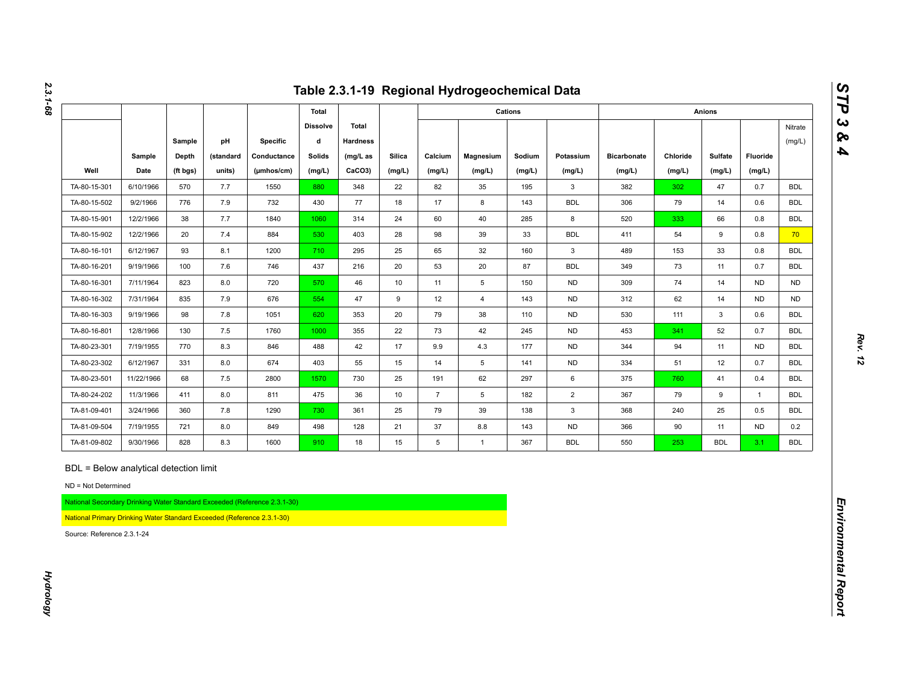|                                                                                                                                                                       |            |          |           |                                                                          |                      |                          |               |                 | Table 2.3.1-19 Regional Hydrogeochemical Data |         |                |                    |          |               |                |                   |
|-----------------------------------------------------------------------------------------------------------------------------------------------------------------------|------------|----------|-----------|--------------------------------------------------------------------------|----------------------|--------------------------|---------------|-----------------|-----------------------------------------------|---------|----------------|--------------------|----------|---------------|----------------|-------------------|
|                                                                                                                                                                       |            |          |           |                                                                          | Total                |                          |               |                 |                                               | Cations |                |                    |          | <b>Anions</b> |                |                   |
|                                                                                                                                                                       |            | Sample   | pH        | Specific                                                                 | <b>Dissolve</b><br>d | Total<br><b>Hardness</b> |               |                 |                                               |         |                |                    |          |               |                | Nitrate<br>(mg/L) |
|                                                                                                                                                                       | Sample     | Depth    | (standard | Conductance                                                              | <b>Solids</b>        | $(mg/L)$ as              | <b>Silica</b> | Calcium         | Magnesium                                     | Sodium  | Potassium      | <b>Bicarbonate</b> | Chloride | Sulfate       | Fluoride       |                   |
| Well                                                                                                                                                                  | Date       | (ft bgs) | units)    | (µmhos/cm)                                                               | (mg/L)               | CaCO3)                   | (mg/L)        | (mg/L)          | (mg/L)                                        | (mg/L)  | (mg/L)         | (mg/L)             | (mg/L)   | (mg/L)        | (mg/L)         |                   |
| TA-80-15-301                                                                                                                                                          | 6/10/1966  | 570      | 7.7       | 1550                                                                     | 880                  | 348                      | 22            | 82              | 35                                            | 195     | 3              | 382                | 302      | 47            | 0.7            | <b>BDL</b>        |
| TA-80-15-502                                                                                                                                                          | 9/2/1966   | 776      | 7.9       | 732                                                                      | 430                  | 77                       | 18            | 17              | 8                                             | 143     | <b>BDL</b>     | 306                | 79       | 14            | 0.6            | <b>BDL</b>        |
| TA-80-15-901                                                                                                                                                          | 12/2/1966  | 38       | 7.7       | 1840                                                                     | 1060                 | 314                      | 24            | 60              | 40                                            | 285     | 8              | 520                | 333      | 66            | 0.8            | <b>BDL</b>        |
| TA-80-15-902                                                                                                                                                          | 12/2/1966  | 20       | 7.4       | 884                                                                      | 530                  | 403                      | 28            | 98              | 39                                            | 33      | <b>BDL</b>     | 411                | 54       | 9             | 0.8            | 70 <sub>2</sub>   |
| TA-80-16-101                                                                                                                                                          | 6/12/1967  | 93       | 8.1       | 1200                                                                     | 710                  | 295                      | 25            | 65              | 32                                            | 160     | $\mathbf{3}$   | 489                | 153      | 33            | 0.8            | <b>BDL</b>        |
| TA-80-16-201                                                                                                                                                          | 9/19/1966  | 100      | 7.6       | 746                                                                      | 437                  | 216                      | 20            | 53              | 20                                            | 87      | <b>BDL</b>     | 349                | 73       | 11            | 0.7            | <b>BDL</b>        |
| TA-80-16-301                                                                                                                                                          | 7/11/1964  | 823      | 8.0       | 720                                                                      | 570                  | 46                       | 10            | 11              | 5                                             | 150     | <b>ND</b>      | 309                | 74       | 14            | <b>ND</b>      | <b>ND</b>         |
| TA-80-16-302                                                                                                                                                          | 7/31/1964  | 835      | 7.9       | 676                                                                      | 554                  | 47                       | 9             | 12              | $\overline{4}$                                | 143     | <b>ND</b>      | 312                | 62       | 14            | <b>ND</b>      | <b>ND</b>         |
| TA-80-16-303                                                                                                                                                          | 9/19/1966  | 98       | $7.8$     | 1051                                                                     | 620                  | 353                      | 20            | 79              | 38                                            | 110     | <b>ND</b>      | 530                | 111      | 3             | 0.6            | <b>BDL</b>        |
| TA-80-16-801                                                                                                                                                          | 12/8/1966  | 130      | 7.5       | 1760                                                                     | 1000                 | 355                      | 22            | 73              | 42                                            | 245     | <b>ND</b>      | 453                | 341      | 52            | 0.7            | <b>BDL</b>        |
| TA-80-23-301                                                                                                                                                          | 7/19/1955  | 770      | 8.3       | 846                                                                      | 488                  | 42                       | 17            | 9.9             | 4.3                                           | 177     | <b>ND</b>      | 344                | 94       | 11            | <b>ND</b>      | <b>BDL</b>        |
| TA-80-23-302                                                                                                                                                          | 6/12/1967  | 331      | 8.0       | 674                                                                      | 403                  | 55                       | 15            | 14              | 5                                             | 141     | <b>ND</b>      | 334                | 51       | 12            | 0.7            | <b>BDL</b>        |
| TA-80-23-501                                                                                                                                                          | 11/22/1966 | 68       | 7.5       | 2800                                                                     | 1570                 | 730                      | 25            | 191             | 62                                            | 297     | 6              | 375                | 760      | 41            | 0.4            | <b>BDL</b>        |
| TA-80-24-202                                                                                                                                                          | 11/3/1966  | 411      | 8.0       | 811                                                                      | 475                  | 36                       | 10            | $\overline{7}$  | 5                                             | 182     | $\overline{2}$ | 367                | 79       | 9             | $\overline{1}$ | <b>BDL</b>        |
| TA-81-09-401                                                                                                                                                          | 3/24/1966  | 360      | $7.8$     | 1290                                                                     | 730                  | 361                      | 25            | 79              | 39                                            | 138     | $\mathbf{3}$   | 368                | 240      | 25            | 0.5            | <b>BDL</b>        |
| TA-81-09-504                                                                                                                                                          | 7/19/1955  | 721      | 8.0       | 849                                                                      | 498                  | 128                      | 21            | 37              | 8.8                                           | 143     | <b>ND</b>      | 366                | 90       | 11            | ND             | 0.2               |
| TA-81-09-802                                                                                                                                                          | 9/30/1966  | 828      | 8.3       | 1600                                                                     | 910                  | 18                       | 15            | $5\phantom{.0}$ | $\mathbf{1}$                                  | 367     | <b>BDL</b>     | 550                | 253      | <b>BDL</b>    | 3.1            | <b>BDL</b>        |
| BDL = Below analytical detection limit<br>ND = Not Determined<br>National Primary Drinking Water Standard Exceeded (Reference 2.3.1-30)<br>Source: Reference 2.3.1-24 |            |          |           | National Secondary Drinking Water Standard Exceeded (Reference 2.3.1-30) |                      |                          |               |                 |                                               |         |                |                    |          |               |                |                   |

*2.3.1-68*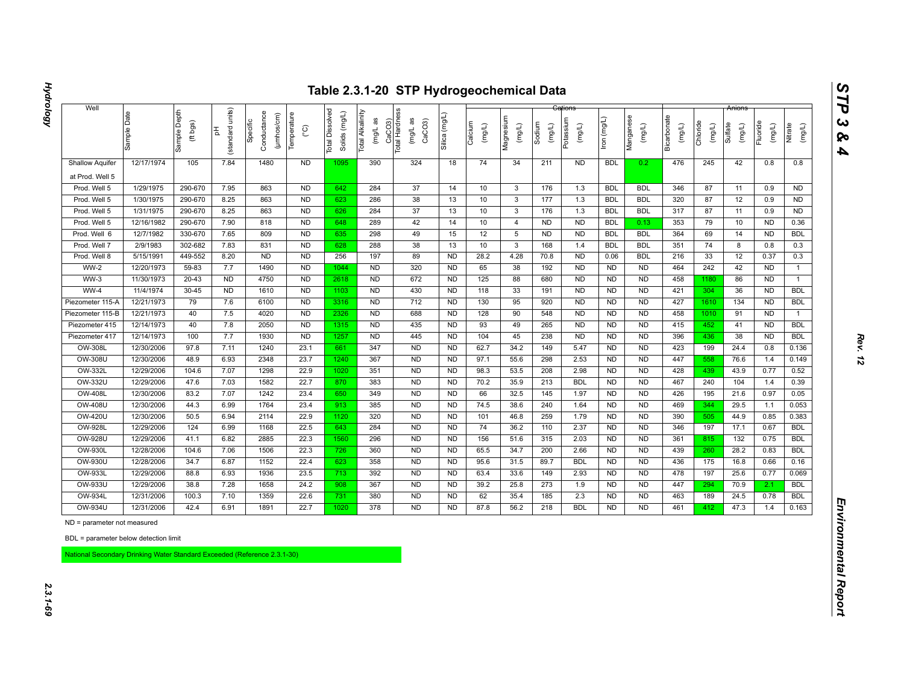| 12/17/1974                  | Sample Depth<br>(ft bgs)<br>105                                                                                                                                                                                                         | units)<br>(standard<br>苦<br>7.84                                                                                                                                                                                                          | Conductance<br>(µmhos/cm)<br>Specific                                                                                                                                             | Temperature<br>$\rm _{\rm C}^{\circ}$                                                                                                                                         | Dissolved<br>Solids (mg/L)<br><b>Total</b>                                                                                                                                                                                                               | Total Alkalinity<br>(mg/L as                                                                                                                                      | CaCO3)<br>Total Hardness<br>(mg/L as<br>CaCO <sub>3</sub>                                                                                                                                        | Silica (mg/L                                                                                                                                                                                                            | Calcium<br>(mg/L)                                                                                                                                                                                                                                              | Magnesium<br>(mg/L)                                                                                                                                   | Sodium<br>$($ mg/L)                                                                                                                                                        | Potassium<br>(mg/L)                                                                                                                                                 | lron (mg/L)                                                                                                                                                                                                                                            | Manganese<br>(mg/L)                                                                                                                                                                                                                                                                            | Bicarbonate<br>(mg/L)                                                                                                                                                                                                                                                                     | Chloride<br>(mg/L)                                                                                                                                     | Sulfate<br>(mg/L)                                                                                                                                    | Fluoride<br>(mg/L)                                                                                                                                   | Nitrate<br>(mg/L)                                                                                                                                                                                                   |
|-----------------------------|-----------------------------------------------------------------------------------------------------------------------------------------------------------------------------------------------------------------------------------------|-------------------------------------------------------------------------------------------------------------------------------------------------------------------------------------------------------------------------------------------|-----------------------------------------------------------------------------------------------------------------------------------------------------------------------------------|-------------------------------------------------------------------------------------------------------------------------------------------------------------------------------|----------------------------------------------------------------------------------------------------------------------------------------------------------------------------------------------------------------------------------------------------------|-------------------------------------------------------------------------------------------------------------------------------------------------------------------|--------------------------------------------------------------------------------------------------------------------------------------------------------------------------------------------------|-------------------------------------------------------------------------------------------------------------------------------------------------------------------------------------------------------------------------|----------------------------------------------------------------------------------------------------------------------------------------------------------------------------------------------------------------------------------------------------------------|-------------------------------------------------------------------------------------------------------------------------------------------------------|----------------------------------------------------------------------------------------------------------------------------------------------------------------------------|---------------------------------------------------------------------------------------------------------------------------------------------------------------------|--------------------------------------------------------------------------------------------------------------------------------------------------------------------------------------------------------------------------------------------------------|------------------------------------------------------------------------------------------------------------------------------------------------------------------------------------------------------------------------------------------------------------------------------------------------|-------------------------------------------------------------------------------------------------------------------------------------------------------------------------------------------------------------------------------------------------------------------------------------------|--------------------------------------------------------------------------------------------------------------------------------------------------------|------------------------------------------------------------------------------------------------------------------------------------------------------|------------------------------------------------------------------------------------------------------------------------------------------------------|---------------------------------------------------------------------------------------------------------------------------------------------------------------------------------------------------------------------|
|                             |                                                                                                                                                                                                                                         |                                                                                                                                                                                                                                           |                                                                                                                                                                                   |                                                                                                                                                                               |                                                                                                                                                                                                                                                          |                                                                                                                                                                   |                                                                                                                                                                                                  |                                                                                                                                                                                                                         |                                                                                                                                                                                                                                                                |                                                                                                                                                       |                                                                                                                                                                            |                                                                                                                                                                     |                                                                                                                                                                                                                                                        |                                                                                                                                                                                                                                                                                                |                                                                                                                                                                                                                                                                                           |                                                                                                                                                        |                                                                                                                                                      |                                                                                                                                                      |                                                                                                                                                                                                                     |
|                             |                                                                                                                                                                                                                                         |                                                                                                                                                                                                                                           | 1480                                                                                                                                                                              | <b>ND</b>                                                                                                                                                                     | 1095                                                                                                                                                                                                                                                     | 390                                                                                                                                                               | 324                                                                                                                                                                                              | 18                                                                                                                                                                                                                      | 74                                                                                                                                                                                                                                                             | 34                                                                                                                                                    | 211                                                                                                                                                                        | <b>ND</b>                                                                                                                                                           | <b>BDL</b>                                                                                                                                                                                                                                             | 0.2                                                                                                                                                                                                                                                                                            | 476                                                                                                                                                                                                                                                                                       | 245                                                                                                                                                    | 42                                                                                                                                                   | 0.8                                                                                                                                                  | 0.8                                                                                                                                                                                                                 |
|                             |                                                                                                                                                                                                                                         |                                                                                                                                                                                                                                           |                                                                                                                                                                                   |                                                                                                                                                                               |                                                                                                                                                                                                                                                          |                                                                                                                                                                   |                                                                                                                                                                                                  |                                                                                                                                                                                                                         |                                                                                                                                                                                                                                                                |                                                                                                                                                       |                                                                                                                                                                            |                                                                                                                                                                     |                                                                                                                                                                                                                                                        |                                                                                                                                                                                                                                                                                                |                                                                                                                                                                                                                                                                                           |                                                                                                                                                        |                                                                                                                                                      |                                                                                                                                                      |                                                                                                                                                                                                                     |
| 1/29/1975                   | 290-670                                                                                                                                                                                                                                 | 7.95                                                                                                                                                                                                                                      | 863                                                                                                                                                                               | <b>ND</b>                                                                                                                                                                     | 642                                                                                                                                                                                                                                                      | 284                                                                                                                                                               | 37                                                                                                                                                                                               | 14                                                                                                                                                                                                                      | 10                                                                                                                                                                                                                                                             | $\mathbf{3}$                                                                                                                                          | 176                                                                                                                                                                        | 1.3                                                                                                                                                                 | <b>BDL</b>                                                                                                                                                                                                                                             | <b>BDL</b>                                                                                                                                                                                                                                                                                     | 346                                                                                                                                                                                                                                                                                       | 87                                                                                                                                                     | 11                                                                                                                                                   | 0.9                                                                                                                                                  | <b>ND</b>                                                                                                                                                                                                           |
| 1/30/1975                   | 290-670                                                                                                                                                                                                                                 | 8.25                                                                                                                                                                                                                                      | 863                                                                                                                                                                               | <b>ND</b>                                                                                                                                                                     | 623                                                                                                                                                                                                                                                      | 286                                                                                                                                                               | 38                                                                                                                                                                                               | 13                                                                                                                                                                                                                      | 10                                                                                                                                                                                                                                                             | $\mathbf{3}$                                                                                                                                          | 177                                                                                                                                                                        | 1.3                                                                                                                                                                 | <b>BDL</b>                                                                                                                                                                                                                                             | <b>BDL</b>                                                                                                                                                                                                                                                                                     | 320                                                                                                                                                                                                                                                                                       | 87                                                                                                                                                     | 12                                                                                                                                                   | 0.9                                                                                                                                                  | <b>ND</b>                                                                                                                                                                                                           |
| 1/31/1975                   |                                                                                                                                                                                                                                         |                                                                                                                                                                                                                                           |                                                                                                                                                                                   |                                                                                                                                                                               |                                                                                                                                                                                                                                                          |                                                                                                                                                                   |                                                                                                                                                                                                  |                                                                                                                                                                                                                         |                                                                                                                                                                                                                                                                |                                                                                                                                                       |                                                                                                                                                                            |                                                                                                                                                                     |                                                                                                                                                                                                                                                        |                                                                                                                                                                                                                                                                                                |                                                                                                                                                                                                                                                                                           |                                                                                                                                                        |                                                                                                                                                      |                                                                                                                                                      | <b>ND</b>                                                                                                                                                                                                           |
|                             |                                                                                                                                                                                                                                         |                                                                                                                                                                                                                                           |                                                                                                                                                                                   |                                                                                                                                                                               |                                                                                                                                                                                                                                                          |                                                                                                                                                                   |                                                                                                                                                                                                  |                                                                                                                                                                                                                         |                                                                                                                                                                                                                                                                |                                                                                                                                                       |                                                                                                                                                                            |                                                                                                                                                                     |                                                                                                                                                                                                                                                        |                                                                                                                                                                                                                                                                                                |                                                                                                                                                                                                                                                                                           |                                                                                                                                                        |                                                                                                                                                      |                                                                                                                                                      | 0.36                                                                                                                                                                                                                |
|                             |                                                                                                                                                                                                                                         |                                                                                                                                                                                                                                           |                                                                                                                                                                                   |                                                                                                                                                                               |                                                                                                                                                                                                                                                          |                                                                                                                                                                   |                                                                                                                                                                                                  |                                                                                                                                                                                                                         |                                                                                                                                                                                                                                                                |                                                                                                                                                       |                                                                                                                                                                            |                                                                                                                                                                     |                                                                                                                                                                                                                                                        |                                                                                                                                                                                                                                                                                                |                                                                                                                                                                                                                                                                                           |                                                                                                                                                        |                                                                                                                                                      |                                                                                                                                                      | <b>BDL</b>                                                                                                                                                                                                          |
| 2/9/1983                    |                                                                                                                                                                                                                                         |                                                                                                                                                                                                                                           |                                                                                                                                                                                   |                                                                                                                                                                               |                                                                                                                                                                                                                                                          |                                                                                                                                                                   |                                                                                                                                                                                                  |                                                                                                                                                                                                                         |                                                                                                                                                                                                                                                                |                                                                                                                                                       |                                                                                                                                                                            |                                                                                                                                                                     |                                                                                                                                                                                                                                                        |                                                                                                                                                                                                                                                                                                |                                                                                                                                                                                                                                                                                           |                                                                                                                                                        |                                                                                                                                                      |                                                                                                                                                      | 0.3                                                                                                                                                                                                                 |
|                             |                                                                                                                                                                                                                                         |                                                                                                                                                                                                                                           |                                                                                                                                                                                   |                                                                                                                                                                               |                                                                                                                                                                                                                                                          |                                                                                                                                                                   |                                                                                                                                                                                                  |                                                                                                                                                                                                                         |                                                                                                                                                                                                                                                                |                                                                                                                                                       |                                                                                                                                                                            |                                                                                                                                                                     |                                                                                                                                                                                                                                                        |                                                                                                                                                                                                                                                                                                |                                                                                                                                                                                                                                                                                           |                                                                                                                                                        |                                                                                                                                                      |                                                                                                                                                      | 0.3                                                                                                                                                                                                                 |
|                             |                                                                                                                                                                                                                                         |                                                                                                                                                                                                                                           |                                                                                                                                                                                   |                                                                                                                                                                               |                                                                                                                                                                                                                                                          |                                                                                                                                                                   |                                                                                                                                                                                                  |                                                                                                                                                                                                                         |                                                                                                                                                                                                                                                                |                                                                                                                                                       |                                                                                                                                                                            |                                                                                                                                                                     |                                                                                                                                                                                                                                                        |                                                                                                                                                                                                                                                                                                |                                                                                                                                                                                                                                                                                           |                                                                                                                                                        |                                                                                                                                                      |                                                                                                                                                      | $\mathbf{1}$                                                                                                                                                                                                        |
|                             |                                                                                                                                                                                                                                         |                                                                                                                                                                                                                                           |                                                                                                                                                                                   |                                                                                                                                                                               |                                                                                                                                                                                                                                                          |                                                                                                                                                                   |                                                                                                                                                                                                  |                                                                                                                                                                                                                         |                                                                                                                                                                                                                                                                |                                                                                                                                                       |                                                                                                                                                                            |                                                                                                                                                                     |                                                                                                                                                                                                                                                        |                                                                                                                                                                                                                                                                                                |                                                                                                                                                                                                                                                                                           |                                                                                                                                                        |                                                                                                                                                      |                                                                                                                                                      | $\mathbf{1}$                                                                                                                                                                                                        |
|                             |                                                                                                                                                                                                                                         |                                                                                                                                                                                                                                           |                                                                                                                                                                                   |                                                                                                                                                                               |                                                                                                                                                                                                                                                          |                                                                                                                                                                   |                                                                                                                                                                                                  |                                                                                                                                                                                                                         |                                                                                                                                                                                                                                                                |                                                                                                                                                       |                                                                                                                                                                            |                                                                                                                                                                     |                                                                                                                                                                                                                                                        |                                                                                                                                                                                                                                                                                                |                                                                                                                                                                                                                                                                                           |                                                                                                                                                        |                                                                                                                                                      |                                                                                                                                                      | <b>BDL</b>                                                                                                                                                                                                          |
|                             |                                                                                                                                                                                                                                         |                                                                                                                                                                                                                                           |                                                                                                                                                                                   |                                                                                                                                                                               |                                                                                                                                                                                                                                                          |                                                                                                                                                                   |                                                                                                                                                                                                  |                                                                                                                                                                                                                         |                                                                                                                                                                                                                                                                |                                                                                                                                                       |                                                                                                                                                                            |                                                                                                                                                                     |                                                                                                                                                                                                                                                        |                                                                                                                                                                                                                                                                                                |                                                                                                                                                                                                                                                                                           |                                                                                                                                                        |                                                                                                                                                      |                                                                                                                                                      | <b>BDL</b>                                                                                                                                                                                                          |
|                             |                                                                                                                                                                                                                                         |                                                                                                                                                                                                                                           |                                                                                                                                                                                   |                                                                                                                                                                               |                                                                                                                                                                                                                                                          |                                                                                                                                                                   |                                                                                                                                                                                                  |                                                                                                                                                                                                                         |                                                                                                                                                                                                                                                                |                                                                                                                                                       |                                                                                                                                                                            |                                                                                                                                                                     |                                                                                                                                                                                                                                                        |                                                                                                                                                                                                                                                                                                |                                                                                                                                                                                                                                                                                           |                                                                                                                                                        |                                                                                                                                                      |                                                                                                                                                      | $\mathbf{1}$<br><b>BDL</b>                                                                                                                                                                                          |
|                             |                                                                                                                                                                                                                                         |                                                                                                                                                                                                                                           |                                                                                                                                                                                   |                                                                                                                                                                               |                                                                                                                                                                                                                                                          |                                                                                                                                                                   |                                                                                                                                                                                                  |                                                                                                                                                                                                                         |                                                                                                                                                                                                                                                                |                                                                                                                                                       |                                                                                                                                                                            |                                                                                                                                                                     |                                                                                                                                                                                                                                                        |                                                                                                                                                                                                                                                                                                |                                                                                                                                                                                                                                                                                           |                                                                                                                                                        |                                                                                                                                                      |                                                                                                                                                      | <b>BDL</b>                                                                                                                                                                                                          |
|                             |                                                                                                                                                                                                                                         |                                                                                                                                                                                                                                           |                                                                                                                                                                                   |                                                                                                                                                                               |                                                                                                                                                                                                                                                          |                                                                                                                                                                   |                                                                                                                                                                                                  |                                                                                                                                                                                                                         |                                                                                                                                                                                                                                                                |                                                                                                                                                       |                                                                                                                                                                            |                                                                                                                                                                     |                                                                                                                                                                                                                                                        |                                                                                                                                                                                                                                                                                                |                                                                                                                                                                                                                                                                                           |                                                                                                                                                        |                                                                                                                                                      |                                                                                                                                                      | 0.136                                                                                                                                                                                                               |
|                             |                                                                                                                                                                                                                                         |                                                                                                                                                                                                                                           |                                                                                                                                                                                   |                                                                                                                                                                               |                                                                                                                                                                                                                                                          |                                                                                                                                                                   |                                                                                                                                                                                                  |                                                                                                                                                                                                                         |                                                                                                                                                                                                                                                                |                                                                                                                                                       |                                                                                                                                                                            |                                                                                                                                                                     |                                                                                                                                                                                                                                                        |                                                                                                                                                                                                                                                                                                |                                                                                                                                                                                                                                                                                           |                                                                                                                                                        |                                                                                                                                                      |                                                                                                                                                      | 0.149                                                                                                                                                                                                               |
|                             |                                                                                                                                                                                                                                         |                                                                                                                                                                                                                                           |                                                                                                                                                                                   |                                                                                                                                                                               |                                                                                                                                                                                                                                                          |                                                                                                                                                                   |                                                                                                                                                                                                  |                                                                                                                                                                                                                         |                                                                                                                                                                                                                                                                |                                                                                                                                                       |                                                                                                                                                                            |                                                                                                                                                                     |                                                                                                                                                                                                                                                        |                                                                                                                                                                                                                                                                                                |                                                                                                                                                                                                                                                                                           |                                                                                                                                                        |                                                                                                                                                      |                                                                                                                                                      | 0.52                                                                                                                                                                                                                |
|                             |                                                                                                                                                                                                                                         |                                                                                                                                                                                                                                           |                                                                                                                                                                                   |                                                                                                                                                                               |                                                                                                                                                                                                                                                          |                                                                                                                                                                   |                                                                                                                                                                                                  |                                                                                                                                                                                                                         |                                                                                                                                                                                                                                                                |                                                                                                                                                       |                                                                                                                                                                            |                                                                                                                                                                     |                                                                                                                                                                                                                                                        |                                                                                                                                                                                                                                                                                                |                                                                                                                                                                                                                                                                                           |                                                                                                                                                        |                                                                                                                                                      |                                                                                                                                                      | 0.39                                                                                                                                                                                                                |
|                             |                                                                                                                                                                                                                                         |                                                                                                                                                                                                                                           |                                                                                                                                                                                   |                                                                                                                                                                               |                                                                                                                                                                                                                                                          |                                                                                                                                                                   |                                                                                                                                                                                                  |                                                                                                                                                                                                                         |                                                                                                                                                                                                                                                                |                                                                                                                                                       |                                                                                                                                                                            |                                                                                                                                                                     |                                                                                                                                                                                                                                                        |                                                                                                                                                                                                                                                                                                |                                                                                                                                                                                                                                                                                           |                                                                                                                                                        |                                                                                                                                                      |                                                                                                                                                      | 0.05                                                                                                                                                                                                                |
|                             |                                                                                                                                                                                                                                         |                                                                                                                                                                                                                                           |                                                                                                                                                                                   |                                                                                                                                                                               |                                                                                                                                                                                                                                                          |                                                                                                                                                                   |                                                                                                                                                                                                  |                                                                                                                                                                                                                         |                                                                                                                                                                                                                                                                |                                                                                                                                                       |                                                                                                                                                                            |                                                                                                                                                                     |                                                                                                                                                                                                                                                        |                                                                                                                                                                                                                                                                                                |                                                                                                                                                                                                                                                                                           |                                                                                                                                                        |                                                                                                                                                      |                                                                                                                                                      | 0.053                                                                                                                                                                                                               |
|                             |                                                                                                                                                                                                                                         |                                                                                                                                                                                                                                           |                                                                                                                                                                                   |                                                                                                                                                                               |                                                                                                                                                                                                                                                          |                                                                                                                                                                   |                                                                                                                                                                                                  |                                                                                                                                                                                                                         |                                                                                                                                                                                                                                                                |                                                                                                                                                       |                                                                                                                                                                            |                                                                                                                                                                     |                                                                                                                                                                                                                                                        |                                                                                                                                                                                                                                                                                                |                                                                                                                                                                                                                                                                                           |                                                                                                                                                        |                                                                                                                                                      |                                                                                                                                                      | 0.383                                                                                                                                                                                                               |
| 12/29/2006                  |                                                                                                                                                                                                                                         |                                                                                                                                                                                                                                           |                                                                                                                                                                                   |                                                                                                                                                                               |                                                                                                                                                                                                                                                          |                                                                                                                                                                   |                                                                                                                                                                                                  |                                                                                                                                                                                                                         |                                                                                                                                                                                                                                                                |                                                                                                                                                       |                                                                                                                                                                            |                                                                                                                                                                     |                                                                                                                                                                                                                                                        |                                                                                                                                                                                                                                                                                                |                                                                                                                                                                                                                                                                                           |                                                                                                                                                        |                                                                                                                                                      |                                                                                                                                                      | <b>BDL</b>                                                                                                                                                                                                          |
| 12/29/2006                  |                                                                                                                                                                                                                                         |                                                                                                                                                                                                                                           |                                                                                                                                                                                   |                                                                                                                                                                               |                                                                                                                                                                                                                                                          |                                                                                                                                                                   |                                                                                                                                                                                                  |                                                                                                                                                                                                                         |                                                                                                                                                                                                                                                                |                                                                                                                                                       |                                                                                                                                                                            |                                                                                                                                                                     |                                                                                                                                                                                                                                                        |                                                                                                                                                                                                                                                                                                |                                                                                                                                                                                                                                                                                           |                                                                                                                                                        |                                                                                                                                                      |                                                                                                                                                      | <b>BDL</b>                                                                                                                                                                                                          |
| 12/28/2006                  |                                                                                                                                                                                                                                         |                                                                                                                                                                                                                                           |                                                                                                                                                                                   |                                                                                                                                                                               |                                                                                                                                                                                                                                                          |                                                                                                                                                                   |                                                                                                                                                                                                  |                                                                                                                                                                                                                         |                                                                                                                                                                                                                                                                |                                                                                                                                                       |                                                                                                                                                                            |                                                                                                                                                                     |                                                                                                                                                                                                                                                        |                                                                                                                                                                                                                                                                                                |                                                                                                                                                                                                                                                                                           |                                                                                                                                                        |                                                                                                                                                      |                                                                                                                                                      | <b>BDL</b>                                                                                                                                                                                                          |
| 12/28/2006                  | 34.7                                                                                                                                                                                                                                    | 6.87                                                                                                                                                                                                                                      | 1152                                                                                                                                                                              | 22.4                                                                                                                                                                          | 623                                                                                                                                                                                                                                                      | 358                                                                                                                                                               | <b>ND</b>                                                                                                                                                                                        | <b>ND</b>                                                                                                                                                                                                               | 95.6                                                                                                                                                                                                                                                           | 31.5                                                                                                                                                  | 89.7                                                                                                                                                                       | <b>BDL</b>                                                                                                                                                          | <b>ND</b>                                                                                                                                                                                                                                              | <b>ND</b>                                                                                                                                                                                                                                                                                      | 436                                                                                                                                                                                                                                                                                       | 175                                                                                                                                                    | 16.8                                                                                                                                                 | 0.66                                                                                                                                                 | 0.16                                                                                                                                                                                                                |
| 12/29/2006                  | 88.8                                                                                                                                                                                                                                    | 6.93                                                                                                                                                                                                                                      | 1936                                                                                                                                                                              | 23.5                                                                                                                                                                          | 713                                                                                                                                                                                                                                                      | 392                                                                                                                                                               | <b>ND</b>                                                                                                                                                                                        | <b>ND</b>                                                                                                                                                                                                               | 63.4                                                                                                                                                                                                                                                           | 33.6                                                                                                                                                  | 149                                                                                                                                                                        | 2.93                                                                                                                                                                | <b>ND</b>                                                                                                                                                                                                                                              | <b>ND</b>                                                                                                                                                                                                                                                                                      | 478                                                                                                                                                                                                                                                                                       | 197                                                                                                                                                    | 25.6                                                                                                                                                 | 0.77                                                                                                                                                 | 0.069                                                                                                                                                                                                               |
| 12/29/2006                  | 38.8                                                                                                                                                                                                                                    | 7.28                                                                                                                                                                                                                                      | 1658                                                                                                                                                                              | 24.2                                                                                                                                                                          | 908                                                                                                                                                                                                                                                      | 367                                                                                                                                                               | <b>ND</b>                                                                                                                                                                                        | <b>ND</b>                                                                                                                                                                                                               | 39.2                                                                                                                                                                                                                                                           | 25.8                                                                                                                                                  | 273                                                                                                                                                                        | 1.9                                                                                                                                                                 | <b>ND</b>                                                                                                                                                                                                                                              | <b>ND</b>                                                                                                                                                                                                                                                                                      | 447                                                                                                                                                                                                                                                                                       | 294                                                                                                                                                    | 70.9                                                                                                                                                 | 2.1                                                                                                                                                  | <b>BDL</b>                                                                                                                                                                                                          |
| 12/31/2006                  | 100.3                                                                                                                                                                                                                                   | 7.10                                                                                                                                                                                                                                      | 1359                                                                                                                                                                              | 22.6                                                                                                                                                                          | 731                                                                                                                                                                                                                                                      | 380                                                                                                                                                               | <b>ND</b>                                                                                                                                                                                        | <b>ND</b>                                                                                                                                                                                                               | 62                                                                                                                                                                                                                                                             | 35.4                                                                                                                                                  | 185                                                                                                                                                                        | 2.3                                                                                                                                                                 | N <sub>D</sub>                                                                                                                                                                                                                                         | <b>ND</b>                                                                                                                                                                                                                                                                                      | 463                                                                                                                                                                                                                                                                                       | 189                                                                                                                                                    | 24.5                                                                                                                                                 | 0.78                                                                                                                                                 | <b>BDL</b>                                                                                                                                                                                                          |
| 12/31/2006                  | 42.4                                                                                                                                                                                                                                    | 6.91                                                                                                                                                                                                                                      | 1891                                                                                                                                                                              | 22.7                                                                                                                                                                          | 1020                                                                                                                                                                                                                                                     | 378                                                                                                                                                               | <b>ND</b>                                                                                                                                                                                        | <b>ND</b>                                                                                                                                                                                                               | 87.8                                                                                                                                                                                                                                                           | 56.2                                                                                                                                                  | 218                                                                                                                                                                        | <b>BDL</b>                                                                                                                                                          | ND                                                                                                                                                                                                                                                     | <b>ND</b>                                                                                                                                                                                                                                                                                      | 461                                                                                                                                                                                                                                                                                       | 412                                                                                                                                                    | 47.3                                                                                                                                                 | 1.4                                                                                                                                                  | 0.163                                                                                                                                                                                                               |
| ND = parameter not measured |                                                                                                                                                                                                                                         |                                                                                                                                                                                                                                           |                                                                                                                                                                                   |                                                                                                                                                                               |                                                                                                                                                                                                                                                          |                                                                                                                                                                   |                                                                                                                                                                                                  |                                                                                                                                                                                                                         |                                                                                                                                                                                                                                                                |                                                                                                                                                       |                                                                                                                                                                            |                                                                                                                                                                     |                                                                                                                                                                                                                                                        |                                                                                                                                                                                                                                                                                                |                                                                                                                                                                                                                                                                                           |                                                                                                                                                        |                                                                                                                                                      |                                                                                                                                                      |                                                                                                                                                                                                                     |
|                             |                                                                                                                                                                                                                                         |                                                                                                                                                                                                                                           |                                                                                                                                                                                   |                                                                                                                                                                               |                                                                                                                                                                                                                                                          |                                                                                                                                                                   |                                                                                                                                                                                                  |                                                                                                                                                                                                                         |                                                                                                                                                                                                                                                                |                                                                                                                                                       |                                                                                                                                                                            |                                                                                                                                                                     |                                                                                                                                                                                                                                                        |                                                                                                                                                                                                                                                                                                |                                                                                                                                                                                                                                                                                           |                                                                                                                                                        |                                                                                                                                                      |                                                                                                                                                      |                                                                                                                                                                                                                     |
|                             | 12/16/1982<br>12/7/1982<br>5/15/1991<br>12/20/1973<br>11/30/1973<br>11/4/1974<br>12/21/1973<br>12/21/1973<br>12/14/1973<br>12/14/1973<br>12/30/2006<br>12/30/2006<br>12/29/2006<br>12/29/2006<br>12/30/2006<br>12/30/2006<br>12/30/2006 | 290-670<br>290-670<br>330-670<br>302-682<br>449-552<br>59-83<br>$20 - 43$<br>$30 - 45$<br>79<br>40<br>40<br>100<br>97.8<br>48.9<br>104.6<br>47.6<br>83.2<br>44.3<br>50.5<br>124<br>41.1<br>104.6<br>BDL = parameter below detection limit | 8.25<br>7.90<br>7.65<br>7.83<br>8.20<br>7.7<br><b>ND</b><br><b>ND</b><br>7.6<br>7.5<br>7.8<br>7.7<br>7.11<br>6.93<br>7.07<br>7.03<br>7.07<br>6.99<br>6.94<br>6.99<br>6.82<br>7.06 | 863<br>818<br>809<br>831<br><b>ND</b><br>1490<br>4750<br>1610<br>6100<br>4020<br>2050<br>1930<br>1240<br>2348<br>1298<br>1582<br>1242<br>1764<br>2114<br>1168<br>2885<br>1506 | N <sub>D</sub><br>ND<br>N <sub>D</sub><br><b>ND</b><br><b>ND</b><br><b>ND</b><br>N <sub>D</sub><br>N <sub>D</sub><br>ND<br>N <sub>D</sub><br>N <sub>D</sub><br><b>ND</b><br>23.1<br>23.7<br>22.9<br>22.7<br>23.4<br>23.4<br>22.9<br>22.5<br>22.3<br>22.3 | 626<br>648<br>635<br>628<br>256<br>1044<br>2618<br>1103<br>3316<br>2326<br>1315<br>1257<br>661<br>1240<br>1020<br>870<br>650<br>913<br>1120<br>643<br>1560<br>726 | 284<br>289<br>298<br>288<br>197<br><b>ND</b><br><b>ND</b><br><b>ND</b><br><b>ND</b><br><b>ND</b><br><b>ND</b><br><b>ND</b><br>347<br>367<br>351<br>383<br>349<br>385<br>320<br>284<br>296<br>360 | 37<br>42<br>49<br>38<br>89<br>320<br>672<br>430<br>712<br>688<br>435<br>445<br><b>ND</b><br><b>ND</b><br>N <sub>D</sub><br><b>ND</b><br><b>ND</b><br><b>ND</b><br><b>ND</b><br><b>ND</b><br><b>ND</b><br>N <sub>D</sub> | 13<br>14<br>15<br>13<br><b>ND</b><br><b>ND</b><br><b>ND</b><br><b>ND</b><br><b>ND</b><br><b>ND</b><br><b>ND</b><br><b>ND</b><br><b>ND</b><br><b>ND</b><br><b>ND</b><br><b>ND</b><br><b>ND</b><br><b>ND</b><br><b>ND</b><br><b>ND</b><br><b>ND</b><br><b>ND</b> | 10<br>10<br>12<br>10<br>28.2<br>65<br>125<br>118<br>130<br>128<br>93<br>104<br>62.7<br>97.1<br>98.3<br>70.2<br>66<br>74.5<br>101<br>74<br>156<br>65.5 | $\overline{3}$<br>4<br>5<br>$\mathbf{3}$<br>4.28<br>38<br>88<br>33<br>95<br>90<br>49<br>45<br>34.2<br>55.6<br>53.5<br>35.9<br>32.5<br>38.6<br>46.8<br>36.2<br>51.6<br>34.7 | 176<br><b>ND</b><br><b>ND</b><br>168<br>70.8<br>192<br>680<br>191<br>920<br>548<br>265<br>238<br>149<br>298<br>208<br>213<br>145<br>240<br>259<br>110<br>315<br>200 | 1.3<br>N <sub>D</sub><br>N <sub>D</sub><br>1.4<br><b>ND</b><br><b>ND</b><br>N <sub>D</sub><br>N <sub>D</sub><br><b>ND</b><br><b>ND</b><br><b>ND</b><br><b>ND</b><br>5.47<br>2.53<br>2.98<br><b>BDL</b><br>1.97<br>1.64<br>1.79<br>2.37<br>2.03<br>2.66 | <b>BDL</b><br><b>BDL</b><br><b>BDL</b><br><b>BDL</b><br>0.06<br><b>ND</b><br><b>ND</b><br><b>ND</b><br><b>ND</b><br><b>ND</b><br><b>ND</b><br><b>ND</b><br><b>ND</b><br>N <sub>D</sub><br><b>ND</b><br><b>ND</b><br><b>ND</b><br><b>ND</b><br><b>ND</b><br><b>ND</b><br><b>ND</b><br><b>ND</b> | <b>BDL</b><br>0.13<br><b>BDL</b><br><b>BDL</b><br><b>BDL</b><br><b>ND</b><br><b>ND</b><br><b>ND</b><br><b>ND</b><br><b>ND</b><br><b>ND</b><br><b>ND</b><br><b>ND</b><br><b>ND</b><br><b>ND</b><br><b>ND</b><br><b>ND</b><br><b>ND</b><br><b>ND</b><br><b>ND</b><br><b>ND</b><br><b>ND</b> | 317<br>353<br>364<br>351<br>216<br>464<br>458<br>421<br>427<br>458<br>415<br>396<br>423<br>447<br>428<br>467<br>426<br>469<br>390<br>346<br>361<br>439 | 87<br>79<br>69<br>74<br>33<br>242<br>1180<br>304<br>1610<br>1010<br>452<br>436<br>199<br>558<br>439<br>240<br>195<br>344<br>505<br>197<br>815<br>260 | 11<br>10<br>14<br>8<br>12<br>42<br>86<br>36<br>134<br>91<br>41<br>38<br>24.4<br>76.6<br>43.9<br>104<br>21.6<br>29.5<br>44.9<br>17.1<br>$132$<br>28.2 | 0.9<br><b>ND</b><br><b>ND</b><br>0.8<br>0.37<br><b>ND</b><br><b>ND</b><br><b>ND</b><br><b>ND</b><br><b>ND</b><br><b>ND</b><br><b>ND</b><br>0.8<br>1.4<br>0.77<br>1.4<br>0.97<br>1.1<br>0.85<br>0.67<br>0.75<br>0.83 |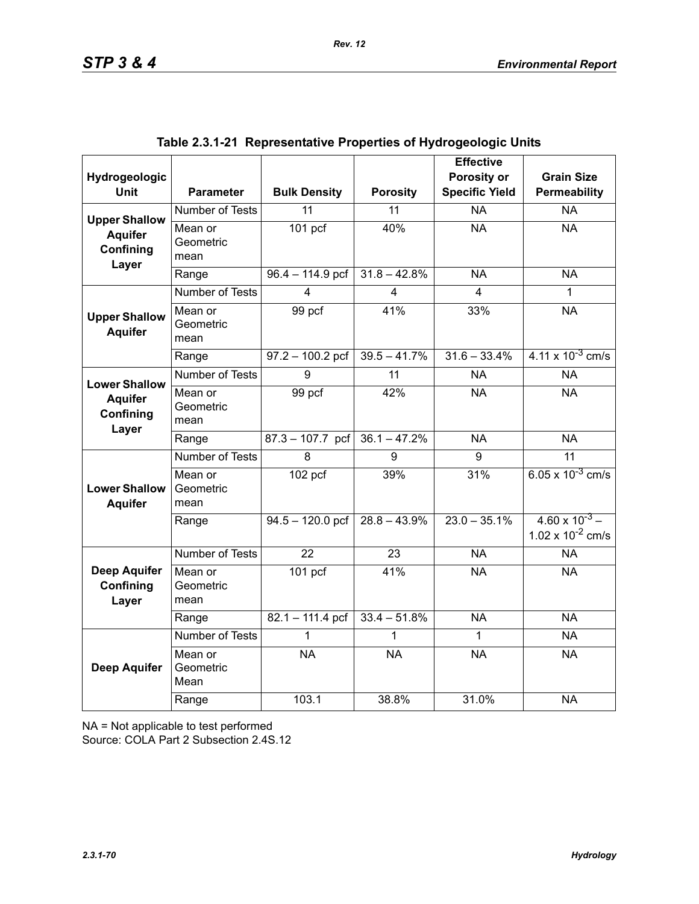| Hydrogeologic                                                |                              |                      |                         | <b>Effective</b><br>Porosity or | <b>Grain Size</b>                                |
|--------------------------------------------------------------|------------------------------|----------------------|-------------------------|---------------------------------|--------------------------------------------------|
| <b>Unit</b>                                                  | <b>Parameter</b>             | <b>Bulk Density</b>  | <b>Porosity</b>         | <b>Specific Yield</b>           | Permeability                                     |
| <b>Upper Shallow</b>                                         | Number of Tests              | 11                   | 11                      | <b>NA</b>                       | <b>NA</b>                                        |
| <b>Aquifer</b><br>Confining<br>Layer                         | Mean or<br>Geometric<br>mean | $\overline{101}$ pcf | 40%                     | <b>NA</b>                       | <b>NA</b>                                        |
|                                                              | Range                        | $96.4 - 114.9$ pcf   | $31.8 - 42.8%$          | <b>NA</b>                       | <b>NA</b>                                        |
|                                                              | <b>Number of Tests</b>       | 4                    | $\overline{\mathbf{4}}$ | 4                               | 1                                                |
| <b>Upper Shallow</b><br><b>Aquifer</b>                       | Mean or<br>Geometric<br>mean | 99 pcf               | 41%                     | 33%                             | <b>NA</b>                                        |
|                                                              | Range                        | $97.2 - 100.2$ pcf   | $39.5 - 41.7%$          | $31.6 - 33.4%$                  | $4.11 \times 10^{-3}$ cm/s                       |
|                                                              | <b>Number of Tests</b>       | 9                    | $\overline{11}$         | <b>NA</b>                       | <b>NA</b>                                        |
| <b>Lower Shallow</b><br><b>Aquifer</b><br>Confining<br>Layer | Mean or<br>Geometric<br>mean | 99 pcf               | 42%                     | <b>NA</b>                       | <b>NA</b>                                        |
|                                                              | Range                        | $87.3 - 107.7$ pcf   | $36.1 - 47.2%$          | <b>NA</b>                       | <b>NA</b>                                        |
|                                                              | <b>Number of Tests</b>       | 8                    | 9                       | 9                               | 11                                               |
| <b>Lower Shallow</b><br><b>Aquifer</b>                       | Mean or<br>Geometric<br>mean | $102$ pcf            | 39%                     | 31%                             | 6.05 x $10^{-3}$ cm/s                            |
|                                                              | Range                        | $94.5 - 120.0$ pcf   | $28.8 - 43.9\%$         | $23.0 - 35.1\%$                 | $4.60 \times 10^{-3}$ –<br>1.02 x $10^{-2}$ cm/s |
|                                                              | Number of Tests              | 22                   | 23                      | <b>NA</b>                       | <b>NA</b>                                        |
| <b>Deep Aquifer</b><br>Confining<br>Layer                    | Mean or<br>Geometric<br>mean | $101$ pcf            | 41%                     | <b>NA</b>                       | <b>NA</b>                                        |
|                                                              | Range                        | $82.1 - 111.4$ pcf   | $33.4 - 51.8%$          | <b>NA</b>                       | <b>NA</b>                                        |
|                                                              | Number of Tests              | 1                    |                         | 1                               | <b>NA</b>                                        |
| <b>Deep Aquifer</b>                                          | Mean or<br>Geometric<br>Mean | <b>NA</b>            | <b>NA</b>               | <b>NA</b>                       | <b>NA</b>                                        |
|                                                              | Range                        | 103.1                | 38.8%                   | 31.0%                           | <b>NA</b>                                        |

|  | Table 2.3.1-21  Representative Properties of Hydrogeologic Units |  |  |  |
|--|------------------------------------------------------------------|--|--|--|
|--|------------------------------------------------------------------|--|--|--|

NA = Not applicable to test performed

Source: COLA Part 2 Subsection 2.4S.12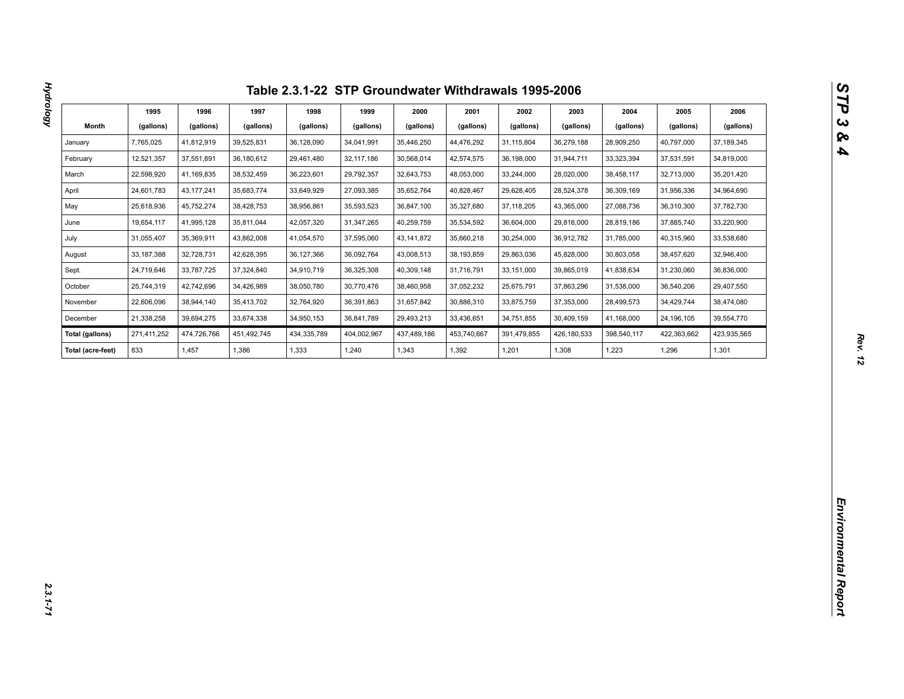| Month<br>(gallons)<br>(gallons)<br>(gallons)<br>(gallons)<br>(gallons)<br>(gallons)<br>(gallons)<br>(gallons)<br>(gallons)<br>(gallons)<br>(gallons)<br>(gallons)<br>31,115,804<br>28,909,250<br>January<br>7,765,025<br>41,812,919<br>39,525,831<br>36,128,090<br>34,041,991<br>35,446,250<br>44,476,292<br>36,279,188<br>40,797,000<br>37, 189, 345<br>12,521,357<br>36,180,612<br>29,461,480<br>30,568,014<br>31,944,711<br>February<br>37,551,891<br>32, 117, 186<br>42,574,575<br>36,198,000<br>33,323,394<br>37,531,591<br>34,819,000<br>22,598,920<br>38,532,459<br>36,223,601<br>29,792,357<br>32,643,753<br>48,053,000<br>32,713,000<br>35,201,420<br>March<br>41,169,835<br>33,244,000<br>28,020,000<br>38,458,117<br>April<br>24,601,783<br>43, 177, 241<br>35,683,774<br>33,649,929<br>27,093,385<br>35,652,764<br>40,828,467<br>29,628,405<br>28,524,378<br>36,309,169<br>31,956,336<br>34,964,690<br>25,618,936<br>45,752,274<br>38,428,753<br>38,956,861<br>35,593,523<br>36,847,100<br>35,327,680<br>37,118,205<br>43,365,000<br>27,088,736<br>37,782,730<br>May<br>36,310,300<br>19,654,117<br>42,057,320<br>33,220,900<br>June<br>41,995,128<br>35,811,044<br>31,347,265<br>40,259,759<br>35,534,592<br>36,604,000<br>29,816,000<br>28,819,186<br>37,885,740<br>31,055,407<br>43,862,008<br>33,538,680<br>35,369,911<br>41,054,570<br>37,595,060<br>43, 141, 872<br>35,660,218<br>30,254,000<br>36,912,782<br>31,785,000<br>40,315,960<br>July<br>33, 187, 388<br>32,728,731<br>42,628,395<br>36,127,366<br>36,092,764<br>43,008,513<br>38,193,859<br>29,863,036<br>45,828,000<br>30,803,058<br>38,457,620<br>32,946,400<br>August<br>24,719,646<br>37,324,840<br>34,910,719<br>36,325,308<br>41,838,634<br>Sept.<br>33,787,725<br>40,309,148<br>31,716,791<br>33,151,000<br>39,865,019<br>31,230,060<br>36,836,000<br>25,744,319<br>42,742,696<br>34,426,989<br>38,050,780<br>37,052,232<br>29,407,550<br>October<br>30,770,476<br>38,460,958<br>25,675,791<br>37,863,296<br>31,538,000<br>36,540,206<br>22,606,096<br>38,944,140<br>35,413,702<br>32,764,920<br>36,391,863<br>31,657,842<br>30,886,310<br>33,875,759<br>37,353,000<br>28,499,573<br>34,429,744<br>38,474,080<br>November<br>21,338,258<br>39,694,275<br>33,674,338<br>34,950,153<br>36,841,789<br>29,493,213<br>33,436,651<br>34,751,855<br>30,409,159<br>41,168,000<br>39,554,770<br>December<br>24,196,105<br>271,411,252<br>474,726,766<br>451,492,745<br>434,335,789<br>404,002,967<br>391,479,855<br>423,935,565<br><b>Total (gallons)</b><br>437,489,186<br>453,740,667<br>426,180,533<br>398,540,117<br>422,363,662<br>833<br>1,457<br>1,386<br>1,333<br>1,240<br>1,343<br>1,201<br>1,223<br>1,301<br>Total (acre-feet)<br>1,392<br>1,308<br>1,296 | 1995 | 1996 | 1997 | 1998 | 1999 | 2000 | 2001 | 2002 | 2003 | 2004 | 2005 | 2006 |
|-----------------------------------------------------------------------------------------------------------------------------------------------------------------------------------------------------------------------------------------------------------------------------------------------------------------------------------------------------------------------------------------------------------------------------------------------------------------------------------------------------------------------------------------------------------------------------------------------------------------------------------------------------------------------------------------------------------------------------------------------------------------------------------------------------------------------------------------------------------------------------------------------------------------------------------------------------------------------------------------------------------------------------------------------------------------------------------------------------------------------------------------------------------------------------------------------------------------------------------------------------------------------------------------------------------------------------------------------------------------------------------------------------------------------------------------------------------------------------------------------------------------------------------------------------------------------------------------------------------------------------------------------------------------------------------------------------------------------------------------------------------------------------------------------------------------------------------------------------------------------------------------------------------------------------------------------------------------------------------------------------------------------------------------------------------------------------------------------------------------------------------------------------------------------------------------------------------------------------------------------------------------------------------------------------------------------------------------------------------------------------------------------------------------------------------------------------------------------------------------------------------------------------------------------------------------------------------------------------------------------------------------------------------------------------------------------------------------------------------------------|------|------|------|------|------|------|------|------|------|------|------|------|
|                                                                                                                                                                                                                                                                                                                                                                                                                                                                                                                                                                                                                                                                                                                                                                                                                                                                                                                                                                                                                                                                                                                                                                                                                                                                                                                                                                                                                                                                                                                                                                                                                                                                                                                                                                                                                                                                                                                                                                                                                                                                                                                                                                                                                                                                                                                                                                                                                                                                                                                                                                                                                                                                                                                                               |      |      |      |      |      |      |      |      |      |      |      |      |
|                                                                                                                                                                                                                                                                                                                                                                                                                                                                                                                                                                                                                                                                                                                                                                                                                                                                                                                                                                                                                                                                                                                                                                                                                                                                                                                                                                                                                                                                                                                                                                                                                                                                                                                                                                                                                                                                                                                                                                                                                                                                                                                                                                                                                                                                                                                                                                                                                                                                                                                                                                                                                                                                                                                                               |      |      |      |      |      |      |      |      |      |      |      |      |
|                                                                                                                                                                                                                                                                                                                                                                                                                                                                                                                                                                                                                                                                                                                                                                                                                                                                                                                                                                                                                                                                                                                                                                                                                                                                                                                                                                                                                                                                                                                                                                                                                                                                                                                                                                                                                                                                                                                                                                                                                                                                                                                                                                                                                                                                                                                                                                                                                                                                                                                                                                                                                                                                                                                                               |      |      |      |      |      |      |      |      |      |      |      |      |
|                                                                                                                                                                                                                                                                                                                                                                                                                                                                                                                                                                                                                                                                                                                                                                                                                                                                                                                                                                                                                                                                                                                                                                                                                                                                                                                                                                                                                                                                                                                                                                                                                                                                                                                                                                                                                                                                                                                                                                                                                                                                                                                                                                                                                                                                                                                                                                                                                                                                                                                                                                                                                                                                                                                                               |      |      |      |      |      |      |      |      |      |      |      |      |
|                                                                                                                                                                                                                                                                                                                                                                                                                                                                                                                                                                                                                                                                                                                                                                                                                                                                                                                                                                                                                                                                                                                                                                                                                                                                                                                                                                                                                                                                                                                                                                                                                                                                                                                                                                                                                                                                                                                                                                                                                                                                                                                                                                                                                                                                                                                                                                                                                                                                                                                                                                                                                                                                                                                                               |      |      |      |      |      |      |      |      |      |      |      |      |
|                                                                                                                                                                                                                                                                                                                                                                                                                                                                                                                                                                                                                                                                                                                                                                                                                                                                                                                                                                                                                                                                                                                                                                                                                                                                                                                                                                                                                                                                                                                                                                                                                                                                                                                                                                                                                                                                                                                                                                                                                                                                                                                                                                                                                                                                                                                                                                                                                                                                                                                                                                                                                                                                                                                                               |      |      |      |      |      |      |      |      |      |      |      |      |
|                                                                                                                                                                                                                                                                                                                                                                                                                                                                                                                                                                                                                                                                                                                                                                                                                                                                                                                                                                                                                                                                                                                                                                                                                                                                                                                                                                                                                                                                                                                                                                                                                                                                                                                                                                                                                                                                                                                                                                                                                                                                                                                                                                                                                                                                                                                                                                                                                                                                                                                                                                                                                                                                                                                                               |      |      |      |      |      |      |      |      |      |      |      |      |
|                                                                                                                                                                                                                                                                                                                                                                                                                                                                                                                                                                                                                                                                                                                                                                                                                                                                                                                                                                                                                                                                                                                                                                                                                                                                                                                                                                                                                                                                                                                                                                                                                                                                                                                                                                                                                                                                                                                                                                                                                                                                                                                                                                                                                                                                                                                                                                                                                                                                                                                                                                                                                                                                                                                                               |      |      |      |      |      |      |      |      |      |      |      |      |
|                                                                                                                                                                                                                                                                                                                                                                                                                                                                                                                                                                                                                                                                                                                                                                                                                                                                                                                                                                                                                                                                                                                                                                                                                                                                                                                                                                                                                                                                                                                                                                                                                                                                                                                                                                                                                                                                                                                                                                                                                                                                                                                                                                                                                                                                                                                                                                                                                                                                                                                                                                                                                                                                                                                                               |      |      |      |      |      |      |      |      |      |      |      |      |
|                                                                                                                                                                                                                                                                                                                                                                                                                                                                                                                                                                                                                                                                                                                                                                                                                                                                                                                                                                                                                                                                                                                                                                                                                                                                                                                                                                                                                                                                                                                                                                                                                                                                                                                                                                                                                                                                                                                                                                                                                                                                                                                                                                                                                                                                                                                                                                                                                                                                                                                                                                                                                                                                                                                                               |      |      |      |      |      |      |      |      |      |      |      |      |
|                                                                                                                                                                                                                                                                                                                                                                                                                                                                                                                                                                                                                                                                                                                                                                                                                                                                                                                                                                                                                                                                                                                                                                                                                                                                                                                                                                                                                                                                                                                                                                                                                                                                                                                                                                                                                                                                                                                                                                                                                                                                                                                                                                                                                                                                                                                                                                                                                                                                                                                                                                                                                                                                                                                                               |      |      |      |      |      |      |      |      |      |      |      |      |
|                                                                                                                                                                                                                                                                                                                                                                                                                                                                                                                                                                                                                                                                                                                                                                                                                                                                                                                                                                                                                                                                                                                                                                                                                                                                                                                                                                                                                                                                                                                                                                                                                                                                                                                                                                                                                                                                                                                                                                                                                                                                                                                                                                                                                                                                                                                                                                                                                                                                                                                                                                                                                                                                                                                                               |      |      |      |      |      |      |      |      |      |      |      |      |
|                                                                                                                                                                                                                                                                                                                                                                                                                                                                                                                                                                                                                                                                                                                                                                                                                                                                                                                                                                                                                                                                                                                                                                                                                                                                                                                                                                                                                                                                                                                                                                                                                                                                                                                                                                                                                                                                                                                                                                                                                                                                                                                                                                                                                                                                                                                                                                                                                                                                                                                                                                                                                                                                                                                                               |      |      |      |      |      |      |      |      |      |      |      |      |
|                                                                                                                                                                                                                                                                                                                                                                                                                                                                                                                                                                                                                                                                                                                                                                                                                                                                                                                                                                                                                                                                                                                                                                                                                                                                                                                                                                                                                                                                                                                                                                                                                                                                                                                                                                                                                                                                                                                                                                                                                                                                                                                                                                                                                                                                                                                                                                                                                                                                                                                                                                                                                                                                                                                                               |      |      |      |      |      |      |      |      |      |      |      |      |
|                                                                                                                                                                                                                                                                                                                                                                                                                                                                                                                                                                                                                                                                                                                                                                                                                                                                                                                                                                                                                                                                                                                                                                                                                                                                                                                                                                                                                                                                                                                                                                                                                                                                                                                                                                                                                                                                                                                                                                                                                                                                                                                                                                                                                                                                                                                                                                                                                                                                                                                                                                                                                                                                                                                                               |      |      |      |      |      |      |      |      |      |      |      |      |
|                                                                                                                                                                                                                                                                                                                                                                                                                                                                                                                                                                                                                                                                                                                                                                                                                                                                                                                                                                                                                                                                                                                                                                                                                                                                                                                                                                                                                                                                                                                                                                                                                                                                                                                                                                                                                                                                                                                                                                                                                                                                                                                                                                                                                                                                                                                                                                                                                                                                                                                                                                                                                                                                                                                                               |      |      |      |      |      |      |      |      |      |      |      |      |
|                                                                                                                                                                                                                                                                                                                                                                                                                                                                                                                                                                                                                                                                                                                                                                                                                                                                                                                                                                                                                                                                                                                                                                                                                                                                                                                                                                                                                                                                                                                                                                                                                                                                                                                                                                                                                                                                                                                                                                                                                                                                                                                                                                                                                                                                                                                                                                                                                                                                                                                                                                                                                                                                                                                                               |      |      |      |      |      |      |      |      |      |      |      |      |
|                                                                                                                                                                                                                                                                                                                                                                                                                                                                                                                                                                                                                                                                                                                                                                                                                                                                                                                                                                                                                                                                                                                                                                                                                                                                                                                                                                                                                                                                                                                                                                                                                                                                                                                                                                                                                                                                                                                                                                                                                                                                                                                                                                                                                                                                                                                                                                                                                                                                                                                                                                                                                                                                                                                                               |      |      |      |      |      |      |      |      |      |      |      |      |